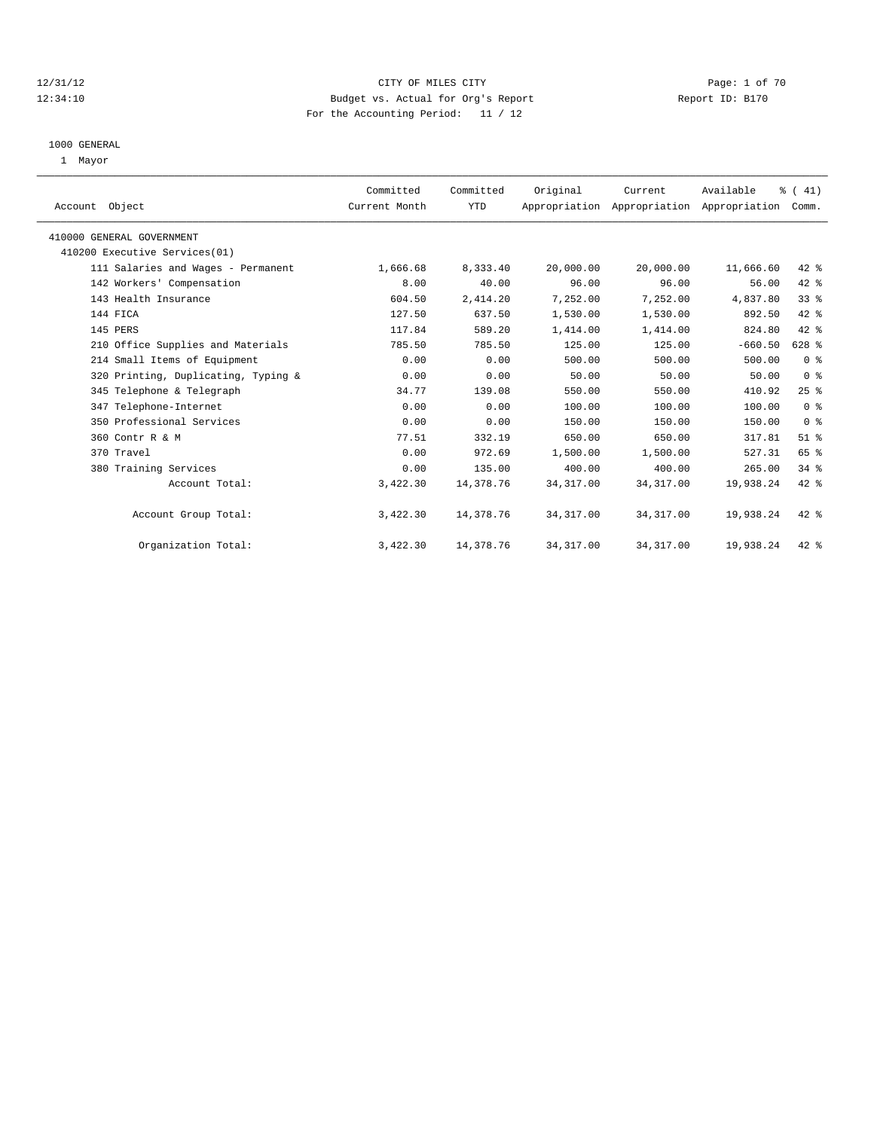# 12/31/12 CITY OF MILES CITY Page: 1 of 70 12:34:10 Budget vs. Actual for Org's Report Report ID: B170 For the Accounting Period: 11 / 12

#### 1000 GENERAL

1 Mayor

| Account Object                      | Committed<br>Current Month | Committed<br>YTD | Original   | Current<br>Appropriation Appropriation Appropriation | Available | % (41)<br>Comm. |  |
|-------------------------------------|----------------------------|------------------|------------|------------------------------------------------------|-----------|-----------------|--|
| 410000 GENERAL GOVERNMENT           |                            |                  |            |                                                      |           |                 |  |
| 410200 Executive Services(01)       |                            |                  |            |                                                      |           |                 |  |
| 111 Salaries and Wages - Permanent  | 1,666.68                   | 8,333.40         | 20,000.00  | 20,000.00                                            | 11,666.60 | 42 %            |  |
| 142 Workers' Compensation           | 8.00                       | 40.00            | 96.00      | 96.00                                                | 56.00     | 42 %            |  |
| 143 Health Insurance                | 604.50                     | 2,414.20         | 7,252.00   | 7,252.00                                             | 4,837.80  | 33%             |  |
| 144 FICA                            | 127.50                     | 637.50           | 1,530.00   | 1,530.00                                             | 892.50    | 42 %            |  |
| 145 PERS                            | 117.84                     | 589.20           | 1,414.00   | 1,414.00                                             | 824.80    | 42 %            |  |
| 210 Office Supplies and Materials   | 785.50                     | 785.50           | 125.00     | 125.00                                               | $-660.50$ | 628 %           |  |
| 214 Small Items of Equipment        | 0.00                       | 0.00             | 500.00     | 500.00                                               | 500.00    | 0 <sup>8</sup>  |  |
| 320 Printing, Duplicating, Typing & | 0.00                       | 0.00             | 50.00      | 50.00                                                | 50.00     | 0 <sup>8</sup>  |  |
| 345 Telephone & Telegraph           | 34.77                      | 139.08           | 550.00     | 550.00                                               | 410.92    | 25%             |  |
| 347 Telephone-Internet              | 0.00                       | 0.00             | 100.00     | 100.00                                               | 100.00    | 0 <sup>8</sup>  |  |
| 350 Professional Services           | 0.00                       | 0.00             | 150.00     | 150.00                                               | 150.00    | 0 <sup>8</sup>  |  |
| 360 Contr R & M                     | 77.51                      | 332.19           | 650.00     | 650.00                                               | 317.81    | $51$ %          |  |
| 370 Travel                          | 0.00                       | 972.69           | 1,500.00   | 1,500.00                                             | 527.31    | 65 %            |  |
| 380 Training Services               | 0.00                       | 135.00           | 400.00     | 400.00                                               | 265.00    | 34.8            |  |
| Account Total:                      | 3,422.30                   | 14,378.76        | 34, 317.00 | 34, 317.00                                           | 19,938.24 | 42 %            |  |
| Account Group Total:                | 3,422.30                   | 14,378.76        | 34, 317.00 | 34, 317.00                                           | 19,938.24 | 42 %            |  |
| Organization Total:                 | 3,422.30                   | 14,378.76        | 34, 317.00 | 34, 317.00                                           | 19,938.24 | $42$ %          |  |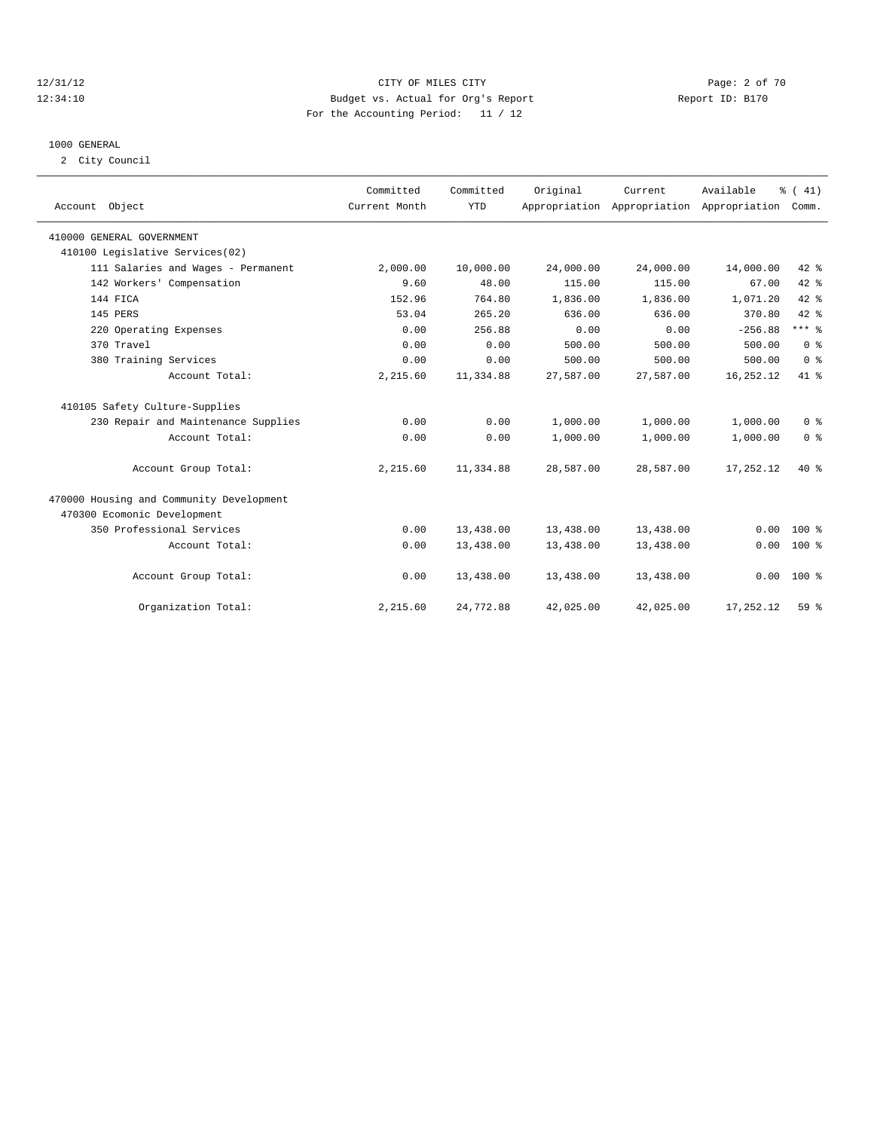# 12/31/12 CITY OF MILES CITY Page: 2 of 70 12:34:10 Budget vs. Actual for Org's Report Report ID: B170 For the Accounting Period: 11 / 12

#### 1000 GENERAL

2 City Council

| Account Object                           | Committed<br>Current Month | Committed<br><b>YTD</b> | Original  | Current<br>Appropriation Appropriation Appropriation | Available | % (41)<br>Comm. |
|------------------------------------------|----------------------------|-------------------------|-----------|------------------------------------------------------|-----------|-----------------|
| 410000 GENERAL GOVERNMENT                |                            |                         |           |                                                      |           |                 |
| 410100 Legislative Services(02)          |                            |                         |           |                                                      |           |                 |
| 111 Salaries and Wages - Permanent       | 2,000.00                   | 10,000.00               | 24,000.00 | 24,000.00                                            | 14,000.00 | 42 %            |
| 142 Workers' Compensation                | 9.60                       | 48.00                   | 115.00    | 115.00                                               | 67.00     | 42 %            |
| 144 FICA                                 | 152.96                     | 764.80                  | 1,836.00  | 1,836.00                                             | 1,071.20  | $42*$           |
| 145 PERS                                 | 53.04                      | 265.20                  | 636.00    | 636.00                                               | 370.80    | $42$ $%$        |
| 220 Operating Expenses                   | 0.00                       | 256.88                  | 0.00      | 0.00                                                 | $-256.88$ | $***$ $-$       |
| 370 Travel                               | 0.00                       | 0.00                    | 500.00    | 500.00                                               | 500.00    | 0 <sup>8</sup>  |
| 380 Training Services                    | 0.00                       | 0.00                    | 500.00    | 500.00                                               | 500.00    | 0 <sup>8</sup>  |
| Account Total:                           | 2,215.60                   | 11,334.88               | 27,587.00 | 27,587.00                                            | 16,252.12 | 41 %            |
| 410105 Safety Culture-Supplies           |                            |                         |           |                                                      |           |                 |
| 230 Repair and Maintenance Supplies      | 0.00                       | 0.00                    | 1,000.00  | 1,000.00                                             | 1,000.00  | 0 <sup>8</sup>  |
| Account Total:                           | 0.00                       | 0.00                    | 1,000.00  | 1,000.00                                             | 1,000.00  | 0 <sup>8</sup>  |
| Account Group Total:                     | 2,215.60                   | 11,334.88               | 28,587.00 | 28,587.00                                            | 17,252.12 | $40*$           |
| 470000 Housing and Community Development |                            |                         |           |                                                      |           |                 |
| 470300 Ecomonic Development              |                            |                         |           |                                                      |           |                 |
| 350 Professional Services                | 0.00                       | 13,438.00               | 13,438.00 | 13,438.00                                            | 0.00      | $100*$          |
| Account Total:                           | 0.00                       | 13,438.00               | 13,438.00 | 13,438.00                                            | 0.00      | $100*$          |
| Account Group Total:                     | 0.00                       | 13,438.00               | 13,438.00 | 13,438.00                                            | 0.00      | 100 %           |
| Organization Total:                      | 2,215.60                   | 24,772.88               | 42,025.00 | 42,025.00                                            | 17,252.12 | $59*$           |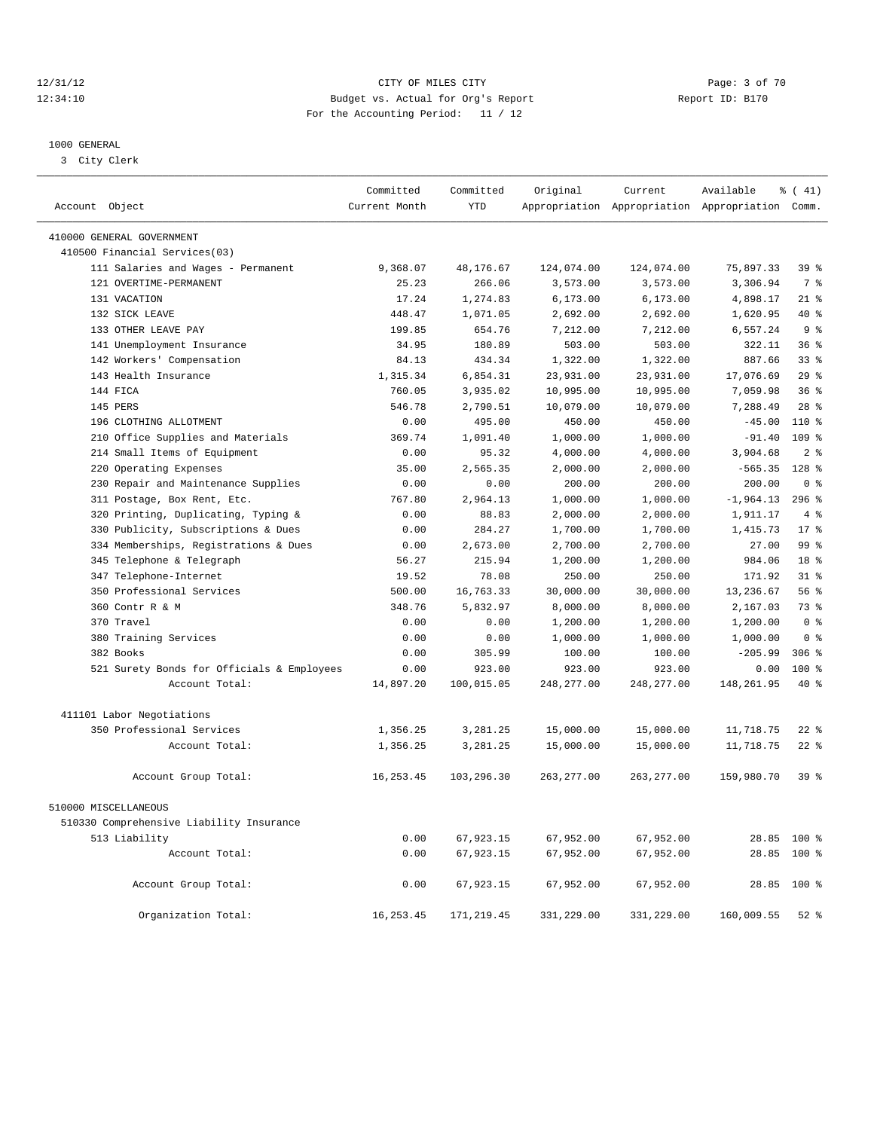# 12/31/12 CITY OF MILES CITY Page: 3 of 70 12:34:10 Budget vs. Actual for Org's Report Report ID: B170 For the Accounting Period: 11 / 12

————————————————————————————————————————————————————————————————————————————————————————————————————————————————————————————————————

#### 1000 GENERAL

3 City Clerk

|                                            | Committed     | Committed   | Original    | Current     | Available                                       | % (41)                  |
|--------------------------------------------|---------------|-------------|-------------|-------------|-------------------------------------------------|-------------------------|
| Account Object                             | Current Month | <b>YTD</b>  |             |             | Appropriation Appropriation Appropriation Comm. |                         |
| 410000 GENERAL GOVERNMENT                  |               |             |             |             |                                                 |                         |
| 410500 Financial Services(03)              |               |             |             |             |                                                 |                         |
| 111 Salaries and Wages - Permanent         | 9,368.07      | 48,176.67   | 124,074.00  | 124,074.00  | 75,897.33                                       | 39 <sup>8</sup>         |
| 121 OVERTIME-PERMANENT                     | 25.23         | 266.06      | 3,573.00    | 3,573.00    | 3,306.94                                        | 7 <sup>°</sup>          |
| 131 VACATION                               | 17.24         | 1,274.83    | 6, 173.00   | 6, 173.00   | 4,898.17                                        | $21$ %                  |
| 132 SICK LEAVE                             | 448.47        | 1,071.05    | 2,692.00    | 2,692.00    | 1,620.95                                        | $40*$                   |
| 133 OTHER LEAVE PAY                        | 199.85        | 654.76      | 7,212.00    | 7,212.00    | 6,557.24                                        | 9 <sub>8</sub>          |
| 141 Unemployment Insurance                 | 34.95         | 180.89      | 503.00      | 503.00      | 322.11                                          | 36 <sup>8</sup>         |
| 142 Workers' Compensation                  | 84.13         | 434.34      | 1,322.00    | 1,322.00    | 887.66                                          | 33 <sup>8</sup>         |
| 143 Health Insurance                       | 1,315.34      | 6,854.31    | 23,931.00   | 23,931.00   | 17,076.69                                       | 29%                     |
| 144 FICA                                   | 760.05        | 3,935.02    | 10,995.00   | 10,995.00   | 7,059.98                                        | 36 <sup>8</sup>         |
| 145 PERS                                   | 546.78        | 2,790.51    | 10,079.00   | 10,079.00   | 7,288.49                                        | 28 <sup>8</sup>         |
| 196 CLOTHING ALLOTMENT                     | 0.00          | 495.00      | 450.00      | 450.00      | $-45.00$                                        | 110 %                   |
| 210 Office Supplies and Materials          | 369.74        | 1,091.40    | 1,000.00    | 1,000.00    | $-91.40$                                        | 109 %                   |
| 214 Small Items of Equipment               | 0.00          | 95.32       | 4,000.00    | 4,000.00    | 3,904.68                                        | 2 <sup>8</sup>          |
| 220 Operating Expenses                     | 35.00         | 2,565.35    | 2,000.00    | 2,000.00    | $-565.35$                                       | $128$ %                 |
| 230 Repair and Maintenance Supplies        | 0.00          | 0.00        | 200.00      | 200.00      | 200.00                                          | $0 \text{ }$ $\text{*}$ |
| 311 Postage, Box Rent, Etc.                | 767.80        | 2,964.13    | 1,000.00    | 1,000.00    | $-1,964.13$                                     | $296$ %                 |
| 320 Printing, Duplicating, Typing &        | 0.00          | 88.83       | 2,000.00    | 2,000.00    | 1,911.17                                        | 4%                      |
| 330 Publicity, Subscriptions & Dues        | 0.00          | 284.27      | 1,700.00    | 1,700.00    | 1,415.73                                        | $17*$                   |
| 334 Memberships, Registrations & Dues      | 0.00          | 2,673.00    | 2,700.00    | 2,700.00    | 27.00                                           | 99 <sup>8</sup>         |
| 345 Telephone & Telegraph                  | 56.27         | 215.94      | 1,200.00    | 1,200.00    | 984.06                                          | 18 %                    |
| 347 Telephone-Internet                     | 19.52         | 78.08       | 250.00      | 250.00      | 171.92                                          | $31$ $%$                |
| 350 Professional Services                  | 500.00        | 16,763.33   | 30,000.00   | 30,000.00   | 13,236.67                                       | 56 %                    |
| 360 Contr R & M                            | 348.76        | 5,832.97    | 8,000.00    | 8,000.00    | 2,167.03                                        | 73 %                    |
| 370 Travel                                 | 0.00          | 0.00        | 1,200.00    | 1,200.00    | 1,200.00                                        | 0 <sup>8</sup>          |
| 380 Training Services                      | 0.00          | 0.00        | 1,000.00    | 1,000.00    | 1,000.00                                        | 0 <sup>8</sup>          |
| 382 Books                                  | 0.00          | 305.99      | 100.00      | 100.00      | $-205.99$                                       | $306$ $%$               |
| 521 Surety Bonds for Officials & Employees | 0.00          | 923.00      | 923.00      | 923.00      | 0.00                                            | $100*$                  |
| Account Total:                             | 14,897.20     | 100,015.05  | 248, 277.00 | 248, 277.00 | 148, 261.95                                     | $40*$                   |
|                                            |               |             |             |             |                                                 |                         |
| 411101 Labor Negotiations                  |               |             |             |             |                                                 |                         |
| 350 Professional Services                  | 1,356.25      | 3,281.25    | 15,000.00   | 15,000.00   | 11,718.75                                       | $22$ %                  |
| Account Total:                             | 1,356.25      | 3,281.25    | 15,000.00   | 15,000.00   | 11,718.75                                       | $22$ %                  |
| Account Group Total:                       | 16, 253.45    | 103,296.30  | 263,277.00  | 263,277.00  | 159,980.70                                      | 39 %                    |
| 510000 MISCELLANEOUS                       |               |             |             |             |                                                 |                         |
| 510330 Comprehensive Liability Insurance   |               |             |             |             |                                                 |                         |
| 513 Liability                              | 0.00          | 67,923.15   | 67,952.00   | 67,952.00   |                                                 | 28.85 100 %             |
| Account Total:                             | 0.00          | 67,923.15   | 67,952.00   | 67,952.00   | 28.85                                           | $100$ %                 |
|                                            |               |             |             |             |                                                 |                         |
| Account Group Total:                       | 0.00          | 67,923.15   | 67,952.00   | 67,952.00   |                                                 | 28.85 100 %             |
| Organization Total:                        | 16, 253.45    | 171, 219.45 | 331,229.00  | 331,229.00  | 160,009.55                                      | $52$ $%$                |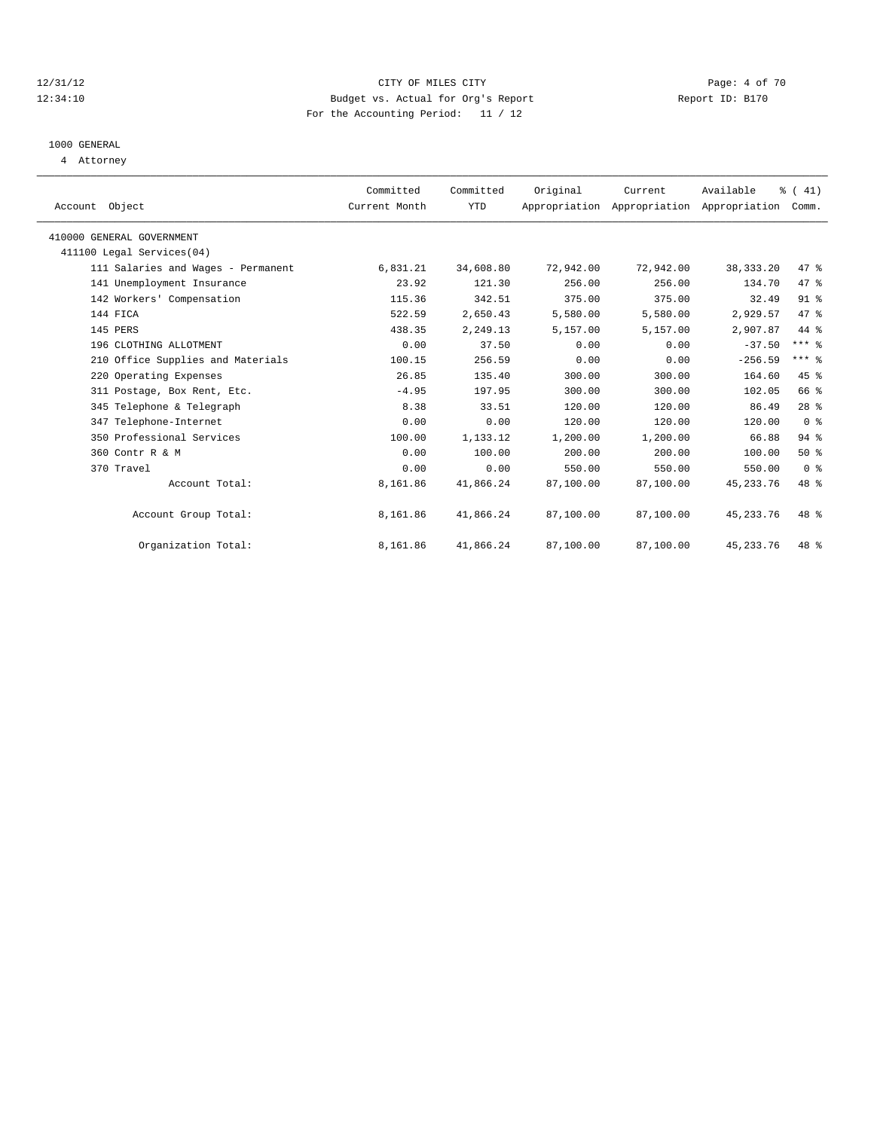# 12/31/12 CITY OF MILES CITY Page: 4 of 70 12:34:10 Budget vs. Actual for Org's Report Changer Report ID: B170 For the Accounting Period: 11 / 12

# 1000 GENERAL

4 Attorney

| Account Object                     | Committed<br>Current Month | Committed<br>YTD | Original  | Current<br>Appropriation Appropriation Appropriation | Available   | % (41)<br>Comm. |  |
|------------------------------------|----------------------------|------------------|-----------|------------------------------------------------------|-------------|-----------------|--|
| 410000 GENERAL GOVERNMENT          |                            |                  |           |                                                      |             |                 |  |
| 411100 Legal Services (04)         |                            |                  |           |                                                      |             |                 |  |
| 111 Salaries and Wages - Permanent | 6,831.21                   | 34,608.80        | 72,942.00 | 72,942.00                                            | 38, 333. 20 | 47 %            |  |
| 141 Unemployment Insurance         | 23.92                      | 121.30           | 256.00    | 256.00                                               | 134.70      | 47 %            |  |
| 142 Workers' Compensation          | 115.36                     | 342.51           | 375.00    | 375.00                                               | 32.49       | 91 <sup>°</sup> |  |
| 144 FICA                           | 522.59                     | 2,650.43         | 5,580.00  | 5,580.00                                             | 2.929.57    | 47.8            |  |
| 145 PERS                           | 438.35                     | 2,249.13         | 5,157.00  | 5,157.00                                             | 2,907.87    | 44 %            |  |
| 196 CLOTHING ALLOTMENT             | 0.00                       | 37.50            | 0.00      | 0.00                                                 | $-37.50$    | $***$ $-$       |  |
| 210 Office Supplies and Materials  | 100.15                     | 256.59           | 0.00      | 0.00                                                 | $-256.59$   | $***$ $%$       |  |
| 220 Operating Expenses             | 26.85                      | 135.40           | 300.00    | 300.00                                               | 164.60      | 45 %            |  |
| 311 Postage, Box Rent, Etc.        | $-4.95$                    | 197.95           | 300.00    | 300.00                                               | 102.05      | 66 %            |  |
| 345 Telephone & Telegraph          | 8.38                       | 33.51            | 120.00    | 120.00                                               | 86.49       | $28$ %          |  |
| 347 Telephone-Internet             | 0.00                       | 0.00             | 120.00    | 120.00                                               | 120.00      | 0 <sup>8</sup>  |  |
| 350 Professional Services          | 100.00                     | 1,133.12         | 1,200.00  | 1,200.00                                             | 66.88       | 94%             |  |
| 360 Contr R & M                    | 0.00                       | 100.00           | 200.00    | 200.00                                               | 100.00      | $50*$           |  |
| 370 Travel                         | 0.00                       | 0.00             | 550.00    | 550.00                                               | 550.00      | 0 <sup>8</sup>  |  |
| Account Total:                     | 8,161.86                   | 41,866.24        | 87,100.00 | 87,100.00                                            | 45, 233. 76 | 48 %            |  |
| Account Group Total:               | 8,161.86                   | 41,866.24        | 87,100.00 | 87,100.00                                            | 45, 233. 76 | $48*$           |  |
| Organization Total:                | 8,161.86                   | 41,866.24        | 87,100.00 | 87,100.00                                            | 45, 233. 76 | $48*$           |  |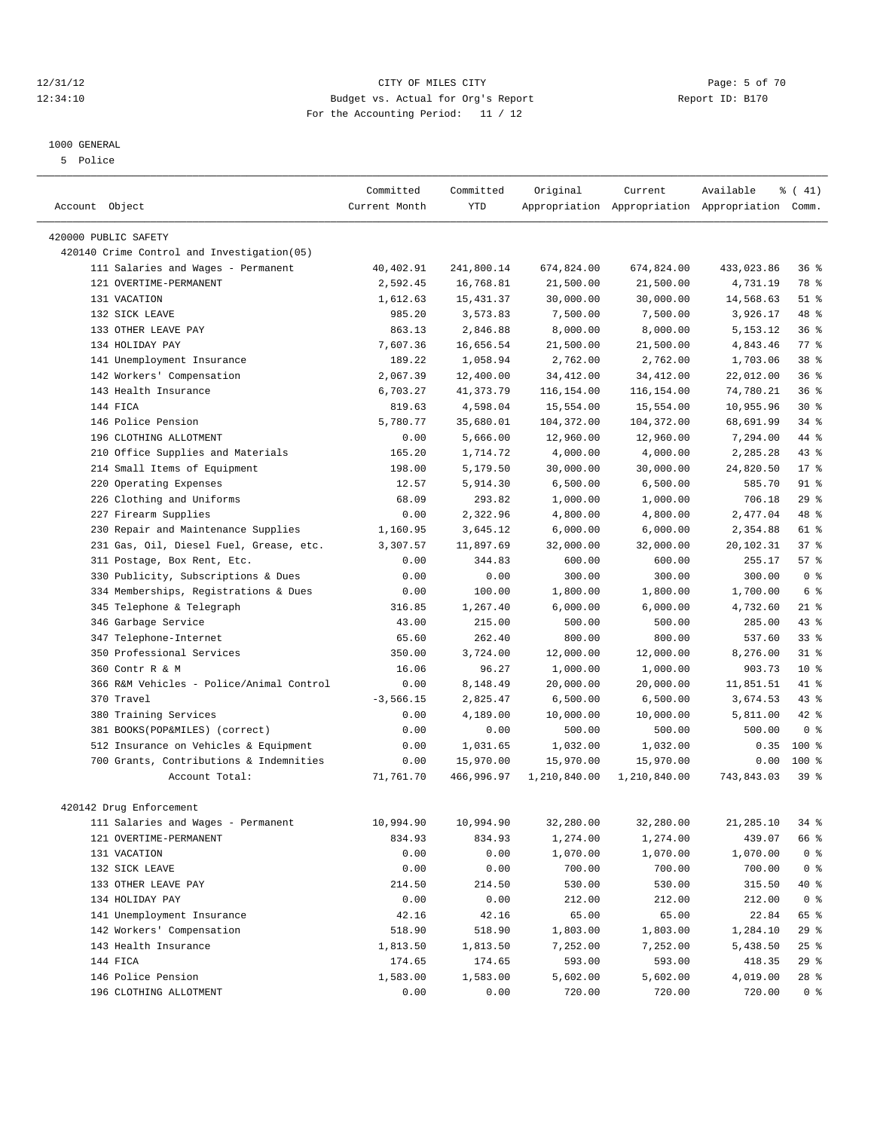#### 12/31/12 CITY OF MILES CITY Page: 5 of 70 12:34:10 Budget vs. Actual for Org's Report Report ID: B170 For the Accounting Period: 11 / 12

#### 1000 GENERAL

5 Police

|                                                                     | Committed          | Committed              | Original     | Current      | Available                                       | % (41)           |
|---------------------------------------------------------------------|--------------------|------------------------|--------------|--------------|-------------------------------------------------|------------------|
| Account Object                                                      | Current Month      | <b>YTD</b>             |              |              | Appropriation Appropriation Appropriation Comm. |                  |
|                                                                     |                    |                        |              |              |                                                 |                  |
| 420000 PUBLIC SAFETY<br>420140 Crime Control and Investigation (05) |                    |                        |              |              |                                                 |                  |
|                                                                     | 40,402.91          | 241,800.14             | 674,824.00   | 674,824.00   | 433,023.86                                      | 36%              |
| 111 Salaries and Wages - Permanent<br>121 OVERTIME-PERMANENT        | 2,592.45           | 16,768.81              | 21,500.00    | 21,500.00    | 4,731.19                                        | 78 %             |
| 131 VACATION                                                        | 1,612.63           |                        | 30,000.00    | 30,000.00    |                                                 | $51$ %           |
| 132 SICK LEAVE                                                      |                    | 15, 431.37<br>3,573.83 |              | 7,500.00     | 14,568.63                                       | 48 %             |
| 133 OTHER LEAVE PAY                                                 | 985.20<br>863.13   |                        | 7,500.00     |              | 3,926.17                                        | 36%              |
|                                                                     |                    | 2,846.88               | 8,000.00     | 8,000.00     | 5, 153. 12                                      |                  |
| 134 HOLIDAY PAY                                                     | 7,607.36           | 16,656.54              | 21,500.00    | 21,500.00    | 4,843.46                                        | $77$ $%$<br>38 % |
| 141 Unemployment Insurance                                          | 189.22<br>2,067.39 | 1,058.94<br>12,400.00  | 2,762.00     | 2,762.00     | 1,703.06                                        |                  |
| 142 Workers' Compensation                                           |                    |                        | 34, 412.00   | 34, 412.00   | 22,012.00                                       | 36%              |
| 143 Health Insurance                                                | 6,703.27           | 41, 373. 79            | 116,154.00   | 116,154.00   | 74,780.21                                       | 36%              |
| 144 FICA                                                            | 819.63             | 4,598.04               | 15,554.00    | 15,554.00    | 10,955.96                                       | $30*$            |
| 146 Police Pension                                                  | 5,780.77           | 35,680.01              | 104,372.00   | 104,372.00   | 68,691.99                                       | $34$ $%$         |
| 196 CLOTHING ALLOTMENT                                              | 0.00               | 5,666.00               | 12,960.00    | 12,960.00    | 7,294.00                                        | 44 %             |
| Office Supplies and Materials<br>210                                | 165.20             | 1,714.72               | 4,000.00     | 4,000.00     | 2,285.28                                        | $43$ $%$         |
| 214 Small Items of Equipment                                        | 198.00             | 5,179.50               | 30,000.00    | 30,000.00    | 24,820.50                                       | $17*$            |
| 220 Operating Expenses                                              | 12.57              | 5,914.30               | 6,500.00     | 6,500.00     | 585.70                                          | $91$ %           |
| 226 Clothing and Uniforms                                           | 68.09              | 293.82                 | 1,000.00     | 1,000.00     | 706.18                                          | 29%              |
| 227 Firearm Supplies                                                | 0.00               | 2,322.96               | 4,800.00     | 4,800.00     | 2,477.04                                        | 48 %             |
| Repair and Maintenance Supplies<br>230                              | 1,160.95           | 3,645.12               | 6,000.00     | 6,000.00     | 2,354.88                                        | 61 %             |
| 231 Gas, Oil, Diesel Fuel, Grease, etc.                             | 3,307.57           | 11,897.69              | 32,000.00    | 32,000.00    | 20,102.31                                       | 37%              |
| 311 Postage, Box Rent, Etc.                                         | 0.00               | 344.83                 | 600.00       | 600.00       | 255.17                                          | 57%              |
| 330 Publicity, Subscriptions & Dues                                 | 0.00               | 0.00                   | 300.00       | 300.00       | 300.00                                          | 0 <sup>8</sup>   |
| 334 Memberships, Registrations & Dues                               | 0.00               | 100.00                 | 1,800.00     | 1,800.00     | 1,700.00                                        | 6 %              |
| Telephone & Telegraph<br>345                                        | 316.85             | 1,267.40               | 6,000.00     | 6,000.00     | 4,732.60                                        | $21$ %           |
| 346 Garbage Service                                                 | 43.00              | 215.00                 | 500.00       | 500.00       | 285.00                                          | 43.8             |
| 347 Telephone-Internet                                              | 65.60              | 262.40                 | 800.00       | 800.00       | 537.60                                          | 33 <sup>8</sup>  |
| 350 Professional Services                                           | 350.00             | 3,724.00               | 12,000.00    | 12,000.00    | 8,276.00                                        | 31.8             |
| 360 Contr R & M                                                     | 16.06              | 96.27                  | 1,000.00     | 1,000.00     | 903.73                                          | $10*$            |
| 366 R&M Vehicles - Police/Animal Control                            | 0.00               | 8,148.49               | 20,000.00    | 20,000.00    | 11,851.51                                       | 41 %             |
| 370 Travel                                                          | $-3,566.15$        | 2,825.47               | 6,500.00     | 6,500.00     | 3,674.53                                        | 43.8             |
| 380 Training Services                                               | 0.00               | 4,189.00               | 10,000.00    | 10,000.00    | 5,811.00                                        | 42 %             |
| 381 BOOKS(POP&MILES) (correct)                                      | 0.00               | 0.00                   | 500.00       | 500.00       | 500.00                                          | 0 <sup>8</sup>   |
| 512 Insurance on Vehicles & Equipment                               | 0.00               | 1,031.65               | 1,032.00     | 1,032.00     | 0.35                                            | 100 %            |
| 700 Grants, Contributions & Indemnities                             | 0.00               | 15,970.00              | 15,970.00    | 15,970.00    | 0.00                                            | $100*$           |
| Account Total:                                                      | 71,761.70          | 466,996.97             | 1,210,840.00 | 1,210,840.00 | 743,843.03                                      | 39 %             |
|                                                                     |                    |                        |              |              |                                                 |                  |
| 420142 Drug Enforcement                                             |                    |                        |              |              |                                                 |                  |
| 111 Salaries and Wages - Permanent                                  | 10,994.90          | 10,994.90              | 32,280.00    | 32,280.00    | 21,285.10                                       | 34 %             |
| 121 OVERTIME-PERMANENT                                              | 834.93             | 834.93                 | 1,274.00     | 1,274.00     | 439.07                                          | 66 %             |
| 131 VACATION                                                        | 0.00               | 0.00                   | 1,070.00     | 1,070.00     | 1,070.00                                        | 0 <sup>8</sup>   |
| 132 SICK LEAVE                                                      | 0.00               | 0.00                   | 700.00       | 700.00       | 700.00                                          | 0 <sup>8</sup>   |
| 133 OTHER LEAVE PAY                                                 | 214.50             | 214.50                 | 530.00       | 530.00       | 315.50                                          | 40 %             |
| 134 HOLIDAY PAY                                                     | 0.00               | 0.00                   | 212.00       | 212.00       | 212.00                                          | 0 <sup>8</sup>   |
| 141 Unemployment Insurance                                          | 42.16              | 42.16                  | 65.00        | 65.00        | 22.84                                           | 65 %             |
| 142 Workers' Compensation                                           | 518.90             | 518.90                 | 1,803.00     | 1,803.00     | 1,284.10                                        | $29$ $%$         |
| 143 Health Insurance                                                | 1,813.50           | 1,813.50               | 7,252.00     | 7,252.00     | 5,438.50                                        | $25$ $%$         |
| 144 FICA                                                            | 174.65             | 174.65                 | 593.00       | 593.00       | 418.35                                          | 29 %             |
| 146 Police Pension                                                  | 1,583.00           | 1,583.00               | 5,602.00     | 5,602.00     | 4,019.00                                        | $28$ %           |
| 196 CLOTHING ALLOTMENT                                              | 0.00               | 0.00                   | 720.00       | 720.00       | 720.00                                          | 0 <sup>8</sup>   |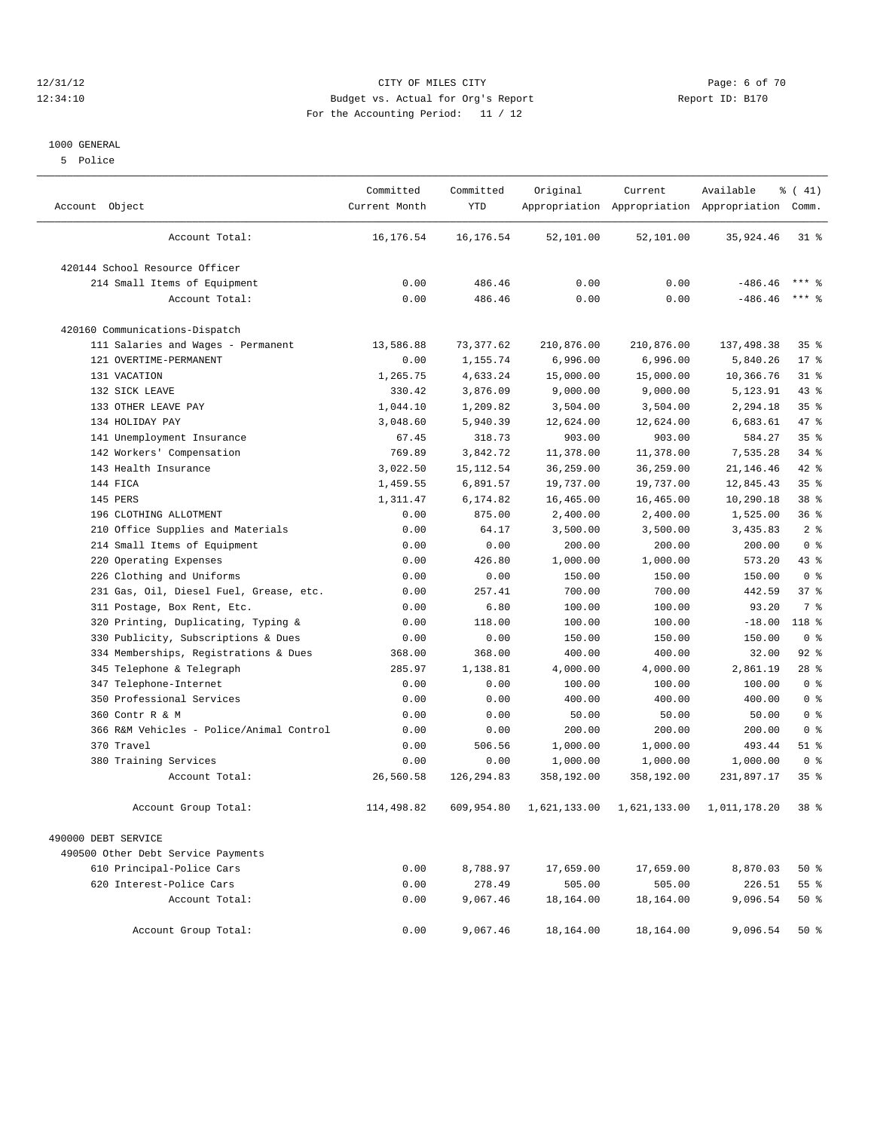# 12/31/12 CITY OF MILES CITY Page: 6 of 70 12:34:10 Budget vs. Actual for Org's Report Report ID: B170 For the Accounting Period: 11 / 12

#### 1000 GENERAL

5 Police

| Account Object                           | Committed<br>Current Month | Committed<br><b>YTD</b> | Original     | Current      | Available<br>Appropriation Appropriation Appropriation Comm. | % (41)          |
|------------------------------------------|----------------------------|-------------------------|--------------|--------------|--------------------------------------------------------------|-----------------|
| Account Total:                           | 16,176.54                  | 16,176.54               | 52,101.00    | 52,101.00    | 35,924.46                                                    | $31*$           |
| 420144 School Resource Officer           |                            |                         |              |              |                                                              |                 |
| 214 Small Items of Equipment             | 0.00                       | 486.46                  | 0.00         | 0.00         | $-486.46$                                                    | $***$ 2         |
| Account Total:                           | 0.00                       | 486.46                  | 0.00         | 0.00         | $-486.46$                                                    | $***$ %         |
| 420160 Communications-Dispatch           |                            |                         |              |              |                                                              |                 |
| 111 Salaries and Wages - Permanent       | 13,586.88                  | 73,377.62               | 210,876.00   | 210,876.00   | 137, 498.38                                                  | 35 <sup>8</sup> |
| 121 OVERTIME-PERMANENT                   | 0.00                       | 1,155.74                | 6,996.00     | 6,996.00     | 5,840.26                                                     | $17*$           |
| 131 VACATION                             | 1,265.75                   | 4,633.24                | 15,000.00    | 15,000.00    | 10,366.76                                                    | $31$ $%$        |
| 132 SICK LEAVE                           | 330.42                     | 3,876.09                | 9,000.00     | 9,000.00     | 5,123.91                                                     | $43$ $%$        |
| 133 OTHER LEAVE PAY                      | 1,044.10                   | 1,209.82                | 3,504.00     | 3,504.00     | 2,294.18                                                     | 35 <sup>8</sup> |
| 134 HOLIDAY PAY                          | 3,048.60                   | 5,940.39                | 12,624.00    | 12,624.00    | 6,683.61                                                     | 47 %            |
| 141 Unemployment Insurance               | 67.45                      | 318.73                  | 903.00       | 903.00       | 584.27                                                       | 35%             |
| 142 Workers' Compensation                | 769.89                     | 3,842.72                | 11,378.00    | 11,378.00    | 7,535.28                                                     | $34$ $%$        |
| 143 Health Insurance                     | 3,022.50                   | 15, 112.54              | 36,259.00    | 36,259.00    | 21, 146.46                                                   | $42$ %          |
| 144 FICA                                 | 1,459.55                   | 6,891.57                | 19,737.00    | 19,737.00    | 12,845.43                                                    | 35 <sup>8</sup> |
| 145 PERS                                 | 1,311.47                   | 6,174.82                | 16,465.00    | 16,465.00    | 10,290.18                                                    | 38 <sup>8</sup> |
| 196 CLOTHING ALLOTMENT                   | 0.00                       | 875.00                  | 2,400.00     | 2,400.00     | 1,525.00                                                     | 36 <sup>8</sup> |
| Office Supplies and Materials<br>210     | 0.00                       | 64.17                   | 3,500.00     | 3,500.00     | 3,435.83                                                     | 2 <sup>8</sup>  |
| 214 Small Items of Equipment             | 0.00                       | 0.00                    | 200.00       | 200.00       | 200.00                                                       | 0 <sup>8</sup>  |
| 220 Operating Expenses                   | 0.00                       | 426.80                  | 1,000.00     | 1,000.00     | 573.20                                                       | $43$ %          |
| 226 Clothing and Uniforms                | 0.00                       | 0.00                    | 150.00       | 150.00       | 150.00                                                       | 0 <sup>8</sup>  |
| 231 Gas, Oil, Diesel Fuel, Grease, etc.  | 0.00                       | 257.41                  | 700.00       | 700.00       | 442.59                                                       | 37%             |
| 311 Postage, Box Rent, Etc.              | 0.00                       | 6.80                    | 100.00       | 100.00       | 93.20                                                        | 7 <sup>8</sup>  |
| 320 Printing, Duplicating, Typing &      | 0.00                       | 118.00                  | 100.00       | 100.00       | $-18.00$                                                     | $118*$          |
| 330 Publicity, Subscriptions & Dues      | 0.00                       | 0.00                    | 150.00       | 150.00       | 150.00                                                       | 0 <sup>8</sup>  |
| 334 Memberships, Registrations & Dues    | 368.00                     | 368.00                  | 400.00       | 400.00       | 32.00                                                        | $92$ $%$        |
| 345 Telephone & Telegraph                | 285.97                     | 1,138.81                | 4,000.00     | 4,000.00     | 2,861.19                                                     | $28$ %          |
| Telephone-Internet<br>347                | 0.00                       | 0.00                    | 100.00       | 100.00       | 100.00                                                       | 0 <sup>8</sup>  |
| 350 Professional Services                | 0.00                       | 0.00                    | 400.00       | 400.00       | 400.00                                                       | 0 <sup>8</sup>  |
| 360 Contr R & M                          | 0.00                       | 0.00                    | 50.00        | 50.00        | 50.00                                                        | 0 <sup>8</sup>  |
| 366 R&M Vehicles - Police/Animal Control | 0.00                       | 0.00                    | 200.00       | 200.00       | 200.00                                                       | 0 <sup>8</sup>  |
| 370 Travel                               | 0.00                       | 506.56                  | 1,000.00     | 1,000.00     | 493.44                                                       | $51$ %          |
| 380 Training Services                    | 0.00                       | 0.00                    | 1,000.00     | 1,000.00     | 1,000.00                                                     | 0 <sup>8</sup>  |
| Account Total:                           | 26,560.58                  | 126,294.83              | 358,192.00   | 358,192.00   | 231,897.17                                                   | 35 <sup>8</sup> |
| Account Group Total:                     | 114,498.82                 | 609,954.80              | 1,621,133.00 | 1,621,133.00 | 1,011,178.20                                                 | 38 %            |
| 490000 DEBT SERVICE                      |                            |                         |              |              |                                                              |                 |
| 490500 Other Debt Service Payments       |                            |                         |              |              |                                                              |                 |
| 610 Principal-Police Cars                | 0.00                       | 8,788.97                | 17,659.00    | 17,659.00    | 8,870.03                                                     | $50*$           |
| 620 Interest-Police Cars                 | 0.00                       | 278.49                  | 505.00       | 505.00       | 226.51                                                       | 55 <sup>8</sup> |
| Account Total:                           | 0.00                       | 9,067.46                | 18,164.00    | 18,164.00    | 9,096.54                                                     | $50*$           |
| Account Group Total:                     | 0.00                       | 9,067.46                | 18,164.00    | 18,164.00    | 9,096.54                                                     | $50*$           |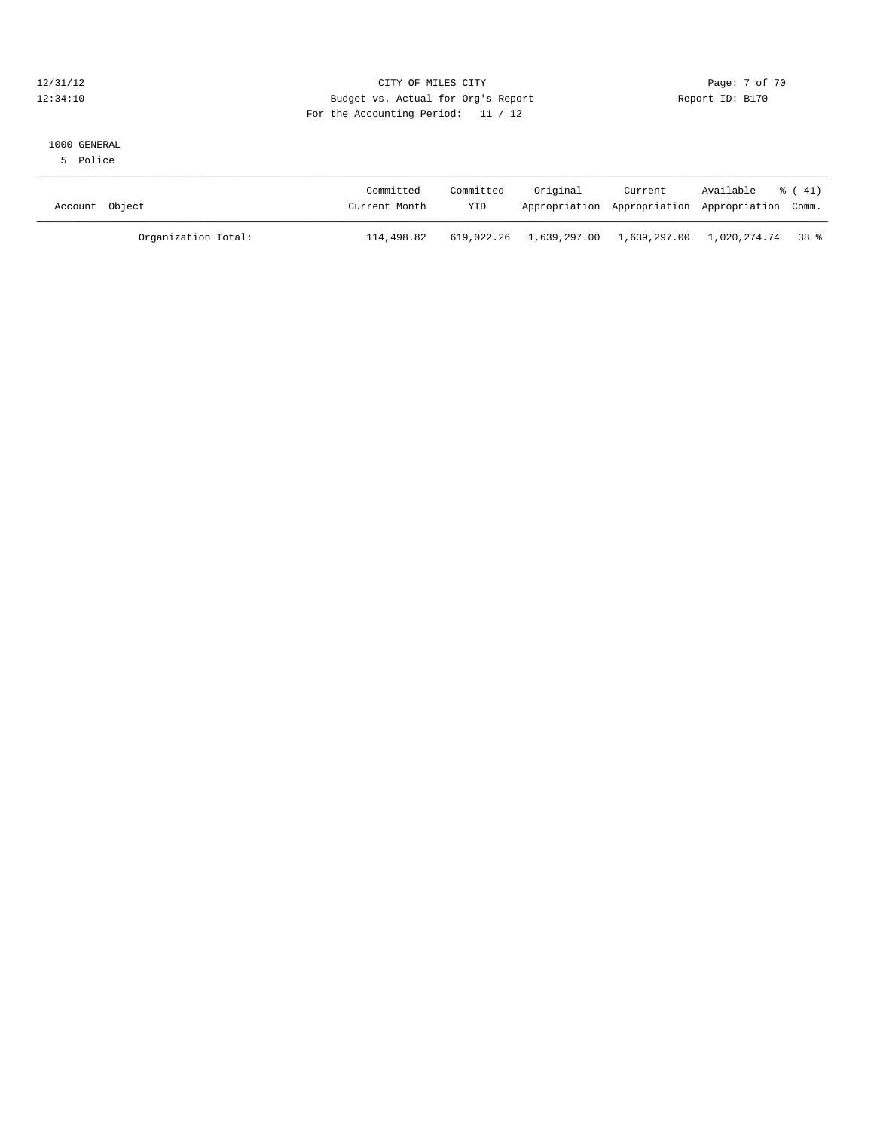#### 12/31/12 CITY OF MILES CITY Page: 7 of 70 12:34:10 Budget vs. Actual for Org's Report Changer Report ID: B170 For the Accounting Period: 11 / 12

#### 1000 GENERAL

5 Police

| Account Object      | Committed<br>Current Month | Committed<br><b>YTD</b> | Original                                               | Current<br>Appropriation Appropriation Appropriation Comm. | Available % (41) |  |
|---------------------|----------------------------|-------------------------|--------------------------------------------------------|------------------------------------------------------------|------------------|--|
| Organization Total: | 114,498.82                 |                         | 619,022.26 1,639,297.00 1,639,297.00 1,020,274.74 38 % |                                                            |                  |  |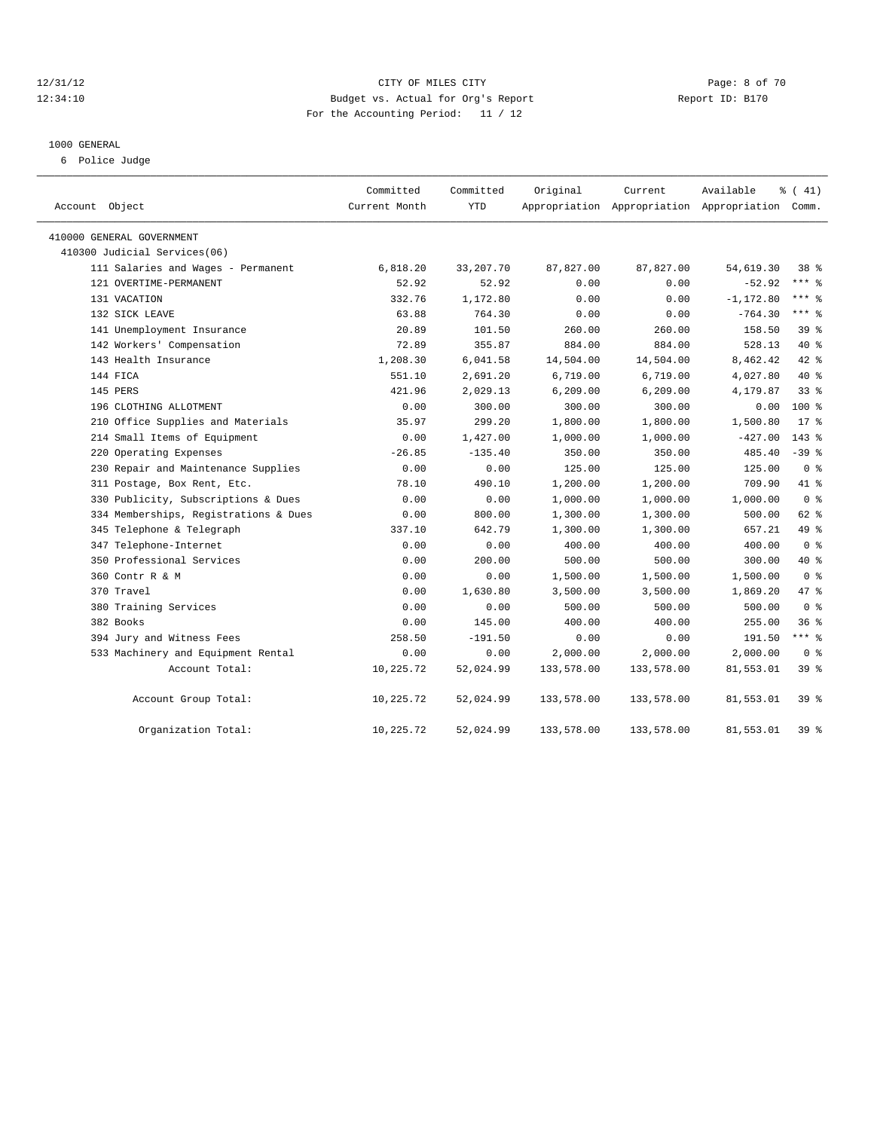# 12/31/12 CITY OF MILES CITY Page: 8 of 70 12:34:10 Budget vs. Actual for Org's Report Report ID: B170 For the Accounting Period: 11 / 12

#### 1000 GENERAL

6 Police Judge

| Account Object                        | Committed<br>Current Month | Committed<br><b>YTD</b> | Original   | Current<br>Appropriation Appropriation Appropriation Comm. | Available    | % (41)         |
|---------------------------------------|----------------------------|-------------------------|------------|------------------------------------------------------------|--------------|----------------|
| 410000 GENERAL GOVERNMENT             |                            |                         |            |                                                            |              |                |
| 410300 Judicial Services(06)          |                            |                         |            |                                                            |              |                |
| 111 Salaries and Wages - Permanent    | 6,818.20                   | 33, 207. 70             | 87,827.00  | 87,827.00                                                  | 54,619.30    | 38 %           |
| 121 OVERTIME-PERMANENT                | 52.92                      | 52.92                   | 0.00       | 0.00                                                       | $-52.92$     | $***$ $_{8}$   |
| 131 VACATION                          | 332.76                     | 1,172.80                | 0.00       | 0.00                                                       | $-1, 172.80$ | $***$ $%$      |
| 132 SICK LEAVE                        | 63.88                      | 764.30                  | 0.00       | 0.00                                                       | $-764.30$    | $***$ 8        |
| 141 Unemployment Insurance            | 20.89                      | 101.50                  | 260.00     | 260.00                                                     | 158.50       | $39*$          |
| 142 Workers' Compensation             | 72.89                      | 355.87                  | 884.00     | 884.00                                                     | 528.13       | $40*$          |
| 143 Health Insurance                  | 1,208.30                   | 6,041.58                | 14,504.00  | 14,504.00                                                  | 8,462.42     | 42.8           |
| 144 FICA                              | 551.10                     | 2,691.20                | 6,719.00   | 6,719.00                                                   | 4,027.80     | $40*$          |
| 145 PERS                              | 421.96                     | 2,029.13                | 6, 209.00  | 6, 209.00                                                  | 4,179.87     | 33%            |
| 196 CLOTHING ALLOTMENT                | 0.00                       | 300.00                  | 300.00     | 300.00                                                     | 0.00         | $100*$         |
| 210 Office Supplies and Materials     | 35.97                      | 299.20                  | 1,800.00   | 1,800.00                                                   | 1,500.80     | $17*$          |
| 214 Small Items of Equipment          | 0.00                       | 1,427.00                | 1,000.00   | 1,000.00                                                   | $-427.00$    | $143*$         |
| 220 Operating Expenses                | $-26.85$                   | $-135.40$               | 350.00     | 350.00                                                     | 485.40       | $-39$ $%$      |
| 230 Repair and Maintenance Supplies   | 0.00                       | 0.00                    | 125.00     | 125.00                                                     | 125.00       | 0 <sup>8</sup> |
| 311 Postage, Box Rent, Etc.           | 78.10                      | 490.10                  | 1,200.00   | 1,200.00                                                   | 709.90       | 41 %           |
| 330 Publicity, Subscriptions & Dues   | 0.00                       | 0.00                    | 1,000.00   | 1,000.00                                                   | 1,000.00     | 0 <sup>8</sup> |
| 334 Memberships, Registrations & Dues | 0.00                       | 800.00                  | 1,300.00   | 1,300.00                                                   | 500.00       | 62 %           |
| 345 Telephone & Telegraph             | 337.10                     | 642.79                  | 1,300.00   | 1,300.00                                                   | 657.21       | 49 %           |
| 347 Telephone-Internet                | 0.00                       | 0.00                    | 400.00     | 400.00                                                     | 400.00       | 0 <sup>8</sup> |
| 350 Professional Services             | 0.00                       | 200.00                  | 500.00     | 500.00                                                     | 300.00       | 40 %           |
| 360 Contr R & M                       | 0.00                       | 0.00                    | 1,500.00   | 1,500.00                                                   | 1,500.00     | 0 <sup>8</sup> |
| 370 Travel                            | 0.00                       | 1,630.80                | 3,500.00   | 3,500.00                                                   | 1,869.20     | 47 %           |
| 380 Training Services                 | 0.00                       | 0.00                    | 500.00     | 500.00                                                     | 500.00       | 0 <sup>8</sup> |
| 382 Books                             | 0.00                       | 145.00                  | 400.00     | 400.00                                                     | 255.00       | 36%            |
| 394 Jury and Witness Fees             | 258.50                     | $-191.50$               | 0.00       | 0.00                                                       | 191.50       | *** %          |
| 533 Machinery and Equipment Rental    | 0.00                       | 0.00                    | 2,000.00   | 2,000.00                                                   | 2,000.00     | 0 <sup>8</sup> |
| Account Total:                        | 10,225.72                  | 52,024.99               | 133,578.00 | 133,578.00                                                 | 81,553.01    | 39 %           |
| Account Group Total:                  | 10,225.72                  | 52,024.99               | 133,578.00 | 133,578.00                                                 | 81,553.01    | 39 %           |
| Organization Total:                   | 10,225.72                  | 52,024.99               | 133,578.00 | 133,578.00                                                 | 81,553.01    | 39 %           |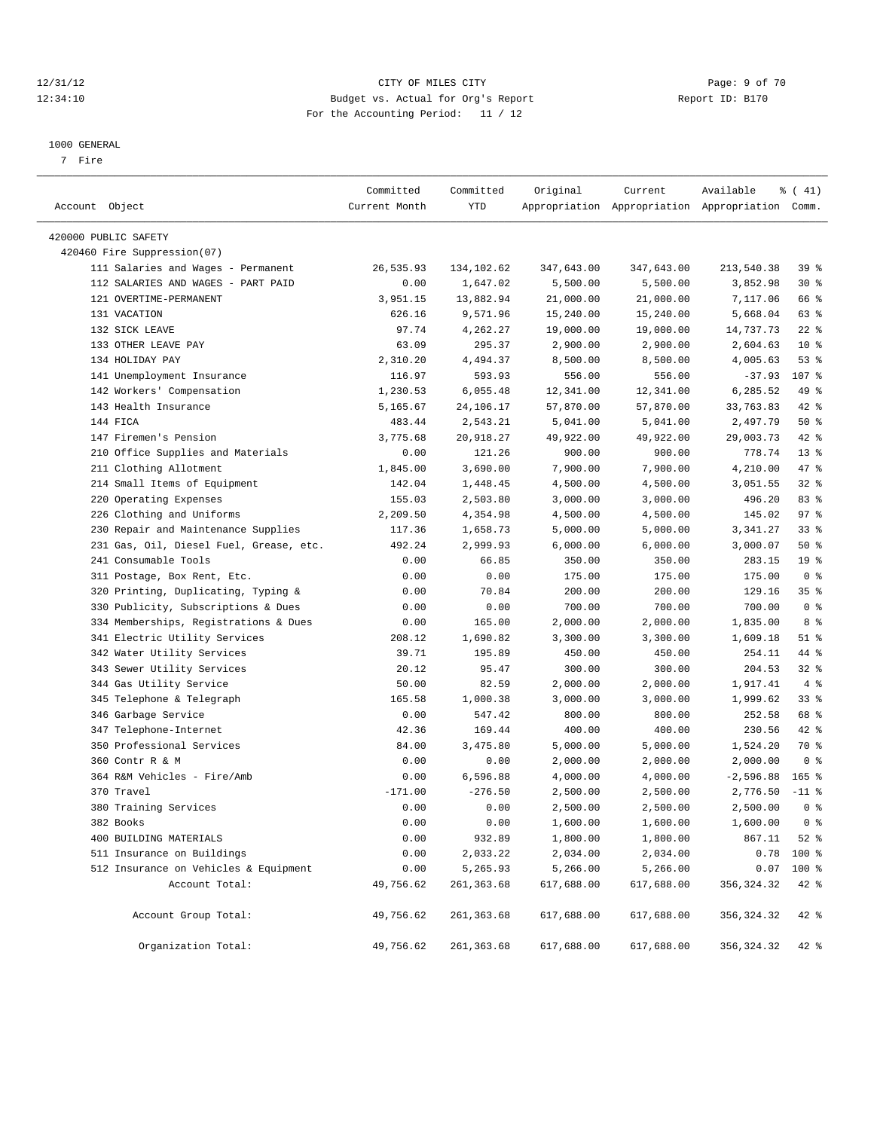# 12/31/12 CITY OF MILES CITY Page: 9 of 70 12:34:10 Budget vs. Actual for Org's Report Report ID: B170 For the Accounting Period: 11 / 12

————————————————————————————————————————————————————————————————————————————————————————————————————————————————————————————————————

#### 1000 GENERAL

7 Fire

|                                         | Committed     | Committed   | Original   | Current           | Available                                       | $\frac{1}{6}$ ( 41) |
|-----------------------------------------|---------------|-------------|------------|-------------------|-------------------------------------------------|---------------------|
| Account Object                          | Current Month | YTD         |            |                   | Appropriation Appropriation Appropriation Comm. |                     |
| 420000 PUBLIC SAFETY                    |               |             |            |                   |                                                 |                     |
| 420460 Fire Suppression(07)             |               |             |            |                   |                                                 |                     |
| 111 Salaries and Wages - Permanent      | 26,535.93     | 134,102.62  | 347,643.00 | 347,643.00        | 213,540.38                                      | 39 <sup>8</sup>     |
| 112 SALARIES AND WAGES - PART PAID      | 0.00          | 1,647.02    | 5,500.00   | 5,500.00          | 3,852.98                                        | $30*$               |
| 121 OVERTIME-PERMANENT                  | 3,951.15      | 13,882.94   | 21,000.00  | 21,000.00         | 7,117.06                                        | 66 %                |
| 131 VACATION                            | 626.16        | 9,571.96    | 15,240.00  | 15,240.00         | 5,668.04                                        | 63 %                |
| 132 SICK LEAVE                          | 97.74         | 4,262.27    | 19,000.00  | 19,000.00         | 14,737.73                                       | $22$ %              |
| 133 OTHER LEAVE PAY                     | 63.09         | 295.37      | 2,900.00   | 2,900.00          | 2,604.63                                        | $10*$               |
| 134 HOLIDAY PAY                         | 2,310.20      | 4,494.37    | 8,500.00   | 8,500.00          | 4,005.63                                        | 53%                 |
| 141 Unemployment Insurance              | 116.97        | 593.93      | 556.00     | 556.00            | $-37.93$                                        | 107 %               |
| 142 Workers' Compensation               | 1,230.53      | 6,055.48    | 12,341.00  | 12,341.00         | 6,285.52                                        | 49 %                |
| 143 Health Insurance                    | 5,165.67      | 24,106.17   | 57,870.00  | 57,870.00         | 33,763.83                                       | 42 %                |
| 144 FICA                                | 483.44        | 2,543.21    | 5,041.00   | 5,041.00          | 2,497.79                                        | 50%                 |
| 147 Firemen's Pension                   | 3,775.68      | 20,918.27   | 49,922.00  | 49,922.00         | 29,003.73                                       | 42 %                |
| 210 Office Supplies and Materials       | 0.00          | 121.26      | 900.00     | 900.00            | 778.74                                          | $13*$               |
| 211 Clothing Allotment                  | 1,845.00      | 3,690.00    | 7,900.00   | 7,900.00          | 4,210.00                                        | 47 %                |
| 214 Small Items of Equipment            | 142.04        | 1,448.45    | 4,500.00   | 4,500.00          | 3,051.55                                        | $32$ $%$            |
| 220 Operating Expenses                  | 155.03        | 2,503.80    | 3,000.00   | 3,000.00          | 496.20                                          | 83%                 |
| 226 Clothing and Uniforms               | 2,209.50      | 4,354.98    | 4,500.00   | 4,500.00          | 145.02                                          | 97%                 |
| 230 Repair and Maintenance Supplies     | 117.36        | 1,658.73    | 5,000.00   | 5,000.00          | 3,341.27                                        | 33%                 |
| 231 Gas, Oil, Diesel Fuel, Grease, etc. | 492.24        | 2,999.93    | 6,000.00   | 6,000.00          | 3,000.07                                        | 50%                 |
| 241 Consumable Tools                    | 0.00          | 66.85       | 350.00     | 350.00            | 283.15                                          | 19 <sup>°</sup>     |
| 311 Postage, Box Rent, Etc.             | 0.00          | 0.00        | 175.00     | 175.00            | 175.00                                          | 0 <sup>8</sup>      |
| 320 Printing, Duplicating, Typing &     | 0.00          | 70.84       | 200.00     | 200.00            | 129.16                                          | 35%                 |
| 330 Publicity, Subscriptions & Dues     | 0.00          | 0.00        | 700.00     | 700.00            | 700.00                                          | 0 <sup>8</sup>      |
| 334 Memberships, Registrations & Dues   | 0.00          | 165.00      | 2,000.00   | 2,000.00          | 1,835.00                                        | 8 %                 |
| 341 Electric Utility Services           | 208.12        | 1,690.82    | 3,300.00   | 3,300.00          | 1,609.18                                        | $51$ %              |
| 342 Water Utility Services              | 39.71         | 195.89      | 450.00     | 450.00            | 254.11                                          | 44 %                |
| 343 Sewer Utility Services              | 20.12         | 95.47       | 300.00     | 300.00            | 204.53                                          | $32$ $%$            |
| 344 Gas Utility Service                 | 50.00         | 82.59       | 2,000.00   | 2,000.00          | 1,917.41                                        | 4%                  |
| 345 Telephone & Telegraph               | 165.58        | 1,000.38    | 3,000.00   | 3,000.00          | 1,999.62                                        | $33$ $%$            |
| 346 Garbage Service                     | 0.00          | 547.42      | 800.00     | 800.00            | 252.58                                          | 68 %                |
| 347 Telephone-Internet                  | 42.36         | 169.44      | 400.00     | 400.00            | 230.56                                          | $42$ %              |
| 350 Professional Services               | 84.00         | 3,475.80    | 5,000.00   | 5,000.00          | 1,524.20                                        | 70 %                |
| 360 Contr R & M                         | 0.00          | 0.00        | 2,000.00   | 2,000.00          | 2,000.00                                        | 0 <sup>8</sup>      |
| 364 R&M Vehicles - Fire/Amb             | 0.00          | 6,596.88    | 4,000.00   | 4,000.00          | $-2,596.88$                                     | $165$ %             |
| 370 Travel                              | $-171.00$     | $-276.50$   | 2,500.00   | 2,500.00          | 2,776.50                                        | $-11$ %             |
| 380 Training Services                   | 0.00          | 0.00        | 2,500.00   | 2,500.00          | 2,500.00                                        | 0 <sup>8</sup>      |
| 382 Books                               | 0.00          | 0.00        | 1,600.00   | $1\,,\,600\,.$ 00 | 1,600.00                                        | 0 <sup>8</sup>      |
| 400 BUILDING MATERIALS                  | 0.00          | 932.89      | 1,800.00   | 1,800.00          | 867.11                                          | $52$ $%$            |
| 511 Insurance on Buildings              | 0.00          | 2,033.22    | 2,034.00   | 2,034.00          | 0.78                                            | 100 %               |
| 512 Insurance on Vehicles & Equipment   | 0.00          | 5,265.93    | 5,266.00   | 5,266.00          | 0.07                                            | 100 %               |
| Account Total:                          | 49,756.62     | 261,363.68  | 617,688.00 | 617,688.00        | 356, 324.32                                     | $42$ %              |
| Account Group Total:                    | 49,756.62     | 261,363.68  | 617,688.00 | 617,688.00        | 356, 324.32                                     | 42 %                |
| Organization Total:                     | 49,756.62     | 261, 363.68 | 617,688.00 | 617,688.00        | 356, 324.32                                     | $42$ $%$            |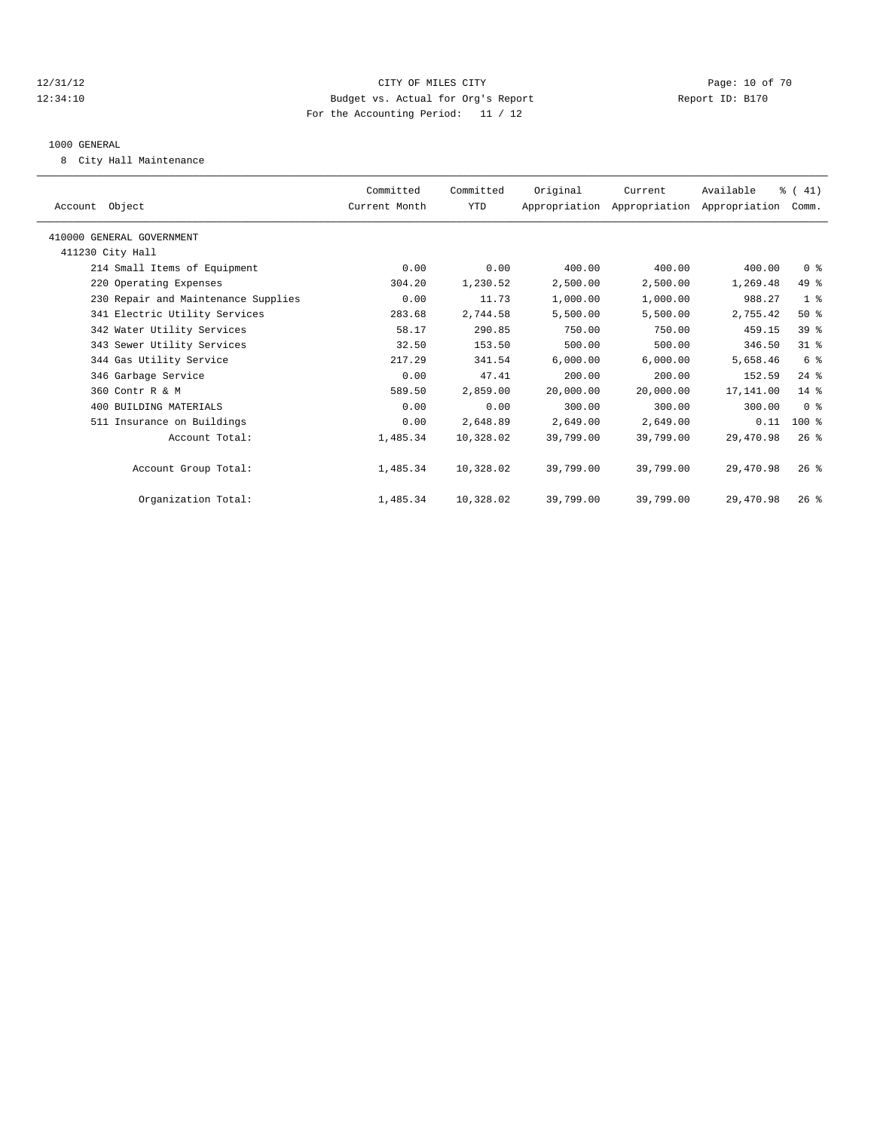# 12/31/12 Page: 10 of 70 12:34:10 Budget vs. Actual for Org's Report Changer Report ID: B170 For the Accounting Period: 11 / 12

#### 1000 GENERAL

8 City Hall Maintenance

| Account Object                      | Committed<br>Current Month | Committed<br><b>YTD</b> | Original  | Current<br>Appropriation Appropriation Appropriation Comm. | Available | $\frac{1}{6}$ ( 41) |  |
|-------------------------------------|----------------------------|-------------------------|-----------|------------------------------------------------------------|-----------|---------------------|--|
| 410000 GENERAL GOVERNMENT           |                            |                         |           |                                                            |           |                     |  |
| 411230 City Hall                    |                            |                         |           |                                                            |           |                     |  |
| 214 Small Items of Equipment        | 0.00                       | 0.00                    | 400.00    | 400.00                                                     | 400.00    | 0 <sup>8</sup>      |  |
| 220 Operating Expenses              | 304.20                     | 1,230.52                | 2,500.00  | 2,500.00                                                   | 1,269.48  | 49 %                |  |
| 230 Repair and Maintenance Supplies | 0.00                       | 11.73                   | 1,000.00  | 1,000.00                                                   | 988.27    | 1 <sup>8</sup>      |  |
| 341 Electric Utility Services       | 283.68                     | 2,744.58                | 5,500.00  | 5,500.00                                                   | 2,755.42  | $50*$               |  |
| 342 Water Utility Services          | 58.17                      | 290.85                  | 750.00    | 750.00                                                     | 459.15    | 39 <sup>8</sup>     |  |
| 343 Sewer Utility Services          | 32.50                      | 153.50                  | 500.00    | 500.00                                                     | 346.50    | 31.8                |  |
| 344 Gas Utility Service             | 217.29                     | 341.54                  | 6,000.00  | 6,000.00                                                   | 5,658.46  | 6 %                 |  |
| 346 Garbage Service                 | 0.00                       | 47.41                   | 200.00    | 200.00                                                     | 152.59    | $24$ %              |  |
| 360 Contr R & M                     | 589.50                     | 2,859.00                | 20,000.00 | 20,000.00                                                  | 17,141.00 | $14*$               |  |
| 400 BUILDING MATERIALS              | 0.00                       | 0.00                    | 300.00    | 300.00                                                     | 300.00    | 0 <sup>8</sup>      |  |
| 511 Insurance on Buildings          | 0.00                       | 2,648.89                | 2,649.00  | 2,649.00                                                   | 0.11      | $100$ %             |  |
| Account Total:                      | 1,485.34                   | 10,328.02               | 39,799.00 | 39,799.00                                                  | 29,470.98 | $26$ $%$            |  |
| Account Group Total:                | 1,485.34                   | 10,328.02               | 39,799.00 | 39,799.00                                                  | 29,470.98 | $26$ $\frac{6}{3}$  |  |
| Organization Total:                 | 1,485.34                   | 10,328.02               | 39,799.00 | 39,799.00                                                  | 29,470.98 | 26%                 |  |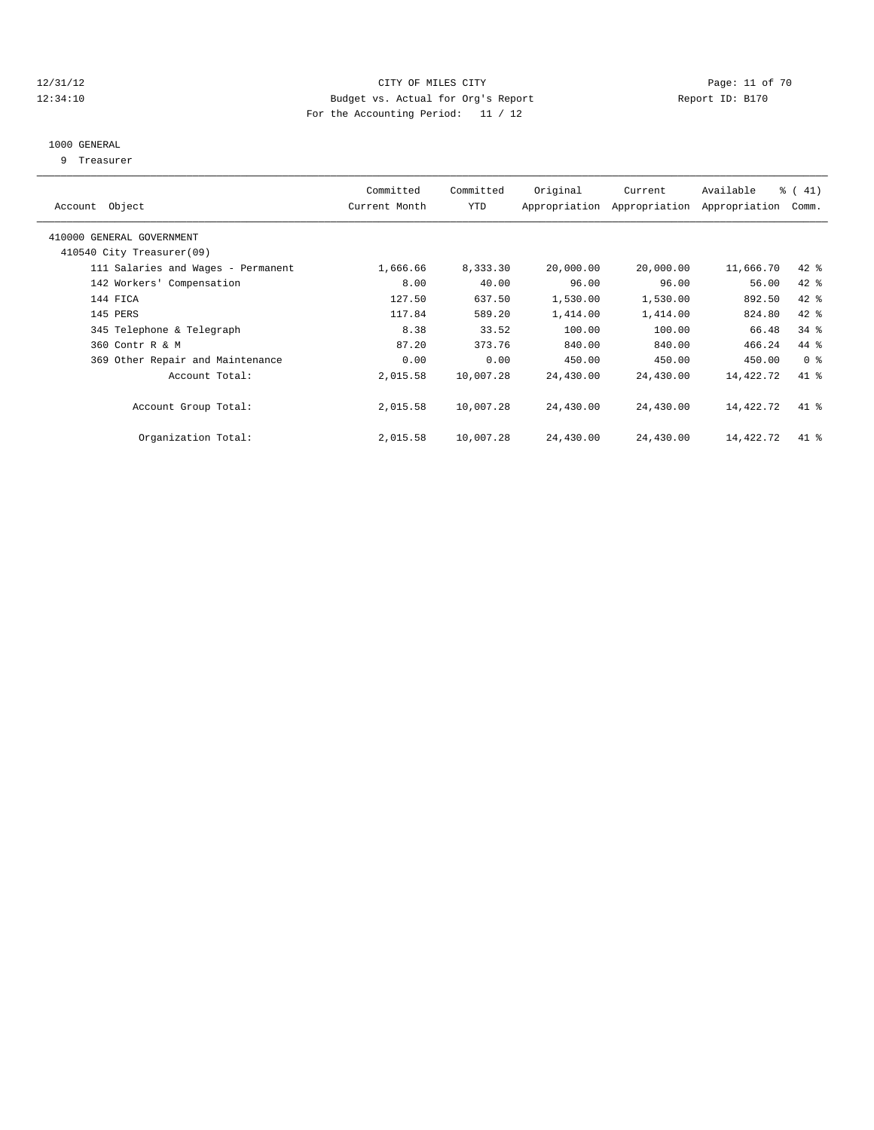# 12/31/12 Page: 11 of 70 12:34:10 Budget vs. Actual for Org's Report Changer Report ID: B170 For the Accounting Period: 11 / 12

# 1000 GENERAL

9 Treasurer

| Account Object                                         | Committed<br>Current Month | Committed<br>YTD | Original  | Current<br>Appropriation Appropriation | Available<br>Appropriation | $\frac{1}{6}$ ( 41)<br>Comm. |
|--------------------------------------------------------|----------------------------|------------------|-----------|----------------------------------------|----------------------------|------------------------------|
| 410000 GENERAL GOVERNMENT<br>410540 City Treasurer(09) |                            |                  |           |                                        |                            |                              |
| 111 Salaries and Wages - Permanent                     | 1,666.66                   | 8,333.30         | 20,000.00 | 20,000.00                              | 11,666.70                  | $42$ %                       |
| 142 Workers' Compensation                              | 8.00                       | 40.00            | 96.00     | 96.00                                  | 56.00                      | 42 %                         |
| 144 FICA                                               | 127.50                     | 637.50           | 1,530.00  | 1,530.00                               | 892.50                     | 42 %                         |
| 145 PERS                                               | 117.84                     | 589.20           | 1,414.00  | 1,414.00                               | 824.80                     | 42 %                         |
| 345 Telephone & Telegraph                              | 8.38                       | 33.52            | 100.00    | 100.00                                 | 66.48                      | $34$ $%$                     |
| 360 Contr R & M                                        | 87.20                      | 373.76           | 840.00    | 840.00                                 | 466.24                     | 44 %                         |
| 369 Other Repair and Maintenance                       | 0.00                       | 0.00             | 450.00    | 450.00                                 | 450.00                     | 0 <sup>8</sup>               |
| Account Total:                                         | 2,015.58                   | 10,007.28        | 24,430.00 | 24,430.00                              | 14,422.72                  | 41.8                         |
| Account Group Total:                                   | 2,015.58                   | 10,007.28        | 24,430.00 | 24,430.00                              | 14,422.72                  | $41$ %                       |
| Organization Total:                                    | 2,015.58                   | 10,007.28        | 24,430.00 | 24,430.00                              | 14,422.72                  | $41$ %                       |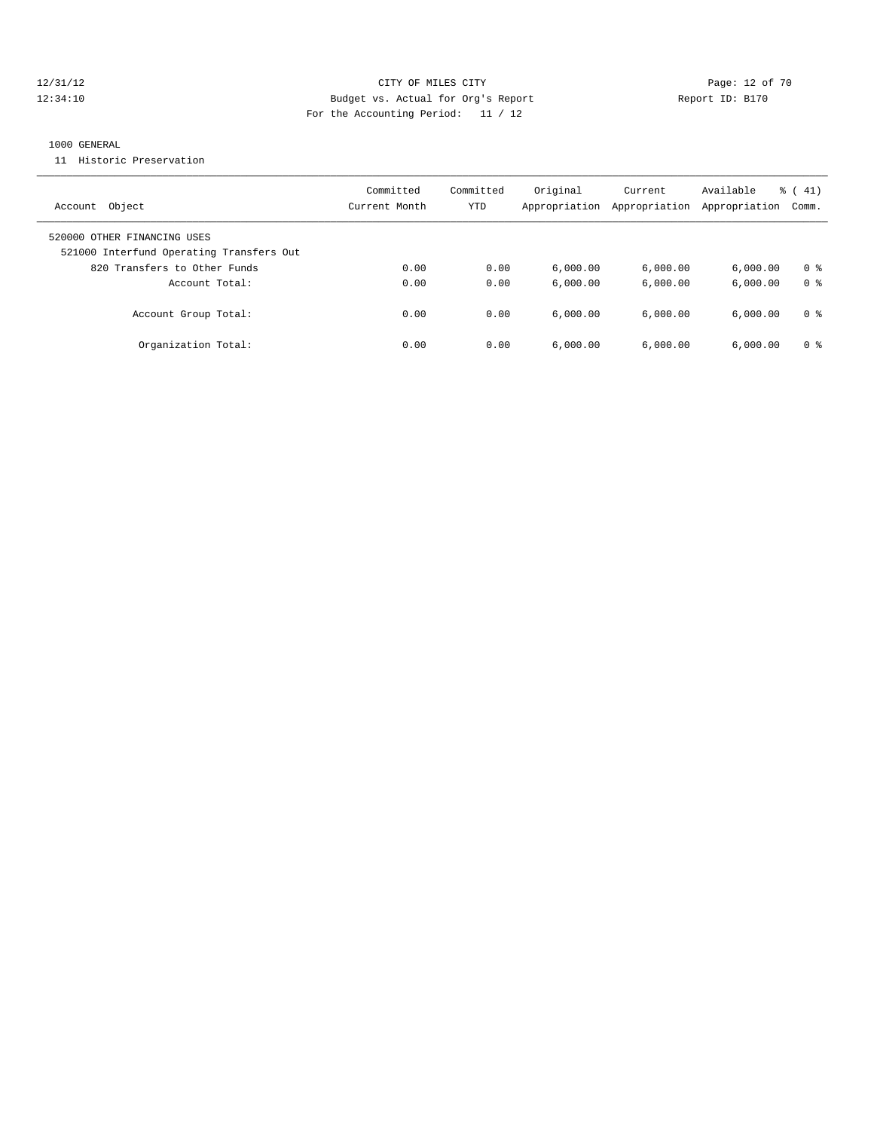# 12/31/12 Page: 12 of 70 12:34:10 Budget vs. Actual for Org's Report Changer Report ID: B170 For the Accounting Period: 11 / 12

#### 1000 GENERAL

11 Historic Preservation

| Object<br>Account                                                       | Committed<br>Current Month | Committed<br>YTD | Original<br>Appropriation | Current<br>Appropriation | Available<br>Appropriation | $\frac{1}{6}$ ( 41)<br>Comm. |
|-------------------------------------------------------------------------|----------------------------|------------------|---------------------------|--------------------------|----------------------------|------------------------------|
| 520000 OTHER FINANCING USES<br>521000 Interfund Operating Transfers Out |                            |                  |                           |                          |                            |                              |
| 820 Transfers to Other Funds                                            | 0.00                       | 0.00             | 6.000.00                  | 6,000.00                 | 6.000.00                   | 0 <sup>8</sup>               |
| Account Total:                                                          | 0.00                       | 0.00             | 6.000.00                  | 6.000.00                 | 6.000.00                   | 0 <sup>8</sup>               |
| Account Group Total:                                                    | 0.00                       | 0.00             | 6.000.00                  | 6.000.00                 | 6.000.00                   | 0 %                          |
| Organization Total:                                                     | 0.00                       | 0.00             | 6,000.00                  | 6.000.00                 | 6.000.00                   | 0 <sup>8</sup>               |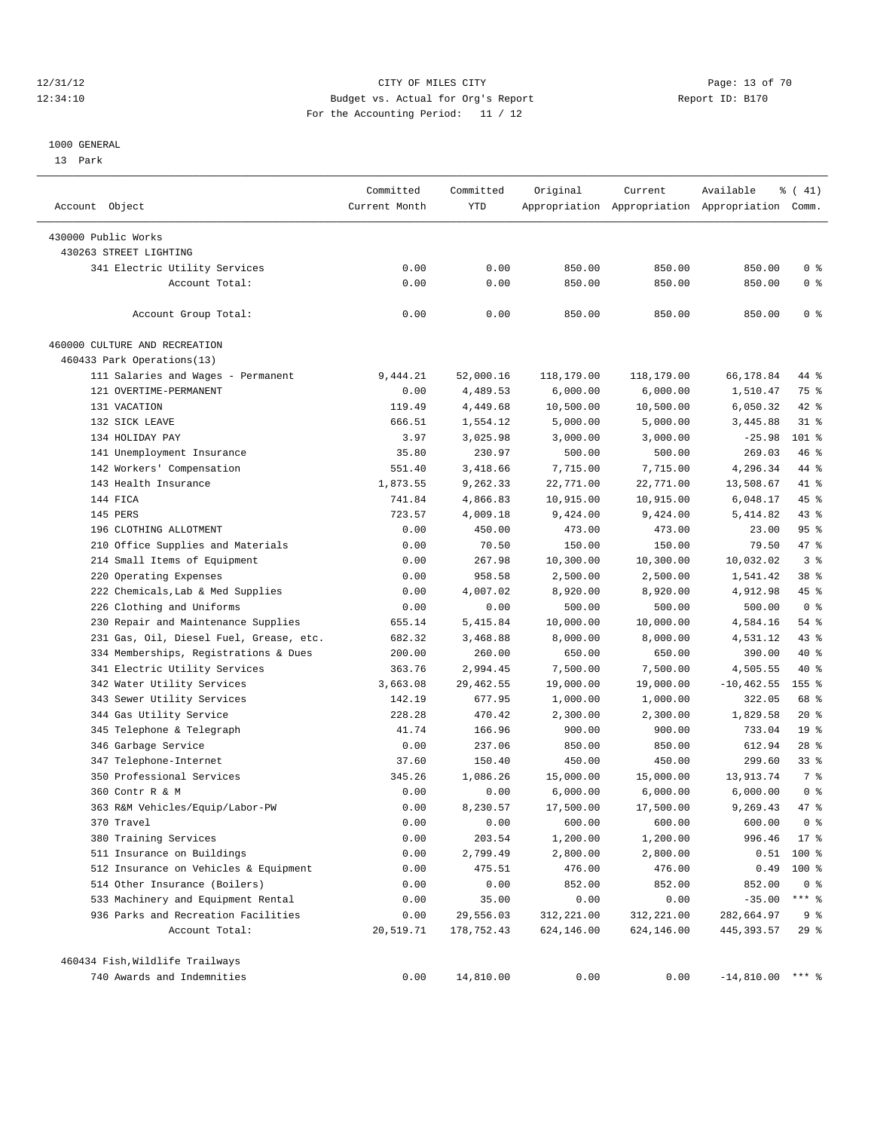#### 12/31/12 Page: 13 of 70 12:34:10 Budget vs. Actual for Org's Report Report ID: B170 For the Accounting Period: 11 / 12

————————————————————————————————————————————————————————————————————————————————————————————————————————————————————————————————————

#### 1000 GENERAL

13 Park

|                                         | Committed<br>Committed | Original   | Current    | Available  | $\frac{1}{6}$ ( 41)                             |                 |
|-----------------------------------------|------------------------|------------|------------|------------|-------------------------------------------------|-----------------|
| Account Object                          | Current Month          | YTD        |            |            | Appropriation Appropriation Appropriation Comm. |                 |
| 430000 Public Works                     |                        |            |            |            |                                                 |                 |
| 430263 STREET LIGHTING                  |                        |            |            |            |                                                 |                 |
| 341 Electric Utility Services           | 0.00                   | 0.00       | 850.00     | 850.00     | 850.00                                          | 0 <sup>8</sup>  |
| Account Total:                          | 0.00                   | 0.00       | 850.00     | 850.00     | 850.00                                          | 0 <sup>8</sup>  |
|                                         |                        |            |            |            |                                                 |                 |
| Account Group Total:                    | 0.00                   | 0.00       | 850.00     | 850.00     | 850.00                                          | 0 <sup>8</sup>  |
| 460000 CULTURE AND RECREATION           |                        |            |            |            |                                                 |                 |
| 460433 Park Operations(13)              |                        |            |            |            |                                                 |                 |
| 111 Salaries and Wages - Permanent      | 9,444.21               | 52,000.16  | 118,179.00 | 118,179.00 | 66,178.84                                       | 44 %            |
| 121 OVERTIME-PERMANENT                  | 0.00                   | 4,489.53   | 6,000.00   | 6,000.00   | 1,510.47                                        | 75 %            |
| 131 VACATION                            | 119.49                 | 4,449.68   | 10,500.00  | 10,500.00  | 6,050.32                                        | 42 %            |
| 132 SICK LEAVE                          | 666.51                 | 1,554.12   | 5,000.00   | 5,000.00   | 3,445.88                                        | $31$ $%$        |
| 134 HOLIDAY PAY                         | 3.97                   | 3,025.98   | 3,000.00   | 3,000.00   | $-25.98$                                        | $101$ %         |
| 141 Unemployment Insurance              | 35.80                  | 230.97     | 500.00     | 500.00     | 269.03                                          | 46 %            |
| 142 Workers' Compensation               | 551.40                 | 3,418.66   | 7,715.00   | 7,715.00   | 4,296.34                                        | 44 %            |
| 143 Health Insurance                    | 1,873.55               | 9,262.33   | 22,771.00  | 22,771.00  | 13,508.67                                       | 41 %            |
| 144 FICA                                | 741.84                 | 4,866.83   | 10,915.00  | 10,915.00  | 6,048.17                                        | 45 %            |
| 145 PERS                                | 723.57                 | 4,009.18   | 9,424.00   | 9,424.00   | 5,414.82                                        | 43%             |
| 196 CLOTHING ALLOTMENT                  | 0.00                   | 450.00     | 473.00     | 473.00     | 23.00                                           | 95%             |
| 210 Office Supplies and Materials       | 0.00                   | 70.50      | 150.00     | 150.00     | 79.50                                           | 47 %            |
| 214 Small Items of Equipment            | 0.00                   | 267.98     | 10,300.00  | 10,300.00  | 10,032.02                                       | 3 <sup>8</sup>  |
| 220 Operating Expenses                  | 0.00                   | 958.58     | 2,500.00   | 2,500.00   | 1,541.42                                        | 38 %            |
| 222 Chemicals, Lab & Med Supplies       | 0.00                   | 4,007.02   | 8,920.00   | 8,920.00   | 4,912.98                                        | 45 %            |
| 226 Clothing and Uniforms               | 0.00                   | 0.00       | 500.00     | 500.00     | 500.00                                          | 0 <sup>8</sup>  |
| 230 Repair and Maintenance Supplies     | 655.14                 | 5,415.84   | 10,000.00  | 10,000.00  | 4,584.16                                        | 54 %            |
| 231 Gas, Oil, Diesel Fuel, Grease, etc. | 682.32                 | 3,468.88   | 8,000.00   | 8,000.00   | 4,531.12                                        | 43 %            |
| 334 Memberships, Registrations & Dues   | 200.00                 | 260.00     | 650.00     | 650.00     | 390.00                                          | 40 %            |
| 341 Electric Utility Services           | 363.76                 | 2,994.45   | 7,500.00   | 7,500.00   | 4,505.55                                        | 40 %            |
| 342 Water Utility Services              | 3,663.08               | 29,462.55  | 19,000.00  | 19,000.00  | $-10, 462.55$                                   | 155 %           |
| 343 Sewer Utility Services              | 142.19                 | 677.95     | 1,000.00   | 1,000.00   | 322.05                                          | 68 %            |
| 344 Gas Utility Service                 | 228.28                 | 470.42     | 2,300.00   | 2,300.00   | 1,829.58                                        | $20*$           |
| 345 Telephone & Telegraph               | 41.74                  | 166.96     | 900.00     | 900.00     | 733.04                                          | 19 <sup>°</sup> |
| 346 Garbage Service                     | 0.00                   | 237.06     | 850.00     | 850.00     | 612.94                                          | $28$ %          |
| 347 Telephone-Internet                  | 37.60                  | 150.40     | 450.00     | 450.00     | 299.60                                          | $33*$           |
| 350 Professional Services               | 345.26                 | 1,086.26   | 15,000.00  | 15,000.00  | 13,913.74                                       | 7 %             |
| 360 Contr R & M                         | 0.00                   | 0.00       | 6,000.00   | 6,000.00   | 6,000.00                                        | 0 <sup>8</sup>  |
| 363 R&M Vehicles/Equip/Labor-PW         | 0.00                   | 8,230.57   | 17,500.00  | 17,500.00  | 9,269.43                                        | 47 %            |
| 370 Travel                              | 0.00                   | 0.00       | 600.00     | 600.00     | 600.00                                          | 0 <sup>8</sup>  |
| 380 Training Services                   | 0.00                   | 203.54     | 1,200.00   | 1,200.00   | 996.46                                          | $17*$           |
| 511 Insurance on Buildings              | 0.00                   | 2,799.49   | 2,800.00   | 2,800.00   |                                                 | $0.51$ 100 %    |
| 512 Insurance on Vehicles & Equipment   | 0.00                   | 475.51     | 476.00     | 476.00     | 0.49                                            | 100 %           |
| 514 Other Insurance (Boilers)           | 0.00                   | 0.00       | 852.00     | 852.00     | 852.00                                          | 0 <sup>8</sup>  |
| 533 Machinery and Equipment Rental      | 0.00                   | 35.00      | 0.00       | 0.00       | $-35.00$                                        | $***$ $_{8}$    |
| 936 Parks and Recreation Facilities     | 0.00                   | 29,556.03  | 312,221.00 | 312,221.00 | 282,664.97                                      | 9 <sup>8</sup>  |
| Account Total:                          | 20,519.71              | 178,752.43 | 624,146.00 | 624,146.00 | 445, 393.57                                     | 29%             |
| 460434 Fish, Wildlife Trailways         |                        |            |            |            |                                                 |                 |
| 740 Awards and Indemnities              | 0.00                   | 14,810.00  | 0.00       | 0.00       | $-14,810.00$ *** %                              |                 |
|                                         |                        |            |            |            |                                                 |                 |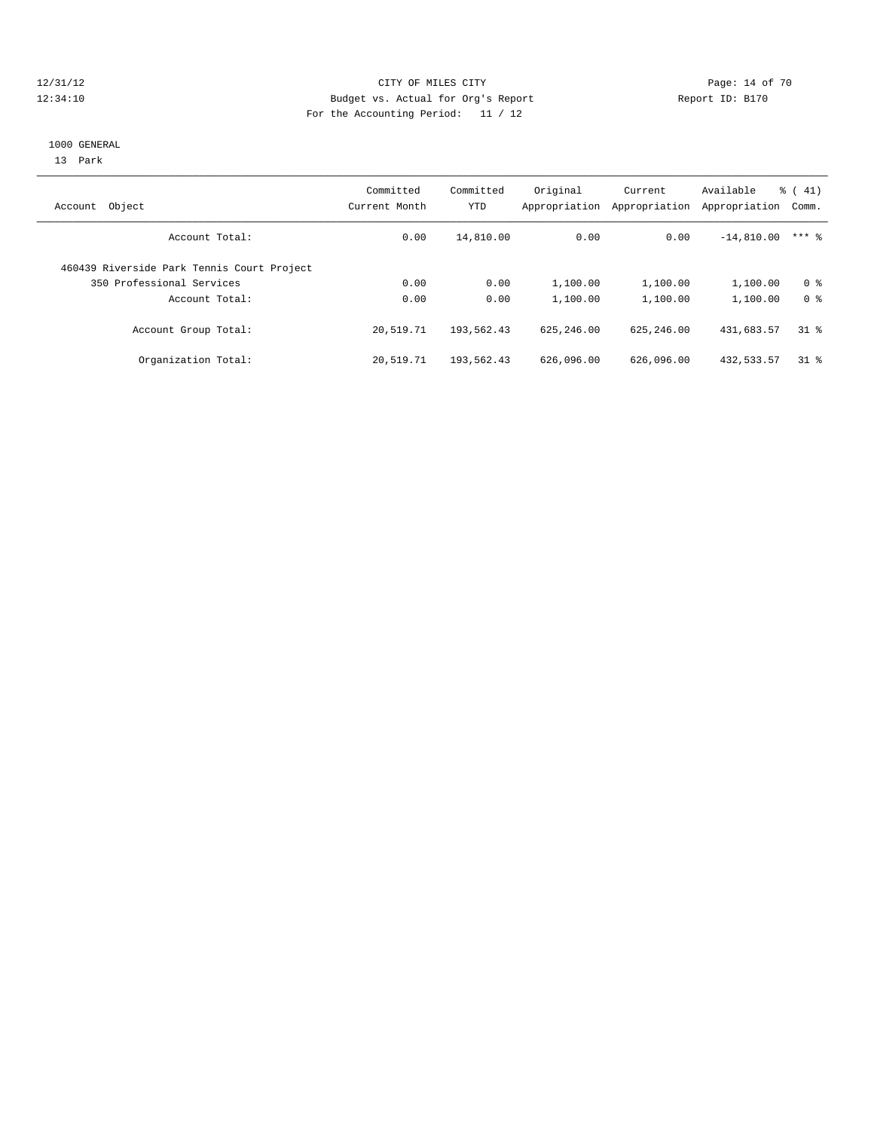#### 12/31/12 Page: 14 of 70 12:34:10 Budget vs. Actual for Org's Report Report ID: B170 For the Accounting Period: 11 / 12

#### 1000 GENERAL

13 Park

| Object<br>Account                          | Committed<br>Current Month | Committed<br><b>YTD</b> | Original<br>Appropriation | Current<br>Appropriation | Available<br>Appropriation | $\frac{1}{6}$ ( 41)<br>Comm. |
|--------------------------------------------|----------------------------|-------------------------|---------------------------|--------------------------|----------------------------|------------------------------|
| Account Total:                             | 0.00                       | 14,810.00               | 0.00                      | 0.00                     | $-14,810.00$               | $***$ 2                      |
| 460439 Riverside Park Tennis Court Project |                            |                         |                           |                          |                            |                              |
| 350 Professional Services                  | 0.00                       | 0.00                    | 1,100.00                  | 1,100.00                 | 1,100.00                   | 0 <sup>8</sup>               |
| Account Total:                             | 0.00                       | 0.00                    | 1,100.00                  | 1,100.00                 | 1,100.00                   | 0 <sup>8</sup>               |
| Account Group Total:                       | 20,519.71                  | 193,562.43              | 625, 246, 00              | 625, 246, 00             | 431,683.57                 | 318                          |
| Organization Total:                        | 20,519.71                  | 193,562.43              | 626,096.00                | 626,096.00               | 432, 533. 57               | 318                          |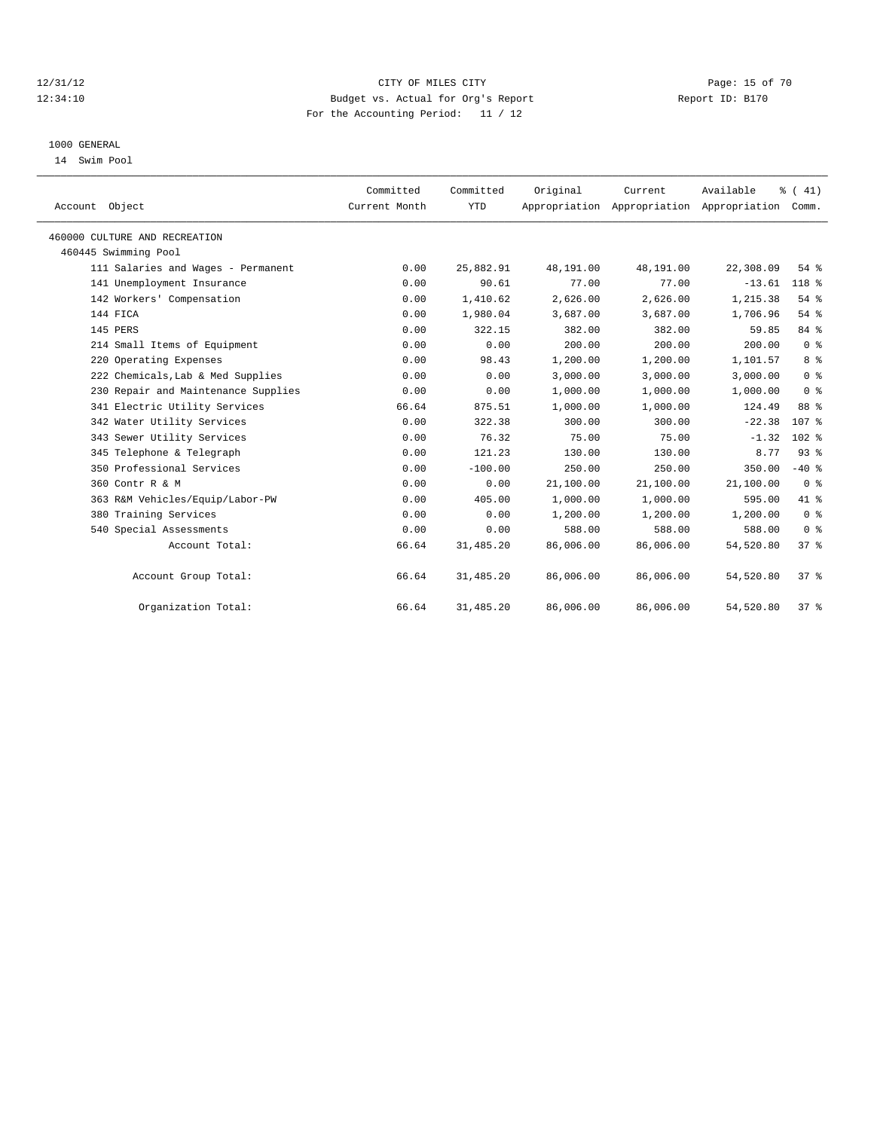# 12/31/12 Page: 15 of 70 12:34:10 Budget vs. Actual for Org's Report Report ID: B170 For the Accounting Period: 11 / 12

#### 1000 GENERAL

14 Swim Pool

| Account Object                      | Committed<br>Current Month | Committed<br><b>YTD</b> | Original  | Current<br>Appropriation Appropriation Appropriation | Available | % (41)<br>Comm.  |
|-------------------------------------|----------------------------|-------------------------|-----------|------------------------------------------------------|-----------|------------------|
| 460000 CULTURE AND RECREATION       |                            |                         |           |                                                      |           |                  |
| 460445 Swimming Pool                |                            |                         |           |                                                      |           |                  |
| 111 Salaries and Wages - Permanent  | 0.00                       | 25,882.91               | 48,191.00 | 48,191.00                                            | 22,308.09 | $54$ $%$         |
| 141 Unemployment Insurance          | 0.00                       | 90.61                   | 77.00     | 77.00                                                | $-13.61$  | 118 %            |
| 142 Workers' Compensation           | 0.00                       | 1,410.62                | 2,626.00  | 2.626.00                                             | 1,215.38  | 54%              |
| 144 FICA                            | 0.00                       | 1,980.04                | 3,687.00  | 3,687.00                                             | 1,706.96  | 54%              |
| 145 PERS                            | 0.00                       | 322.15                  | 382.00    | 382.00                                               | 59.85     | 84 %             |
| 214 Small Items of Equipment        | 0.00                       | 0.00                    | 200.00    | 200.00                                               | 200.00    | 0 <sup>8</sup>   |
| 220 Operating Expenses              | 0.00                       | 98.43                   | 1,200.00  | 1,200.00                                             | 1,101.57  | 8 %              |
| 222 Chemicals, Lab & Med Supplies   | 0.00                       | 0.00                    | 3,000.00  | 3,000.00                                             | 3,000.00  | 0 <sup>8</sup>   |
| 230 Repair and Maintenance Supplies | 0.00                       | 0.00                    | 1,000.00  | 1,000.00                                             | 1,000.00  | 0 <sup>8</sup>   |
| 341 Electric Utility Services       | 66.64                      | 875.51                  | 1,000.00  | 1,000.00                                             | 124.49    | 88 %             |
| 342 Water Utility Services          | 0.00                       | 322.38                  | 300.00    | 300.00                                               | $-22.38$  | 107 <sub>8</sub> |
| 343 Sewer Utility Services          | 0.00                       | 76.32                   | 75.00     | 75.00                                                | $-1.32$   | $102$ %          |
| 345 Telephone & Telegraph           | 0.00                       | 121.23                  | 130.00    | 130.00                                               | 8.77      | 93%              |
| 350 Professional Services           | 0.00                       | $-100.00$               | 250.00    | 250.00                                               | 350.00    | $-40$ %          |
| 360 Contr R & M                     | 0.00                       | 0.00                    | 21,100.00 | 21,100.00                                            | 21,100.00 | 0 <sup>8</sup>   |
| 363 R&M Vehicles/Equip/Labor-PW     | 0.00                       | 405.00                  | 1,000.00  | 1,000.00                                             | 595.00    | 41 %             |
| 380 Training Services               | 0.00                       | 0.00                    | 1,200.00  | 1,200.00                                             | 1,200.00  | 0 <sup>8</sup>   |
| 540 Special Assessments             | 0.00                       | 0.00                    | 588.00    | 588.00                                               | 588.00    | 0 <sup>8</sup>   |
| Account Total:                      | 66.64                      | 31,485.20               | 86,006.00 | 86,006.00                                            | 54,520.80 | 37 <sup>8</sup>  |
| Account Group Total:                | 66.64                      | 31,485.20               | 86,006.00 | 86,006.00                                            | 54,520.80 | 37%              |
| Organization Total:                 | 66.64                      | 31,485.20               | 86,006.00 | 86,006.00                                            | 54,520.80 | 37%              |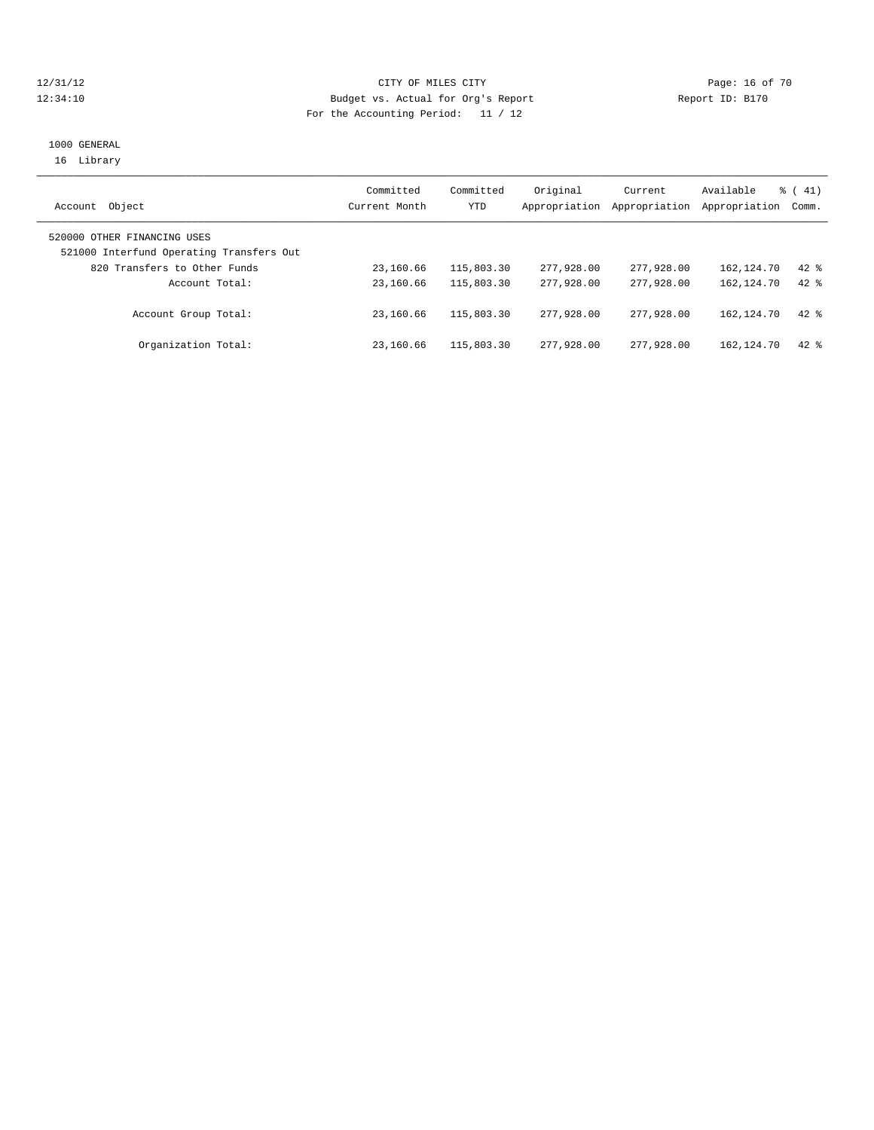# 12/31/12 Page: 16 of 70 12:34:10 Budget vs. Actual for Org's Report Report ID: B170 For the Accounting Period: 11 / 12

### 1000 GENERAL 16 Library

| Object<br>Account                                                       | Committed<br>Current Month | Committed<br>YTD | Original<br>Appropriation | Current<br>Appropriation | Available<br>Appropriation | $\frac{1}{6}$ ( 41)<br>Comm. |
|-------------------------------------------------------------------------|----------------------------|------------------|---------------------------|--------------------------|----------------------------|------------------------------|
| 520000 OTHER FINANCING USES<br>521000 Interfund Operating Transfers Out |                            |                  |                           |                          |                            |                              |
| 820 Transfers to Other Funds                                            | 23,160.66                  | 115,803.30       | 277,928.00                | 277,928,00               | 162,124.70                 | $42$ %                       |
| Account Total:                                                          | 23,160.66                  | 115,803.30       | 277,928,00                | 277,928,00               | 162, 124, 70               | $42*$                        |
| Account Group Total:                                                    | 23,160.66                  | 115,803.30       | 277,928,00                | 277,928,00               | 162,124.70                 | $42*$                        |
| Organization Total:                                                     | 23,160.66                  | 115,803.30       | 277,928,00                | 277,928,00               | 162,124.70                 | $42*$                        |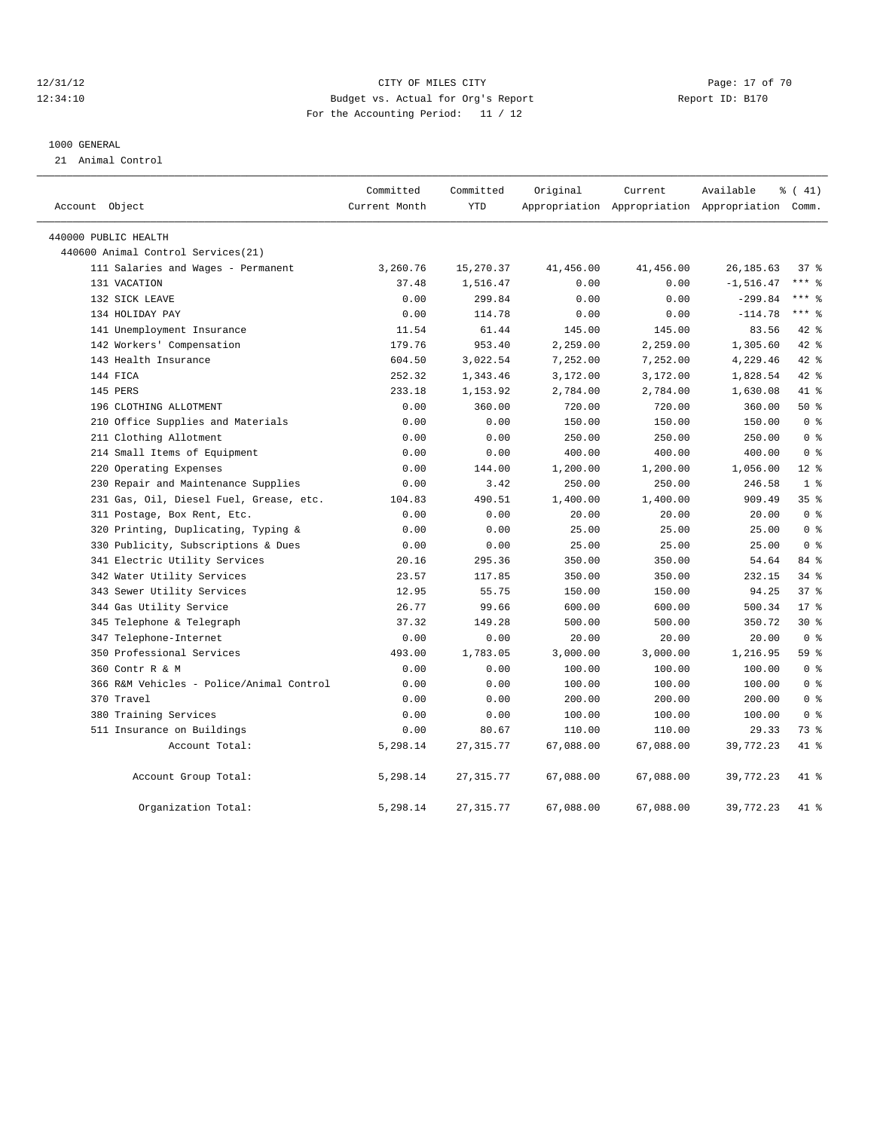# 12/31/12 Page: 17 of 70 12:34:10 Budget vs. Actual for Org's Report Report ID: B170 For the Accounting Period: 11 / 12

#### 1000 GENERAL

21 Animal Control

| Account Object                           | Committed<br>Current Month | Committed<br><b>YTD</b> | Original  | Current   | Available<br>Appropriation Appropriation Appropriation Comm. | % (41)          |
|------------------------------------------|----------------------------|-------------------------|-----------|-----------|--------------------------------------------------------------|-----------------|
| 440000 PUBLIC HEALTH                     |                            |                         |           |           |                                                              |                 |
| 440600 Animal Control Services (21)      |                            |                         |           |           |                                                              |                 |
| 111 Salaries and Wages - Permanent       | 3,260.76                   | 15,270.37               | 41,456.00 | 41,456.00 | 26, 185.63                                                   | 37 <sup>8</sup> |
| 131 VACATION                             | 37.48                      | 1,516.47                | 0.00      | 0.00      | $-1, 516.47$                                                 | $***$ $_{8}$    |
| 132 SICK LEAVE                           | 0.00                       | 299.84                  | 0.00      | 0.00      | $-299.84$                                                    | $***$ 8         |
| 134 HOLIDAY PAY                          | 0.00                       | 114.78                  | 0.00      | 0.00      | $-114.78$                                                    | $***$ 8         |
| 141 Unemployment Insurance               | 11.54                      | 61.44                   | 145.00    | 145.00    | 83.56                                                        | 42.8            |
| 142 Workers' Compensation                | 179.76                     | 953.40                  | 2,259.00  | 2,259.00  | 1,305.60                                                     | 42.8            |
| 143 Health Insurance                     | 604.50                     | 3,022.54                | 7,252.00  | 7,252.00  | 4,229.46                                                     | 42.8            |
| 144 FICA                                 | 252.32                     | 1,343.46                | 3,172.00  | 3,172.00  | 1,828.54                                                     | 42.8            |
| 145 PERS                                 | 233.18                     | 1,153.92                | 2,784.00  | 2,784.00  | 1,630.08                                                     | 41 %            |
| 196 CLOTHING ALLOTMENT                   | 0.00                       | 360.00                  | 720.00    | 720.00    | 360.00                                                       | $50*$           |
| 210 Office Supplies and Materials        | 0.00                       | 0.00                    | 150.00    | 150.00    | 150.00                                                       | 0 <sup>8</sup>  |
| 211 Clothing Allotment                   | 0.00                       | 0.00                    | 250.00    | 250.00    | 250.00                                                       | 0 <sup>8</sup>  |
| 214 Small Items of Equipment             | 0.00                       | 0.00                    | 400.00    | 400.00    | 400.00                                                       | 0 <sup>8</sup>  |
| 220 Operating Expenses                   | 0.00                       | 144.00                  | 1,200.00  | 1,200.00  | 1,056.00                                                     | $12*$           |
| 230 Repair and Maintenance Supplies      | 0.00                       | 3.42                    | 250.00    | 250.00    | 246.58                                                       | 1 <sup>8</sup>  |
| 231 Gas, Oil, Diesel Fuel, Grease, etc.  | 104.83                     | 490.51                  | 1,400.00  | 1,400.00  | 909.49                                                       | 35%             |
| 311 Postage, Box Rent, Etc.              | 0.00                       | 0.00                    | 20.00     | 20.00     | 20.00                                                        | 0 <sup>8</sup>  |
| Printing, Duplicating, Typing &<br>320   | 0.00                       | 0.00                    | 25.00     | 25.00     | 25.00                                                        | 0 <sup>8</sup>  |
| 330 Publicity, Subscriptions & Dues      | 0.00                       | 0.00                    | 25.00     | 25.00     | 25.00                                                        | 0 <sup>8</sup>  |
| 341 Electric Utility Services            | 20.16                      | 295.36                  | 350.00    | 350.00    | 54.64                                                        | 84 %            |
| 342 Water Utility Services               | 23.57                      | 117.85                  | 350.00    | 350.00    | 232.15                                                       | $34$ $%$        |
| 343 Sewer Utility Services               | 12.95                      | 55.75                   | 150.00    | 150.00    | 94.25                                                        | 37 <sup>8</sup> |
| 344 Gas Utility Service                  | 26.77                      | 99.66                   | 600.00    | 600.00    | 500.34                                                       | 17.8            |
| 345 Telephone & Telegraph                | 37.32                      | 149.28                  | 500.00    | 500.00    | 350.72                                                       | $30*$           |
| 347 Telephone-Internet                   | 0.00                       | 0.00                    | 20.00     | 20.00     | 20.00                                                        | 0 <sup>8</sup>  |
| 350 Professional Services                | 493.00                     | 1,783.05                | 3,000.00  | 3,000.00  | 1,216.95                                                     | 59 %            |
| 360 Contr R & M                          | 0.00                       | 0.00                    | 100.00    | 100.00    | 100.00                                                       | 0 <sup>8</sup>  |
| 366 R&M Vehicles - Police/Animal Control | 0.00                       | 0.00                    | 100.00    | 100.00    | 100.00                                                       | 0 <sup>8</sup>  |
| 370 Travel                               | 0.00                       | 0.00                    | 200.00    | 200.00    | 200.00                                                       | 0 <sup>8</sup>  |
| 380 Training Services                    | 0.00                       | 0.00                    | 100.00    | 100.00    | 100.00                                                       | 0 <sup>8</sup>  |
| 511 Insurance on Buildings               | 0.00                       | 80.67                   | 110.00    | 110.00    | 29.33                                                        | 73 %            |
| Account Total:                           | 5,298.14                   | 27, 315.77              | 67,088.00 | 67,088.00 | 39,772.23                                                    | 41 %            |
| Account Group Total:                     | 5,298.14                   | 27, 315.77              | 67,088.00 | 67,088.00 | 39,772.23                                                    | 41 %            |
| Organization Total:                      | 5,298.14                   | 27, 315.77              | 67,088.00 | 67,088.00 | 39,772.23                                                    | 41 %            |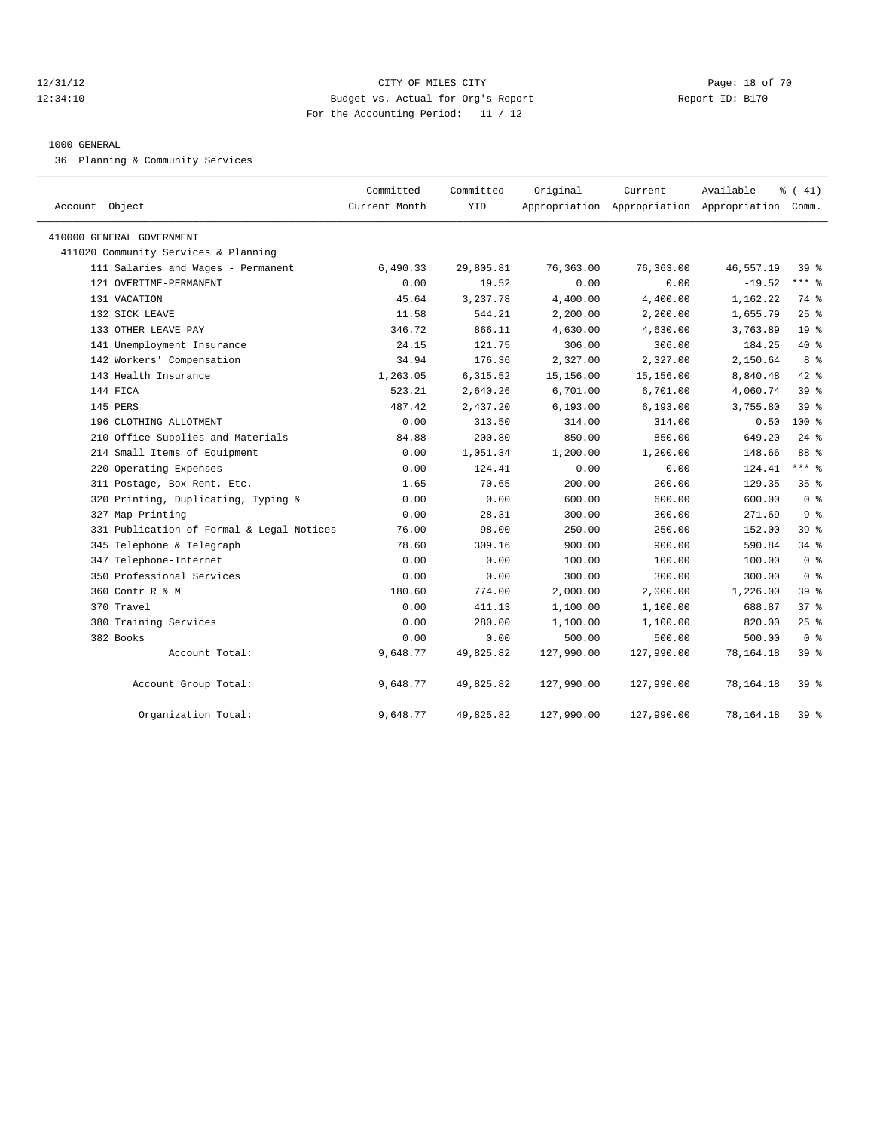#### 12/31/12 Page: 18 of 70 12:34:10 Budget vs. Actual for Org's Report Report ID: B170 For the Accounting Period: 11 / 12

#### 1000 GENERAL

36 Planning & Community Services

| Account Object                            | Committed<br>Current Month | Committed<br><b>YTD</b> | Original   | Current    | Available<br>Appropriation Appropriation Appropriation Comm. | % (41)          |
|-------------------------------------------|----------------------------|-------------------------|------------|------------|--------------------------------------------------------------|-----------------|
| 410000 GENERAL GOVERNMENT                 |                            |                         |            |            |                                                              |                 |
| 411020 Community Services & Planning      |                            |                         |            |            |                                                              |                 |
| 111 Salaries and Wages - Permanent        | 6,490.33                   | 29,805.81               | 76,363.00  | 76,363.00  | 46,557.19                                                    | 39 <sup>8</sup> |
| 121 OVERTIME-PERMANENT                    | 0.00                       | 19.52                   | 0.00       | 0.00       | $-19.52$                                                     | $***$ 8         |
| 131 VACATION                              | 45.64                      | 3,237.78                | 4,400.00   | 4,400.00   | 1,162.22                                                     | 74 %            |
| 132 SICK LEAVE                            | 11.58                      | 544.21                  | 2,200.00   | 2,200.00   | 1,655.79                                                     | 25%             |
| 133 OTHER LEAVE PAY                       | 346.72                     | 866.11                  | 4,630.00   | 4,630.00   | 3,763.89                                                     | 19 <sup>°</sup> |
| 141 Unemployment Insurance                | 24.15                      | 121.75                  | 306.00     | 306.00     | 184.25                                                       | 40 %            |
| 142 Workers' Compensation                 | 34.94                      | 176.36                  | 2,327.00   | 2,327.00   | 2,150.64                                                     | 8 %             |
| 143 Health Insurance                      | 1,263.05                   | 6,315.52                | 15,156.00  | 15,156.00  | 8,840.48                                                     | 42.8            |
| 144 FICA                                  | 523.21                     | 2,640.26                | 6,701.00   | 6,701.00   | 4,060.74                                                     | 39 <sup>8</sup> |
| 145 PERS                                  | 487.42                     | 2,437.20                | 6, 193.00  | 6, 193.00  | 3,755.80                                                     | 39 %            |
| 196 CLOTHING ALLOTMENT                    | 0.00                       | 313.50                  | 314.00     | 314.00     | 0.50                                                         | 100 %           |
| 210 Office Supplies and Materials         | 84.88                      | 200.80                  | 850.00     | 850.00     | 649.20                                                       | $24$ $%$        |
| 214 Small Items of Equipment              | 0.00                       | 1,051.34                | 1,200.00   | 1,200.00   | 148.66                                                       | 88 %            |
| 220 Operating Expenses                    | 0.00                       | 124.41                  | 0.00       | 0.00       | $-124.41$                                                    | *** %           |
| 311 Postage, Box Rent, Etc.               | 1.65                       | 70.65                   | 200.00     | 200.00     | 129.35                                                       | 35%             |
| 320 Printing, Duplicating, Typing &       | 0.00                       | 0.00                    | 600.00     | 600.00     | 600.00                                                       | 0 <sup>8</sup>  |
| 327 Map Printing                          | 0.00                       | 28.31                   | 300.00     | 300.00     | 271.69                                                       | 9 <sup>8</sup>  |
| 331 Publication of Formal & Legal Notices | 76.00                      | 98.00                   | 250.00     | 250.00     | 152.00                                                       | 39 %            |
| 345 Telephone & Telegraph                 | 78.60                      | 309.16                  | 900.00     | 900.00     | 590.84                                                       | 34.8            |
| 347 Telephone-Internet                    | 0.00                       | 0.00                    | 100.00     | 100.00     | 100.00                                                       | 0 <sup>8</sup>  |
| 350 Professional Services                 | 0.00                       | 0.00                    | 300.00     | 300.00     | 300.00                                                       | 0 <sup>8</sup>  |
| 360 Contr R & M                           | 180.60                     | 774.00                  | 2,000.00   | 2,000.00   | 1,226.00                                                     | 39 %            |
| 370 Travel                                | 0.00                       | 411.13                  | 1,100.00   | 1,100.00   | 688.87                                                       | 37 %            |
| 380 Training Services                     | 0.00                       | 280.00                  | 1,100.00   | 1,100.00   | 820.00                                                       | $25$ $%$        |
| 382 Books                                 | 0.00                       | 0.00                    | 500.00     | 500.00     | 500.00                                                       | 0 <sup>8</sup>  |
| Account Total:                            | 9,648.77                   | 49,825.82               | 127,990.00 | 127,990.00 | 78, 164. 18                                                  | 39 %            |
| Account Group Total:                      | 9,648.77                   | 49,825.82               | 127,990.00 | 127,990.00 | 78,164.18                                                    | 39 %            |
| Organization Total:                       | 9,648.77                   | 49,825.82               | 127,990.00 | 127,990.00 | 78, 164. 18                                                  | 39 %            |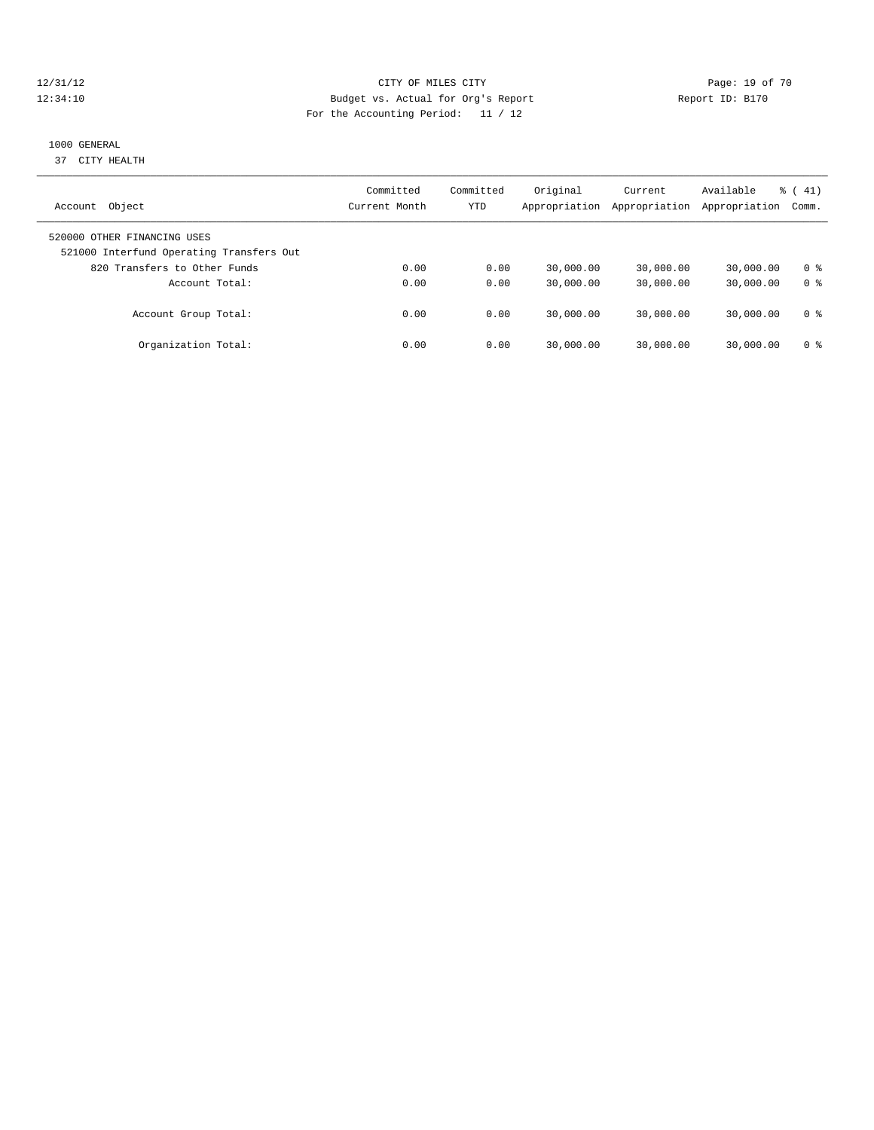# 12/31/12 Page: 19 of 70 12:34:10 Budget vs. Actual for Org's Report Report ID: B170 For the Accounting Period: 11 / 12

#### 1000 GENERAL

37 CITY HEALTH

| Object<br>Account                                                       | Committed<br>Current Month | Committed<br>YTD | Original<br>Appropriation | Current<br>Appropriation | Available<br>Appropriation | $\frac{1}{6}$ (41)<br>Comm. |
|-------------------------------------------------------------------------|----------------------------|------------------|---------------------------|--------------------------|----------------------------|-----------------------------|
| 520000 OTHER FINANCING USES<br>521000 Interfund Operating Transfers Out |                            |                  |                           |                          |                            |                             |
| 820 Transfers to Other Funds                                            | 0.00                       | 0.00             | 30,000.00                 | 30,000.00                | 30,000.00                  | 0 ક                         |
| Account Total:                                                          | 0.00                       | 0.00             | 30,000.00                 | 30,000.00                | 30,000.00                  | 0 <sup>8</sup>              |
| Account Group Total:                                                    | 0.00                       | 0.00             | 30,000.00                 | 30,000.00                | 30,000.00                  | 0 ક                         |
| Organization Total:                                                     | 0.00                       | 0.00             | 30,000.00                 | 30,000.00                | 30,000.00                  | 0 ક                         |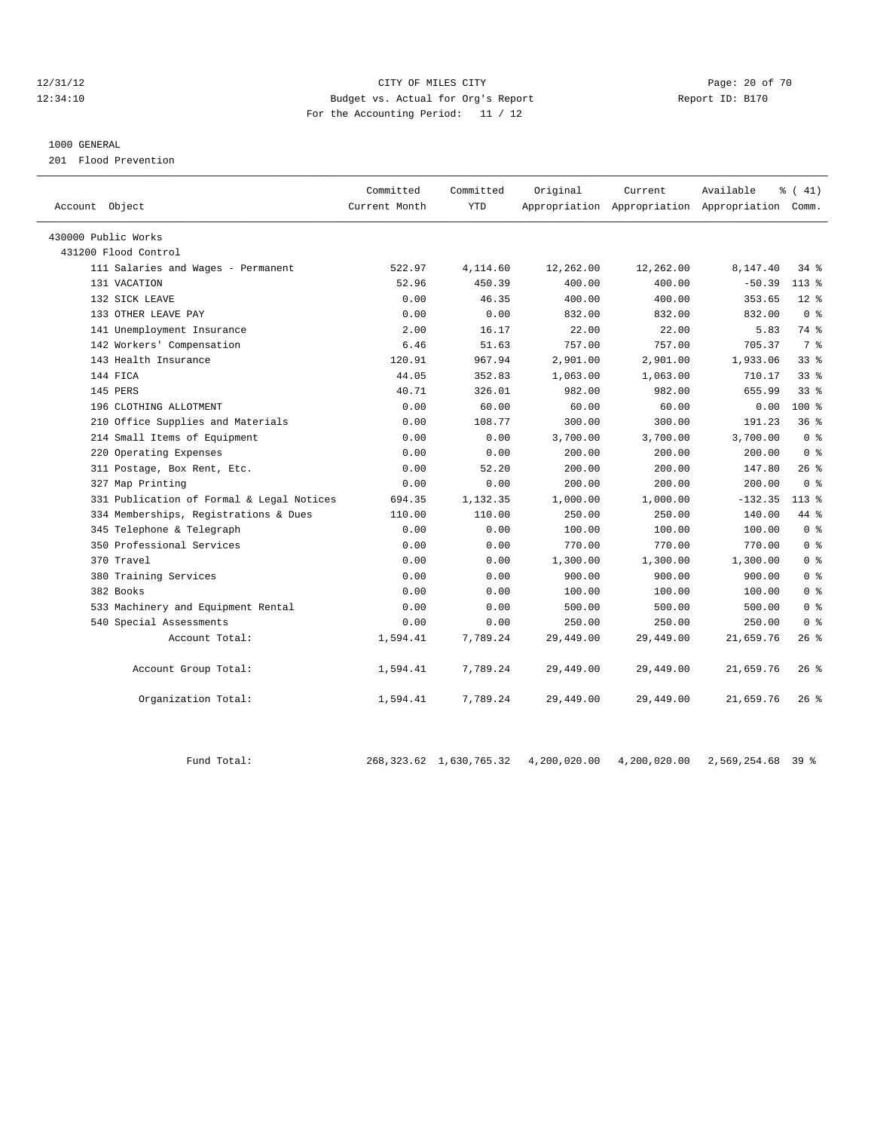#### 12/31/12 Page: 20 of 70 12:34:10 Budget vs. Actual for Org's Report Report ID: B170 For the Accounting Period: 11 / 12

#### 1000 GENERAL

201 Flood Prevention

| Account Object                            | Committed<br>Current Month | Committed<br><b>YTD</b> | Original  | Current   | Available<br>Appropriation Appropriation Appropriation Comm. | $\frac{1}{6}$ ( 41) |
|-------------------------------------------|----------------------------|-------------------------|-----------|-----------|--------------------------------------------------------------|---------------------|
| 430000 Public Works                       |                            |                         |           |           |                                                              |                     |
| 431200 Flood Control                      |                            |                         |           |           |                                                              |                     |
| 111 Salaries and Wages - Permanent        | 522.97                     | 4,114.60                | 12,262.00 | 12,262.00 | 8,147.40                                                     | 34 %                |
| 131 VACATION                              | 52.96                      | 450.39                  | 400.00    | 400.00    | $-50.39$                                                     | $113*$              |
| 132 SICK LEAVE                            | 0.00                       | 46.35                   | 400.00    | 400.00    | 353.65                                                       | $12*$               |
| 133 OTHER LEAVE PAY                       | 0.00                       | 0.00                    | 832.00    | 832.00    | 832.00                                                       | 0 <sup>8</sup>      |
| 141 Unemployment Insurance                | 2.00                       | 16.17                   | 22.00     | 22.00     | 5.83                                                         | 74 %                |
| 142 Workers' Compensation                 | 6.46                       | 51.63                   | 757.00    | 757.00    | 705.37                                                       | 7 %                 |
| 143 Health Insurance                      | 120.91                     | 967.94                  | 2,901.00  | 2,901.00  | 1,933.06                                                     | 338                 |
| 144 FICA                                  | 44.05                      | 352.83                  | 1,063.00  | 1,063.00  | 710.17                                                       | 33 <sup>8</sup>     |
| 145 PERS                                  | 40.71                      | 326.01                  | 982.00    | 982.00    | 655.99                                                       | 33%                 |
| 196 CLOTHING ALLOTMENT                    | 0.00                       | 60.00                   | 60.00     | 60.00     | 0.00                                                         | $100$ %             |
| 210 Office Supplies and Materials         | 0.00                       | 108.77                  | 300.00    | 300.00    | 191.23                                                       | 36%                 |
| 214 Small Items of Equipment              | 0.00                       | 0.00                    | 3,700.00  | 3,700.00  | 3,700.00                                                     | 0 <sup>8</sup>      |
| 220 Operating Expenses                    | 0.00                       | 0.00                    | 200.00    | 200.00    | 200.00                                                       | 0 <sup>8</sup>      |
| 311 Postage, Box Rent, Etc.               | 0.00                       | 52.20                   | 200.00    | 200.00    | 147.80                                                       | 26%                 |
| 327 Map Printing                          | 0.00                       | 0.00                    | 200.00    | 200.00    | 200.00                                                       | 0 <sup>8</sup>      |
| 331 Publication of Formal & Legal Notices | 694.35                     | 1,132.35                | 1,000.00  | 1,000.00  | $-132.35$                                                    | $113*$              |
| 334 Memberships, Registrations & Dues     | 110.00                     | 110.00                  | 250.00    | 250.00    | 140.00                                                       | 44 %                |
| 345 Telephone & Telegraph                 | 0.00                       | 0.00                    | 100.00    | 100.00    | 100.00                                                       | 0 <sup>8</sup>      |
| 350 Professional Services                 | 0.00                       | 0.00                    | 770.00    | 770.00    | 770.00                                                       | 0 <sup>8</sup>      |
| 370 Travel                                | 0.00                       | 0.00                    | 1,300.00  | 1,300.00  | 1,300.00                                                     | 0 <sup>8</sup>      |
| 380 Training Services                     | 0.00                       | 0.00                    | 900.00    | 900.00    | 900.00                                                       | 0 <sup>8</sup>      |
| 382 Books                                 | 0.00                       | 0.00                    | 100.00    | 100.00    | 100.00                                                       | 0 <sup>8</sup>      |
| 533 Machinery and Equipment Rental        | 0.00                       | 0.00                    | 500.00    | 500.00    | 500.00                                                       | 0 <sup>8</sup>      |
| 540 Special Assessments                   | 0.00                       | 0.00                    | 250.00    | 250.00    | 250.00                                                       | 0 <sup>8</sup>      |
| Account Total:                            | 1,594.41                   | 7,789.24                | 29,449.00 | 29,449.00 | 21,659.76                                                    | $26$ %              |
| Account Group Total:                      | 1,594.41                   | 7,789.24                | 29,449.00 | 29,449.00 | 21,659.76                                                    | $26$ %              |
| Organization Total:                       | 1,594.41                   | 7,789.24                | 29,449.00 | 29,449.00 | 21,659.76                                                    | $26$ %              |

Fund Total: 268,323.62 1,630,765.32 4,200,020.00 4,200,020.00 2,569,254.68 39 %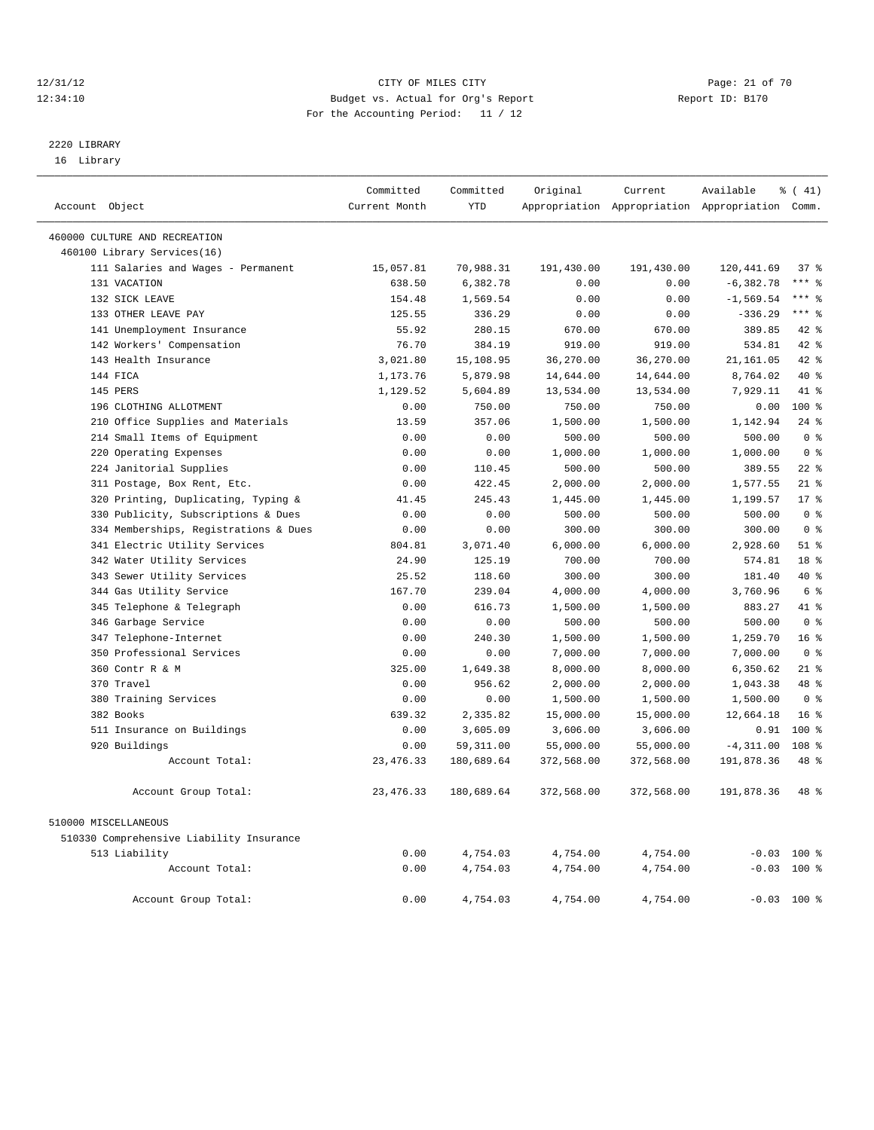#### 12/31/12 Page: 21 of 70 12:34:10 Budget vs. Actual for Org's Report Report ID: B170 For the Accounting Period: 11 / 12

# 2220 LIBRARY

16 Library

|                                          | Committed     | Committed  | Original   | Current    | Available                                       | $\frac{1}{6}$ ( 41) |  |
|------------------------------------------|---------------|------------|------------|------------|-------------------------------------------------|---------------------|--|
| Account Object                           | Current Month | <b>YTD</b> |            |            | Appropriation Appropriation Appropriation Comm. |                     |  |
| 460000 CULTURE AND RECREATION            |               |            |            |            |                                                 |                     |  |
| 460100 Library Services(16)              |               |            |            |            |                                                 |                     |  |
| 111 Salaries and Wages - Permanent       | 15,057.81     | 70,988.31  | 191,430.00 | 191,430.00 | 120, 441.69                                     | 37 <sup>8</sup>     |  |
| 131 VACATION                             | 638.50        | 6,382.78   | 0.00       | 0.00       | $-6, 382.78$                                    | $***$ 8             |  |
| 132 SICK LEAVE                           | 154.48        | 1,569.54   | 0.00       | 0.00       | $-1, 569.54$                                    | $***$ $-$           |  |
| 133 OTHER LEAVE PAY                      | 125.55        | 336.29     | 0.00       | 0.00       | $-336.29$                                       | $***$ $-$           |  |
| 141 Unemployment Insurance               | 55.92         | 280.15     | 670.00     | 670.00     | 389.85                                          | 42 %                |  |
| 142 Workers' Compensation                | 76.70         | 384.19     | 919.00     | 919.00     | 534.81                                          | $42$ $%$            |  |
| 143 Health Insurance                     | 3,021.80      | 15,108.95  | 36,270.00  | 36,270.00  | 21, 161.05                                      | 42.8                |  |
| 144 FICA                                 | 1,173.76      | 5,879.98   | 14,644.00  | 14,644.00  | 8,764.02                                        | $40*$               |  |
| 145 PERS                                 | 1,129.52      | 5,604.89   | 13,534.00  | 13,534.00  | 7,929.11                                        | 41 %                |  |
| 196 CLOTHING ALLOTMENT                   | 0.00          | 750.00     | 750.00     | 750.00     | 0.00                                            | $100*$              |  |
| 210 Office Supplies and Materials        | 13.59         | 357.06     | 1,500.00   | 1,500.00   | 1,142.94                                        | $24$ $%$            |  |
| 214 Small Items of Equipment             | 0.00          | 0.00       | 500.00     | 500.00     | 500.00                                          | 0 <sup>8</sup>      |  |
| 220 Operating Expenses                   | 0.00          | 0.00       | 1,000.00   | 1,000.00   | 1,000.00                                        | 0 <sup>8</sup>      |  |
| 224 Janitorial Supplies                  | 0.00          | 110.45     | 500.00     | 500.00     | 389.55                                          | $22$ %              |  |
| 311 Postage, Box Rent, Etc.              | 0.00          | 422.45     | 2,000.00   | 2,000.00   | 1,577.55                                        | $21$ %              |  |
| 320 Printing, Duplicating, Typing &      | 41.45         | 245.43     | 1,445.00   | 1,445.00   | 1,199.57                                        | $17*$               |  |
| 330 Publicity, Subscriptions & Dues      | 0.00          | 0.00       | 500.00     | 500.00     | 500.00                                          | 0 <sup>8</sup>      |  |
| 334 Memberships, Registrations & Dues    | 0.00          | 0.00       | 300.00     | 300.00     | 300.00                                          | 0 <sup>8</sup>      |  |
| 341 Electric Utility Services            | 804.81        | 3,071.40   | 6,000.00   | 6,000.00   | 2,928.60                                        | $51$ %              |  |
| 342 Water Utility Services               | 24.90         | 125.19     | 700.00     | 700.00     | 574.81                                          | 18 <sup>°</sup>     |  |
| 343 Sewer Utility Services               | 25.52         | 118.60     | 300.00     | 300.00     | 181.40                                          | $40*$               |  |
| 344 Gas Utility Service                  | 167.70        | 239.04     | 4,000.00   | 4,000.00   | 3,760.96                                        | $6\degree$          |  |
| 345 Telephone & Telegraph                | 0.00          | 616.73     | 1,500.00   | 1,500.00   | 883.27                                          | 41 %                |  |
| 346 Garbage Service                      | 0.00          | 0.00       | 500.00     | 500.00     | 500.00                                          | 0 <sup>8</sup>      |  |
| 347 Telephone-Internet                   | 0.00          | 240.30     | 1,500.00   | 1,500.00   | 1,259.70                                        | 16 <sup>8</sup>     |  |
| 350 Professional Services                | 0.00          | 0.00       | 7,000.00   | 7,000.00   | 7,000.00                                        | 0 <sup>8</sup>      |  |
| 360 Contr R & M                          | 325.00        | 1,649.38   | 8,000.00   | 8,000.00   | 6,350.62                                        | $21$ %              |  |
| 370 Travel                               | 0.00          | 956.62     | 2,000.00   | 2,000.00   | 1,043.38                                        | 48 %                |  |
| 380 Training Services                    | 0.00          | 0.00       | 1,500.00   | 1,500.00   | 1,500.00                                        | 0 <sup>8</sup>      |  |
| 382 Books                                | 639.32        | 2,335.82   | 15,000.00  | 15,000.00  | 12,664.18                                       | 16 <sup>8</sup>     |  |
| 511 Insurance on Buildings               | 0.00          | 3,605.09   | 3,606.00   | 3,606.00   | 0.91                                            | $100*$              |  |
| 920 Buildings                            | 0.00          | 59, 311.00 | 55,000.00  | 55,000.00  | $-4, 311.00$                                    | 108 <sup>8</sup>    |  |
| Account Total:                           | 23, 476.33    | 180,689.64 | 372,568.00 | 372,568.00 | 191,878.36                                      | 48 %                |  |
| Account Group Total:                     | 23, 476.33    | 180,689.64 | 372,568.00 | 372,568.00 | 191,878.36                                      | 48 %                |  |
| 510000 MISCELLANEOUS                     |               |            |            |            |                                                 |                     |  |
| 510330 Comprehensive Liability Insurance |               |            |            |            |                                                 |                     |  |
| 513 Liability                            | 0.00          | 4,754.03   | 4,754.00   | 4,754.00   | $-0.03$ 100 %                                   |                     |  |
| Account Total:                           | 0.00          | 4,754.03   | 4,754.00   | 4,754.00   | $-0.03$ 100 %                                   |                     |  |
| Account Group Total:                     | 0.00          | 4,754.03   | 4,754.00   | 4,754.00   | $-0.03$ 100 %                                   |                     |  |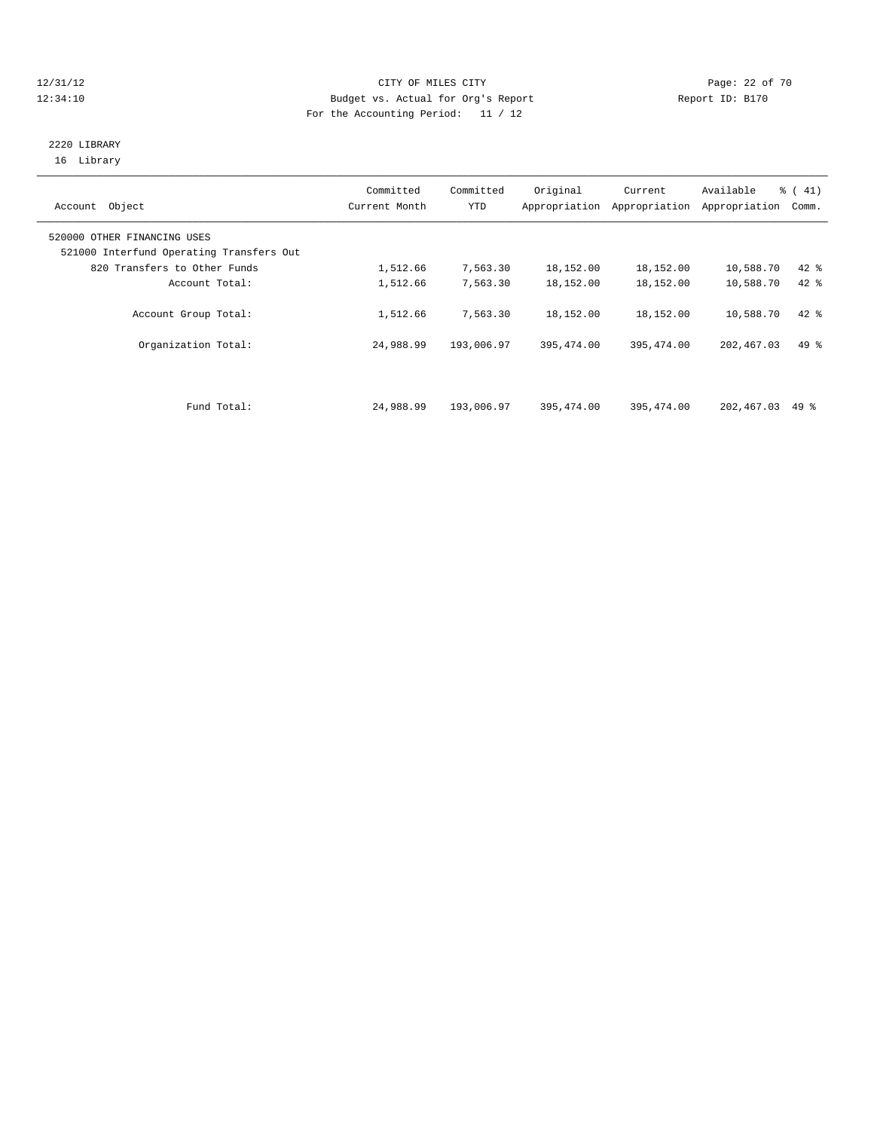# 12/31/12 Page: 22 of 70 12:34:10 Budget vs. Actual for Org's Report Report ID: B170 For the Accounting Period: 11 / 12

### 2220 LIBRARY 16 Library

| Object<br>Account                                                       | Committed<br>Current Month | Committed<br>YTD | Original   | Current<br>Appropriation Appropriation | Available<br>Appropriation | $\frac{1}{6}$ ( 41)<br>Comm. |
|-------------------------------------------------------------------------|----------------------------|------------------|------------|----------------------------------------|----------------------------|------------------------------|
| 520000 OTHER FINANCING USES<br>521000 Interfund Operating Transfers Out |                            |                  |            |                                        |                            |                              |
| 820 Transfers to Other Funds                                            | 1,512.66                   | 7,563.30         | 18,152.00  | 18,152.00                              | 10,588.70                  | $42$ %                       |
| Account Total:                                                          | 1,512.66                   | 7,563.30         | 18,152.00  | 18,152.00                              | 10,588.70                  | $42*$                        |
| Account Group Total:                                                    | 1,512.66                   | 7,563.30         | 18,152.00  | 18,152.00                              | 10,588.70                  | $42$ %                       |
| Organization Total:                                                     | 24,988.99                  | 193,006.97       | 395,474.00 | 395,474.00                             | 202,467.03                 | $49*$                        |
|                                                                         |                            |                  |            |                                        |                            |                              |
| Fund Total:                                                             | 24,988.99                  | 193,006.97       | 395,474.00 | 395,474.00                             | 202,467.03                 | 49 %                         |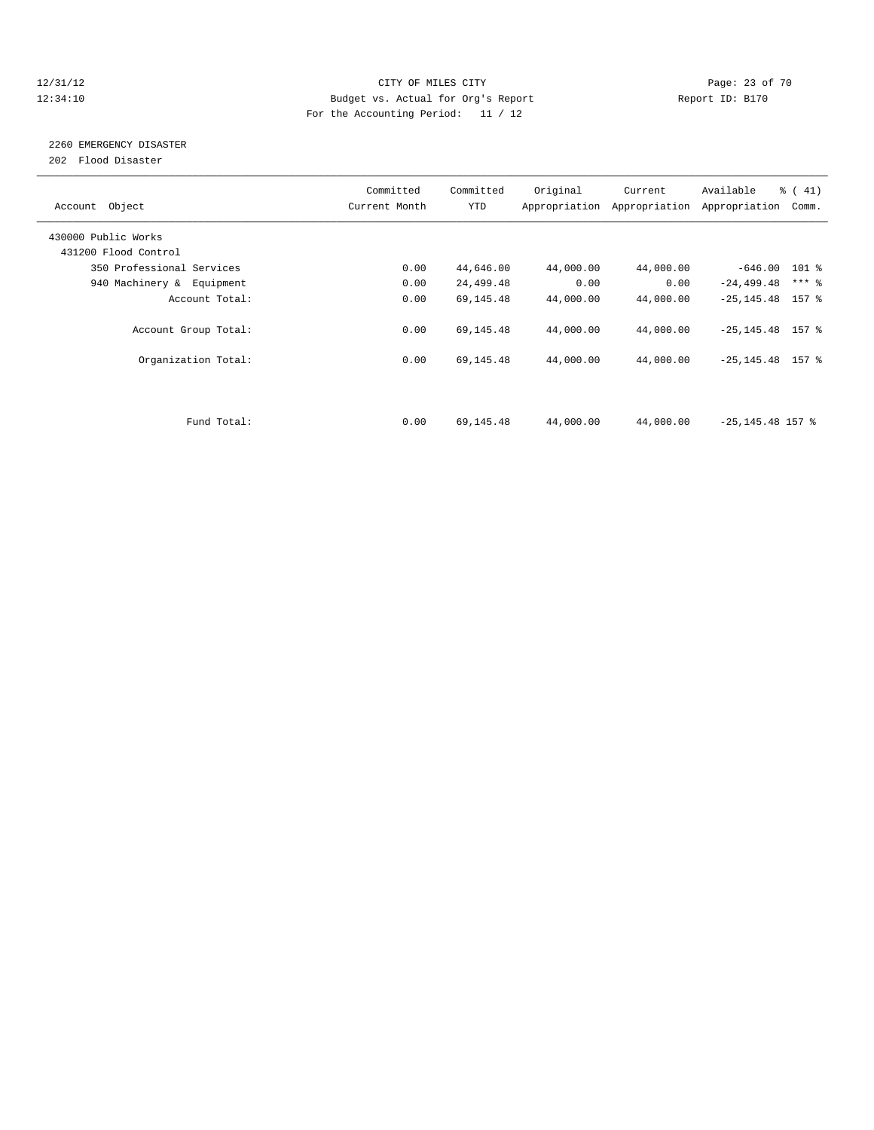#### 12/31/12 Page: 23 of 70 12:34:10 Budget vs. Actual for Org's Report Changer Report ID: B170 For the Accounting Period: 11 / 12

# 2260 EMERGENCY DISASTER

202 Flood Disaster

| Account Object            | Committed<br>Current Month | Committed<br><b>YTD</b> | Original  | Current<br>Appropriation Appropriation | Available<br>Appropriation | $\frac{1}{6}$ (41)<br>Comm. |
|---------------------------|----------------------------|-------------------------|-----------|----------------------------------------|----------------------------|-----------------------------|
| 430000 Public Works       |                            |                         |           |                                        |                            |                             |
| 431200 Flood Control      |                            |                         |           |                                        |                            |                             |
| 350 Professional Services | 0.00                       | 44,646.00               | 44,000.00 | 44,000.00                              | $-646.00$ 101 %            |                             |
| 940 Machinery & Equipment | 0.00                       | 24,499.48               | 0.00      | 0.00                                   | $-24, 499.48$              | $***$ $-$                   |
| Account Total:            | 0.00                       | 69,145.48               | 44,000.00 | 44,000.00                              | $-25, 145.48$ 157 %        |                             |
| Account Group Total:      | 0.00                       | 69,145.48               | 44,000.00 | 44,000.00                              | $-25, 145.48$ 157 %        |                             |
| Organization Total:       | 0.00                       | 69,145.48               | 44,000.00 | 44,000.00                              | $-25, 145.48$ 157 %        |                             |
|                           |                            |                         |           |                                        |                            |                             |
| Fund Total:               | 0.00                       | 69,145.48               | 44,000.00 | 44,000.00                              | $-25, 145.48$ 157 %        |                             |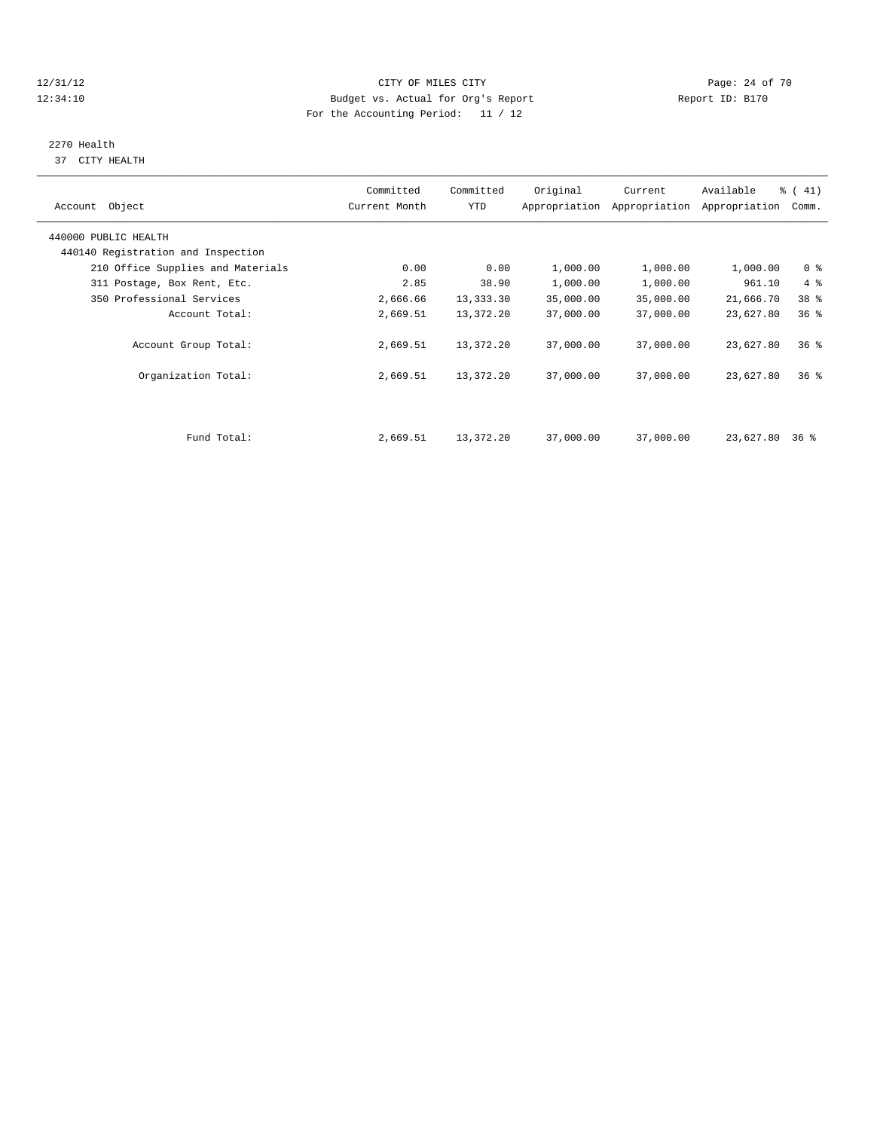# 12/31/12 Page: 24 of 70 12:34:10 Budget vs. Actual for Org's Report Changer Report ID: B170 For the Accounting Period: 11 / 12

# 2270 Health

37 CITY HEALTH

| Account Object                                             | Committed<br>Current Month | Committed<br>YTD | Original  | Current<br>Appropriation Appropriation | Available<br>Appropriation | $\frac{1}{6}$ (41)<br>Comm. |  |
|------------------------------------------------------------|----------------------------|------------------|-----------|----------------------------------------|----------------------------|-----------------------------|--|
| 440000 PUBLIC HEALTH<br>440140 Registration and Inspection |                            |                  |           |                                        |                            |                             |  |
| 210 Office Supplies and Materials                          | 0.00                       | 0.00             | 1,000.00  | 1,000.00                               | 1,000.00                   | 0 <sup>8</sup>              |  |
| 311 Postage, Box Rent, Etc.                                | 2.85                       | 38.90            | 1,000.00  | 1,000.00                               | 961.10                     | $4\degree$                  |  |
| 350 Professional Services                                  | 2,666.66                   | 13,333.30        | 35,000.00 | 35,000.00                              | 21,666.70                  | 38 %                        |  |
| Account Total:                                             | 2,669.51                   | 13,372.20        | 37,000.00 | 37,000.00                              | 23,627.80                  | 36%                         |  |
| Account Group Total:                                       | 2,669.51                   | 13,372.20        | 37,000.00 | 37,000.00                              | 23,627.80                  | 36 <sup>8</sup>             |  |
| Organization Total:                                        | 2,669.51                   | 13,372.20        | 37,000.00 | 37,000.00                              | 23,627.80                  | 36 <sup>8</sup>             |  |
|                                                            |                            |                  |           |                                        |                            |                             |  |
| Fund Total:                                                | 2,669.51                   | 13,372.20        | 37,000.00 | 37,000.00                              | 23,627.80 36 %             |                             |  |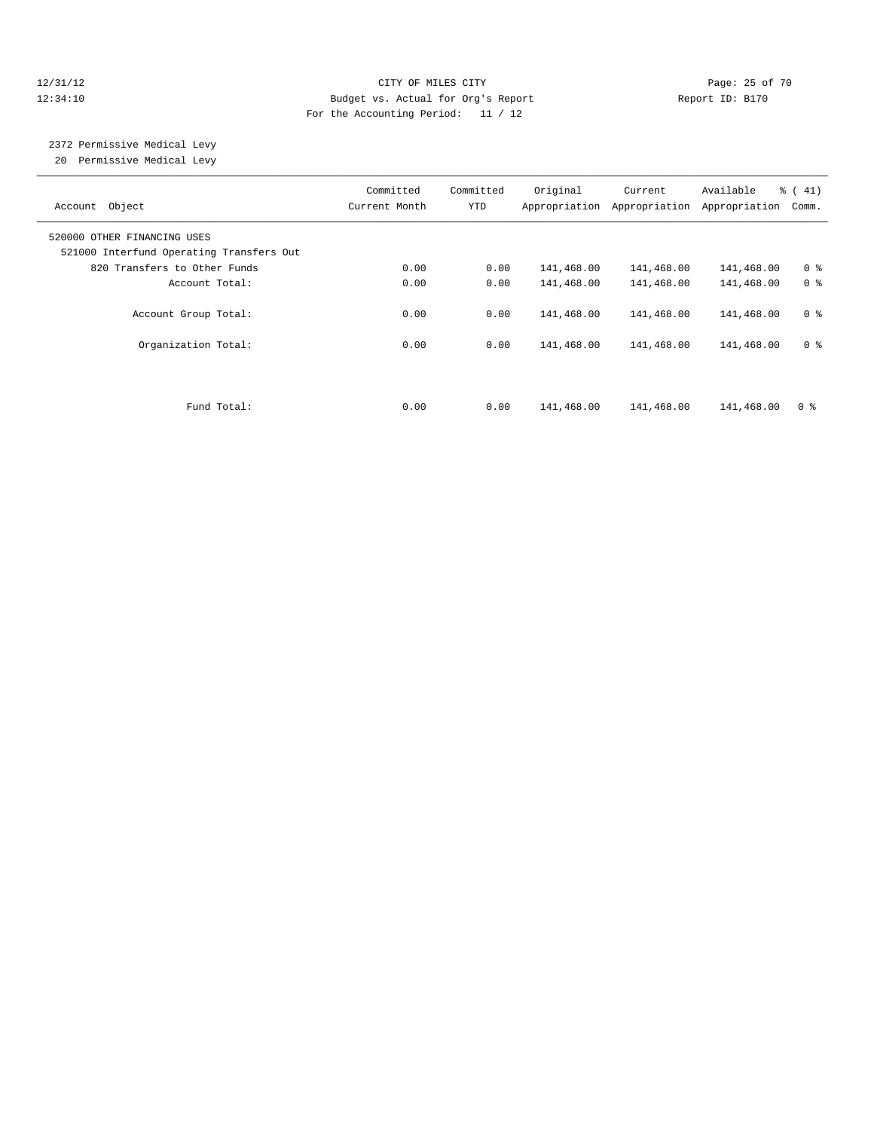# 12/31/12 Page: 25 of 70 12:34:10 Budget vs. Actual for Org's Report Report ID: B170 For the Accounting Period: 11 / 12

# 2372 Permissive Medical Levy

20 Permissive Medical Levy

| Account Object                                                          | Committed<br>Current Month | Committed<br>YTD | Original   | Current<br>Appropriation Appropriation | Available<br>Appropriation | % (41)<br>Comm. |
|-------------------------------------------------------------------------|----------------------------|------------------|------------|----------------------------------------|----------------------------|-----------------|
| 520000 OTHER FINANCING USES<br>521000 Interfund Operating Transfers Out |                            |                  |            |                                        |                            |                 |
| 820 Transfers to Other Funds                                            | 0.00                       | 0.00             | 141,468.00 | 141,468.00                             | 141,468.00                 | 0 <sup>8</sup>  |
| Account Total:                                                          | 0.00                       | 0.00             | 141,468.00 | 141,468.00                             | 141,468.00                 | 0 <sup>8</sup>  |
| Account Group Total:                                                    | 0.00                       | 0.00             | 141,468.00 | 141,468.00                             | 141,468.00                 | 0 <sup>8</sup>  |
| Organization Total:                                                     | 0.00                       | 0.00             | 141,468.00 | 141,468.00                             | 141,468.00                 | 0 <sup>8</sup>  |
|                                                                         |                            |                  |            |                                        |                            |                 |
| Fund Total:                                                             | 0.00                       | 0.00             | 141,468.00 | 141,468.00                             | 141,468.00                 | 0 <sup>8</sup>  |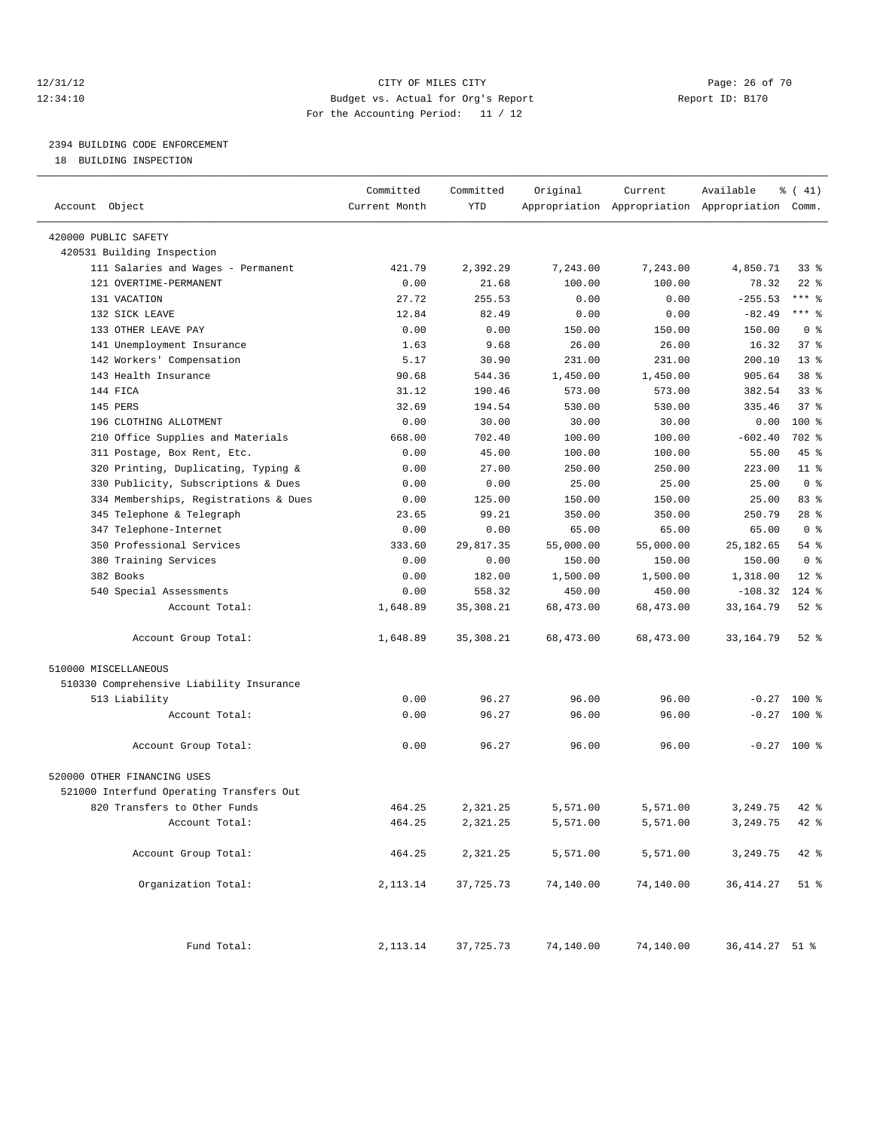# 12/31/12 Page: 26 of 70 12:34:10 Budget vs. Actual for Org's Report Report ID: B170 For the Accounting Period: 11 / 12

————————————————————————————————————————————————————————————————————————————————————————————————————————————————————————————————————

# 2394 BUILDING CODE ENFORCEMENT

18 BUILDING INSPECTION

|                                          | Committed     | Committed  | Original  | Current   | Available                                       | $\frac{1}{6}$ ( 41) |
|------------------------------------------|---------------|------------|-----------|-----------|-------------------------------------------------|---------------------|
| Account Object                           | Current Month | <b>YTD</b> |           |           | Appropriation Appropriation Appropriation Comm. |                     |
| 420000 PUBLIC SAFETY                     |               |            |           |           |                                                 |                     |
| 420531 Building Inspection               |               |            |           |           |                                                 |                     |
| 111 Salaries and Wages - Permanent       | 421.79        | 2,392.29   | 7,243.00  | 7,243.00  | 4,850.71                                        | $33$ $%$            |
| 121 OVERTIME-PERMANENT                   | 0.00          | 21.68      | 100.00    | 100.00    | 78.32                                           | $22$ %              |
| 131 VACATION                             | 27.72         | 255.53     | 0.00      | 0.00      | $-255.53$                                       | $***$ $-$           |
| 132 SICK LEAVE                           | 12.84         | 82.49      | 0.00      | 0.00      | $-82.49$                                        | $***$ $-$           |
| 133 OTHER LEAVE PAY                      | 0.00          | 0.00       | 150.00    | 150.00    | 150.00                                          | 0 <sup>8</sup>      |
| 141 Unemployment Insurance               | 1.63          | 9.68       | 26.00     | 26.00     | 16.32                                           | 37%                 |
| 142 Workers' Compensation                | 5.17          | 30.90      | 231.00    | 231.00    | 200.10                                          | $13*$               |
| 143 Health Insurance                     | 90.68         | 544.36     | 1,450.00  | 1,450.00  | 905.64                                          | 38 %                |
| 144 FICA                                 | 31.12         | 190.46     | 573.00    | 573.00    | 382.54                                          | 33 <sup>8</sup>     |
| 145 PERS                                 | 32.69         | 194.54     | 530.00    | 530.00    | 335.46                                          | 37%                 |
| 196 CLOTHING ALLOTMENT                   | 0.00          | 30.00      | 30.00     | 30.00     | 0.00                                            | $100*$              |
| 210 Office Supplies and Materials        | 668.00        | 702.40     | 100.00    | 100.00    | $-602.40$                                       | 702 %               |
| 311 Postage, Box Rent, Etc.              | 0.00          | 45.00      | 100.00    | 100.00    | 55.00                                           | 45 %                |
| 320 Printing, Duplicating, Typing &      | 0.00          | 27.00      | 250.00    | 250.00    | 223.00                                          | 11 <sup>8</sup>     |
| 330 Publicity, Subscriptions & Dues      | 0.00          | 0.00       | 25.00     | 25.00     | 25.00                                           | 0 <sup>8</sup>      |
| 334 Memberships, Registrations & Dues    | 0.00          | 125.00     | 150.00    | 150.00    | 25.00                                           | 83%                 |
| 345 Telephone & Telegraph                | 23.65         | 99.21      | 350.00    | 350.00    | 250.79                                          | $28$ %              |
| 347 Telephone-Internet                   | 0.00          | 0.00       | 65.00     | 65.00     | 65.00                                           | 0 <sup>8</sup>      |
| 350 Professional Services                | 333.60        | 29,817.35  | 55,000.00 | 55,000.00 | 25, 182.65                                      | 54 %                |
| 380 Training Services                    | 0.00          | 0.00       | 150.00    | 150.00    | 150.00                                          | 0 <sup>8</sup>      |
| 382 Books                                | 0.00          | 182.00     | 1,500.00  | 1,500.00  | 1,318.00                                        | $12*$               |
| 540 Special Assessments                  | 0.00          | 558.32     | 450.00    | 450.00    | $-108.32$                                       | $124$ %             |
| Account Total:                           | 1,648.89      | 35, 308.21 | 68,473.00 | 68,473.00 | 33, 164.79                                      | $52$ $%$            |
| Account Group Total:                     | 1,648.89      | 35,308.21  | 68,473.00 | 68,473.00 | 33, 164.79                                      | $52$ $%$            |
| 510000 MISCELLANEOUS                     |               |            |           |           |                                                 |                     |
| 510330 Comprehensive Liability Insurance |               |            |           |           |                                                 |                     |
| 513 Liability                            | 0.00          | 96.27      | 96.00     | 96.00     |                                                 | $-0.27$ 100 %       |
| Account Total:                           | 0.00          | 96.27      | 96.00     | 96.00     |                                                 | $-0.27$ 100 %       |
| Account Group Total:                     | 0.00          | 96.27      | 96.00     | 96.00     |                                                 | $-0.27$ 100 %       |
| 520000 OTHER FINANCING USES              |               |            |           |           |                                                 |                     |
| 521000 Interfund Operating Transfers Out |               |            |           |           |                                                 |                     |
| 820 Transfers to Other Funds             | 464.25        | 2,321.25   | 5,571.00  | 5,571.00  | 3,249.75                                        | $42$ %              |
| Account Total:                           | 464.25        | 2,321.25   | 5,571.00  | 5,571.00  | 3,249.75                                        | 42 %                |
| Account Group Total:                     | 464.25        | 2,321.25   | 5,571.00  | 5,571.00  | 3,249.75                                        | 42 %                |
| Organization Total:                      | 2,113.14      | 37,725.73  | 74,140.00 | 74,140.00 | 36, 414.27                                      | $51$ %              |
| Fund Total:                              | 2, 113.14     | 37,725.73  | 74,140.00 | 74,140.00 | 36, 414. 27 51 %                                |                     |
|                                          |               |            |           |           |                                                 |                     |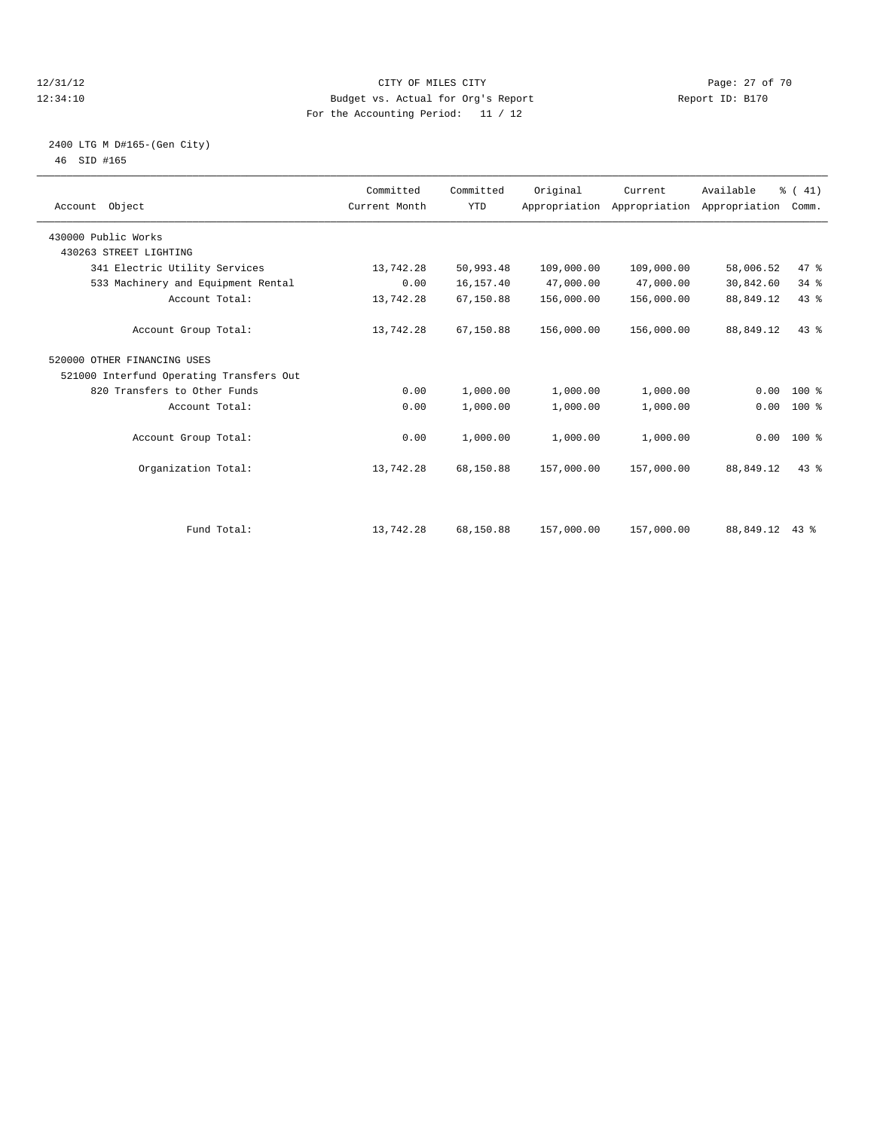#### 12/31/12 Page: 27 of 70 12:34:10 Budget vs. Actual for Org's Report Report ID: B170 For the Accounting Period: 11 / 12

### 2400 LTG M D#165-(Gen City) 46 SID #165

| Account Object                           | Committed<br>Current Month | Committed<br><b>YTD</b> | Original   | Current<br>Appropriation Appropriation Appropriation | Available | % (41)<br>Comm. |  |
|------------------------------------------|----------------------------|-------------------------|------------|------------------------------------------------------|-----------|-----------------|--|
| 430000 Public Works                      |                            |                         |            |                                                      |           |                 |  |
| 430263 STREET LIGHTING                   |                            |                         |            |                                                      |           |                 |  |
| 341 Electric Utility Services            | 13,742.28                  | 50,993.48               | 109,000.00 | 109,000.00                                           | 58,006.52 | 47.8            |  |
| 533 Machinery and Equipment Rental       | 0.00                       | 16,157.40               | 47,000.00  | 47,000.00                                            | 30,842.60 | 34.8            |  |
| Account Total:                           | 13,742.28                  | 67,150.88               | 156,000.00 | 156,000.00                                           | 88,849.12 | 43%             |  |
| Account Group Total:                     | 13,742.28                  | 67,150.88               | 156,000.00 | 156,000.00                                           | 88,849.12 | 43%             |  |
| 520000 OTHER FINANCING USES              |                            |                         |            |                                                      |           |                 |  |
| 521000 Interfund Operating Transfers Out |                            |                         |            |                                                      |           |                 |  |
| 820 Transfers to Other Funds             | 0.00                       | 1,000.00                | 1,000.00   | 1,000.00                                             | 0.00      | $100*$          |  |
| Account Total:                           | 0.00                       | 1,000.00                | 1,000.00   | 1,000.00                                             | 0.00      | $100*$          |  |
| Account Group Total:                     | 0.00                       | 1,000.00                | 1,000.00   | 1,000.00                                             |           | $0.00$ 100 %    |  |
| Organization Total:                      | 13,742.28                  | 68,150.88               | 157,000.00 | 157,000.00                                           | 88,849.12 | 43.8            |  |
|                                          |                            |                         |            |                                                      |           |                 |  |
| Fund Total:                              | 13,742.28                  | 68,150.88               | 157,000.00 | 157,000.00                                           | 88,849.12 | $43$ %          |  |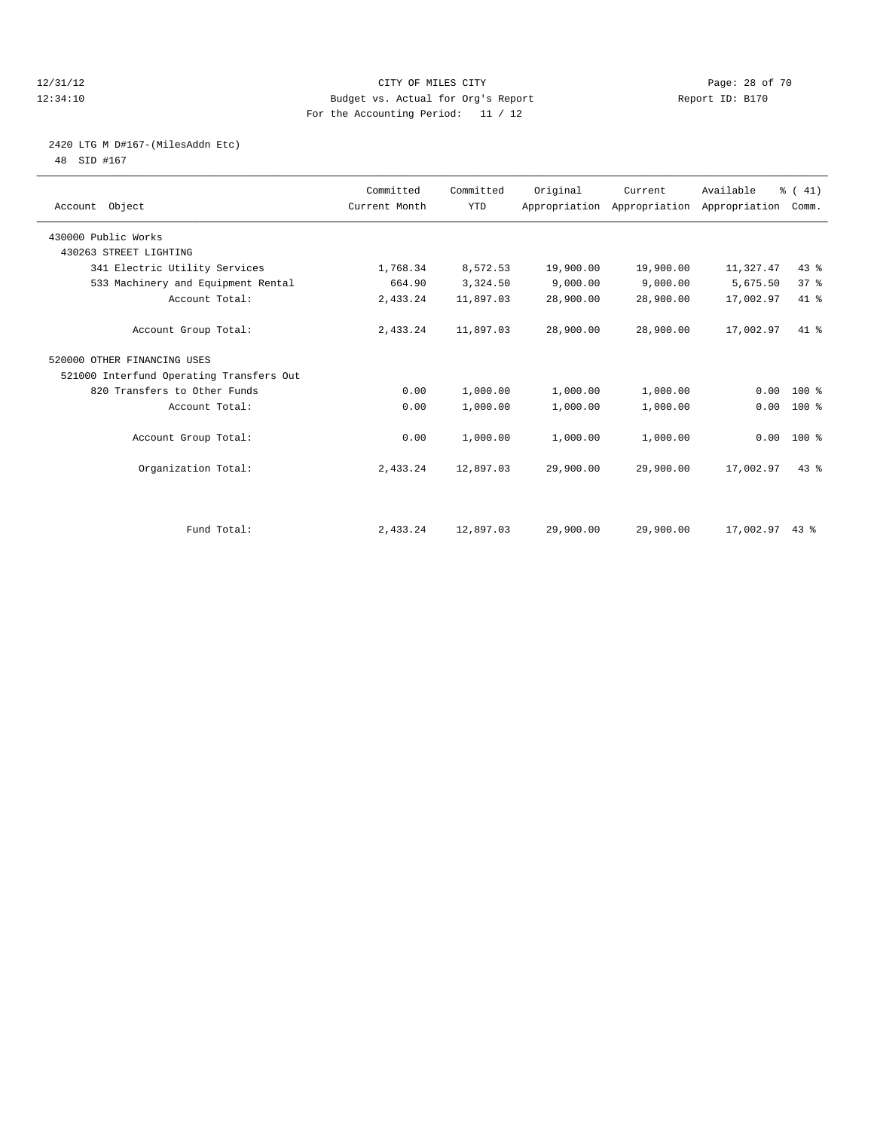#### 12/31/12 Page: 28 of 70 12:34:10 Budget vs. Actual for Org's Report Report ID: B170 For the Accounting Period: 11 / 12

# 2420 LTG M D#167-(MilesAddn Etc)

48 SID #167

| Account Object                           | Committed<br>Current Month | Committed<br><b>YTD</b> | Original  | Current<br>Appropriation Appropriation Appropriation | Available        | % (41)<br>Comm. |  |
|------------------------------------------|----------------------------|-------------------------|-----------|------------------------------------------------------|------------------|-----------------|--|
| 430000 Public Works                      |                            |                         |           |                                                      |                  |                 |  |
| 430263 STREET LIGHTING                   |                            |                         |           |                                                      |                  |                 |  |
| 341 Electric Utility Services            | 1,768.34                   | 8,572.53                | 19,900.00 | 19,900.00                                            | 11,327.47        | 43.8            |  |
| 533 Machinery and Equipment Rental       | 664.90                     | 3,324.50                | 9,000.00  | 9,000.00                                             | 5,675.50         | 37 <sup>8</sup> |  |
| Account Total:                           | 2,433.24                   | 11,897.03               | 28,900.00 | 28,900.00                                            | 17,002.97        | 41.8            |  |
| Account Group Total:                     | 2,433.24                   | 11,897.03               | 28,900.00 | 28,900.00                                            | 17,002.97        | $41*$           |  |
| 520000 OTHER FINANCING USES              |                            |                         |           |                                                      |                  |                 |  |
| 521000 Interfund Operating Transfers Out |                            |                         |           |                                                      |                  |                 |  |
| 820 Transfers to Other Funds             | 0.00                       | 1,000.00                | 1,000.00  | 1,000.00                                             | 0.00             | $100*$          |  |
| Account Total:                           | 0.00                       | 1,000.00                | 1,000.00  | 1,000.00                                             | 0.00             | 100 %           |  |
| Account Group Total:                     | 0.00                       | 1,000.00                | 1,000.00  | 1,000.00                                             |                  | $0.00$ 100 %    |  |
| Organization Total:                      | 2,433.24                   | 12,897.03               | 29,900.00 | 29,900.00                                            | 17,002.97        | 43.8            |  |
|                                          |                            |                         |           |                                                      |                  |                 |  |
| Fund Total:                              | 2,433.24                   | 12,897.03               | 29,900.00 | 29,900.00                                            | $17,002.97$ 43 % |                 |  |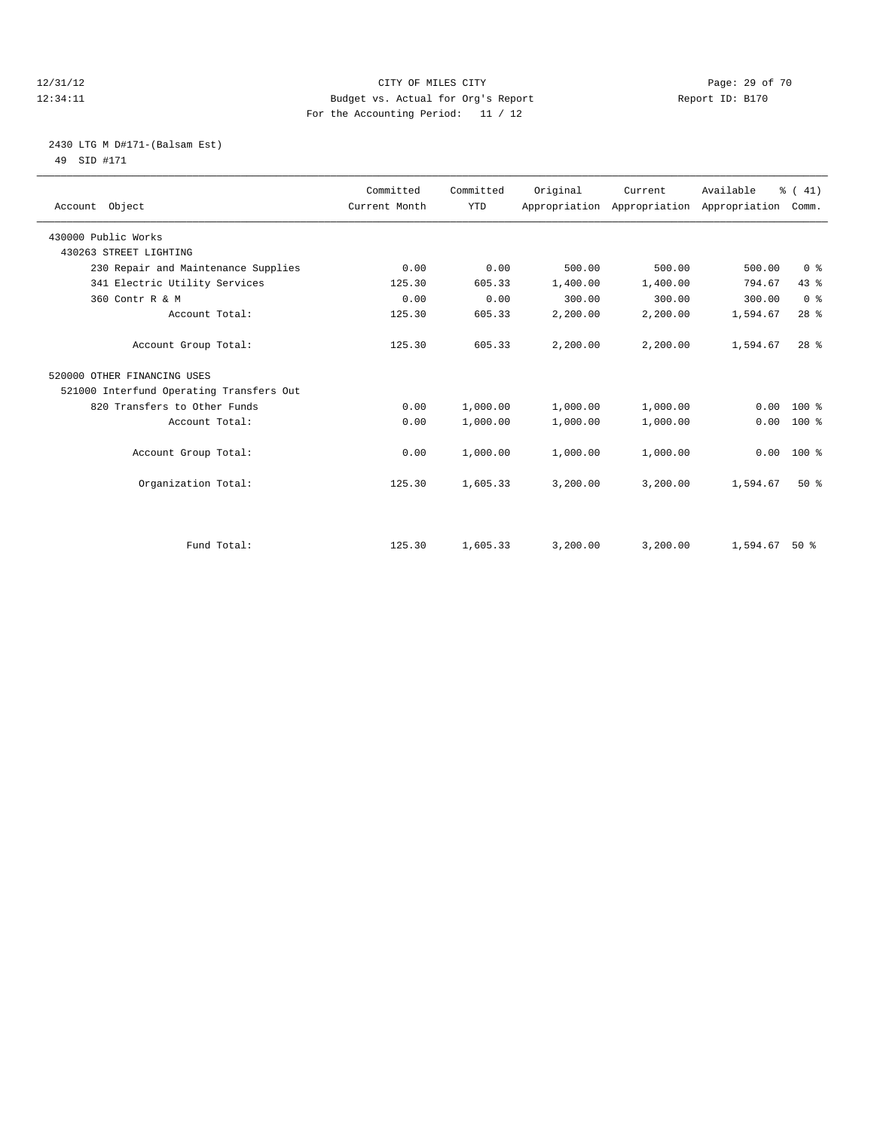#### 12/31/12 Page: 29 of 70 12:34:11 Budget vs. Actual for Org's Report Report ID: B170 For the Accounting Period: 11 / 12

# 2430 LTG M D#171-(Balsam Est) 49 SID #171

| Account Object                           | Committed<br>Current Month | Committed<br><b>YTD</b> | Original | Current  | Available<br>Appropriation Appropriation Appropriation | % (41)<br>Comm. |  |
|------------------------------------------|----------------------------|-------------------------|----------|----------|--------------------------------------------------------|-----------------|--|
| 430000 Public Works                      |                            |                         |          |          |                                                        |                 |  |
| 430263 STREET LIGHTING                   |                            |                         |          |          |                                                        |                 |  |
| 230 Repair and Maintenance Supplies      | 0.00                       | 0.00                    | 500.00   | 500.00   | 500.00                                                 | 0 <sup>8</sup>  |  |
| 341 Electric Utility Services            | 125.30                     | 605.33                  | 1,400.00 | 1,400.00 | 794.67                                                 | 43.8            |  |
| 360 Contr R & M                          | 0.00                       | 0.00                    | 300.00   | 300.00   | 300.00                                                 | 0 <sup>8</sup>  |  |
| Account Total:                           | 125.30                     | 605.33                  | 2,200.00 | 2,200.00 | 1,594.67                                               | 28 <sup>8</sup> |  |
| Account Group Total:                     | 125.30                     | 605.33                  | 2,200.00 | 2,200.00 | 1,594.67                                               | 28 <sup>8</sup> |  |
| 520000 OTHER FINANCING USES              |                            |                         |          |          |                                                        |                 |  |
| 521000 Interfund Operating Transfers Out |                            |                         |          |          |                                                        |                 |  |
| 820 Transfers to Other Funds             | 0.00                       | 1,000.00                | 1,000.00 | 1,000.00 | 0.00                                                   | $100*$          |  |
| Account Total:                           | 0.00                       | 1,000.00                | 1,000.00 | 1,000.00 | 0.00                                                   | 100 %           |  |
| Account Group Total:                     | 0.00                       | 1,000.00                | 1,000.00 | 1,000.00 | 0.00                                                   | 100 %           |  |
| Organization Total:                      | 125.30                     | 1,605.33                | 3,200.00 | 3,200.00 | 1,594.67                                               | $50*$           |  |
|                                          |                            |                         |          |          |                                                        |                 |  |
| Fund Total:                              | 125.30                     | 1,605.33                | 3,200.00 | 3,200.00 | 1,594.67                                               | $50*$           |  |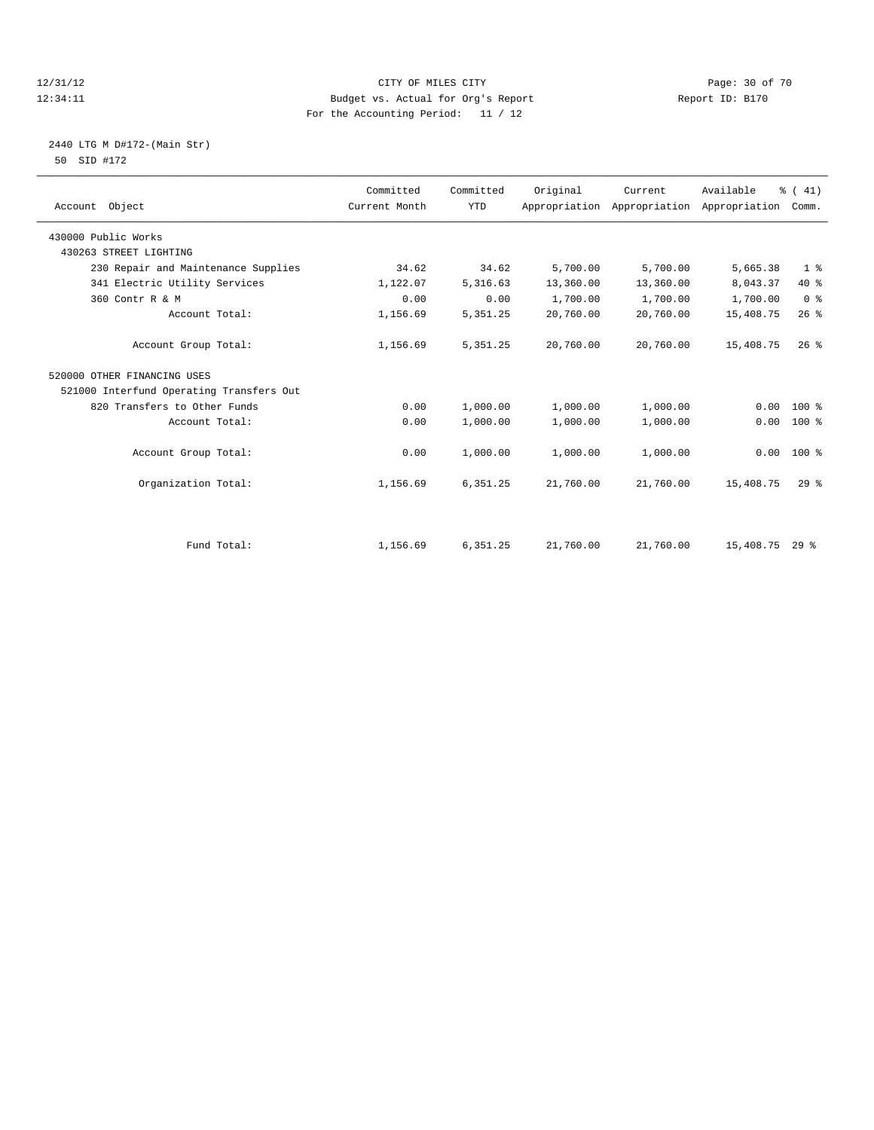#### 12/31/12 Page: 30 of 70 12:34:11 Budget vs. Actual for Org's Report Report ID: B170 For the Accounting Period: 11 / 12

# 2440 LTG M D#172-(Main Str) 50 SID #172

| Account Object                           | Committed<br>Current Month | Committed<br><b>YTD</b> | Original  | Current<br>Appropriation Appropriation | Available<br>Appropriation | % (41)<br>Comm. |
|------------------------------------------|----------------------------|-------------------------|-----------|----------------------------------------|----------------------------|-----------------|
| 430000 Public Works                      |                            |                         |           |                                        |                            |                 |
| 430263 STREET LIGHTING                   |                            |                         |           |                                        |                            |                 |
| 230 Repair and Maintenance Supplies      | 34.62                      | 34.62                   | 5,700.00  | 5,700.00                               | 5,665.38                   | 1 <sup>8</sup>  |
| 341 Electric Utility Services            | 1,122.07                   | 5,316.63                | 13,360.00 | 13,360.00                              | 8,043.37                   | 40 %            |
| 360 Contr R & M                          | 0.00                       | 0.00                    | 1,700.00  | 1,700.00                               | 1,700.00                   | 0 <sup>8</sup>  |
| Account Total:                           | 1,156.69                   | 5, 351.25               | 20,760.00 | 20,760.00                              | 15,408.75                  | 26%             |
| Account Group Total:                     | 1,156.69                   | 5, 351.25               | 20,760.00 | 20,760.00                              | 15,408.75                  | $26$ $%$        |
| 520000 OTHER FINANCING USES              |                            |                         |           |                                        |                            |                 |
| 521000 Interfund Operating Transfers Out |                            |                         |           |                                        |                            |                 |
| 820 Transfers to Other Funds             | 0.00                       | 1,000.00                | 1,000.00  | 1,000.00                               | 0.00                       | $100*$          |
| Account Total:                           | 0.00                       | 1,000.00                | 1,000.00  | 1,000.00                               | 0.00                       | $100*$          |
| Account Group Total:                     | 0.00                       | 1,000.00                | 1,000.00  | 1,000.00                               | 0.00                       | $100*$          |
| Organization Total:                      | 1,156.69                   | 6,351.25                | 21,760.00 | 21,760.00                              | 15,408.75                  | 29 <sup>8</sup> |
|                                          |                            |                         |           |                                        |                            |                 |
| Fund Total:                              | 1,156.69                   | 6,351.25                | 21,760.00 | 21,760.00                              | 15,408.75 29 %             |                 |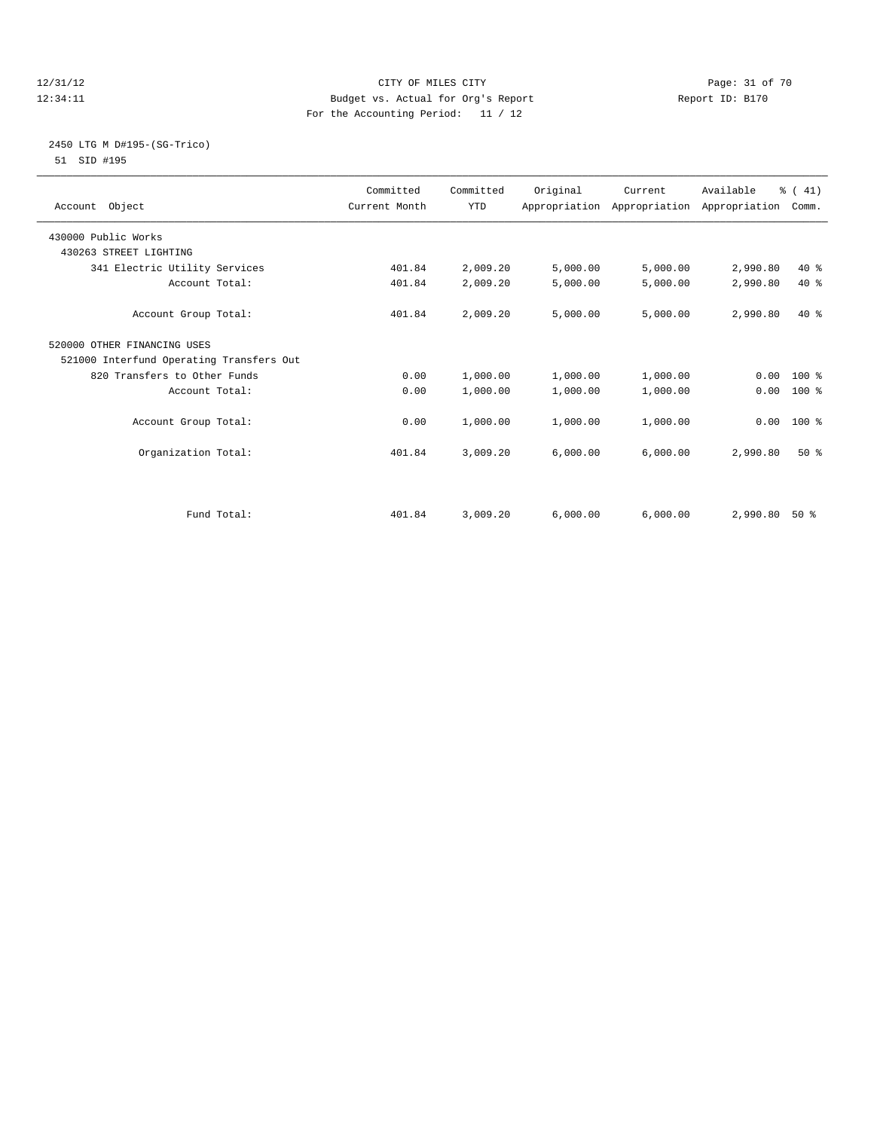#### 12/31/12 Page: 31 of 70 12:34:11 Budget vs. Actual for Org's Report Report ID: B170 For the Accounting Period: 11 / 12

### 2450 LTG M D#195-(SG-Trico) 51 SID #195

|                                          | Committed     | Committed  | Original | Current  | Available                                 | % (41)       |  |
|------------------------------------------|---------------|------------|----------|----------|-------------------------------------------|--------------|--|
| Account Object                           | Current Month | <b>YTD</b> |          |          | Appropriation Appropriation Appropriation | Comm.        |  |
| 430000 Public Works                      |               |            |          |          |                                           |              |  |
| 430263 STREET LIGHTING                   |               |            |          |          |                                           |              |  |
| 341 Electric Utility Services            | 401.84        | 2,009.20   | 5,000.00 | 5,000.00 | 2,990.80                                  | 40 %         |  |
| Account Total:                           | 401.84        | 2,009.20   | 5,000.00 | 5,000.00 | 2,990.80                                  | $40*$        |  |
| Account Group Total:                     | 401.84        | 2,009.20   | 5,000.00 | 5,000.00 | 2,990.80                                  | $40*$        |  |
| 520000 OTHER FINANCING USES              |               |            |          |          |                                           |              |  |
| 521000 Interfund Operating Transfers Out |               |            |          |          |                                           |              |  |
| 820 Transfers to Other Funds             | 0.00          | 1,000.00   | 1,000.00 | 1,000.00 |                                           | $0.00 100$ % |  |
| Account Total:                           | 0.00          | 1,000.00   | 1,000.00 | 1,000.00 | 0.00                                      | 100 %        |  |
| Account Group Total:                     | 0.00          | 1,000.00   | 1,000.00 | 1,000.00 | 0.00                                      | $100*$       |  |
| Organization Total:                      | 401.84        | 3,009.20   | 6,000.00 | 6,000.00 | 2,990.80                                  | $50*$        |  |
|                                          |               |            |          |          |                                           |              |  |
| Fund Total:                              | 401.84        | 3,009.20   | 6,000.00 | 6,000.00 | 2,990.80                                  | $50*$        |  |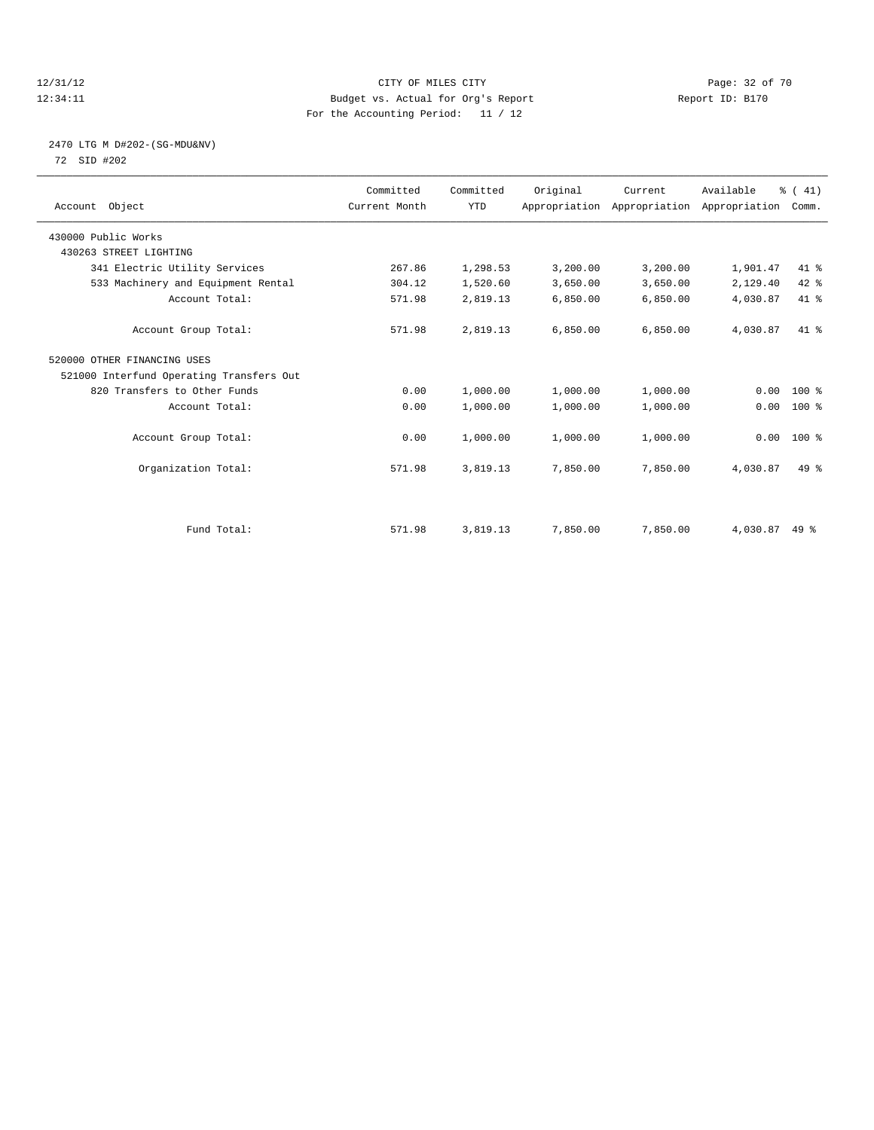#### 12/31/12 Page: 32 of 70 12:34:11 Budget vs. Actual for Org's Report Report ID: B170 For the Accounting Period: 11 / 12

# 2470 LTG M D#202-(SG-MDU&NV) 72 SID #202

| Account Object                           | Committed<br>Current Month | Committed<br><b>YTD</b> | Original | Current<br>Appropriation Appropriation Appropriation | Available | % (41)<br>Comm. |  |
|------------------------------------------|----------------------------|-------------------------|----------|------------------------------------------------------|-----------|-----------------|--|
| 430000 Public Works                      |                            |                         |          |                                                      |           |                 |  |
| 430263 STREET LIGHTING                   |                            |                         |          |                                                      |           |                 |  |
| 341 Electric Utility Services            | 267.86                     | 1,298.53                | 3,200.00 | 3,200.00                                             | 1,901.47  | 41 %            |  |
| 533 Machinery and Equipment Rental       | 304.12                     | 1,520.60                | 3,650.00 | 3,650.00                                             | 2,129.40  | 42 %            |  |
| Account Total:                           | 571.98                     | 2,819.13                | 6,850.00 | 6,850.00                                             | 4,030.87  | 41.8            |  |
| Account Group Total:                     | 571.98                     | 2,819.13                | 6.850.00 | 6,850.00                                             | 4,030.87  | $41*$           |  |
| 520000 OTHER FINANCING USES              |                            |                         |          |                                                      |           |                 |  |
| 521000 Interfund Operating Transfers Out |                            |                         |          |                                                      |           |                 |  |
| 820 Transfers to Other Funds             | 0.00                       | 1,000.00                | 1,000.00 | 1,000.00                                             | 0.00      | 100 %           |  |
| Account Total:                           | 0.00                       | 1,000.00                | 1,000.00 | 1,000.00                                             | 0.00      | 100 %           |  |
| Account Group Total:                     | 0.00                       | 1,000.00                | 1,000.00 | 1,000.00                                             | 0.00      | $100*$          |  |
| Organization Total:                      | 571.98                     | 3,819.13                | 7,850.00 | 7,850.00                                             | 4,030.87  | $49*$           |  |
|                                          |                            |                         |          |                                                      |           |                 |  |
| Fund Total:                              | 571.98                     | 3,819.13                | 7,850.00 | 7,850.00                                             | 4,030.87  | $49*$           |  |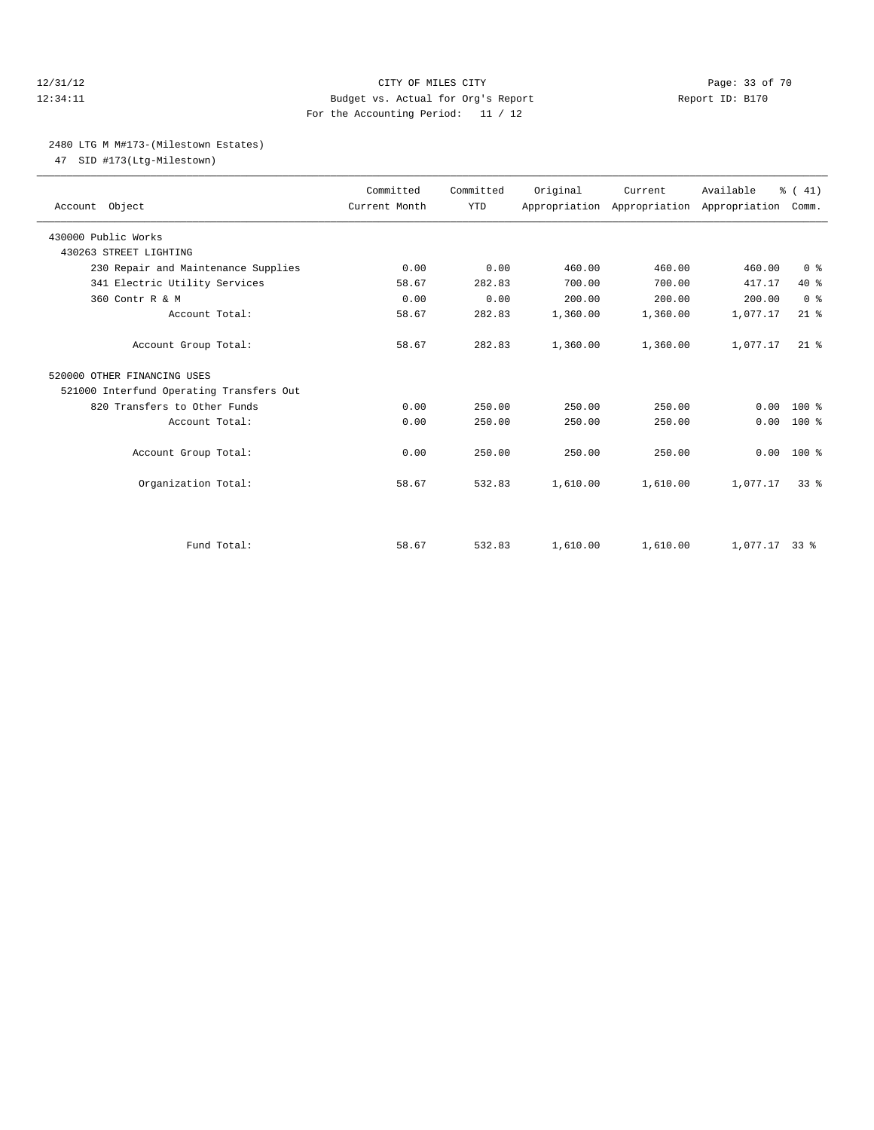#### 12/31/12 Page: 33 of 70 12:34:11 Budget vs. Actual for Org's Report Report ID: B170 For the Accounting Period: 11 / 12

#### 2480 LTG M M#173-(Milestown Estates)

47 SID #173(Ltg-Milestown)

| Account Object                           | Committed<br>Current Month | Committed<br><b>YTD</b> | Original | Current<br>Appropriation Appropriation Appropriation | Available       | % (41)<br>Comm. |
|------------------------------------------|----------------------------|-------------------------|----------|------------------------------------------------------|-----------------|-----------------|
| 430000 Public Works                      |                            |                         |          |                                                      |                 |                 |
| 430263 STREET LIGHTING                   |                            |                         |          |                                                      |                 |                 |
| 230 Repair and Maintenance Supplies      | 0.00                       | 0.00                    | 460.00   | 460.00                                               | 460.00          | 0 <sup>8</sup>  |
| 341 Electric Utility Services            | 58.67                      | 282.83                  | 700.00   | 700.00                                               | 417.17          | 40 %            |
| 360 Contr R & M                          | 0.00                       | 0.00                    | 200.00   | 200.00                                               | 200.00          | 0 <sup>8</sup>  |
| Account Total:                           | 58.67                      | 282.83                  | 1,360.00 | 1,360.00                                             | 1,077.17        | $21$ %          |
| Account Group Total:                     | 58.67                      | 282.83                  | 1,360.00 | 1,360.00                                             | 1,077.17        | $21$ $%$        |
| 520000 OTHER FINANCING USES              |                            |                         |          |                                                      |                 |                 |
| 521000 Interfund Operating Transfers Out |                            |                         |          |                                                      |                 |                 |
| 820 Transfers to Other Funds             | 0.00                       | 250.00                  | 250.00   | 250.00                                               | 0.00            | $100*$          |
| Account Total:                           | 0.00                       | 250.00                  | 250.00   | 250.00                                               | 0.00            | $100*$          |
| Account Group Total:                     | 0.00                       | 250.00                  | 250.00   | 250.00                                               | 0.00            | $100*$          |
| Organization Total:                      | 58.67                      | 532.83                  | 1,610.00 | 1,610.00                                             | 1,077.17        | 33 <sup>8</sup> |
|                                          |                            |                         |          |                                                      |                 |                 |
| Fund Total:                              | 58.67                      | 532.83                  | 1,610.00 | 1,610.00                                             | $1.077.17$ 33 % |                 |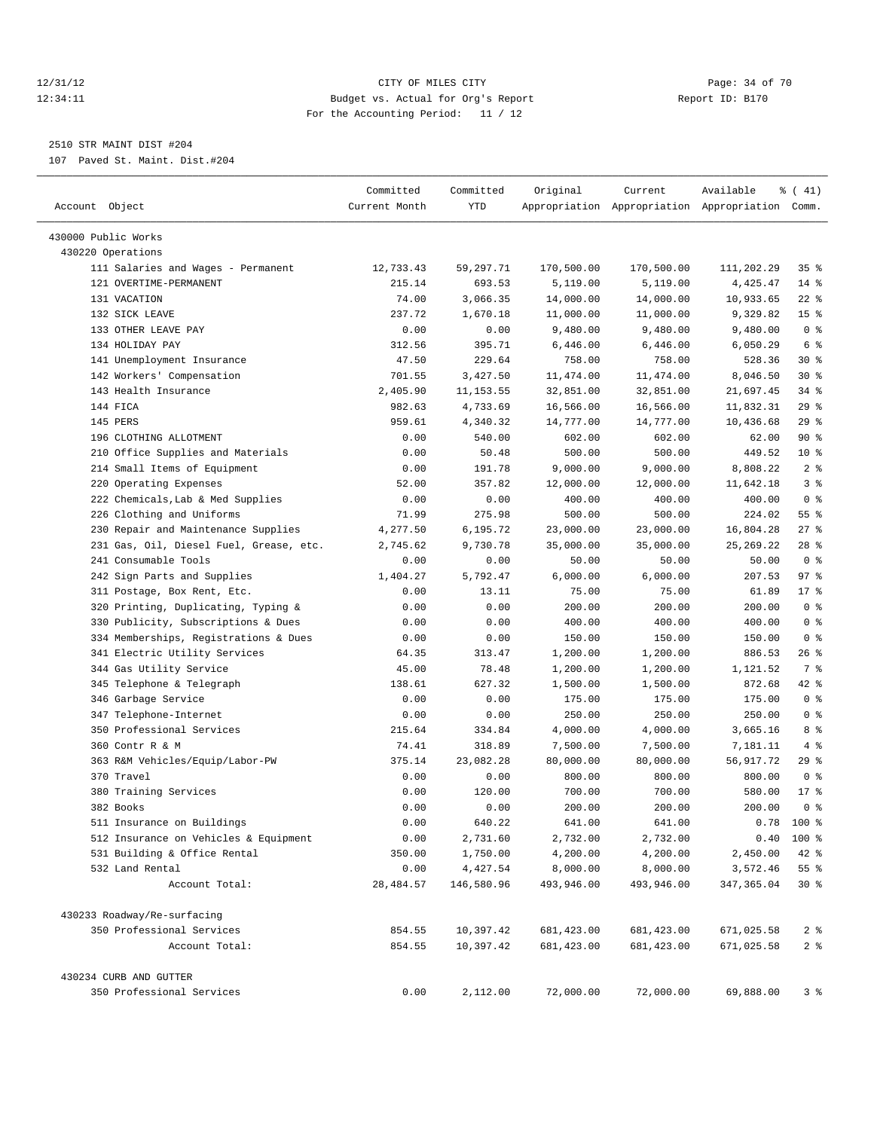#### 12/31/12 Page: 34 of 70 12:34:11 Budget vs. Actual for Org's Report Report ID: B170 For the Accounting Period: 11 / 12

————————————————————————————————————————————————————————————————————————————————————————————————————————————————————————————————————

# 2510 STR MAINT DIST #204

107 Paved St. Maint. Dist.#204

|                                             | Committed        | Committed              | Original                   | Current                   | Available                                       | $\frac{1}{6}$ ( 41)                 |
|---------------------------------------------|------------------|------------------------|----------------------------|---------------------------|-------------------------------------------------|-------------------------------------|
| Account Object                              | Current Month    | YTD                    |                            |                           | Appropriation Appropriation Appropriation Comm. |                                     |
| 430000 Public Works                         |                  |                        |                            |                           |                                                 |                                     |
| 430220 Operations                           |                  |                        |                            |                           |                                                 |                                     |
| 111 Salaries and Wages - Permanent          | 12,733.43        | 59,297.71              | 170,500.00                 | 170,500.00                | 111,202.29                                      | 35 <sup>8</sup>                     |
| 121 OVERTIME-PERMANENT                      | 215.14           | 693.53                 | 5,119.00                   | 5,119.00                  | 4,425.47                                        | $14$ %                              |
| 131 VACATION                                | 74.00            | 3,066.35               | 14,000.00                  | 14,000.00                 | 10,933.65                                       | $22$ %                              |
| 132 SICK LEAVE                              | 237.72           | 1,670.18               | 11,000.00                  | 11,000.00                 | 9,329.82                                        | 15 <sup>8</sup>                     |
| 133 OTHER LEAVE PAY                         | 0.00             | 0.00                   | 9,480.00                   | 9,480.00                  | 9,480.00                                        | 0 <sup>8</sup>                      |
| 134 HOLIDAY PAY                             | 312.56           | 395.71                 | 6,446.00                   | 6,446.00                  | 6,050.29                                        | 6 %                                 |
| 141 Unemployment Insurance                  | 47.50            | 229.64                 | 758.00                     | 758.00                    | 528.36                                          | $30*$                               |
| 142 Workers' Compensation                   | 701.55           | 3,427.50               | 11,474.00                  | 11, 474.00                | 8,046.50                                        | $30*$                               |
| 143 Health Insurance                        | 2,405.90         | 11, 153.55             | 32,851.00                  | 32,851.00                 | 21,697.45                                       | $34$ $%$                            |
| 144 FICA                                    | 982.63           | 4,733.69               | 16,566.00                  | 16,566.00                 | 11,832.31                                       | 29%                                 |
| 145 PERS                                    | 959.61           | 4,340.32               | 14,777.00                  | 14,777.00                 | 10,436.68                                       | 29 %                                |
| 196 CLOTHING ALLOTMENT                      | 0.00             | 540.00                 | 602.00                     | 602.00                    | 62.00                                           | 90%                                 |
| 210 Office Supplies and Materials           | 0.00             | 50.48                  | 500.00                     | 500.00                    | 449.52                                          | $10*$                               |
| 214 Small Items of Equipment                | 0.00             | 191.78                 | 9,000.00                   | 9,000.00                  | 8,808.22                                        | 2 <sup>°</sup>                      |
| 220 Operating Expenses                      | 52.00            | 357.82                 | 12,000.00                  | 12,000.00                 | 11,642.18                                       | 3%                                  |
| 222 Chemicals, Lab & Med Supplies           | 0.00             | 0.00                   | 400.00                     | 400.00                    | 400.00                                          | 0 <sup>8</sup>                      |
| 226 Clothing and Uniforms                   | 71.99            | 275.98                 | 500.00                     | 500.00                    | 224.02                                          | $55$ $%$                            |
| 230 Repair and Maintenance Supplies         | 4,277.50         | 6,195.72               | 23,000.00                  | 23,000.00                 | 16,804.28                                       | $27$ %                              |
| 231 Gas, Oil, Diesel Fuel, Grease, etc.     | 2,745.62         | 9,730.78               | 35,000.00                  | 35,000.00                 | 25, 269. 22                                     | $28$ %                              |
| 241 Consumable Tools                        | 0.00             | 0.00                   | 50.00                      | 50.00                     | 50.00                                           | 0 <sup>8</sup>                      |
| 242 Sign Parts and Supplies                 | 1,404.27         | 5,792.47               | 6,000.00                   | 6,000.00                  | 207.53                                          | 97%                                 |
| 311 Postage, Box Rent, Etc.                 | 0.00             | 13.11                  | 75.00                      | 75.00                     | 61.89                                           | 17.8                                |
| 320 Printing, Duplicating, Typing &         | 0.00             | 0.00                   | 200.00                     | 200.00                    | 200.00                                          | 0 <sup>8</sup>                      |
| 330 Publicity, Subscriptions & Dues         | 0.00             | 0.00                   | 400.00                     | 400.00                    | 400.00                                          | 0 <sup>8</sup>                      |
| 334 Memberships, Registrations & Dues       | 0.00             | 0.00                   | 150.00                     | 150.00                    | 150.00                                          | 0 <sup>8</sup>                      |
| 341 Electric Utility Services               | 64.35            | 313.47                 | 1,200.00                   | 1,200.00                  | 886.53                                          | $26$ %                              |
| 344 Gas Utility Service                     | 45.00            | 78.48                  | 1,200.00                   | 1,200.00                  | 1,121.52                                        | 7 %                                 |
| 345 Telephone & Telegraph                   | 138.61           | 627.32                 | 1,500.00                   | 1,500.00                  | 872.68                                          | 42 %                                |
| 346 Garbage Service                         | 0.00             | 0.00                   | 175.00                     | 175.00                    | 175.00                                          | 0 <sup>8</sup>                      |
| 347 Telephone-Internet                      | 0.00             | 0.00                   | 250.00                     | 250.00                    | 250.00                                          | 0 <sup>8</sup>                      |
| 350 Professional Services                   | 215.64           | 334.84                 | 4,000.00                   | 4,000.00                  | 3,665.16                                        | 8 %                                 |
| 360 Contr R & M                             | 74.41            | 318.89                 | 7,500.00                   | 7,500.00                  | 7,181.11                                        | 4%                                  |
| 363 R&M Vehicles/Equip/Labor-PW             | 375.14           | 23,082.28              | 80,000.00                  | 80,000.00                 | 56,917.72                                       | 29 %                                |
| 370 Travel                                  | 0.00             | 0.00                   | 800.00                     | 800.00                    | 800.00                                          | 0 <sup>8</sup>                      |
| 380 Training Services                       | 0.00             | 120.00                 | 700.00                     | 700.00                    | 580.00                                          | $17*$                               |
| 382 Books                                   | 0.00             | 0.00                   | 200.00                     | 200.00                    | 200.00                                          | 0 <sup>8</sup>                      |
| 511 Insurance on Buildings                  | 0.00             | 640.22                 | 641.00                     | 641.00                    |                                                 | $0.78$ 100 %                        |
| 512 Insurance on Vehicles & Equipment       | 0.00             | 2,731.60               | 2,732.00                   | 2,732.00                  | 0.40                                            | 100 %                               |
| 531 Building & Office Rental                | 350.00           | 1,750.00               | 4,200.00                   | 4,200.00                  | 2,450.00                                        | 42 %                                |
| 532 Land Rental                             | 0.00             | 4,427.54               | 8,000.00                   | 8,000.00                  | 3,572.46                                        | 55 %                                |
| Account Total:                              | 28,484.57        | 146,580.96             | 493,946.00                 | 493,946.00                | 347, 365.04                                     | $30*$                               |
|                                             |                  |                        |                            |                           |                                                 |                                     |
| 430233 Roadway/Re-surfacing                 |                  |                        |                            |                           |                                                 |                                     |
| 350 Professional Services<br>Account Total: | 854.55<br>854.55 | 10,397.42<br>10,397.42 | 681, 423.00<br>681, 423.00 | 681,423.00<br>681, 423.00 | 671,025.58<br>671,025.58                        | 2 <sub>8</sub><br>$2$ $\frac{6}{9}$ |
| 430234 CURB AND GUTTER                      |                  |                        |                            |                           |                                                 |                                     |
| 350 Professional Services                   | 0.00             | 2,112.00               | 72,000.00                  | 72,000.00                 | 69,888.00                                       | 3 %                                 |
|                                             |                  |                        |                            |                           |                                                 |                                     |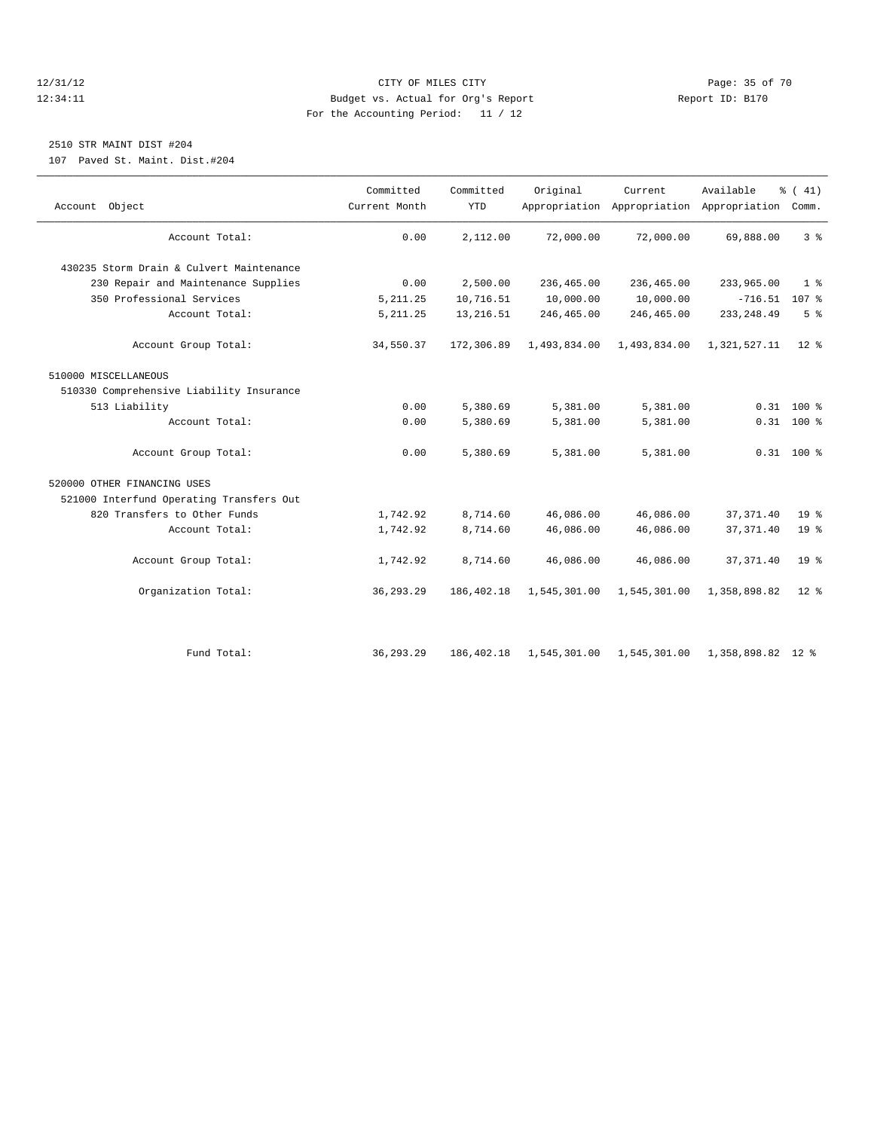#### 12/31/12 Page: 35 of 70 12:34:11 Budget vs. Actual for Org's Report Report ID: B170 For the Accounting Period: 11 / 12

# 2510 STR MAINT DIST #204

107 Paved St. Maint. Dist.#204

| Account Object                           | Committed<br>Current Month | Committed<br><b>YTD</b> | Original     | Current      | Available<br>Appropriation Appropriation Appropriation Comm. | $\frac{1}{6}$ ( 41) |
|------------------------------------------|----------------------------|-------------------------|--------------|--------------|--------------------------------------------------------------|---------------------|
| Account Total:                           | 0.00                       | 2,112.00                | 72,000.00    | 72,000.00    | 69,888.00                                                    | 3 <sup>8</sup>      |
| 430235 Storm Drain & Culvert Maintenance |                            |                         |              |              |                                                              |                     |
| 230 Repair and Maintenance Supplies      | 0.00                       | 2,500.00                | 236,465.00   | 236,465.00   | 233,965.00                                                   | 1 <sup>8</sup>      |
| 350 Professional Services                | 5, 211.25                  | 10,716.51               | 10,000.00    | 10,000.00    | $-716.51$ 107 %                                              |                     |
| Account Total:                           | 5, 211.25                  | 13, 216.51              | 246,465.00   | 246,465.00   | 233, 248.49                                                  | 5 <sup>°</sup>      |
| Account Group Total:                     | 34,550.37                  | 172,306.89              | 1,493,834.00 | 1,493,834.00 | 1,321,527.11                                                 | $12*$               |
| 510000 MISCELLANEOUS                     |                            |                         |              |              |                                                              |                     |
| 510330 Comprehensive Liability Insurance |                            |                         |              |              |                                                              |                     |
| 513 Liability                            | 0.00                       | 5,380.69                | 5,381.00     | 5,381.00     |                                                              | $0.31$ 100 %        |
| Account Total:                           | 0.00                       | 5,380.69                | 5,381.00     | 5,381.00     |                                                              | $0.31$ 100 %        |
| Account Group Total:                     | 0.00                       | 5,380.69                | 5,381.00     | 5,381.00     |                                                              | $0.31$ 100 %        |
| 520000 OTHER FINANCING USES              |                            |                         |              |              |                                                              |                     |
| 521000 Interfund Operating Transfers Out |                            |                         |              |              |                                                              |                     |
| 820 Transfers to Other Funds             | 1,742.92                   | 8,714.60                | 46,086.00    | 46,086.00    | 37, 371.40                                                   | 19 <sup>°</sup>     |
| Account Total:                           | 1,742.92                   | 8,714.60                | 46,086.00    | 46,086.00    | 37, 371.40                                                   | 19 <sup>°</sup>     |
| Account Group Total:                     | 1,742.92                   | 8,714.60                | 46,086.00    | 46,086.00    | 37, 371.40                                                   | 19 <sup>8</sup>     |
| Organization Total:                      | 36, 293. 29                | 186,402.18              | 1,545,301.00 | 1,545,301.00 | 1,358,898.82                                                 | $12*$               |
|                                          |                            |                         |              |              |                                                              |                     |
| Fund Total:                              | 36, 293, 29                | 186,402.18              |              |              | 1,545,301.00 1,545,301.00 1,358,898.82 12 %                  |                     |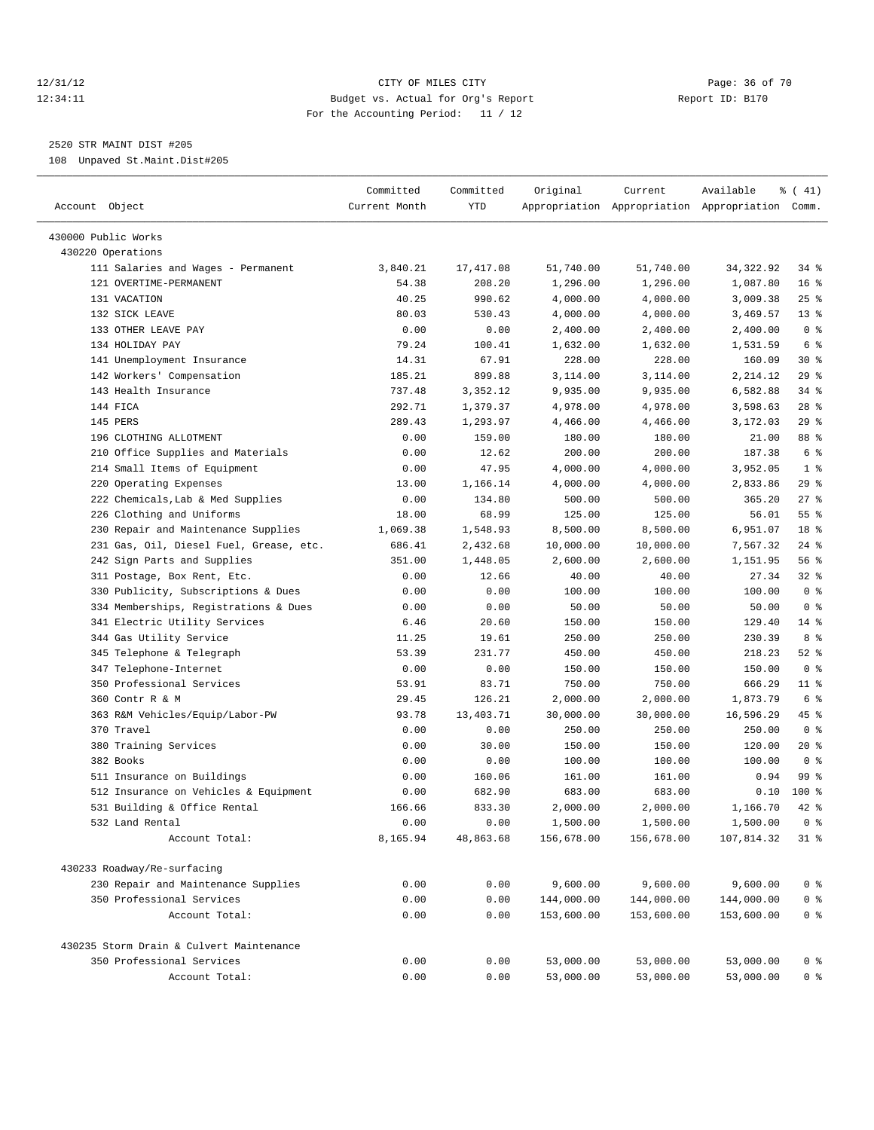# 12/31/12 Page: 36 of 70 12:34:11 Budget vs. Actual for Org's Report Report ID: B170 For the Accounting Period: 11 / 12

————————————————————————————————————————————————————————————————————————————————————————————————————————————————————————————————————

2520 STR MAINT DIST #205

108 Unpaved St.Maint.Dist#205

|                                                                  | Committed     | Committed    | Original               | Current                | Available                                       | $\frac{1}{6}$ ( 41) |
|------------------------------------------------------------------|---------------|--------------|------------------------|------------------------|-------------------------------------------------|---------------------|
| Account Object                                                   | Current Month | YTD          |                        |                        | Appropriation Appropriation Appropriation Comm. |                     |
| 430000 Public Works                                              |               |              |                        |                        |                                                 |                     |
| 430220 Operations                                                |               |              |                        |                        |                                                 |                     |
| 111 Salaries and Wages - Permanent                               | 3,840.21      | 17, 417.08   | 51,740.00              | 51,740.00              | 34, 322.92                                      | 34 %                |
| 121 OVERTIME-PERMANENT                                           | 54.38         | 208.20       | 1,296.00               | 1,296.00               | 1,087.80                                        | 16 <sup>8</sup>     |
| 131 VACATION                                                     | 40.25         | 990.62       | 4,000.00               | 4,000.00               | 3,009.38                                        | $25$ $%$            |
| 132 SICK LEAVE                                                   | 80.03         | 530.43       | 4,000.00               | 4,000.00               | 3,469.57                                        | $13*$               |
| 133 OTHER LEAVE PAY                                              | 0.00          | 0.00         | 2,400.00               | 2,400.00               | 2,400.00                                        | 0 <sup>8</sup>      |
| 134 HOLIDAY PAY                                                  | 79.24         | 100.41       | 1,632.00               | 1,632.00               | 1,531.59                                        | 6 <sup>°</sup>      |
| 141 Unemployment Insurance                                       | 14.31         | 67.91        | 228.00                 | 228.00                 | 160.09                                          | $30*$               |
| 142 Workers' Compensation                                        | 185.21        | 899.88       | 3,114.00               | 3,114.00               | 2,214.12                                        | $29$ %              |
| 143 Health Insurance                                             | 737.48        | 3,352.12     | 9,935.00               | 9,935.00               | 6,582.88                                        | $34$ $%$            |
| 144 FICA                                                         | 292.71        | 1,379.37     | 4,978.00               | 4,978.00               | 3,598.63                                        | $28$ %              |
| 145 PERS                                                         | 289.43        | 1,293.97     | 4,466.00               | 4,466.00               | 3,172.03                                        | 29%                 |
| 196 CLOTHING ALLOTMENT                                           | 0.00          | 159.00       | 180.00                 | 180.00                 | 21.00                                           | 88 %                |
| 210 Office Supplies and Materials                                | 0.00          | 12.62        | 200.00                 | 200.00                 | 187.38                                          | 6 <sup>°</sup>      |
| 214 Small Items of Equipment                                     | 0.00          | 47.95        | 4,000.00               | 4,000.00               | 3,952.05                                        | 1 <sup>8</sup>      |
| 220 Operating Expenses                                           | 13.00         | 1,166.14     | 4,000.00               | 4,000.00               | 2,833.86                                        | 29%                 |
| 222 Chemicals, Lab & Med Supplies                                | 0.00          | 134.80       | 500.00                 | 500.00                 | 365.20                                          | $27$ %              |
| 226 Clothing and Uniforms                                        | 18.00         | 68.99        | 125.00                 | 125.00                 | 56.01                                           | 55 %                |
| 230 Repair and Maintenance Supplies                              | 1,069.38      | 1,548.93     | 8,500.00               | 8,500.00               | 6,951.07                                        | 18 %                |
| 231 Gas, Oil, Diesel Fuel, Grease, etc.                          | 686.41        | 2,432.68     | 10,000.00              | 10,000.00              | 7,567.32                                        | $24$ %              |
| 242 Sign Parts and Supplies                                      | 351.00        | 1,448.05     | 2,600.00               | 2,600.00               | 1,151.95                                        | 56%                 |
| 311 Postage, Box Rent, Etc.                                      | 0.00          | 12.66        | 40.00                  | 40.00                  | 27.34                                           | $32$ $%$            |
| 330 Publicity, Subscriptions & Dues                              | 0.00          | 0.00         | 100.00                 | 100.00                 | 100.00                                          | 0 <sup>8</sup>      |
| 334 Memberships, Registrations & Dues                            | 0.00          | 0.00         | 50.00                  | 50.00                  | 50.00                                           | 0 <sup>8</sup>      |
| 341 Electric Utility Services                                    | 6.46          | 20.60        | 150.00                 | 150.00                 | 129.40                                          | $14$ %              |
| 344 Gas Utility Service                                          | 11.25         | 19.61        | 250.00                 | 250.00                 | 230.39                                          | 8 %                 |
| 345 Telephone & Telegraph                                        | 53.39         | 231.77       | 450.00                 | 450.00                 | 218.23                                          | $52$ $%$            |
| 347 Telephone-Internet                                           | 0.00          | 0.00         | 150.00                 | 150.00                 | 150.00                                          | 0 <sup>8</sup>      |
| 350 Professional Services                                        | 53.91         | 83.71        | 750.00                 | 750.00                 | 666.29                                          | $11$ %              |
| 360 Contr R & M                                                  | 29.45         | 126.21       | 2,000.00               | 2,000.00               | 1,873.79                                        | 6 %                 |
| 363 R&M Vehicles/Equip/Labor-PW                                  | 93.78         | 13,403.71    | 30,000.00              | 30,000.00              | 16,596.29                                       | 45 %                |
| 370 Travel                                                       | 0.00          | 0.00         | 250.00                 | 250.00                 | 250.00                                          | 0 <sup>8</sup>      |
| 380 Training Services                                            | 0.00          | 30.00        | 150.00                 | 150.00                 | 120.00                                          | $20*$               |
| 382 Books                                                        | 0.00          | 0.00         | 100.00                 | 100.00                 | 100.00                                          | 0 <sup>8</sup>      |
| 511 Insurance on Buildings                                       | 0.00          | 160.06       | 161.00                 | 161.00                 | 0.94                                            | 99 %                |
| 512 Insurance on Vehicles & Equipment                            | 0.00          | 682.90       | 683.00                 | 683.00                 | 0.10                                            | $100*$              |
| 531 Building & Office Rental                                     | 166.66        | 833.30       | 2,000.00               | 2,000.00               | 1,166.70                                        | $42$ %              |
| 532 Land Rental                                                  | 0.00          | 0.00         | 1,500.00               | 1,500.00               | 1,500.00                                        | 0 <sup>8</sup>      |
| Account Total:                                                   | 8,165.94      | 48,863.68    | 156,678.00             | 156,678.00             | 107,814.32                                      | $31$ %              |
| 430233 Roadway/Re-surfacing                                      |               |              |                        |                        |                                                 |                     |
|                                                                  |               |              |                        |                        | 9,600.00                                        |                     |
| 230 Repair and Maintenance Supplies<br>350 Professional Services | 0.00<br>0.00  | 0.00<br>0.00 | 9,600.00<br>144,000.00 | 9,600.00<br>144,000.00 | 144,000.00                                      | $0$ %<br>$0$ %      |
| Account Total:                                                   | 0.00          | 0.00         | 153,600.00             | 153,600.00             | 153,600.00                                      | $0$ %               |
|                                                                  |               |              |                        |                        |                                                 |                     |
| 430235 Storm Drain & Culvert Maintenance                         |               |              |                        |                        |                                                 |                     |
| 350 Professional Services                                        | 0.00          | 0.00         | 53,000.00              | 53,000.00              | 53,000.00                                       | 0 %                 |
| Account Total:                                                   | 0.00          | 0.00         | 53,000.00              | 53,000.00              | 53,000.00                                       | 0 <sup>8</sup>      |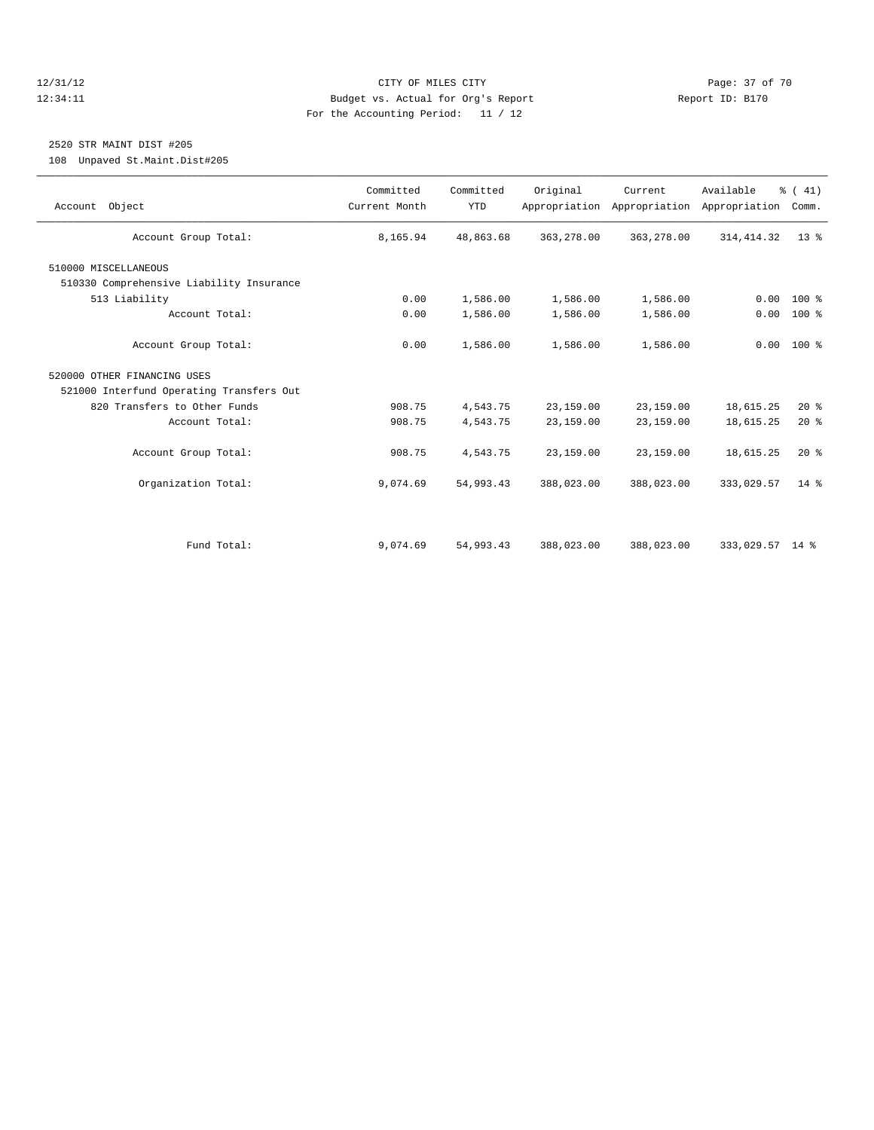#### 12/31/12 Page: 37 of 70 12:34:11 Budget vs. Actual for Org's Report Report ID: B170 For the Accounting Period: 11 / 12

# 2520 STR MAINT DIST #205

108 Unpaved St.Maint.Dist#205

| Account Object                           | Committed<br>Current Month | Committed<br><b>YTD</b> | Original   | Current<br>Appropriation Appropriation | Available<br>Appropriation | % (41)<br>Comm. |
|------------------------------------------|----------------------------|-------------------------|------------|----------------------------------------|----------------------------|-----------------|
| Account Group Total:                     | 8,165.94                   | 48,863.68               | 363,278.00 | 363,278.00                             | 314, 414.32                | $13*$           |
| 510000 MISCELLANEOUS                     |                            |                         |            |                                        |                            |                 |
| 510330 Comprehensive Liability Insurance |                            |                         |            |                                        |                            |                 |
| 513 Liability                            | 0.00                       | 1,586.00                | 1,586.00   | 1,586.00                               | 0.00                       | $100*$          |
| Account Total:                           | 0.00                       | 1,586.00                | 1,586.00   | 1,586.00                               | 0.00                       | 100 %           |
| Account Group Total:                     | 0.00                       | 1,586.00                | 1,586.00   | 1,586.00                               |                            | $0.00 100$ %    |
| 520000 OTHER FINANCING USES              |                            |                         |            |                                        |                            |                 |
| 521000 Interfund Operating Transfers Out |                            |                         |            |                                        |                            |                 |
| 820 Transfers to Other Funds             | 908.75                     | 4,543.75                | 23,159.00  | 23,159.00                              | 18,615.25                  | $20*$           |
| Account Total:                           | 908.75                     | 4,543.75                | 23,159.00  | 23,159.00                              | 18,615.25                  | $20*$           |
| Account Group Total:                     | 908.75                     | 4,543.75                | 23,159.00  | 23,159.00                              | 18,615.25                  | $20*$           |
| Organization Total:                      | 9,074.69                   | 54,993.43               | 388,023.00 | 388,023.00                             | 333,029.57                 | $14*$           |
|                                          |                            |                         |            |                                        |                            |                 |
| Fund Total:                              | 9,074.69                   | 54,993.43               | 388,023.00 | 388,023.00                             | 333,029.57 14 %            |                 |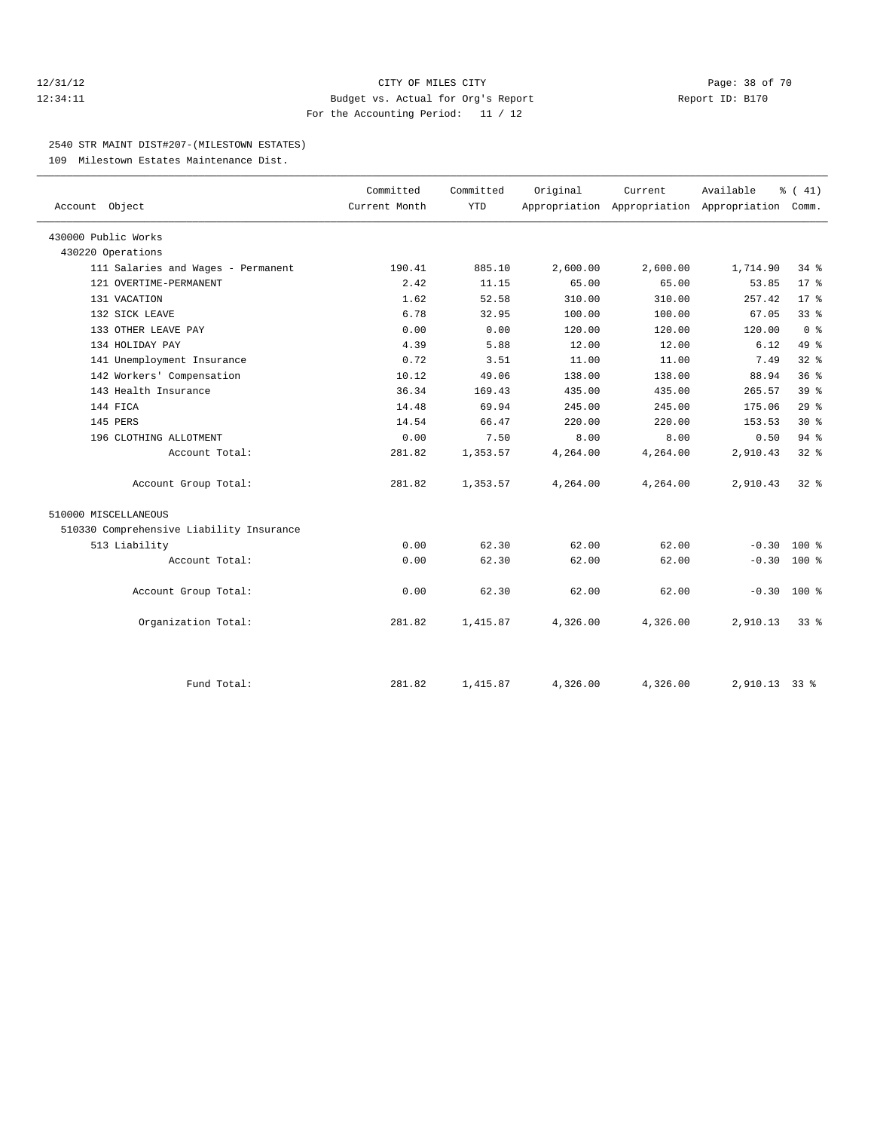#### 12/31/12 Page: 38 of 70 12:34:11 Budget vs. Actual for Org's Report Report ID: B170 For the Accounting Period: 11 / 12

#### 2540 STR MAINT DIST#207-(MILESTOWN ESTATES)

109 Milestown Estates Maintenance Dist.

| Account Object                           | Committed<br>Current Month | Committed<br><b>YTD</b> | Original | Current  | Available<br>Appropriation Appropriation Appropriation Comm. | $\frac{1}{6}$ ( 41) |  |
|------------------------------------------|----------------------------|-------------------------|----------|----------|--------------------------------------------------------------|---------------------|--|
|                                          |                            |                         |          |          |                                                              |                     |  |
| 430000 Public Works                      |                            |                         |          |          |                                                              |                     |  |
| 430220 Operations                        |                            |                         |          |          |                                                              |                     |  |
| 111 Salaries and Wages - Permanent       | 190.41                     | 885.10                  | 2,600.00 | 2,600.00 | 1,714.90                                                     | 34.8                |  |
| 121 OVERTIME-PERMANENT                   | 2.42                       | 11.15                   | 65.00    | 65.00    | 53.85                                                        | $17*$               |  |
| 131 VACATION                             | 1.62                       | 52.58                   | 310.00   | 310.00   | 257.42                                                       | $17*$               |  |
| 132 SICK LEAVE                           | 6.78                       | 32.95                   | 100.00   | 100.00   | 67.05                                                        | 33 <sup>8</sup>     |  |
| 133 OTHER LEAVE PAY                      | 0.00                       | 0.00                    | 120.00   | 120.00   | 120.00                                                       | 0 <sup>8</sup>      |  |
| 134 HOLIDAY PAY                          | 4.39                       | 5.88                    | 12.00    | 12.00    | 6.12                                                         | 49 %                |  |
| 141 Unemployment Insurance               | 0.72                       | 3.51                    | 11.00    | 11.00    | 7.49                                                         | 32%                 |  |
| 142 Workers' Compensation                | 10.12                      | 49.06                   | 138.00   | 138.00   | 88.94                                                        | 36 <sup>8</sup>     |  |
| 143 Health Insurance                     | 36.34                      | 169.43                  | 435.00   | 435.00   | 265.57                                                       | 39 <sup>8</sup>     |  |
| 144 FICA                                 | 14.48                      | 69.94                   | 245.00   | 245.00   | 175.06                                                       | $29*$               |  |
| 145 PERS                                 | 14.54                      | 66.47                   | 220.00   | 220.00   | 153.53                                                       | $30*$               |  |
| 196 CLOTHING ALLOTMENT                   | 0.00                       | 7.50                    | 8.00     | 8.00     | 0.50                                                         | 94%                 |  |
| Account Total:                           | 281.82                     | 1,353.57                | 4,264.00 | 4,264.00 | 2,910.43                                                     | 32 <sup>8</sup>     |  |
| Account Group Total:                     | 281.82                     | 1,353.57                | 4,264.00 | 4,264.00 | 2,910.43                                                     | 328                 |  |
| 510000 MISCELLANEOUS                     |                            |                         |          |          |                                                              |                     |  |
| 510330 Comprehensive Liability Insurance |                            |                         |          |          |                                                              |                     |  |
| 513 Liability                            | 0.00                       | 62.30                   | 62.00    | 62.00    | $-0.30$                                                      | $100*$              |  |
| Account Total:                           | 0.00                       | 62.30                   | 62.00    | 62.00    | $-0.30$                                                      | 100 %               |  |
| Account Group Total:                     | 0.00                       | 62.30                   | 62.00    | 62.00    | $-0.30$ 100 %                                                |                     |  |
| Organization Total:                      | 281.82                     | 1,415.87                | 4,326.00 | 4,326.00 | 2,910.13                                                     | $33*$               |  |
|                                          |                            |                         |          |          |                                                              |                     |  |
| Fund Total:                              | 281.82                     | 1,415.87                | 4,326.00 | 4,326.00 | 2,910.13 33 %                                                |                     |  |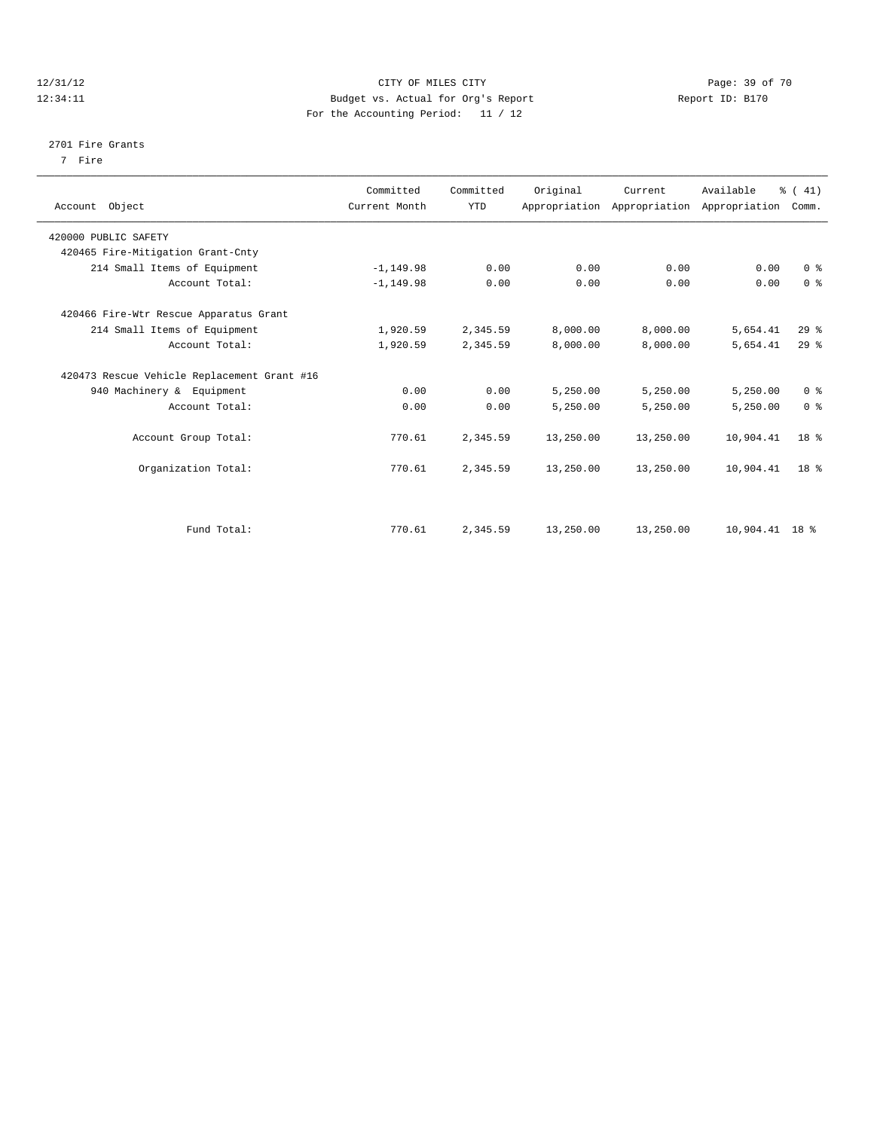#### 12/31/12 Page: 39 of 70 12:34:11 Budget vs. Actual for Org's Report Report ID: B170 For the Accounting Period: 11 / 12

#### 2701 Fire Grants

7 Fire

| Account Object                              | Committed<br>Current Month | Committed<br><b>YTD</b> | Original  | Current<br>Appropriation Appropriation Appropriation | Available      | % (41)<br>Comm. |  |
|---------------------------------------------|----------------------------|-------------------------|-----------|------------------------------------------------------|----------------|-----------------|--|
| 420000 PUBLIC SAFETY                        |                            |                         |           |                                                      |                |                 |  |
| 420465 Fire-Mitigation Grant-Cnty           |                            |                         |           |                                                      |                |                 |  |
| 214 Small Items of Equipment                | $-1, 149.98$               | 0.00                    | 0.00      | 0.00                                                 | 0.00           | 0 <sup>8</sup>  |  |
| Account Total:                              | $-1, 149.98$               | 0.00                    | 0.00      | 0.00                                                 | 0.00           | 0 <sup>8</sup>  |  |
| 420466 Fire-Wtr Rescue Apparatus Grant      |                            |                         |           |                                                      |                |                 |  |
| 214 Small Items of Equipment                | 1,920.59                   | 2,345.59                | 8,000.00  | 8,000.00                                             | 5,654.41       | 29 <sup>8</sup> |  |
| Account Total:                              | 1,920.59                   | 2,345.59                | 8,000.00  | 8,000.00                                             | 5,654.41       | 29 <sup>8</sup> |  |
| 420473 Rescue Vehicle Replacement Grant #16 |                            |                         |           |                                                      |                |                 |  |
| 940 Machinery & Equipment                   | 0.00                       | 0.00                    | 5,250.00  | 5,250.00                                             | 5,250.00       | 0 <sup>8</sup>  |  |
| Account Total:                              | 0.00                       | 0.00                    | 5,250.00  | 5,250.00                                             | 5,250.00       | 0 <sup>8</sup>  |  |
| Account Group Total:                        | 770.61                     | 2,345.59                | 13,250.00 | 13,250.00                                            | 10,904.41      | 18 <sup>8</sup> |  |
| Organization Total:                         | 770.61                     | 2,345.59                | 13,250.00 | 13,250.00                                            | 10,904.41      | 18 <sup>8</sup> |  |
|                                             |                            |                         |           |                                                      |                |                 |  |
| Fund Total:                                 | 770.61                     | 2,345.59                | 13,250.00 | 13,250.00                                            | 10,904.41 18 % |                 |  |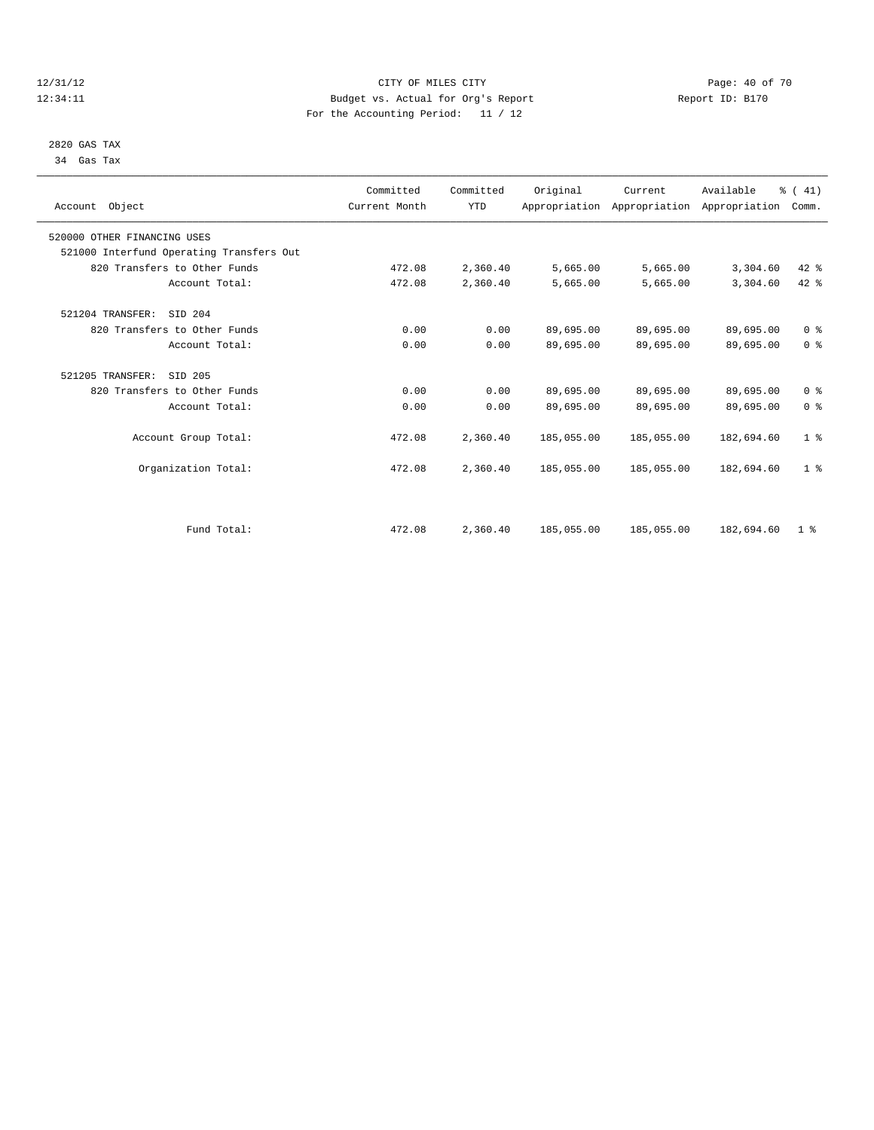# 2820 GAS TAX

34 Gas Tax

# 12/31/12 Page: 40 of 70 12:34:11 Budget vs. Actual for Org's Report Changer Report ID: B170 For the Accounting Period: 11 / 12

| Account Object                           | Committed<br>Current Month | Committed<br><b>YTD</b> | Original   | Current    | Available<br>Appropriation Appropriation Appropriation | $\frac{1}{6}$ ( 41)<br>Comm. |  |
|------------------------------------------|----------------------------|-------------------------|------------|------------|--------------------------------------------------------|------------------------------|--|
| 520000 OTHER FINANCING USES              |                            |                         |            |            |                                                        |                              |  |
| 521000 Interfund Operating Transfers Out |                            |                         |            |            |                                                        |                              |  |
| 820 Transfers to Other Funds             | 472.08                     | 2,360.40                | 5,665.00   | 5,665.00   | 3,304.60                                               | 42 %                         |  |
| Account Total:                           | 472.08                     | 2,360.40                | 5,665.00   | 5,665.00   | 3,304.60                                               | 42 %                         |  |
| 521204 TRANSFER:<br>SID 204              |                            |                         |            |            |                                                        |                              |  |
| 820 Transfers to Other Funds             | 0.00                       | 0.00                    | 89,695.00  | 89,695.00  | 89,695.00                                              | 0 <sup>8</sup>               |  |
| Account Total:                           | 0.00                       | 0.00                    | 89,695.00  | 89,695.00  | 89,695.00                                              | 0 <sup>8</sup>               |  |
| 521205 TRANSFER:<br>SID 205              |                            |                         |            |            |                                                        |                              |  |
| 820 Transfers to Other Funds             | 0.00                       | 0.00                    | 89,695.00  | 89,695.00  | 89,695.00                                              | 0 <sup>8</sup>               |  |
| Account Total:                           | 0.00                       | 0.00                    | 89,695.00  | 89,695.00  | 89,695.00                                              | 0 <sup>8</sup>               |  |
| Account Group Total:                     | 472.08                     | 2,360.40                | 185,055.00 | 185,055.00 | 182,694.60                                             | 1 <sup>8</sup>               |  |
| Organization Total:                      | 472.08                     | 2,360.40                | 185,055.00 | 185,055.00 | 182,694.60                                             | 1 <sup>8</sup>               |  |
|                                          |                            |                         |            |            |                                                        |                              |  |
| Fund Total:                              | 472.08                     | 2,360.40                | 185,055.00 | 185,055.00 | 182,694.60                                             | 1 <sup>8</sup>               |  |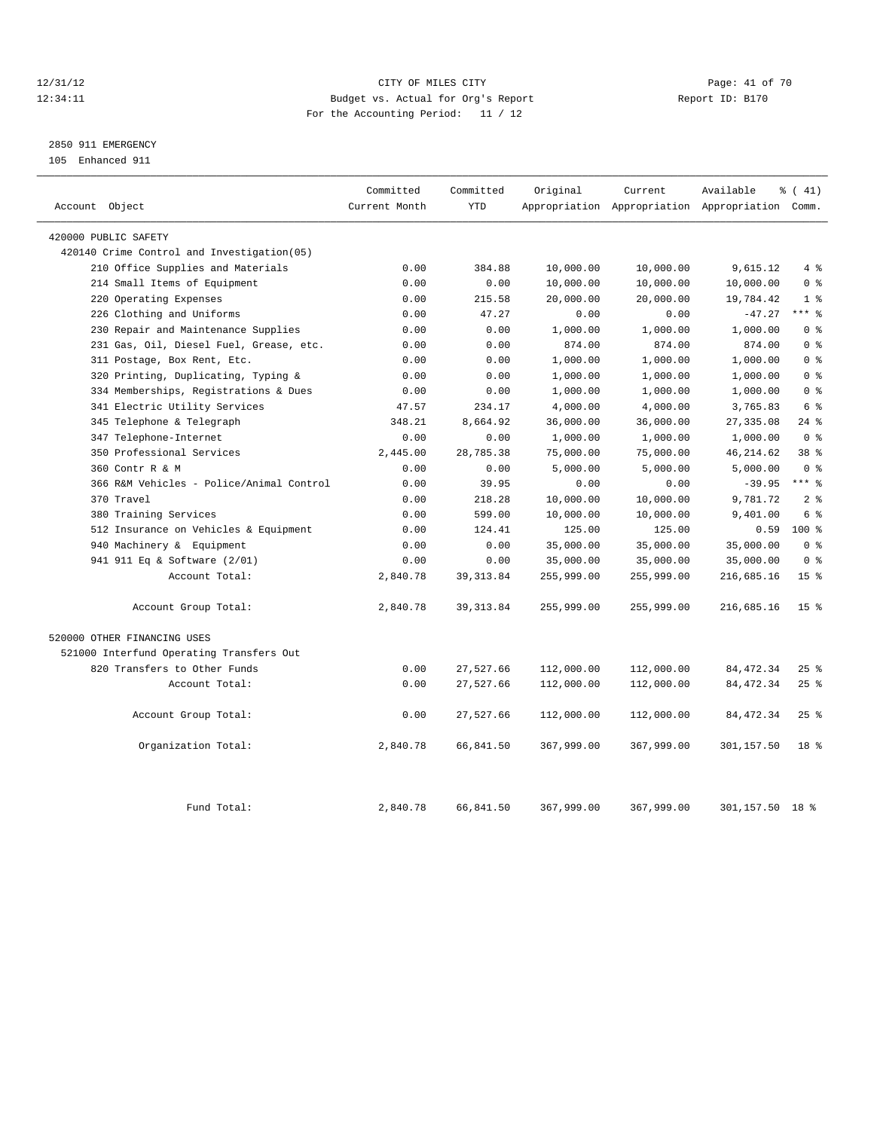# 12/31/12 Page: 41 of 70 12:34:11 Budget vs. Actual for Org's Report Changer Report ID: B170 For the Accounting Period: 11 / 12

# 2850 911 EMERGENCY

105 Enhanced 911

| Account Object                             | Committed<br>Current Month | Committed<br><b>YTD</b> | Original   | Current    | Available<br>Appropriation Appropriation Appropriation Comm. | % (41)               |
|--------------------------------------------|----------------------------|-------------------------|------------|------------|--------------------------------------------------------------|----------------------|
|                                            |                            |                         |            |            |                                                              |                      |
| 420000 PUBLIC SAFETY                       |                            |                         |            |            |                                                              |                      |
| 420140 Crime Control and Investigation(05) |                            |                         |            |            |                                                              |                      |
| 210 Office Supplies and Materials          | 0.00                       | 384.88                  | 10,000.00  | 10,000.00  | 9,615.12                                                     | 4%                   |
| 214 Small Items of Equipment               | 0.00                       | 0.00                    | 10,000.00  | 10,000.00  | 10,000.00                                                    | 0 <sup>8</sup>       |
| 220 Operating Expenses                     | 0.00                       | 215.58                  | 20,000.00  | 20,000.00  | 19,784.42                                                    | 1 <sup>°</sup>       |
| 226 Clothing and Uniforms                  | 0.00                       | 47.27                   | 0.00       | 0.00       | $-47.27$                                                     | $***$ $_{8}^{\circ}$ |
| 230 Repair and Maintenance Supplies        | 0.00                       | 0.00                    | 1,000.00   | 1,000.00   | 1,000.00                                                     | 0 <sup>8</sup>       |
| 231 Gas, Oil, Diesel Fuel, Grease, etc.    | 0.00                       | 0.00                    | 874.00     | 874.00     | 874.00                                                       | 0 <sup>8</sup>       |
| 311 Postage, Box Rent, Etc.                | 0.00                       | 0.00                    | 1,000.00   | 1,000.00   | 1,000.00                                                     | 0 <sup>8</sup>       |
| 320 Printing, Duplicating, Typing &        | 0.00                       | 0.00                    | 1,000.00   | 1,000.00   | 1,000.00                                                     | 0 <sup>8</sup>       |
| 334 Memberships, Registrations & Dues      | 0.00                       | 0.00                    | 1,000.00   | 1,000.00   | 1,000.00                                                     | 0 <sup>8</sup>       |
| 341 Electric Utility Services              | 47.57                      | 234.17                  | 4,000.00   | 4,000.00   | 3,765.83                                                     | 6 %                  |
| 345 Telephone & Telegraph                  | 348.21                     | 8,664.92                | 36,000.00  | 36,000.00  | 27, 335.08                                                   | $24$ %               |
| 347 Telephone-Internet                     | 0.00                       | 0.00                    | 1,000.00   | 1,000.00   | 1,000.00                                                     | 0 <sup>8</sup>       |
| 350 Professional Services                  | 2,445.00                   | 28,785.38               | 75,000.00  | 75,000.00  | 46, 214.62                                                   | 38 <sup>8</sup>      |
| 360 Contr R & M                            | 0.00                       | 0.00                    | 5,000.00   | 5,000.00   | 5,000.00                                                     | 0 <sup>8</sup>       |
| 366 R&M Vehicles - Police/Animal Control   | 0.00                       | 39.95                   | 0.00       | 0.00       | $-39.95$                                                     | $***$ $%$            |
| 370 Travel                                 | 0.00                       | 218.28                  | 10,000.00  | 10,000.00  | 9,781.72                                                     | 2 <sup>8</sup>       |
| 380 Training Services                      | 0.00                       | 599.00                  | 10,000.00  | 10,000.00  | 9,401.00                                                     | 6 %                  |
| 512 Insurance on Vehicles & Equipment      | 0.00                       | 124.41                  | 125.00     | 125.00     | 0.59                                                         | 100 %                |
| 940 Machinery & Equipment                  | 0.00                       | 0.00                    | 35,000.00  | 35,000.00  | 35,000.00                                                    | 0 <sup>8</sup>       |
| 941 911 Eq & Software (2/01)               | 0.00                       | 0.00                    | 35,000.00  | 35,000.00  | 35,000.00                                                    | 0 <sup>8</sup>       |
| Account Total:                             | 2,840.78                   | 39, 313.84              | 255,999.00 | 255,999.00 | 216,685.16                                                   | 15 <sup>8</sup>      |
| Account Group Total:                       | 2,840.78                   | 39, 313.84              | 255,999.00 | 255,999.00 | 216,685.16                                                   | 15 <sup>8</sup>      |
| 520000 OTHER FINANCING USES                |                            |                         |            |            |                                                              |                      |
| 521000 Interfund Operating Transfers Out   |                            |                         |            |            |                                                              |                      |
| 820 Transfers to Other Funds               | 0.00                       | 27,527.66               | 112,000.00 | 112,000.00 | 84, 472.34                                                   | $25$ $\frac{6}{5}$   |
| Account Total:                             | 0.00                       | 27,527.66               | 112,000.00 | 112,000.00 | 84, 472.34                                                   | 25%                  |
| Account Group Total:                       | 0.00                       | 27,527.66               | 112,000.00 | 112,000.00 | 84, 472.34                                                   | 25%                  |
| Organization Total:                        | 2,840.78                   | 66,841.50               | 367,999.00 | 367,999.00 | 301,157.50                                                   | 18 <sup>8</sup>      |
| Fund Total:                                | 2,840.78                   | 66,841.50               | 367,999.00 | 367,999.00 | 301,157.50 18 %                                              |                      |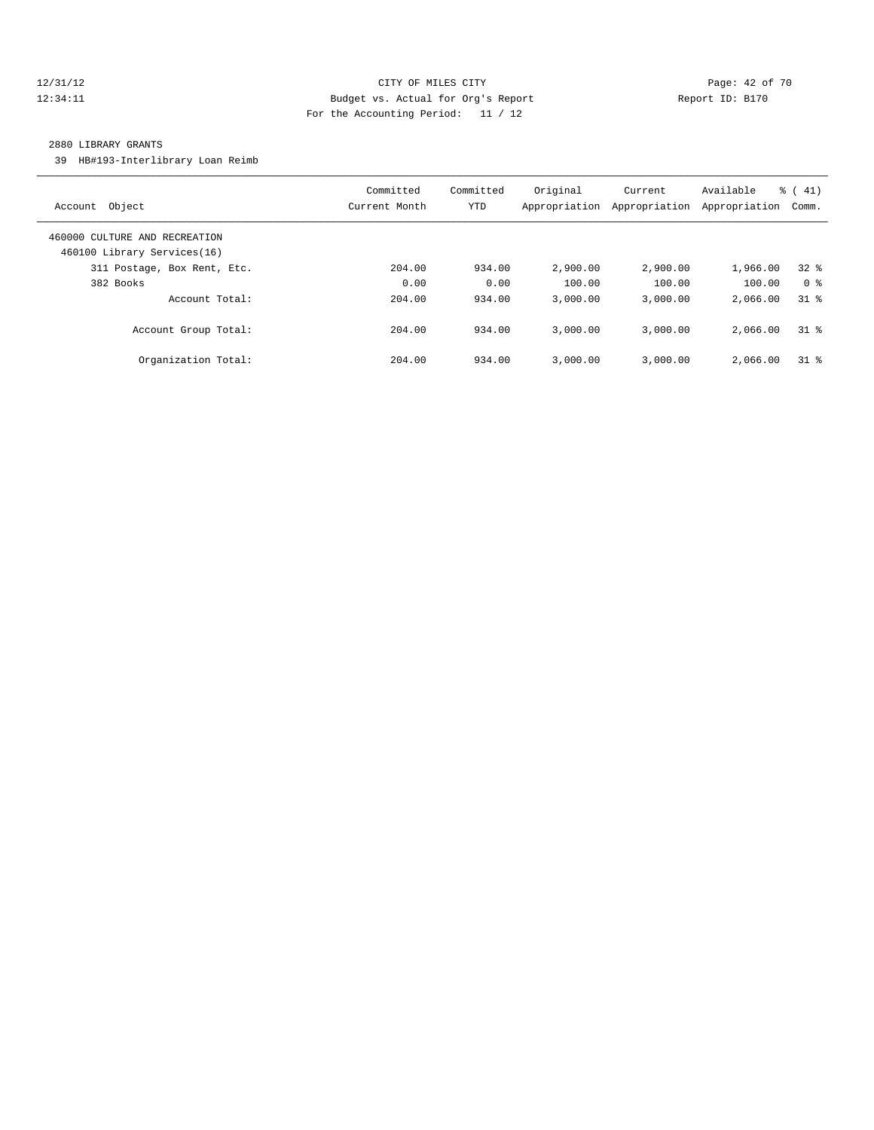# 12/31/12 Page: 42 of 70 12:34:11 Budget vs. Actual for Org's Report Changer Report ID: B170 For the Accounting Period: 11 / 12

#### 2880 LIBRARY GRANTS

39 HB#193-Interlibrary Loan Reimb

| Object<br>Account                                            | Committed<br>Current Month | Committed<br>YTD | Original<br>Appropriation | Current<br>Appropriation | Available<br>Appropriation | $\frac{1}{6}$ ( 41)<br>Comm. |
|--------------------------------------------------------------|----------------------------|------------------|---------------------------|--------------------------|----------------------------|------------------------------|
| 460000 CULTURE AND RECREATION<br>460100 Library Services(16) |                            |                  |                           |                          |                            |                              |
| 311 Postage, Box Rent, Etc.                                  | 204.00                     | 934.00           | 2,900.00                  | 2,900.00                 | 1,966.00                   | 328                          |
| 382 Books                                                    | 0.00                       | 0.00             | 100.00                    | 100.00                   | 100.00                     | 0 <sup>8</sup>               |
| Account Total:                                               | 204.00                     | 934.00           | 3.000.00                  | 3.000.00                 | 2,066.00                   | 31.8                         |
| Account Group Total:                                         | 204.00                     | 934.00           | 3.000.00                  | 3.000.00                 | 2,066.00                   | $31$ %                       |
| Organization Total:                                          | 204.00                     | 934.00           | 3.000.00                  | 3.000.00                 | 2,066.00                   | $31*$                        |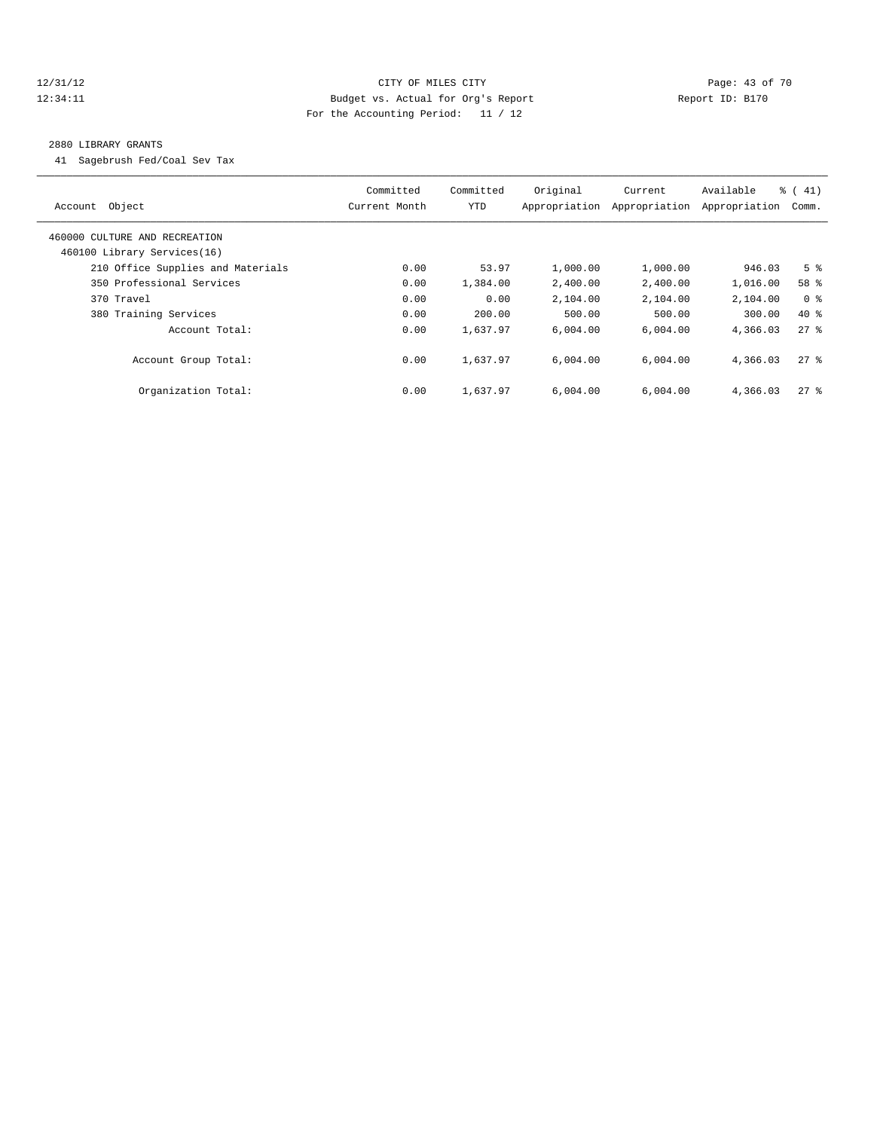# 12/31/12 Page: 43 of 70 12:34:11 Budget vs. Actual for Org's Report Changer Report ID: B170 For the Accounting Period: 11 / 12

#### 2880 LIBRARY GRANTS

41 Sagebrush Fed/Coal Sev Tax

| Account Object                                               | Committed<br>Current Month | Committed<br><b>YTD</b> | Original<br>Appropriation | Current<br>Appropriation | Available<br>Appropriation | $\frac{1}{6}$ ( 41)<br>Comm. |
|--------------------------------------------------------------|----------------------------|-------------------------|---------------------------|--------------------------|----------------------------|------------------------------|
| 460000 CULTURE AND RECREATION<br>460100 Library Services(16) |                            |                         |                           |                          |                            |                              |
| 210 Office Supplies and Materials                            | 0.00                       | 53.97                   | 1,000.00                  | 1,000.00                 | 946.03                     | 5 <sup>8</sup>               |
| 350 Professional Services                                    | 0.00                       | 1,384.00                | 2,400.00                  | 2,400.00                 | 1,016.00                   | 58 %                         |
| 370 Travel                                                   | 0.00                       | 0.00                    | 2,104.00                  | 2,104.00                 | 2,104.00                   | 0 <sup>8</sup>               |
| 380 Training Services                                        | 0.00                       | 200.00                  | 500.00                    | 500.00                   | 300.00                     | $40*$                        |
| Account Total:                                               | 0.00                       | 1,637.97                | 6.004.00                  | 6,004.00                 | 4,366.03                   | 278                          |
| Account Group Total:                                         | 0.00                       | 1,637.97                | 6.004.00                  | 6.004.00                 | 4,366.03                   | $27$ %                       |
| Organization Total:                                          | 0.00                       | 1,637.97                | 6.004.00                  | 6.004.00                 | 4,366.03                   | $27$ $\frac{6}{5}$           |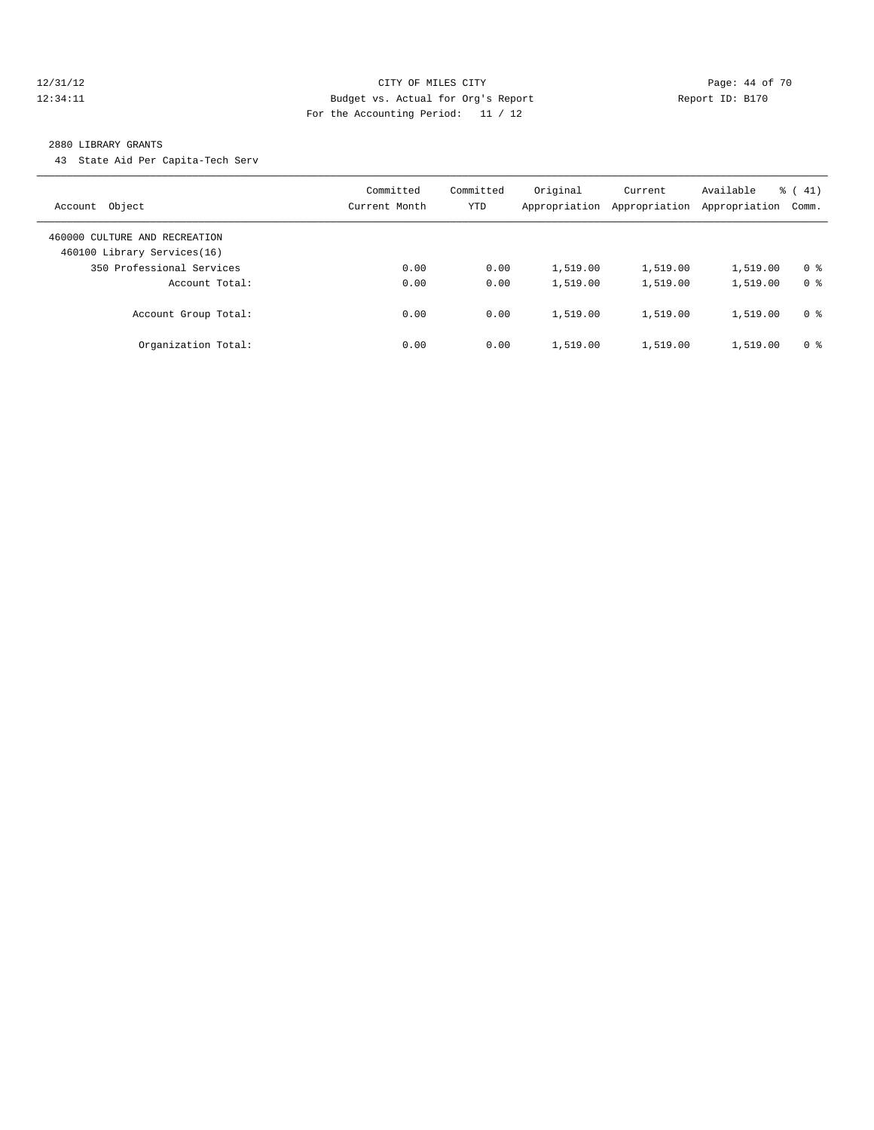#### 12/31/12 Page: 44 of 70 12:34:11 Budget vs. Actual for Org's Report Report ID: B170 For the Accounting Period: 11 / 12

#### 2880 LIBRARY GRANTS

43 State Aid Per Capita-Tech Serv

| Object<br>Account                                            | Committed<br>Current Month | Committed<br>YTD | Original<br>Appropriation | Current<br>Appropriation | Available<br>Appropriation | $\frac{1}{6}$ (41)<br>Comm. |
|--------------------------------------------------------------|----------------------------|------------------|---------------------------|--------------------------|----------------------------|-----------------------------|
| 460000 CULTURE AND RECREATION<br>460100 Library Services(16) |                            |                  |                           |                          |                            |                             |
| 350 Professional Services                                    | 0.00                       | 0.00             | 1,519.00                  | 1,519.00                 | 1,519.00                   | 0 <sup>8</sup>              |
| Account Total:                                               | 0.00                       | 0.00             | 1,519.00                  | 1,519.00                 | 1,519.00                   | 0 <sup>8</sup>              |
| Account Group Total:                                         | 0.00                       | 0.00             | 1,519.00                  | 1,519.00                 | 1,519.00                   | 0 <sup>8</sup>              |
| Organization Total:                                          | 0.00                       | 0.00             | 1,519.00                  | 1,519.00                 | 1,519.00                   | 0 <sup>8</sup>              |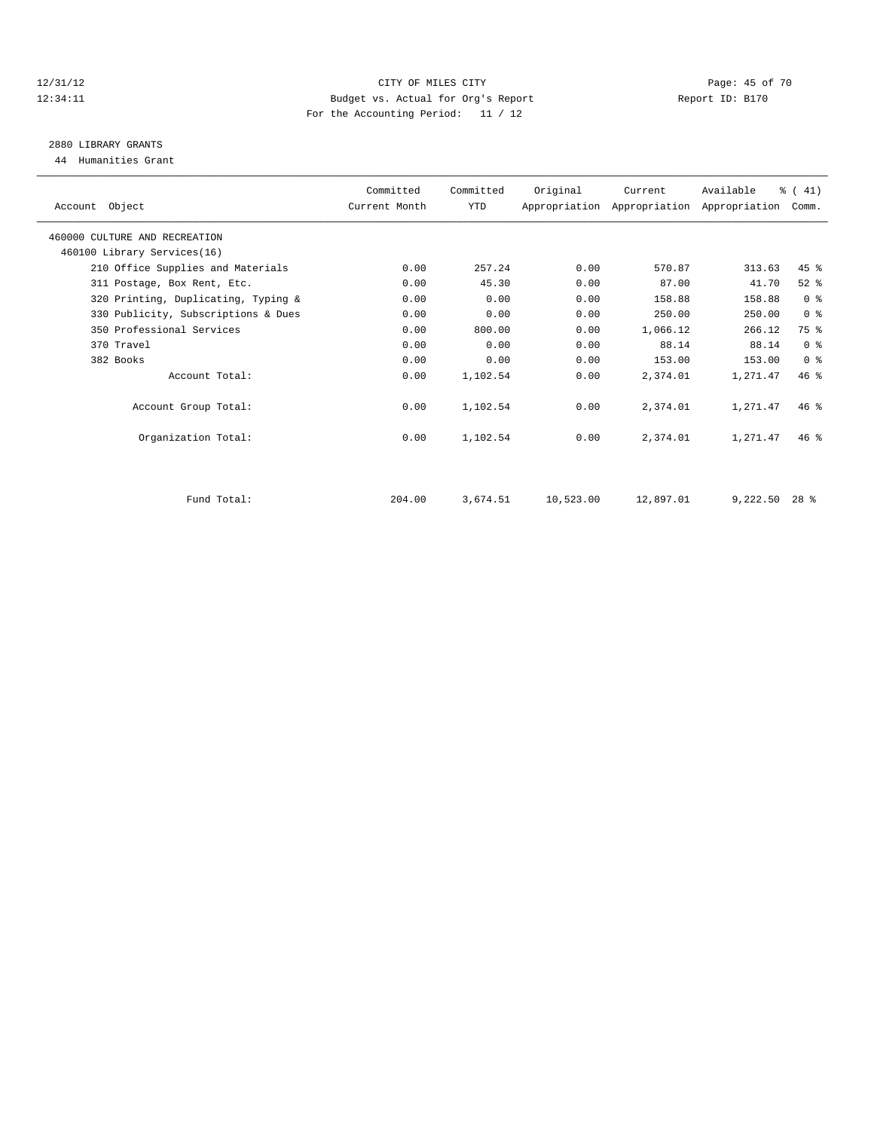#### 12/31/12 Page: 45 of 70 12:34:11 Budget vs. Actual for Org's Report Changer Report ID: B170 For the Accounting Period: 11 / 12

# 2880 LIBRARY GRANTS

44 Humanities Grant

| Account Object                      | Committed<br>Current Month | Committed<br>YTD | Original  | Current   | Available<br>Appropriation Appropriation Appropriation | $\frac{1}{6}$ (41)<br>Comm. |  |
|-------------------------------------|----------------------------|------------------|-----------|-----------|--------------------------------------------------------|-----------------------------|--|
| 460000 CULTURE AND RECREATION       |                            |                  |           |           |                                                        |                             |  |
| 460100 Library Services(16)         |                            |                  |           |           |                                                        |                             |  |
| 210 Office Supplies and Materials   | 0.00                       | 257.24           | 0.00      | 570.87    | 313.63                                                 | $45$ $%$                    |  |
| 311 Postage, Box Rent, Etc.         | 0.00                       | 45.30            | 0.00      | 87.00     | 41.70                                                  | $52$ $%$                    |  |
| 320 Printing, Duplicating, Typing & | 0.00                       | 0.00             | 0.00      | 158.88    | 158.88                                                 | 0 <sup>8</sup>              |  |
| 330 Publicity, Subscriptions & Dues | 0.00                       | 0.00             | 0.00      | 250.00    | 250.00                                                 | 0 <sup>8</sup>              |  |
| 350 Professional Services           | 0.00                       | 800.00           | 0.00      | 1,066.12  | 266.12                                                 | 75 %                        |  |
| 370 Travel                          | 0.00                       | 0.00             | 0.00      | 88.14     | 88.14                                                  | 0 <sup>8</sup>              |  |
| 382 Books                           | 0.00                       | 0.00             | 0.00      | 153.00    | 153.00                                                 | 0 <sup>8</sup>              |  |
| Account Total:                      | 0.00                       | 1,102.54         | 0.00      | 2,374.01  | 1,271.47                                               | 46.8                        |  |
| Account Group Total:                | 0.00                       | 1,102.54         | 0.00      | 2,374.01  | 1,271.47                                               | 46%                         |  |
| Organization Total:                 | 0.00                       | 1,102.54         | 0.00      | 2,374.01  | 1,271.47                                               | $46*$                       |  |
|                                     |                            |                  |           |           |                                                        |                             |  |
| Fund Total:                         | 204.00                     | 3,674.51         | 10,523.00 | 12,897.01 | 9,222.50                                               | $28*$                       |  |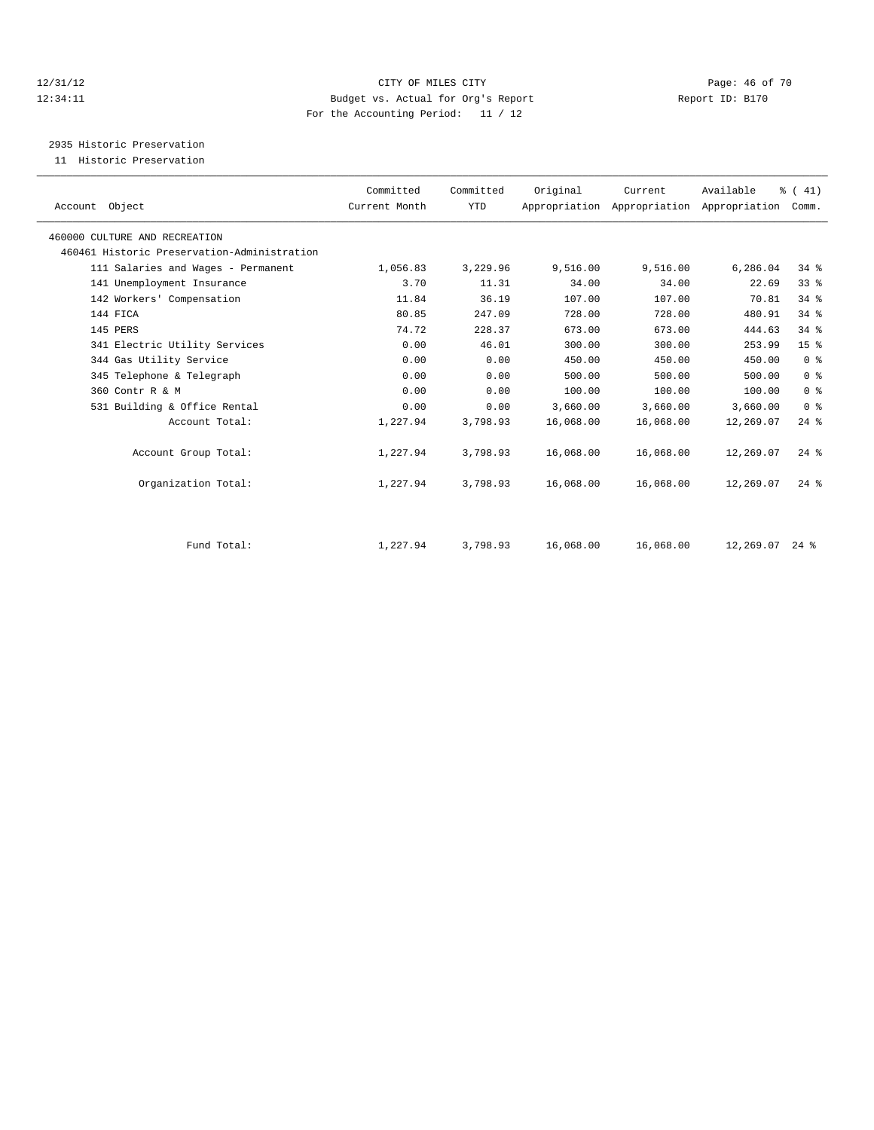#### 12/31/12 Page: 46 of 70 12:34:11 Budget vs. Actual for Org's Report Changer Report ID: B170 For the Accounting Period: 11 / 12

2935 Historic Preservation

11 Historic Preservation

| Account Object                              | Committed<br>Current Month | Committed<br><b>YTD</b> | Original  | Current   | Available<br>Appropriation Appropriation Appropriation | % (41)<br>Comm.    |  |
|---------------------------------------------|----------------------------|-------------------------|-----------|-----------|--------------------------------------------------------|--------------------|--|
| 460000 CULTURE AND RECREATION               |                            |                         |           |           |                                                        |                    |  |
| 460461 Historic Preservation-Administration |                            |                         |           |           |                                                        |                    |  |
| 111 Salaries and Wages - Permanent          | 1,056.83                   | 3,229.96                | 9,516.00  | 9,516.00  | 6,286.04                                               | 34%                |  |
| 141 Unemployment Insurance                  | 3.70                       | 11.31                   | 34.00     | 34.00     | 22.69                                                  | 33 <sup>8</sup>    |  |
| 142 Workers' Compensation                   | 11.84                      | 36.19                   | 107.00    | 107.00    | 70.81                                                  | 34.8               |  |
| 144 FICA                                    | 80.85                      | 247.09                  | 728.00    | 728.00    | 480.91                                                 | 34.8               |  |
| 145 PERS                                    | 74.72                      | 228.37                  | 673.00    | 673.00    | 444.63                                                 | 34%                |  |
| 341 Electric Utility Services               | 0.00                       | 46.01                   | 300.00    | 300.00    | 253.99                                                 | 15 <sup>°</sup>    |  |
| 344 Gas Utility Service                     | 0.00                       | 0.00                    | 450.00    | 450.00    | 450.00                                                 | 0 <sup>8</sup>     |  |
| 345 Telephone & Telegraph                   | 0.00                       | 0.00                    | 500.00    | 500.00    | 500.00                                                 | 0 <sup>8</sup>     |  |
| 360 Contr R & M                             | 0.00                       | 0.00                    | 100.00    | 100.00    | 100.00                                                 | 0 <sup>8</sup>     |  |
| 531 Building & Office Rental                | 0.00                       | 0.00                    | 3,660.00  | 3,660.00  | 3,660.00                                               | 0 <sup>8</sup>     |  |
| Account Total:                              | 1,227.94                   | 3,798.93                | 16,068.00 | 16,068.00 | 12,269.07                                              | $24$ $%$           |  |
| Account Group Total:                        | 1,227.94                   | 3,798.93                | 16,068.00 | 16,068.00 | 12,269.07                                              | $24$ $\frac{6}{5}$ |  |
| Organization Total:                         | 1,227.94                   | 3,798.93                | 16,068.00 | 16,068.00 | 12,269.07                                              | $24$ $%$           |  |
| Fund Total:                                 | 1,227.94                   | 3,798.93                | 16,068.00 | 16,068.00 | $12,269.07$ 24 %                                       |                    |  |
|                                             |                            |                         |           |           |                                                        |                    |  |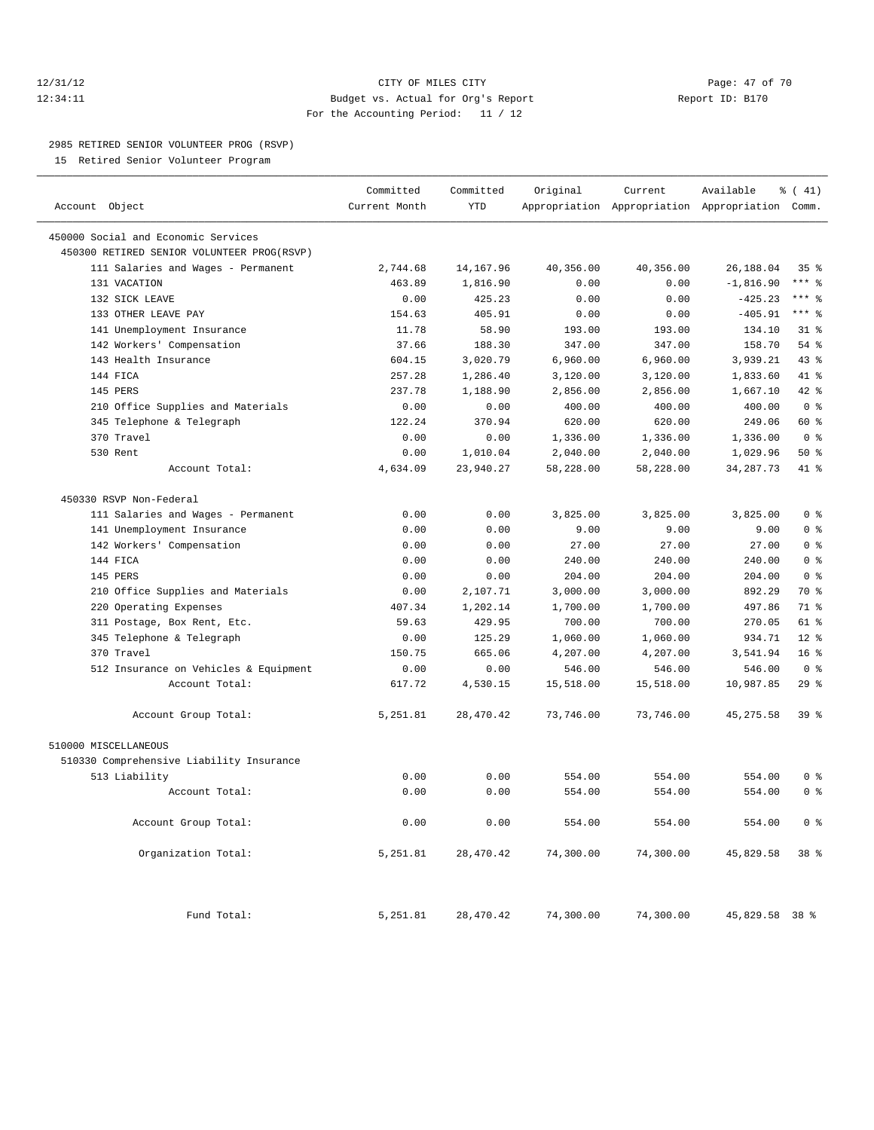# 12/31/12 **Page: 47 of 70 CITY CONSIDER CITY CITY Page: 47 of 70** 12:34:11 Budget vs. Actual for Org's Report Report ID: B170 For the Accounting Period: 11 / 12

————————————————————————————————————————————————————————————————————————————————————————————————————————————————————————————————————

#### 2985 RETIRED SENIOR VOLUNTEER PROG (RSVP)

15 Retired Senior Volunteer Program

|                                            | Committed     | Committed  | Original  | Current                                         | Available      | $\frac{1}{6}$ ( 41) |
|--------------------------------------------|---------------|------------|-----------|-------------------------------------------------|----------------|---------------------|
| Account Object                             | Current Month | <b>YTD</b> |           | Appropriation Appropriation Appropriation Comm. |                |                     |
| 450000 Social and Economic Services        |               |            |           |                                                 |                |                     |
| 450300 RETIRED SENIOR VOLUNTEER PROG(RSVP) |               |            |           |                                                 |                |                     |
| 111 Salaries and Wages - Permanent         | 2,744.68      | 14, 167.96 | 40,356.00 | 40,356.00                                       | 26,188.04      | 35%                 |
| 131 VACATION                               | 463.89        | 1,816.90   | 0.00      | 0.00                                            | $-1,816.90$    | $***$ 8             |
| 132 SICK LEAVE                             | 0.00          | 425.23     | 0.00      | 0.00                                            | $-425.23$      | $***$ 8             |
| 133 OTHER LEAVE PAY                        | 154.63        | 405.91     | 0.00      | 0.00                                            | $-405.91$      | $***$ 8             |
| 141 Unemployment Insurance                 | 11.78         | 58.90      | 193.00    | 193.00                                          | 134.10         | $31$ %              |
| 142 Workers' Compensation                  | 37.66         | 188.30     | 347.00    | 347.00                                          | 158.70         | 54 %                |
| 143 Health Insurance                       | 604.15        | 3,020.79   | 6,960.00  | 6,960.00                                        | 3,939.21       | 43.8                |
| 144 FICA                                   | 257.28        | 1,286.40   | 3,120.00  | 3,120.00                                        | 1,833.60       | 41 %                |
| 145 PERS                                   | 237.78        | 1,188.90   | 2,856.00  | 2,856.00                                        | 1,667.10       | 42.8                |
| 210 Office Supplies and Materials          | 0.00          | 0.00       | 400.00    | 400.00                                          | 400.00         | 0 <sup>8</sup>      |
| 345 Telephone & Telegraph                  | 122.24        | 370.94     | 620.00    | 620.00                                          | 249.06         | 60 %                |
| 370 Travel                                 | 0.00          | 0.00       | 1,336.00  | 1,336.00                                        | 1,336.00       | 0 <sup>8</sup>      |
| 530 Rent                                   | 0.00          | 1,010.04   | 2,040.00  | 2,040.00                                        | 1,029.96       | 50%                 |
| Account Total:                             | 4,634.09      | 23,940.27  | 58,228.00 | 58,228.00                                       | 34, 287. 73    | 41 %                |
|                                            |               |            |           |                                                 |                |                     |
| 450330 RSVP Non-Federal                    |               |            |           |                                                 |                |                     |
| 111 Salaries and Wages - Permanent         | 0.00          | 0.00       | 3,825.00  | 3,825.00                                        | 3,825.00       | 0 <sup>8</sup>      |
| 141 Unemployment Insurance                 | 0.00          | 0.00       | 9.00      | 9.00                                            | 9.00           | 0 <sup>8</sup>      |
| 142 Workers' Compensation                  | 0.00          | 0.00       | 27.00     | 27.00                                           | 27.00          | 0 <sup>8</sup>      |
| 144 FICA                                   | 0.00          | 0.00       | 240.00    | 240.00                                          | 240.00         | 0 <sup>8</sup>      |
| 145 PERS                                   | 0.00          | 0.00       | 204.00    | 204.00                                          | 204.00         | 0 <sup>8</sup>      |
| 210 Office Supplies and Materials          | 0.00          | 2,107.71   | 3,000.00  | 3,000.00                                        | 892.29         | 70 %                |
| 220 Operating Expenses                     | 407.34        | 1,202.14   | 1,700.00  | 1,700.00                                        | 497.86         | 71 %                |
| 311 Postage, Box Rent, Etc.                | 59.63         | 429.95     | 700.00    | 700.00                                          | 270.05         | $61$ $%$            |
| 345 Telephone & Telegraph                  | 0.00          | 125.29     | 1,060.00  | 1,060.00                                        | 934.71         | $12*$               |
| 370 Travel                                 | 150.75        | 665.06     | 4,207.00  | 4,207.00                                        | 3,541.94       | 16 <sup>°</sup>     |
| 512 Insurance on Vehicles & Equipment      | 0.00          | 0.00       | 546.00    | 546.00                                          | 546.00         | 0 <sup>8</sup>      |
| Account Total:                             | 617.72        | 4,530.15   | 15,518.00 | 15,518.00                                       | 10,987.85      | 29%                 |
| Account Group Total:                       | 5,251.81      | 28,470.42  | 73,746.00 | 73,746.00                                       | 45, 275.58     | 39 %                |
| 510000 MISCELLANEOUS                       |               |            |           |                                                 |                |                     |
| 510330 Comprehensive Liability Insurance   |               |            |           |                                                 |                |                     |
| 513 Liability                              | 0.00          | 0.00       | 554.00    | 554.00                                          | 554.00         | 0 <sup>8</sup>      |
| Account Total:                             | 0.00          | 0.00       | 554.00    | 554.00                                          | 554.00         | 0 <sup>8</sup>      |
|                                            |               |            |           |                                                 |                |                     |
| Account Group Total:                       | 0.00          | 0.00       | 554.00    | 554.00                                          | 554.00         | 0 <sup>8</sup>      |
| Organization Total:                        | 5,251.81      | 28,470.42  | 74,300.00 | 74,300.00                                       | 45,829.58      | 38 %                |
| Fund Total:                                | 5,251.81      | 28, 470.42 | 74,300.00 | 74,300.00                                       | 45,829.58 38 % |                     |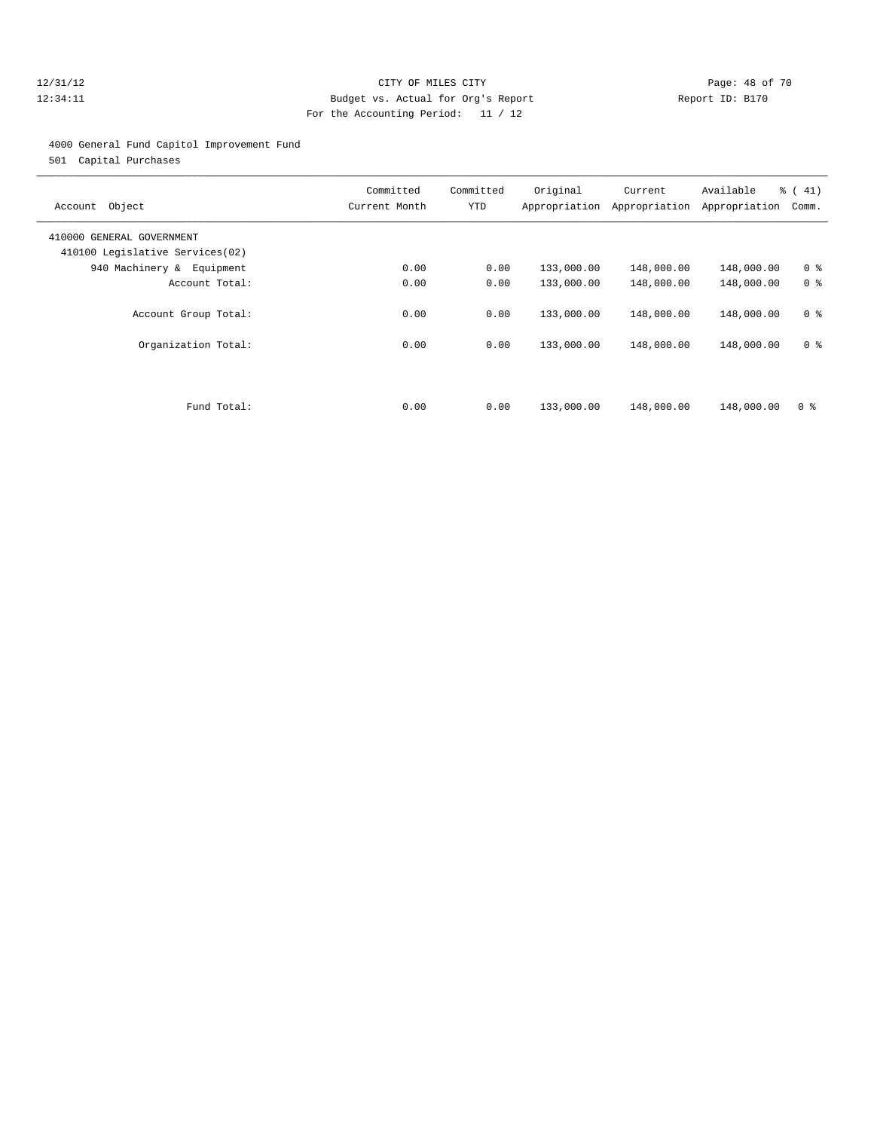# 12/31/12 Page: 48 of 70 12:34:11 Budget vs. Actual for Org's Report Report ID: B170 For the Accounting Period: 11 / 12

#### 4000 General Fund Capitol Improvement Fund

501 Capital Purchases

| Object<br>Account                                            | Committed<br>Current Month | Committed<br>YTD | Original<br>Appropriation | Current<br>Appropriation | Available<br>Appropriation | % (41)<br>Comm. |
|--------------------------------------------------------------|----------------------------|------------------|---------------------------|--------------------------|----------------------------|-----------------|
| 410000 GENERAL GOVERNMENT<br>410100 Legislative Services(02) |                            |                  |                           |                          |                            |                 |
| 940 Machinery & Equipment                                    | 0.00                       | 0.00             | 133,000.00                | 148,000.00               | 148,000.00                 | 0 <sup>8</sup>  |
| Account Total:                                               | 0.00                       | 0.00             | 133,000.00                | 148,000.00               | 148,000.00                 | 0 <sup>8</sup>  |
| Account Group Total:                                         | 0.00                       | 0.00             | 133,000.00                | 148,000.00               | 148,000.00                 | 0 <sup>8</sup>  |
| Organization Total:                                          | 0.00                       | 0.00             | 133,000.00                | 148,000.00               | 148,000.00                 | 0 <sup>8</sup>  |
|                                                              |                            |                  |                           |                          |                            |                 |
| Fund Total:                                                  | 0.00                       | 0.00             | 133,000.00                | 148,000.00               | 148,000.00                 | 0 <sup>8</sup>  |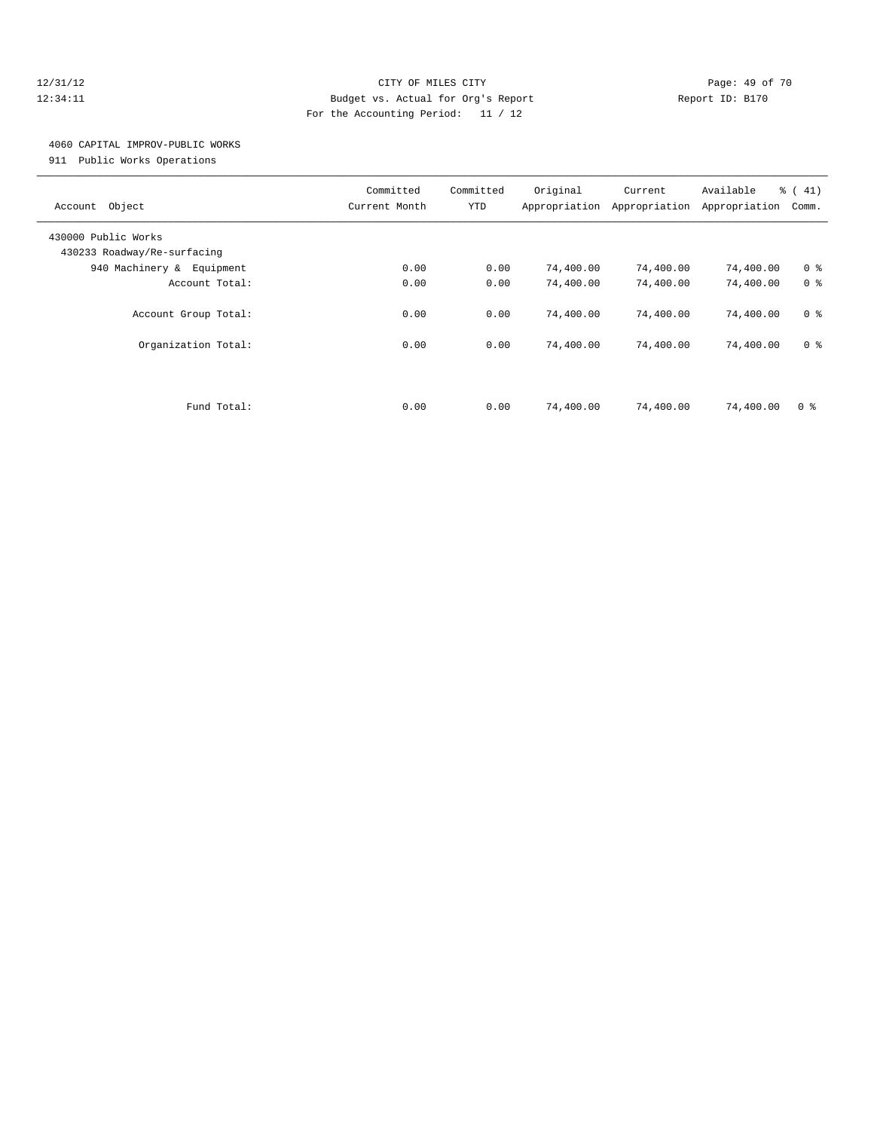#### 12/31/12 Page: 49 of 70 12:34:11 Budget vs. Actual for Org's Report Report ID: B170 For the Accounting Period: 11 / 12

# 4060 CAPITAL IMPROV-PUBLIC WORKS

911 Public Works Operations

| Object<br>Account                                  | Committed<br>Current Month | Committed<br>YTD | Original<br>Appropriation | Current<br>Appropriation | Available<br>Appropriation | % (41)<br>Comm. |
|----------------------------------------------------|----------------------------|------------------|---------------------------|--------------------------|----------------------------|-----------------|
| 430000 Public Works<br>430233 Roadway/Re-surfacing |                            |                  |                           |                          |                            |                 |
| 940 Machinery & Equipment                          | 0.00                       | 0.00             | 74,400.00                 | 74,400.00                | 74,400.00                  | 0 <sup>8</sup>  |
| Account Total:                                     | 0.00                       | 0.00             | 74,400.00                 | 74,400.00                | 74,400.00                  | 0 <sup>8</sup>  |
| Account Group Total:                               | 0.00                       | 0.00             | 74,400.00                 | 74,400.00                | 74,400.00                  | 0 <sup>8</sup>  |
| Organization Total:                                | 0.00                       | 0.00             | 74,400.00                 | 74,400.00                | 74,400.00                  | 0 <sup>8</sup>  |
|                                                    |                            |                  |                           |                          |                            |                 |
| Fund Total:                                        | 0.00                       | 0.00             | 74,400.00                 | 74,400.00                | 74,400.00                  | 0 <sup>8</sup>  |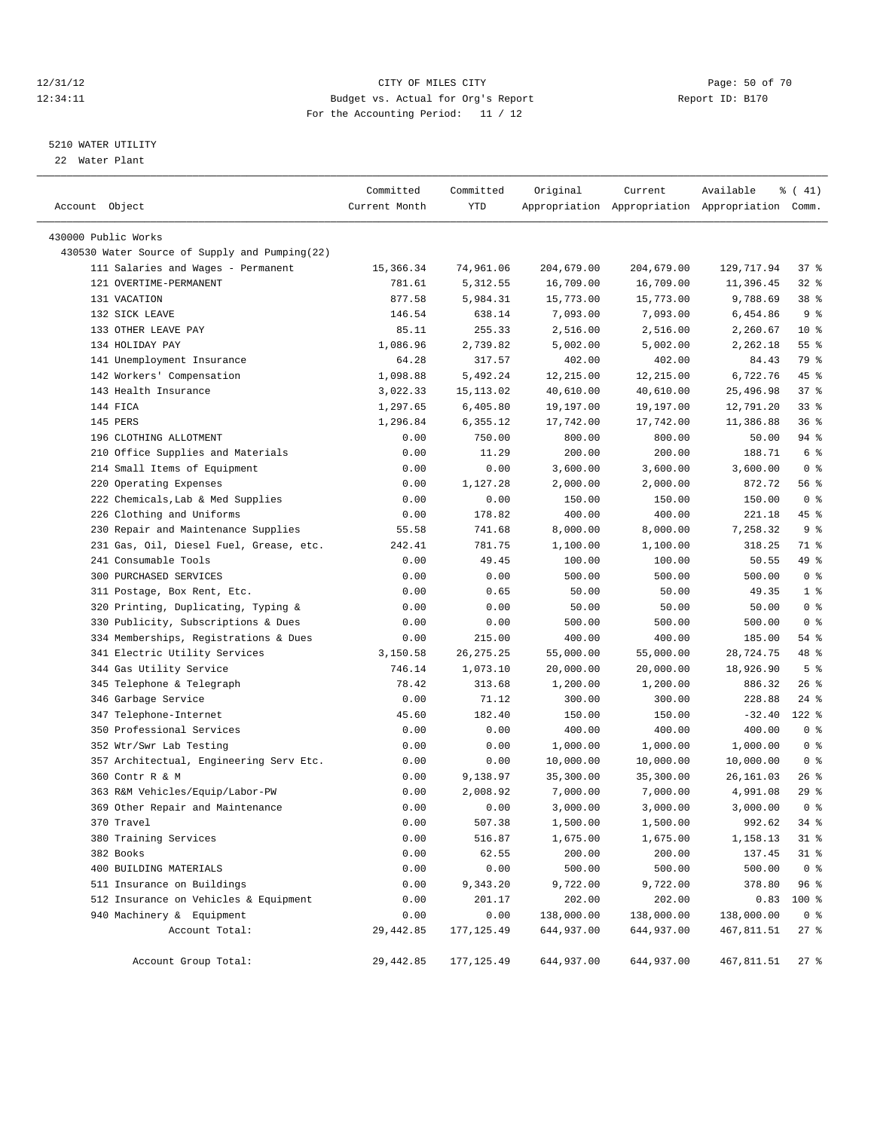#### 12/31/12 Page: 50 of 70 12:34:11 Budget vs. Actual for Org's Report Changer Report ID: B170 For the Accounting Period: 11 / 12

————————————————————————————————————————————————————————————————————————————————————————————————————————————————————————————————————

#### 5210 WATER UTILITY

22 Water Plant

|                                               | Committed     | Committed   | Original   | Current    | Available                                       | $\frac{1}{6}$ ( 41) |
|-----------------------------------------------|---------------|-------------|------------|------------|-------------------------------------------------|---------------------|
| Account Object                                | Current Month | YTD         |            |            | Appropriation Appropriation Appropriation Comm. |                     |
| 430000 Public Works                           |               |             |            |            |                                                 |                     |
| 430530 Water Source of Supply and Pumping(22) |               |             |            |            |                                                 |                     |
| 111 Salaries and Wages - Permanent            |               |             |            |            |                                                 | 37 %                |
| 121 OVERTIME-PERMANENT                        | 15,366.34     | 74,961.06   | 204,679.00 | 204,679.00 | 129,717.94                                      | $32$ $%$            |
|                                               | 781.61        | 5,312.55    | 16,709.00  | 16,709.00  | 11,396.45                                       |                     |
| 131 VACATION                                  | 877.58        | 5,984.31    | 15,773.00  | 15,773.00  | 9,788.69                                        | 38 <sup>8</sup>     |
| 132 SICK LEAVE                                | 146.54        | 638.14      | 7,093.00   | 7,093.00   | 6,454.86                                        | 9%                  |
| 133 OTHER LEAVE PAY                           | 85.11         | 255.33      | 2,516.00   | 2,516.00   | 2,260.67                                        | $10*$               |
| 134 HOLIDAY PAY                               | 1,086.96      | 2,739.82    | 5,002.00   | 5,002.00   | 2,262.18                                        | $55$ $%$            |
| 141 Unemployment Insurance                    | 64.28         | 317.57      | 402.00     | 402.00     | 84.43                                           | 79 %                |
| 142 Workers' Compensation                     | 1,098.88      | 5,492.24    | 12,215.00  | 12,215.00  | 6,722.76                                        | 45 %                |
| 143 Health Insurance                          | 3,022.33      | 15, 113.02  | 40,610.00  | 40,610.00  | 25,496.98                                       | 37%                 |
| 144 FICA                                      | 1,297.65      | 6,405.80    | 19,197.00  | 19,197.00  | 12,791.20                                       | $33$ $%$            |
| 145 PERS                                      | 1,296.84      | 6,355.12    | 17,742.00  | 17,742.00  | 11,386.88                                       | 36%                 |
| 196 CLOTHING ALLOTMENT                        | 0.00          | 750.00      | 800.00     | 800.00     | 50.00                                           | 94 %                |
| 210 Office Supplies and Materials             | 0.00          | 11.29       | 200.00     | 200.00     | 188.71                                          | 6 %                 |
| 214 Small Items of Equipment                  | 0.00          | 0.00        | 3,600.00   | 3,600.00   | 3,600.00                                        | 0 <sup>8</sup>      |
| 220 Operating Expenses                        | 0.00          | 1,127.28    | 2,000.00   | 2,000.00   | 872.72                                          | 56 %                |
| 222 Chemicals, Lab & Med Supplies             | 0.00          | 0.00        | 150.00     | 150.00     | 150.00                                          | 0 <sup>8</sup>      |
| 226 Clothing and Uniforms                     | 0.00          | 178.82      | 400.00     | 400.00     | 221.18                                          | 45 %                |
| 230 Repair and Maintenance Supplies           | 55.58         | 741.68      | 8,000.00   | 8,000.00   | 7,258.32                                        | 9%                  |
| 231 Gas, Oil, Diesel Fuel, Grease, etc.       | 242.41        | 781.75      | 1,100.00   | 1,100.00   | 318.25                                          | 71 %                |
| 241 Consumable Tools                          | 0.00          | 49.45       | 100.00     | 100.00     | 50.55                                           | 49 %                |
| 300 PURCHASED SERVICES                        | 0.00          | 0.00        | 500.00     | 500.00     | 500.00                                          | 0 <sup>8</sup>      |
| 311 Postage, Box Rent, Etc.                   | 0.00          | 0.65        | 50.00      | 50.00      | 49.35                                           | 1 <sup>8</sup>      |
| 320 Printing, Duplicating, Typing &           | 0.00          | 0.00        | 50.00      | 50.00      | 50.00                                           | 0 <sup>8</sup>      |
| 330 Publicity, Subscriptions & Dues           | 0.00          | 0.00        | 500.00     | 500.00     | 500.00                                          | 0 <sup>8</sup>      |
| 334 Memberships, Registrations & Dues         | 0.00          | 215.00      | 400.00     | 400.00     | 185.00                                          | 54 %                |
| 341 Electric Utility Services                 | 3,150.58      | 26, 275. 25 | 55,000.00  | 55,000.00  | 28,724.75                                       | 48 %                |
| 344 Gas Utility Service                       | 746.14        | 1,073.10    | 20,000.00  | 20,000.00  | 18,926.90                                       | 5 <sup>°</sup>      |
| 345 Telephone & Telegraph                     | 78.42         | 313.68      | 1,200.00   | 1,200.00   | 886.32                                          | $26$ %              |
| 346 Garbage Service                           | 0.00          | 71.12       | 300.00     | 300.00     | 228.88                                          | 24 %                |
| 347 Telephone-Internet                        | 45.60         | 182.40      | 150.00     | 150.00     | $-32.40$                                        | $122$ %             |
| 350 Professional Services                     | 0.00          | 0.00        | 400.00     | 400.00     | 400.00                                          | 0 <sup>8</sup>      |
| 352 Wtr/Swr Lab Testing                       | 0.00          | 0.00        | 1,000.00   | 1,000.00   | 1,000.00                                        | 0 <sup>8</sup>      |
| 357 Architectual, Engineering Serv Etc.       | 0.00          | 0.00        | 10,000.00  | 10,000.00  | 10,000.00                                       | 0 <sup>8</sup>      |
| 360 Contr R & M                               | 0.00          | 9,138.97    | 35,300.00  | 35,300.00  | 26,161.03                                       | $26$ %              |
| 363 R&M Vehicles/Equip/Labor-PW               | 0.00          | 2,008.92    | 7,000.00   | 7,000.00   | 4,991.08                                        | 29 %                |
| 369 Other Repair and Maintenance              | 0.00          | 0.00        | 3,000.00   | 3,000.00   | 3,000.00                                        | 0 <sup>8</sup>      |
| 370 Travel                                    | 0.00          | 507.38      | 1,500.00   | 1,500.00   | 992.62                                          | $34$ $%$            |
| 380 Training Services                         | 0.00          | 516.87      | 1,675.00   | 1,675.00   | 1,158.13                                        | $31$ %              |
| 382 Books                                     | 0.00          | 62.55       | 200.00     | 200.00     | 137.45                                          | $31$ %              |
| 400 BUILDING MATERIALS                        | 0.00          | 0.00        | 500.00     | 500.00     | 500.00                                          | 0 <sup>8</sup>      |
| 511 Insurance on Buildings                    | 0.00          | 9,343.20    | 9,722.00   | 9,722.00   | 378.80                                          | 96%                 |
| 512 Insurance on Vehicles & Equipment         | 0.00          | 201.17      | 202.00     | 202.00     | 0.83                                            | 100 %               |
| 940 Machinery & Equipment                     | 0.00          | 0.00        | 138,000.00 | 138,000.00 | 138,000.00                                      | 0 <sup>8</sup>      |
| Account Total:                                | 29, 442.85    | 177, 125.49 | 644,937.00 | 644,937.00 | 467,811.51                                      | $27$ %              |
|                                               |               |             |            |            |                                                 |                     |
| Account Group Total:                          | 29, 442.85    | 177,125.49  | 644,937.00 | 644,937.00 | 467,811.51                                      | $27$ %              |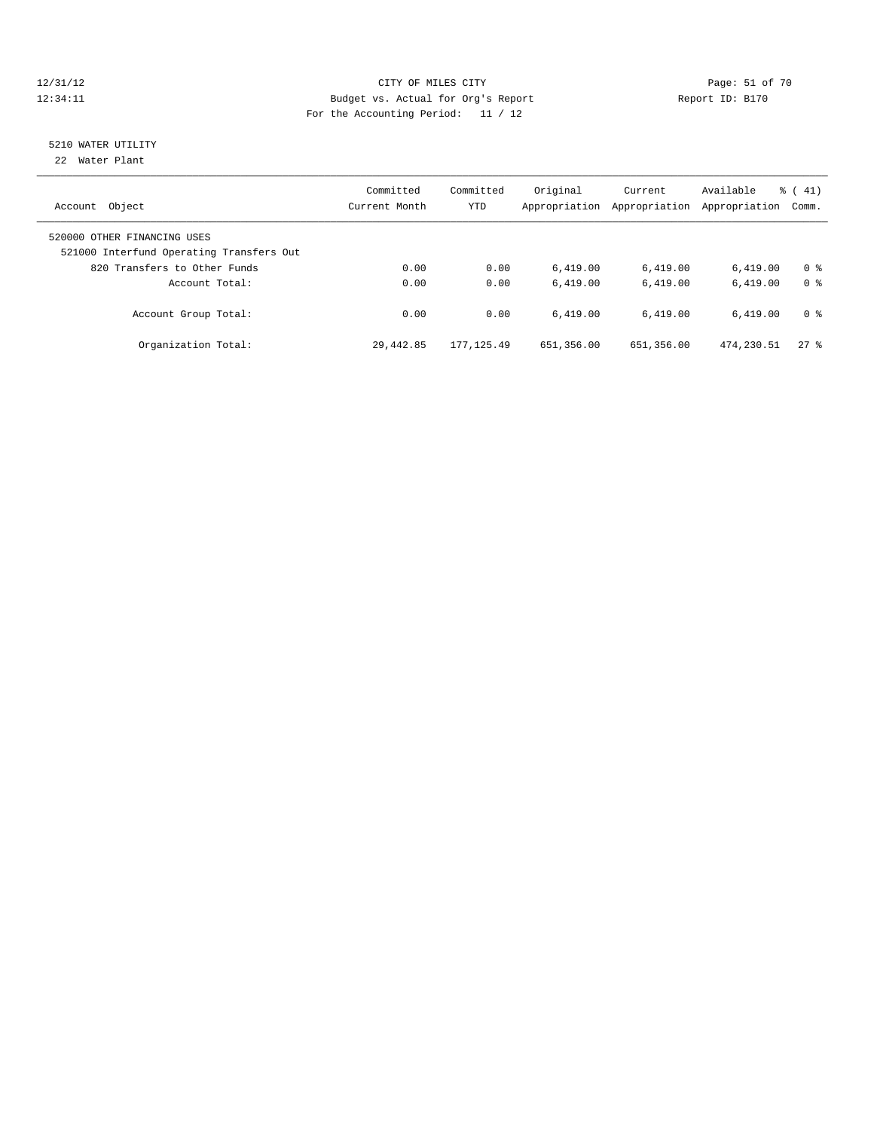#### 12/31/12 Page: 51 of 70 12:34:11 Budget vs. Actual for Org's Report Changer Report ID: B170 For the Accounting Period: 11 / 12

# 5210 WATER UTILITY

22 Water Plant

| Object<br>Account                                                       | Committed<br>Current Month | Committed<br><b>YTD</b> | Original<br>Appropriation | Current<br>Appropriation | Available<br>Appropriation | $\frac{1}{6}$ (41)<br>Comm. |
|-------------------------------------------------------------------------|----------------------------|-------------------------|---------------------------|--------------------------|----------------------------|-----------------------------|
| 520000 OTHER FINANCING USES<br>521000 Interfund Operating Transfers Out |                            |                         |                           |                          |                            |                             |
| 820 Transfers to Other Funds                                            | 0.00                       | 0.00                    | 6.419.00                  | 6,419.00                 | 6.419.00                   | 0 <sup>8</sup>              |
| Account Total:                                                          | 0.00                       | 0.00                    | 6.419.00                  | 6.419.00                 | 6.419.00                   | 0 <sup>8</sup>              |
| Account Group Total:                                                    | 0.00                       | 0.00                    | 6.419.00                  | 6.419.00                 | 6.419.00                   | 0 <sup>8</sup>              |
| Organization Total:                                                     | 29, 442.85                 | 177, 125, 49            | 651,356.00                | 651,356.00               | 474,230.51                 | $27$ %                      |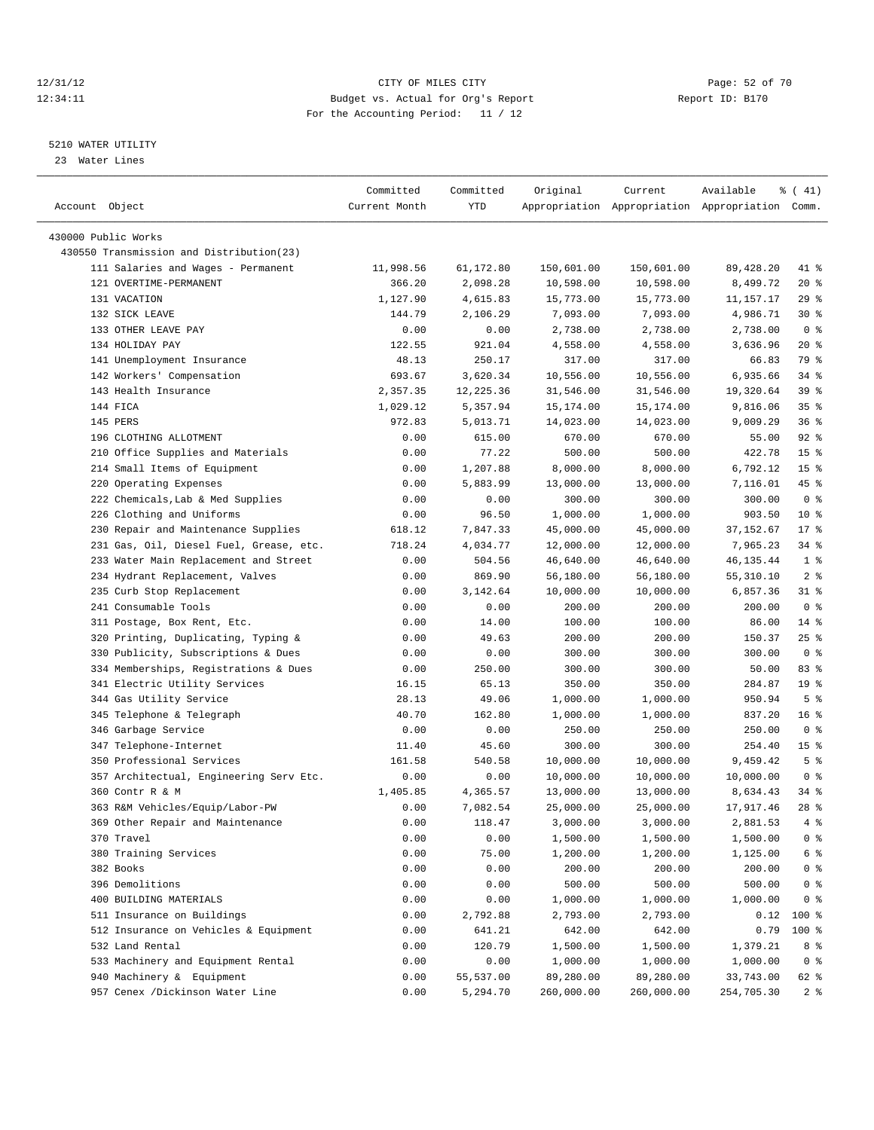#### 12/31/12 Page: 52 of 70 12:34:11 Budget vs. Actual for Org's Report Changer Report ID: B170 For the Accounting Period: 11 / 12

————————————————————————————————————————————————————————————————————————————————————————————————————————————————————————————————————

#### 5210 WATER UTILITY

23 Water Lines

|                                                                 | Committed      | Committed | Original   | Current                 | Available                                       | $\frac{1}{6}$ ( 41)     |  |
|-----------------------------------------------------------------|----------------|-----------|------------|-------------------------|-------------------------------------------------|-------------------------|--|
| Account Object                                                  | Current Month  | YTD       |            |                         | Appropriation Appropriation Appropriation Comm. |                         |  |
|                                                                 |                |           |            |                         |                                                 |                         |  |
| 430000 Public Works<br>430550 Transmission and Distribution(23) |                |           |            |                         |                                                 |                         |  |
|                                                                 |                | 61,172.80 |            |                         |                                                 |                         |  |
| 111 Salaries and Wages - Permanent<br>121 OVERTIME-PERMANENT    | 11,998.56      |           | 150,601.00 | 150,601.00<br>10,598.00 | 89, 428.20                                      | 41 %<br>$20*$           |  |
|                                                                 | 366.20         | 2,098.28  | 10,598.00  |                         | 8,499.72                                        |                         |  |
| 131 VACATION                                                    | 1,127.90       | 4,615.83  | 15,773.00  | 15,773.00               | 11,157.17                                       | 29%                     |  |
| 132 SICK LEAVE<br>133 OTHER LEAVE PAY                           | 144.79         | 2,106.29  | 7,093.00   | 7,093.00                | 4,986.71                                        | $30*$<br>0 <sup>8</sup> |  |
| 134 HOLIDAY PAY                                                 | 0.00<br>122.55 | 0.00      | 2,738.00   | 2,738.00                | 2,738.00                                        |                         |  |
|                                                                 |                | 921.04    | 4,558.00   | 4,558.00                | 3,636.96                                        | $20*$                   |  |
| 141 Unemployment Insurance                                      | 48.13          | 250.17    | 317.00     | 317.00                  | 66.83                                           | 79 %                    |  |
| 142 Workers' Compensation                                       | 693.67         | 3,620.34  | 10,556.00  | 10,556.00               | 6,935.66                                        | 34 %                    |  |
| 143 Health Insurance                                            | 2,357.35       | 12,225.36 | 31,546.00  | 31,546.00               | 19,320.64                                       | 39 %                    |  |
| 144 FICA                                                        | 1,029.12       | 5,357.94  | 15,174.00  | 15,174.00               | 9,816.06                                        | 35%                     |  |
| 145 PERS                                                        | 972.83         | 5,013.71  | 14,023.00  | 14,023.00               | 9,009.29                                        | 36%                     |  |
| 196 CLOTHING ALLOTMENT                                          | 0.00           | 615.00    | 670.00     | 670.00                  | 55.00                                           | $92$ $%$                |  |
| 210 Office Supplies and Materials                               | 0.00           | 77.22     | 500.00     | 500.00                  | 422.78                                          | 15 <sup>°</sup>         |  |
| 214 Small Items of Equipment                                    | 0.00           | 1,207.88  | 8,000.00   | 8,000.00                | 6,792.12                                        | 15 <sup>8</sup>         |  |
| 220 Operating Expenses                                          | 0.00           | 5,883.99  | 13,000.00  | 13,000.00               | 7,116.01                                        | 45 %                    |  |
| 222 Chemicals, Lab & Med Supplies                               | 0.00           | 0.00      | 300.00     | 300.00                  | 300.00                                          | 0 <sup>8</sup>          |  |
| 226 Clothing and Uniforms                                       | 0.00           | 96.50     | 1,000.00   | 1,000.00                | 903.50                                          | $10*$                   |  |
| 230 Repair and Maintenance Supplies                             | 618.12         | 7,847.33  | 45,000.00  | 45,000.00               | 37, 152.67                                      | $17*$                   |  |
| 231 Gas, Oil, Diesel Fuel, Grease, etc.                         | 718.24         | 4,034.77  | 12,000.00  | 12,000.00               | 7,965.23                                        | 34 %                    |  |
| 233 Water Main Replacement and Street                           | 0.00           | 504.56    | 46,640.00  | 46,640.00               | 46, 135. 44                                     | 1 <sup>8</sup>          |  |
| 234 Hydrant Replacement, Valves                                 | 0.00           | 869.90    | 56,180.00  | 56,180.00               | 55,310.10                                       | 2 <sup>8</sup>          |  |
| 235 Curb Stop Replacement                                       | 0.00           | 3,142.64  | 10,000.00  | 10,000.00               | 6,857.36                                        | $31$ %                  |  |
| 241 Consumable Tools                                            | 0.00           | 0.00      | 200.00     | 200.00                  | 200.00                                          | 0 <sup>8</sup>          |  |
| 311 Postage, Box Rent, Etc.                                     | 0.00           | 14.00     | 100.00     | 100.00                  | 86.00                                           | $14$ %                  |  |
| 320 Printing, Duplicating, Typing &                             | 0.00           | 49.63     | 200.00     | 200.00                  | 150.37                                          | $25$ %                  |  |
| 330 Publicity, Subscriptions & Dues                             | 0.00           | 0.00      | 300.00     | 300.00                  | 300.00                                          | 0 <sup>8</sup>          |  |
| 334 Memberships, Registrations & Dues                           | 0.00           | 250.00    | 300.00     | 300.00                  | 50.00                                           | 83%                     |  |
| 341 Electric Utility Services                                   | 16.15          | 65.13     | 350.00     | 350.00                  | 284.87                                          | 19 <sup>°</sup>         |  |
| 344 Gas Utility Service                                         | 28.13          | 49.06     | 1,000.00   | 1,000.00                | 950.94                                          | 5 <sup>°</sup>          |  |
| 345 Telephone & Telegraph                                       | 40.70          | 162.80    | 1,000.00   | 1,000.00                | 837.20                                          | 16 <sup>8</sup>         |  |
| 346 Garbage Service                                             | 0.00           | 0.00      | 250.00     | 250.00                  | 250.00                                          | 0 <sup>8</sup>          |  |
| 347 Telephone-Internet                                          | 11.40          | 45.60     | 300.00     | 300.00                  | 254.40                                          | 15 <sup>°</sup>         |  |
| 350 Professional Services                                       | 161.58         | 540.58    | 10,000.00  | 10,000.00               | 9,459.42                                        | 5 <sup>°</sup>          |  |
| 357 Architectual, Engineering Serv Etc.                         | 0.00           | 0.00      | 10,000.00  | 10,000.00               | 10,000.00                                       | 0 <sup>8</sup>          |  |
| 360 Contr R & M                                                 | 1,405.85       | 4,365.57  | 13,000.00  | 13,000.00               | 8,634.43                                        | 34 %                    |  |
| 363 R&M Vehicles/Equip/Labor-PW                                 | 0.00           | 7,082.54  | 25,000.00  | 25,000.00               | 17,917.46                                       | $28$ %                  |  |
| 369 Other Repair and Maintenance                                | 0.00           | 118.47    | 3,000.00   | 3,000.00                | 2,881.53                                        | 4%                      |  |
| 370 Travel                                                      | 0.00           | 0.00      | 1,500.00   | 1,500.00                | 1,500.00                                        | 0 <sup>8</sup>          |  |
| 380 Training Services                                           | 0.00           | 75.00     | 1,200.00   | 1,200.00                | 1,125.00                                        | 6 %                     |  |
| 382 Books                                                       | 0.00           | 0.00      | 200.00     | 200.00                  | 200.00                                          | $0$ %                   |  |
| 396 Demolitions                                                 | 0.00           | 0.00      | 500.00     | 500.00                  | 500.00                                          | 0 %                     |  |
| 400 BUILDING MATERIALS                                          | 0.00           | 0.00      | 1,000.00   | 1,000.00                | 1,000.00                                        | 0 <sup>8</sup>          |  |
| 511 Insurance on Buildings                                      | 0.00           | 2,792.88  | 2,793.00   | 2,793.00                | 0.12                                            | 100 %                   |  |
| 512 Insurance on Vehicles & Equipment                           | 0.00           | 641.21    | 642.00     | 642.00                  | 0.79                                            | 100 %                   |  |
| 532 Land Rental                                                 | 0.00           | 120.79    | 1,500.00   | 1,500.00                | 1,379.21                                        | 8 %                     |  |
| 533 Machinery and Equipment Rental                              | 0.00           | 0.00      | 1,000.00   | 1,000.00                | 1,000.00                                        | 0 <sup>8</sup>          |  |
| 940 Machinery & Equipment                                       | 0.00           | 55,537.00 | 89,280.00  | 89,280.00               | 33,743.00                                       | 62 %                    |  |
| 957 Cenex /Dickinson Water Line                                 | 0.00           | 5,294.70  | 260,000.00 | 260,000.00              | 254,705.30                                      | 2 <sup>8</sup>          |  |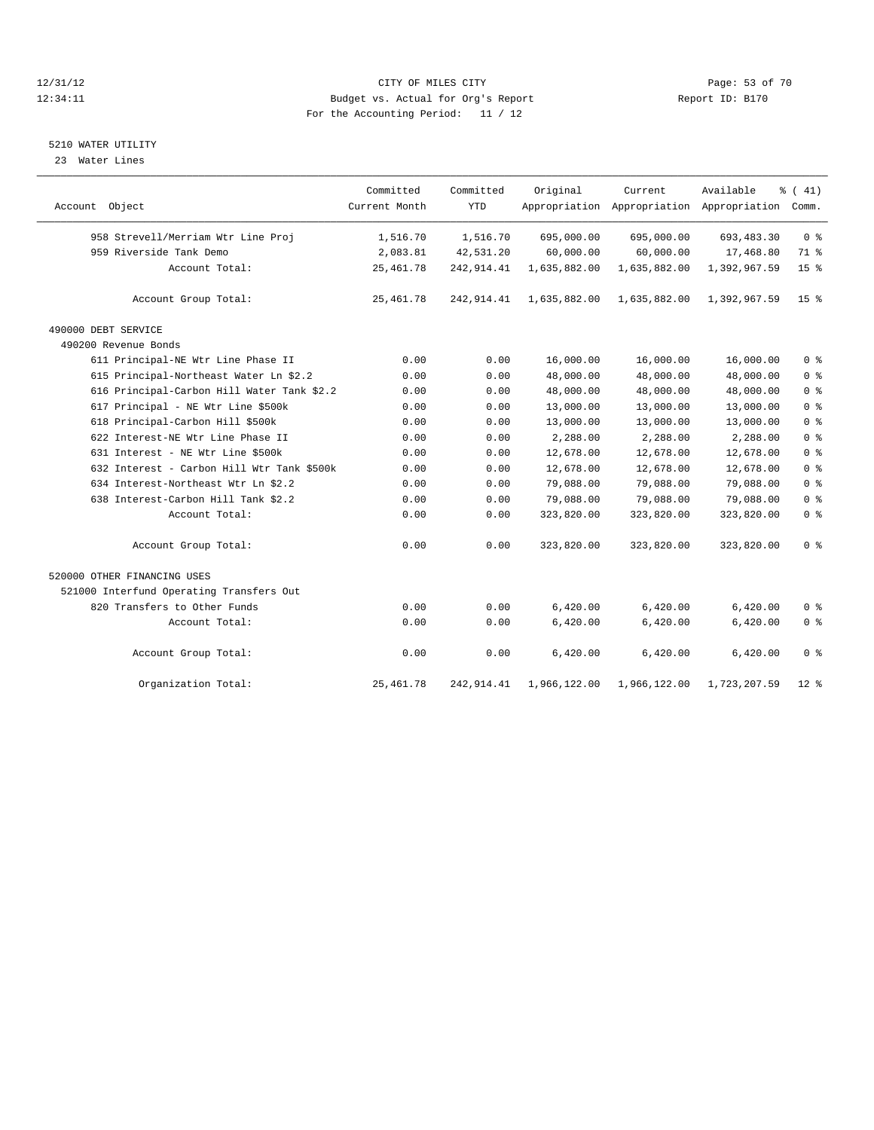#### 12/31/12 Page: 53 of 70 12:34:11 Budget vs. Actual for Org's Report Changer Report ID: B170 For the Accounting Period: 11 / 12

#### 5210 WATER UTILITY

23 Water Lines

| Account Object                             | Committed<br>Current Month | Committed<br><b>YTD</b> | Original     | Current      | Available<br>Appropriation Appropriation Appropriation | $\frac{1}{6}$ ( 41)<br>Comm. |
|--------------------------------------------|----------------------------|-------------------------|--------------|--------------|--------------------------------------------------------|------------------------------|
|                                            |                            |                         |              |              |                                                        |                              |
| 958 Strevell/Merriam Wtr Line Proj         | 1,516.70                   | 1,516.70                | 695,000.00   | 695,000.00   | 693, 483.30                                            | 0 <sup>8</sup>               |
| 959 Riverside Tank Demo                    | 2,083.81                   | 42,531.20               | 60,000.00    | 60,000.00    | 17,468.80                                              | 71 %                         |
| Account Total:                             | 25, 461.78                 | 242, 914.41             | 1,635,882.00 | 1,635,882.00 | 1,392,967.59                                           | 15 <sup>°</sup>              |
| Account Group Total:                       | 25, 461.78                 | 242, 914.41             | 1,635,882.00 | 1,635,882.00 | 1,392,967.59                                           | 15 <sup>8</sup>              |
| 490000 DEBT SERVICE                        |                            |                         |              |              |                                                        |                              |
| 490200 Revenue Bonds                       |                            |                         |              |              |                                                        |                              |
| 611 Principal-NE Wtr Line Phase II         | 0.00                       | 0.00                    | 16,000.00    | 16,000.00    | 16,000.00                                              | 0 <sup>8</sup>               |
| 615 Principal-Northeast Water Ln \$2.2     | 0.00                       | 0.00                    | 48,000.00    | 48,000.00    | 48,000.00                                              | 0 <sup>°</sup>               |
| 616 Principal-Carbon Hill Water Tank \$2.2 | 0.00                       | 0.00                    | 48,000.00    | 48,000.00    | 48,000.00                                              | 0 <sup>°</sup>               |
| 617 Principal - NE Wtr Line \$500k         | 0.00                       | 0.00                    | 13,000.00    | 13,000.00    | 13,000.00                                              | 0 <sup>°</sup>               |
| 618 Principal-Carbon Hill \$500k           | 0.00                       | 0.00                    | 13,000.00    | 13,000.00    | 13,000.00                                              | 0 <sup>°</sup>               |
| 622 Interest-NE Wtr Line Phase II          | 0.00                       | 0.00                    | 2,288.00     | 2,288.00     | 2,288.00                                               | 0 <sup>°</sup>               |
| 631 Interest - NE Wtr Line \$500k          | 0.00                       | 0.00                    | 12,678.00    | 12,678.00    | 12,678.00                                              | 0 <sup>8</sup>               |
| 632 Interest - Carbon Hill Wtr Tank \$500k | 0.00                       | 0.00                    | 12,678.00    | 12,678.00    | 12,678.00                                              | 0 <sup>°</sup>               |
| 634 Interest-Northeast Wtr Ln \$2.2        | 0.00                       | 0.00                    | 79,088.00    | 79,088.00    | 79,088.00                                              | 0 <sup>°</sup>               |
| 638 Interest-Carbon Hill Tank \$2.2        | 0.00                       | 0.00                    | 79,088.00    | 79,088.00    | 79,088.00                                              | 0 <sup>°</sup>               |
| Account Total:                             | 0.00                       | 0.00                    | 323,820.00   | 323,820.00   | 323,820.00                                             | 0 <sup>8</sup>               |
| Account Group Total:                       | 0.00                       | 0.00                    | 323,820.00   | 323,820.00   | 323,820.00                                             | 0 <sup>8</sup>               |
| 520000 OTHER FINANCING USES                |                            |                         |              |              |                                                        |                              |
| 521000 Interfund Operating Transfers Out   |                            |                         |              |              |                                                        |                              |
| 820 Transfers to Other Funds               | 0.00                       | 0.00                    | 6,420.00     | 6,420.00     | 6,420.00                                               | 0 <sup>8</sup>               |
| Account Total:                             | 0.00                       | 0.00                    | 6,420.00     | 6,420.00     | 6,420.00                                               | 0 <sup>8</sup>               |
| Account Group Total:                       | 0.00                       | 0.00                    | 6,420.00     | 6,420.00     | 6,420.00                                               | 0 <sup>8</sup>               |
| Organization Total:                        | 25, 461.78                 | 242, 914.41             | 1,966,122.00 | 1,966,122.00 | 1,723,207.59                                           | $12$ %                       |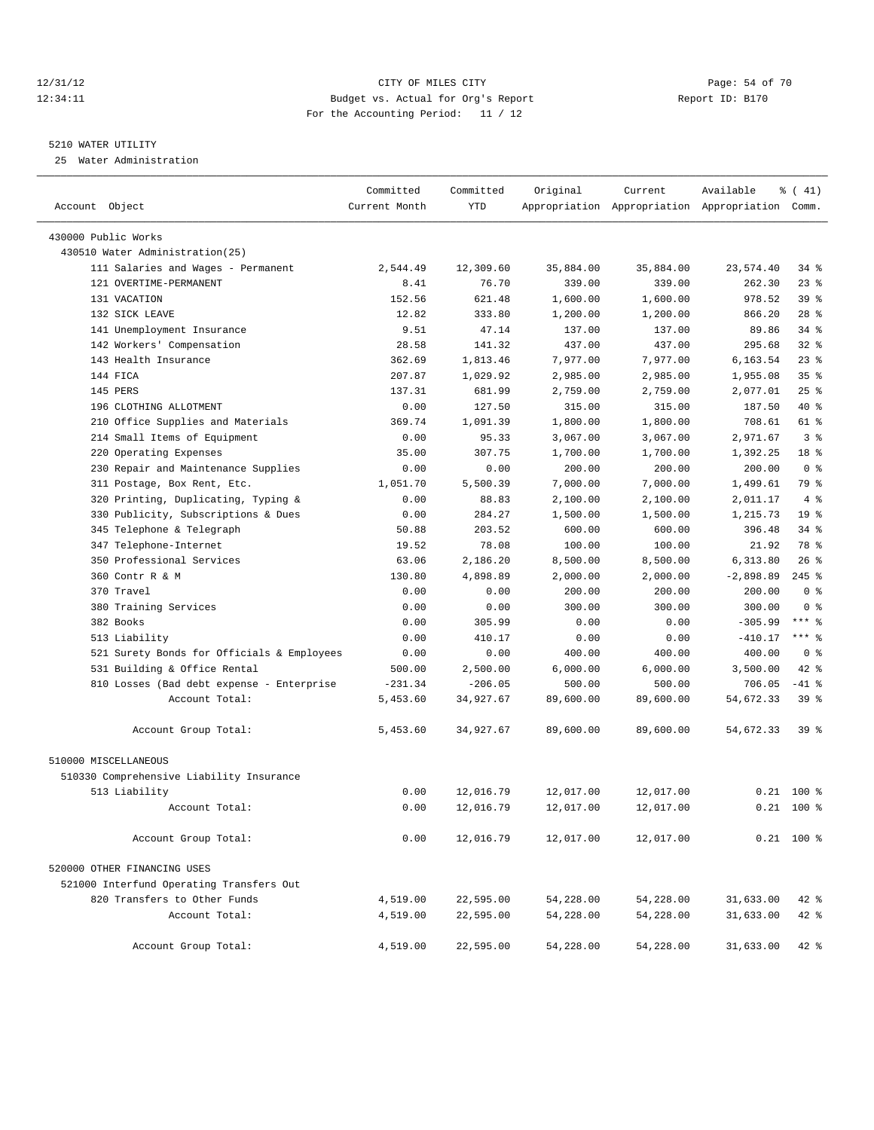#### 12/31/12 Page: 54 of 70 12:34:11 Budget vs. Actual for Org's Report Report ID: B170 For the Accounting Period: 11 / 12

————————————————————————————————————————————————————————————————————————————————————————————————————————————————————————————————————

### 5210 WATER UTILITY

25 Water Administration

|                                            | Committed     | Committed  | Original  | Current   | Available                                       | $\frac{1}{6}$ ( 41) |
|--------------------------------------------|---------------|------------|-----------|-----------|-------------------------------------------------|---------------------|
| Account Object                             | Current Month | <b>YTD</b> |           |           | Appropriation Appropriation Appropriation Comm. |                     |
| 430000 Public Works                        |               |            |           |           |                                                 |                     |
| 430510 Water Administration(25)            |               |            |           |           |                                                 |                     |
| 111 Salaries and Wages - Permanent         | 2,544.49      | 12,309.60  | 35,884.00 | 35,884.00 | 23,574.40                                       | $34$ $%$            |
| 121 OVERTIME-PERMANENT                     | 8.41          | 76.70      | 339.00    | 339.00    | 262.30                                          | $23$ $%$            |
| 131 VACATION                               | 152.56        | 621.48     | 1,600.00  | 1,600.00  | 978.52                                          | 39 %                |
| 132 SICK LEAVE                             | 12.82         | 333.80     | 1,200.00  | 1,200.00  | 866.20                                          | $28$ %              |
| 141 Unemployment Insurance                 | 9.51          | 47.14      | 137.00    | 137.00    | 89.86                                           | $34$ $%$            |
| 142 Workers' Compensation                  | 28.58         | 141.32     | 437.00    | 437.00    | 295.68                                          | 32%                 |
| 143 Health Insurance                       | 362.69        | 1,813.46   | 7,977.00  | 7,977.00  | 6,163.54                                        | 23%                 |
| 144 FICA                                   | 207.87        | 1,029.92   | 2,985.00  | 2,985.00  | 1,955.08                                        | 35 <sup>8</sup>     |
| 145 PERS                                   | 137.31        | 681.99     | 2,759.00  | 2,759.00  | 2,077.01                                        | 25%                 |
| 196 CLOTHING ALLOTMENT                     | 0.00          | 127.50     | 315.00    | 315.00    | 187.50                                          | 40 %                |
| 210 Office Supplies and Materials          | 369.74        | 1,091.39   | 1,800.00  | 1,800.00  | 708.61                                          | 61 %                |
| 214 Small Items of Equipment               | 0.00          | 95.33      | 3,067.00  | 3,067.00  | 2,971.67                                        | 3 <sup>8</sup>      |
| 220 Operating Expenses                     | 35.00         | 307.75     | 1,700.00  | 1,700.00  | 1,392.25                                        | 18 %                |
| 230 Repair and Maintenance Supplies        | 0.00          | 0.00       | 200.00    | 200.00    | 200.00                                          | 0 <sup>8</sup>      |
| 311 Postage, Box Rent, Etc.                | 1,051.70      | 5,500.39   | 7,000.00  | 7,000.00  | 1,499.61                                        | 79 %                |
| 320 Printing, Duplicating, Typing &        | 0.00          | 88.83      | 2,100.00  | 2,100.00  | 2,011.17                                        | 4%                  |
| Publicity, Subscriptions & Dues<br>330     | 0.00          | 284.27     | 1,500.00  | 1,500.00  | 1,215.73                                        | 19 <sup>°</sup>     |
| 345 Telephone & Telegraph                  | 50.88         | 203.52     | 600.00    | 600.00    | 396.48                                          | $34$ $%$            |
| 347 Telephone-Internet                     | 19.52         | 78.08      | 100.00    | 100.00    | 21.92                                           | 78 %                |
| 350 Professional Services                  | 63.06         | 2,186.20   | 8,500.00  | 8,500.00  | 6,313.80                                        | $26$ %              |
| 360 Contr R & M                            | 130.80        | 4,898.89   | 2,000.00  | 2,000.00  | $-2,898.89$                                     | $245$ %             |
| 370 Travel                                 | 0.00          | 0.00       | 200.00    | 200.00    | 200.00                                          | 0 <sup>8</sup>      |
| 380 Training Services                      | 0.00          | 0.00       | 300.00    | 300.00    | 300.00                                          | 0 <sup>8</sup>      |
| 382 Books                                  | 0.00          | 305.99     | 0.00      | 0.00      | $-305.99$                                       | $***$ $-$           |
| 513 Liability                              | 0.00          | 410.17     | 0.00      | 0.00      | $-410.17$                                       | $***$ $%$           |
| 521 Surety Bonds for Officials & Employees | 0.00          | 0.00       | 400.00    | 400.00    | 400.00                                          | 0 <sup>8</sup>      |
| 531 Building & Office Rental               | 500.00        | 2,500.00   | 6,000.00  | 6,000.00  | 3,500.00                                        | 42 %                |
| 810 Losses (Bad debt expense - Enterprise  | $-231.34$     | $-206.05$  | 500.00    | 500.00    | 706.05                                          | $-41$ %             |
| Account Total:                             | 5,453.60      | 34,927.67  | 89,600.00 | 89,600.00 | 54,672.33                                       | 39 %                |
| Account Group Total:                       | 5,453.60      | 34,927.67  | 89,600.00 | 89,600.00 | 54,672.33                                       | 39 %                |
| 510000 MISCELLANEOUS                       |               |            |           |           |                                                 |                     |
| 510330 Comprehensive Liability Insurance   |               |            |           |           |                                                 |                     |
| 513 Liability                              | 0.00          | 12,016.79  | 12,017.00 | 12,017.00 |                                                 | $0.21$ 100 %        |
| Account Total:                             | 0.00          | 12,016.79  | 12,017.00 | 12,017.00 |                                                 | $0.21$ 100 %        |
| Account Group Total:                       | 0.00          | 12,016.79  | 12,017.00 | 12,017.00 |                                                 | $0.21$ 100 %        |
| 520000 OTHER FINANCING USES                |               |            |           |           |                                                 |                     |
| 521000 Interfund Operating Transfers Out   |               |            |           |           |                                                 |                     |
| 820 Transfers to Other Funds               | 4,519.00      | 22,595.00  | 54,228.00 | 54,228.00 | 31,633.00                                       | $42$ %              |
| Account Total:                             | 4,519.00      | 22,595.00  | 54,228.00 | 54,228.00 | 31,633.00                                       | $42$ %              |
| Account Group Total:                       | 4,519.00      | 22,595.00  | 54,228.00 | 54,228.00 | 31,633.00                                       | $42$ %              |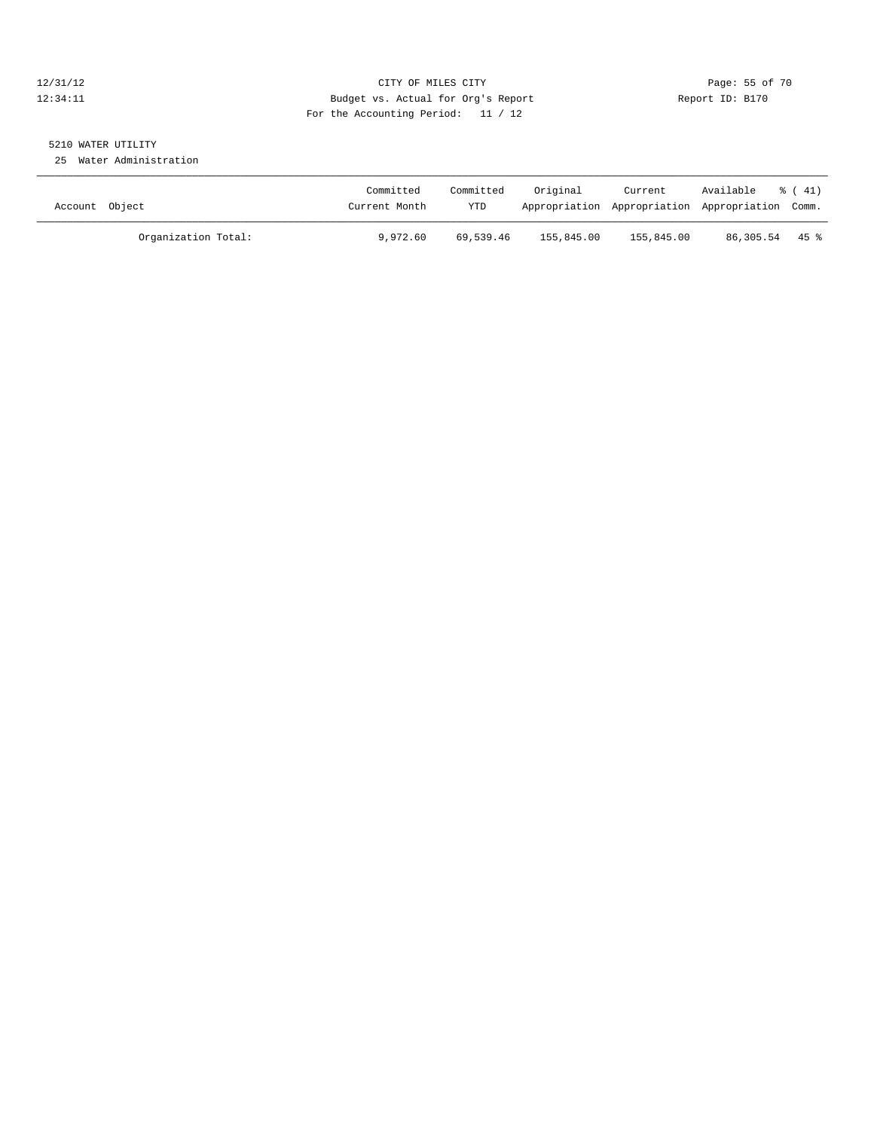# 12/31/12 Page: 55 of 70 12:34:11 Budget vs. Actual for Org's Report Changer Report ID: B170 For the Accounting Period: 11 / 12

# 5210 WATER UTILITY

25 Water Administration

| Account Object |                     | Committed<br>Current Month | Committed<br>YTD | Original   | Current    | Available<br>Appropriation Appropriation Appropriation Comm. | $\frac{1}{6}$ (41) |
|----------------|---------------------|----------------------------|------------------|------------|------------|--------------------------------------------------------------|--------------------|
|                | Organization Total: | 9,972.60                   | 69,539.46        | 155,845.00 | 155,845.00 | 86,305.54 45 %                                               |                    |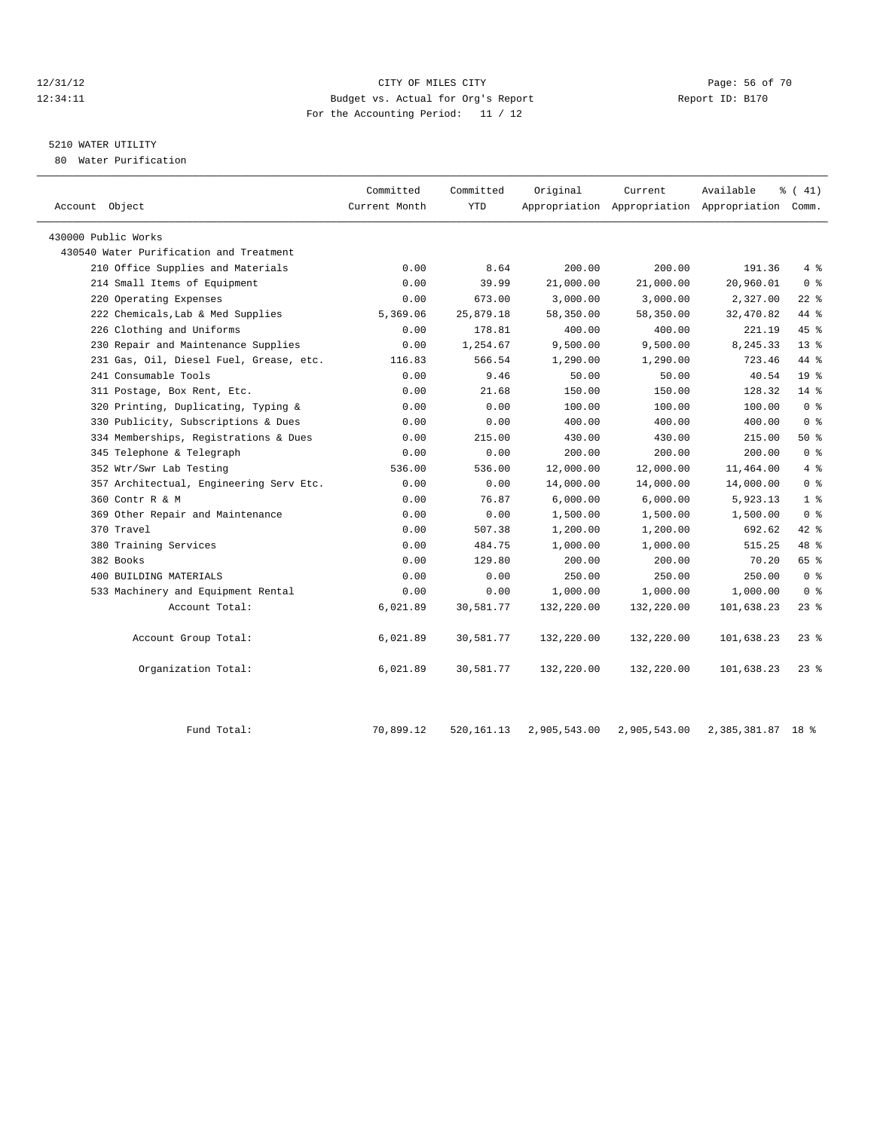#### 12/31/12 Page: 56 of 70 12:34:11 Budget vs. Actual for Org's Report Report ID: B170 For the Accounting Period: 11 / 12

# 5210 WATER UTILITY

80 Water Purification

| Account Object                          | Committed<br>Current Month | Committed<br>YTD | Original     | Current      | Available<br>Appropriation Appropriation Appropriation Comm. | % (41)          |
|-----------------------------------------|----------------------------|------------------|--------------|--------------|--------------------------------------------------------------|-----------------|
| 430000 Public Works                     |                            |                  |              |              |                                                              |                 |
| 430540 Water Purification and Treatment |                            |                  |              |              |                                                              |                 |
| 210 Office Supplies and Materials       | 0.00                       | 8.64             | 200.00       | 200.00       | 191.36                                                       | 4%              |
| 214 Small Items of Equipment            | 0.00                       | 39.99            | 21,000.00    | 21,000.00    | 20,960.01                                                    | 0 <sup>8</sup>  |
| 220 Operating Expenses                  | 0.00                       | 673.00           | 3,000.00     | 3,000.00     | 2,327.00                                                     | $22$ $%$        |
| 222 Chemicals, Lab & Med Supplies       | 5,369.06                   | 25,879.18        | 58,350.00    | 58,350.00    | 32,470.82                                                    | 44 %            |
| 226 Clothing and Uniforms               | 0.00                       | 178.81           | 400.00       | 400.00       | 221.19                                                       | 45 %            |
| 230 Repair and Maintenance Supplies     | 0.00                       | 1,254.67         | 9,500.00     | 9,500.00     | 8,245.33                                                     | $13*$           |
| 231 Gas, Oil, Diesel Fuel, Grease, etc. | 116.83                     | 566.54           | 1,290.00     | 1,290.00     | 723.46                                                       | 44 %            |
| 241 Consumable Tools                    | 0.00                       | 9.46             | 50.00        | 50.00        | 40.54                                                        | 19 <sup>°</sup> |
| 311 Postage, Box Rent, Etc.             | 0.00                       | 21.68            | 150.00       | 150.00       | 128.32                                                       | 14.8            |
| 320 Printing, Duplicating, Typing &     | 0.00                       | 0.00             | 100.00       | 100.00       | 100.00                                                       | 0 <sup>8</sup>  |
| 330 Publicity, Subscriptions & Dues     | 0.00                       | 0.00             | 400.00       | 400.00       | 400.00                                                       | 0 <sup>8</sup>  |
| 334 Memberships, Registrations & Dues   | 0.00                       | 215.00           | 430.00       | 430.00       | 215.00                                                       | 50%             |
| 345 Telephone & Telegraph               | 0.00                       | 0.00             | 200.00       | 200.00       | 200.00                                                       | 0 <sup>8</sup>  |
| 352 Wtr/Swr Lab Testing                 | 536.00                     | 536.00           | 12,000.00    | 12,000.00    | 11,464.00                                                    | 4%              |
| 357 Architectual, Engineering Serv Etc. | 0.00                       | 0.00             | 14,000.00    | 14,000.00    | 14,000.00                                                    | 0 <sup>8</sup>  |
| 360 Contr R & M                         | 0.00                       | 76.87            | 6,000.00     | 6,000.00     | 5,923.13                                                     | 1 <sup>8</sup>  |
| 369 Other Repair and Maintenance        | 0.00                       | 0.00             | 1,500.00     | 1,500.00     | 1,500.00                                                     | 0 <sup>8</sup>  |
| 370 Travel                              | 0.00                       | 507.38           | 1,200.00     | 1,200.00     | 692.62                                                       | 42 %            |
| 380 Training Services                   | 0.00                       | 484.75           | 1,000.00     | 1,000.00     | 515.25                                                       | 48 %            |
| 382 Books                               | 0.00                       | 129.80           | 200.00       | 200.00       | 70.20                                                        | 65 %            |
| 400 BUILDING MATERIALS                  | 0.00                       | 0.00             | 250.00       | 250.00       | 250.00                                                       | 0 <sup>8</sup>  |
| 533 Machinery and Equipment Rental      | 0.00                       | 0.00             | 1,000.00     | 1,000.00     | 1,000.00                                                     | 0 <sup>8</sup>  |
| Account Total:                          | 6,021.89                   | 30,581.77        | 132,220.00   | 132,220.00   | 101,638.23                                                   | $23$ $%$        |
| Account Group Total:                    | 6,021.89                   | 30,581.77        | 132,220.00   | 132,220.00   | 101,638.23                                                   | $23$ $%$        |
| Organization Total:                     | 6,021.89                   | 30,581.77        | 132,220.00   | 132,220.00   | 101,638.23                                                   | $23$ $%$        |
| Fund Total:                             | 70,899.12                  | 520, 161. 13     | 2,905,543.00 | 2,905,543.00 | 2,385,381.87 18 %                                            |                 |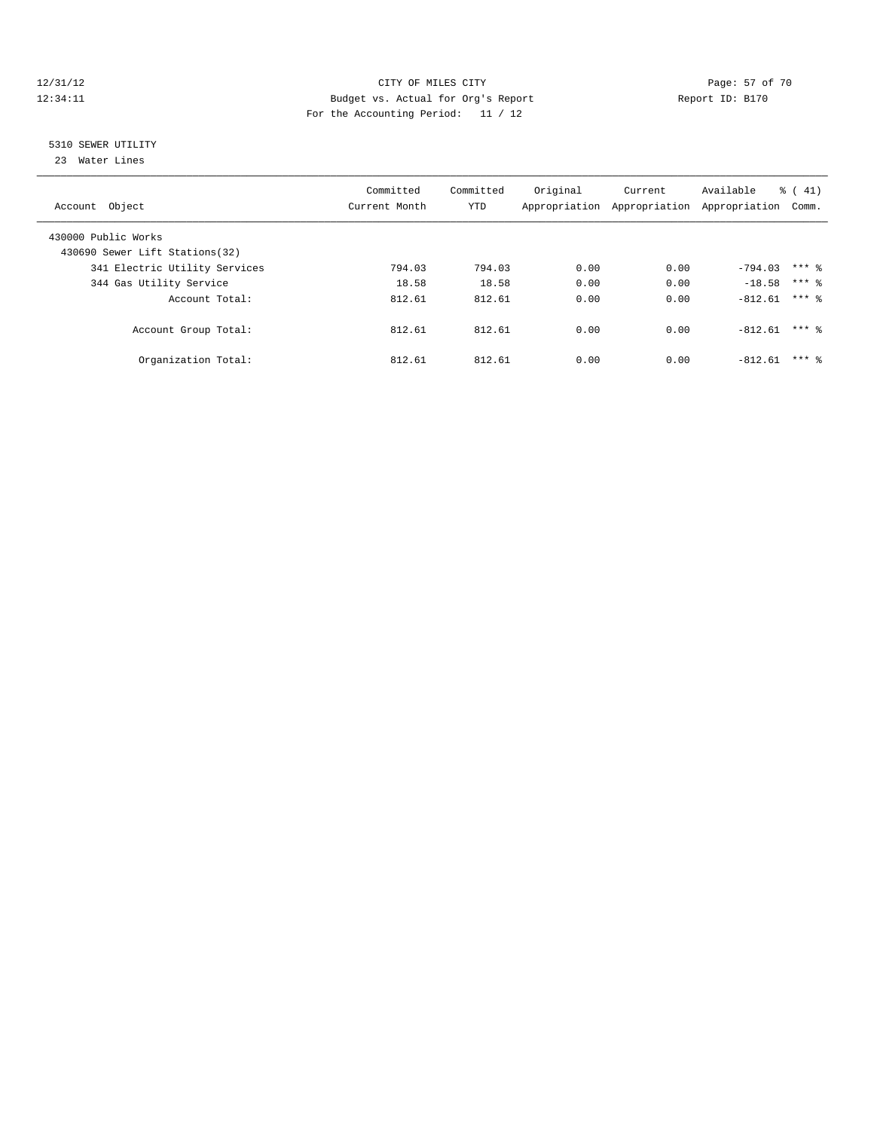#### 12/31/12 Page: 57 of 70 12:34:11 Budget vs. Actual for Org's Report Changer Report ID: B170 For the Accounting Period: 11 / 12

# 5310 SEWER UTILITY

23 Water Lines

| Account Object                                         | Committed<br>Current Month | Committed<br><b>YTD</b> | Original | Current | Available<br>Appropriation Appropriation Appropriation | $\frac{1}{6}$ ( 41)<br>Comm. |  |
|--------------------------------------------------------|----------------------------|-------------------------|----------|---------|--------------------------------------------------------|------------------------------|--|
| 430000 Public Works<br>430690 Sewer Lift Stations (32) |                            |                         |          |         |                                                        |                              |  |
| 341 Electric Utility Services                          | 794.03                     | 794.03                  | 0.00     | 0.00    | $-794.03$                                              | $***$ 2                      |  |
| 344 Gas Utility Service                                | 18.58                      | 18.58                   | 0.00     | 0.00    | $-18.58$                                               | $***$ 2                      |  |
| Account Total:                                         | 812.61                     | 812.61                  | 0.00     | 0.00    | $-812.61$                                              | $***$ 2                      |  |
| Account Group Total:                                   | 812.61                     | 812.61                  | 0.00     | 0.00    | $-812.61$                                              | $***$ 2                      |  |
| Organization Total:                                    | 812.61                     | 812.61                  | 0.00     | 0.00    | $-812.61$                                              | $***$ 2                      |  |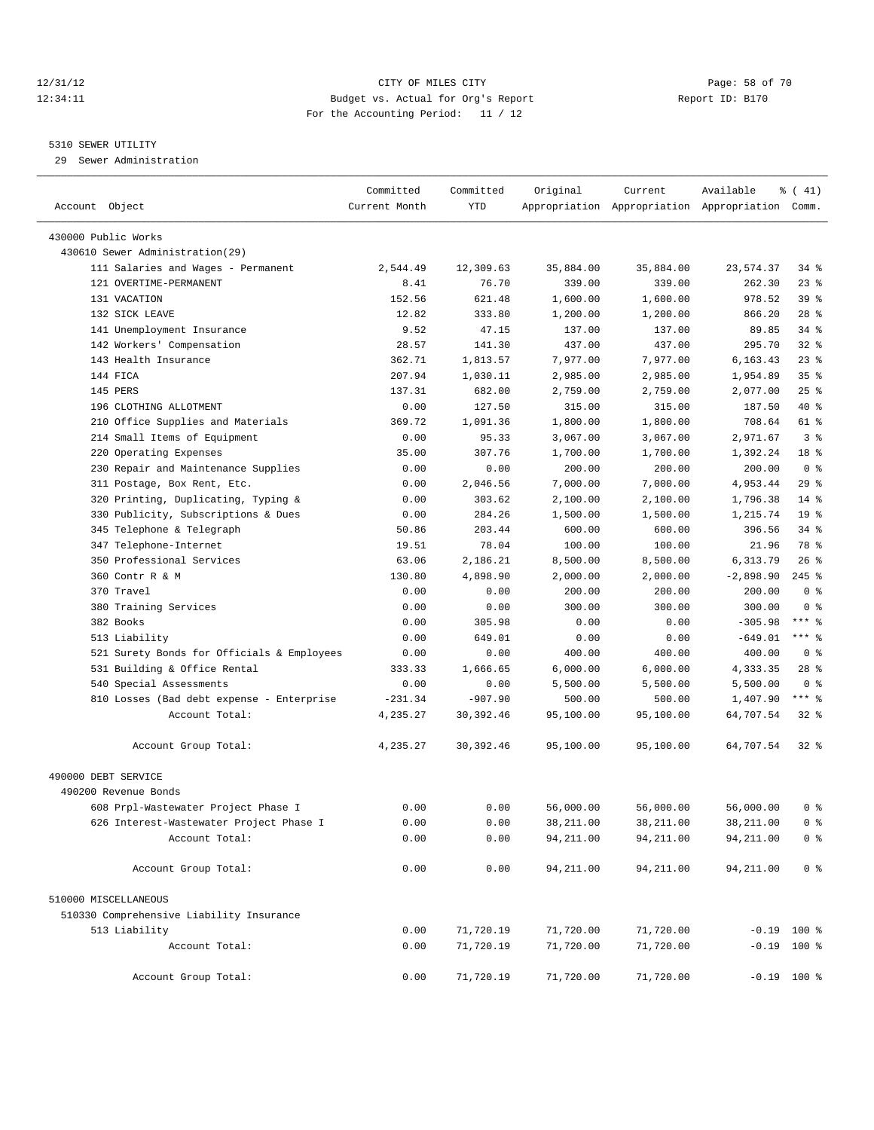# 12/31/12 Page: 58 of 70 12:34:11 Budget vs. Actual for Org's Report Report ID: B170 For the Accounting Period: 11 / 12

————————————————————————————————————————————————————————————————————————————————————————————————————————————————————————————————————

#### 5310 SEWER UTILITY

29 Sewer Administration

|                                                     | Committed     | Committed          | Original   | Current    | Available                                       | $\frac{1}{6}$ ( 41) |
|-----------------------------------------------------|---------------|--------------------|------------|------------|-------------------------------------------------|---------------------|
| Account Object                                      | Current Month | <b>YTD</b>         |            |            | Appropriation Appropriation Appropriation Comm. |                     |
| 430000 Public Works                                 |               |                    |            |            |                                                 |                     |
| 430610 Sewer Administration(29)                     |               |                    |            |            |                                                 |                     |
| 111 Salaries and Wages - Permanent                  | 2,544.49      | 12,309.63          | 35,884.00  | 35,884.00  | 23,574.37                                       | 34 %                |
| 121 OVERTIME-PERMANENT                              | 8.41          | 76.70              | 339.00     | 339.00     | 262.30                                          | $23$ $%$            |
| 131 VACATION                                        | 152.56        | 621.48             | 1,600.00   | 1,600.00   | 978.52                                          | 39 %                |
| 132 SICK LEAVE                                      | 12.82         | 333.80             | 1,200.00   | 1,200.00   | 866.20                                          | $28$ %              |
| 141 Unemployment Insurance                          | 9.52          | 47.15              | 137.00     | 137.00     | 89.85                                           | 34 %                |
| 142 Workers' Compensation                           | 28.57         | 141.30             | 437.00     | 437.00     | 295.70                                          | $32$ $%$            |
| 143 Health Insurance                                | 362.71        | 1,813.57           | 7,977.00   | 7,977.00   | 6,163.43                                        | $23$ $%$            |
| 144 FICA                                            | 207.94        | 1,030.11           | 2,985.00   | 2,985.00   | 1,954.89                                        | 35 <sup>8</sup>     |
| 145 PERS                                            | 137.31        | 682.00             | 2,759.00   | 2,759.00   | 2,077.00                                        | $25$ $%$            |
| 196 CLOTHING ALLOTMENT                              | 0.00          | 127.50             | 315.00     | 315.00     | 187.50                                          | 40 %                |
| 210 Office Supplies and Materials                   | 369.72        | 1,091.36           | 1,800.00   | 1,800.00   | 708.64                                          | 61 %                |
| 214 Small Items of Equipment                        | 0.00          | 95.33              | 3,067.00   | 3,067.00   | 2,971.67                                        | 3%                  |
|                                                     |               | 307.76             |            |            |                                                 | 18 %                |
| 220 Operating Expenses                              | 35.00         |                    | 1,700.00   | 1,700.00   | 1,392.24<br>200.00                              | 0 <sup>8</sup>      |
| 230 Repair and Maintenance Supplies                 | 0.00<br>0.00  | 0.00               | 200.00     | 200.00     |                                                 | $29$ $%$            |
| 311 Postage, Box Rent, Etc.                         |               | 2,046.56<br>303.62 | 7,000.00   | 7,000.00   | 4,953.44                                        | $14$ %              |
| 320 Printing, Duplicating, Typing &                 | 0.00          |                    | 2,100.00   | 2,100.00   | 1,796.38                                        | 19 <sup>°</sup>     |
| 330 Publicity, Subscriptions & Dues                 | 0.00          | 284.26             | 1,500.00   | 1,500.00   | 1,215.74                                        |                     |
| 345 Telephone & Telegraph                           | 50.86         | 203.44             | 600.00     | 600.00     | 396.56                                          | $34$ $%$            |
| 347 Telephone-Internet<br>350 Professional Services | 19.51         | 78.04              | 100.00     | 100.00     | 21.96                                           | 78 %<br>26%         |
| 360 Contr R & M                                     | 63.06         | 2,186.21           | 8,500.00   | 8,500.00   | 6,313.79                                        | $245$ $%$           |
|                                                     | 130.80        | 4,898.90           | 2,000.00   | 2,000.00   | $-2,898.90$                                     |                     |
| 370 Travel                                          | 0.00          | 0.00               | 200.00     | 200.00     | 200.00                                          | 0 <sup>8</sup>      |
| 380 Training Services                               | 0.00          | 0.00               | 300.00     | 300.00     | 300.00                                          | 0 <sup>8</sup>      |
| 382 Books                                           | 0.00          | 305.98             | 0.00       | 0.00       | $-305.98$                                       | *** 응               |
| 513 Liability                                       | 0.00          | 649.01             | 0.00       | 0.00       | $-649.01$                                       | *** 응               |
| 521 Surety Bonds for Officials & Employees          | 0.00          | 0.00               | 400.00     | 400.00     | 400.00                                          | 0 <sup>8</sup>      |
| 531 Building & Office Rental                        | 333.33        | 1,666.65           | 6,000.00   | 6,000.00   | 4,333.35                                        | $28$ %              |
| 540 Special Assessments                             | 0.00          | 0.00               | 5,500.00   | 5,500.00   | 5,500.00                                        | 0 <sup>8</sup>      |
| 810 Losses (Bad debt expense - Enterprise           | $-231.34$     | $-907.90$          | 500.00     | 500.00     | 1,407.90                                        | $***$ $%$           |
| Account Total:                                      | 4,235.27      | 30,392.46          | 95,100.00  | 95,100.00  | 64,707.54                                       | $32$ $%$            |
| Account Group Total:                                | 4,235.27      | 30, 392.46         | 95,100.00  | 95,100.00  | 64,707.54                                       | 328                 |
| 490000 DEBT SERVICE                                 |               |                    |            |            |                                                 |                     |
| 490200 Revenue Bonds                                |               |                    |            |            |                                                 |                     |
| 608 Prpl-Wastewater Project Phase I                 | 0.00          | 0.00               | 56,000.00  | 56,000.00  | 56,000.00                                       | 0 %                 |
| 626 Interest-Wastewater Project Phase I             | 0.00          | 0.00               | 38,211.00  | 38,211.00  | 38,211.00                                       | 0 <sup>8</sup>      |
| Account Total:                                      | 0.00          | 0.00               | 94,211.00  | 94, 211.00 | 94, 211.00                                      | 0 <sup>8</sup>      |
| Account Group Total:                                | 0.00          | 0.00               | 94, 211.00 | 94,211.00  | 94,211.00                                       | 0 <sup>8</sup>      |
| 510000 MISCELLANEOUS                                |               |                    |            |            |                                                 |                     |
| 510330 Comprehensive Liability Insurance            |               |                    |            |            |                                                 |                     |
| 513 Liability                                       | 0.00          | 71,720.19          | 71,720.00  | 71,720.00  |                                                 | $-0.19$ 100 %       |
| Account Total:                                      | 0.00          | 71,720.19          | 71,720.00  | 71,720.00  |                                                 | $-0.19$ 100 %       |
|                                                     |               |                    |            |            |                                                 |                     |
| Account Group Total:                                | 0.00          | 71,720.19          | 71,720.00  | 71,720.00  |                                                 | $-0.19$ 100 %       |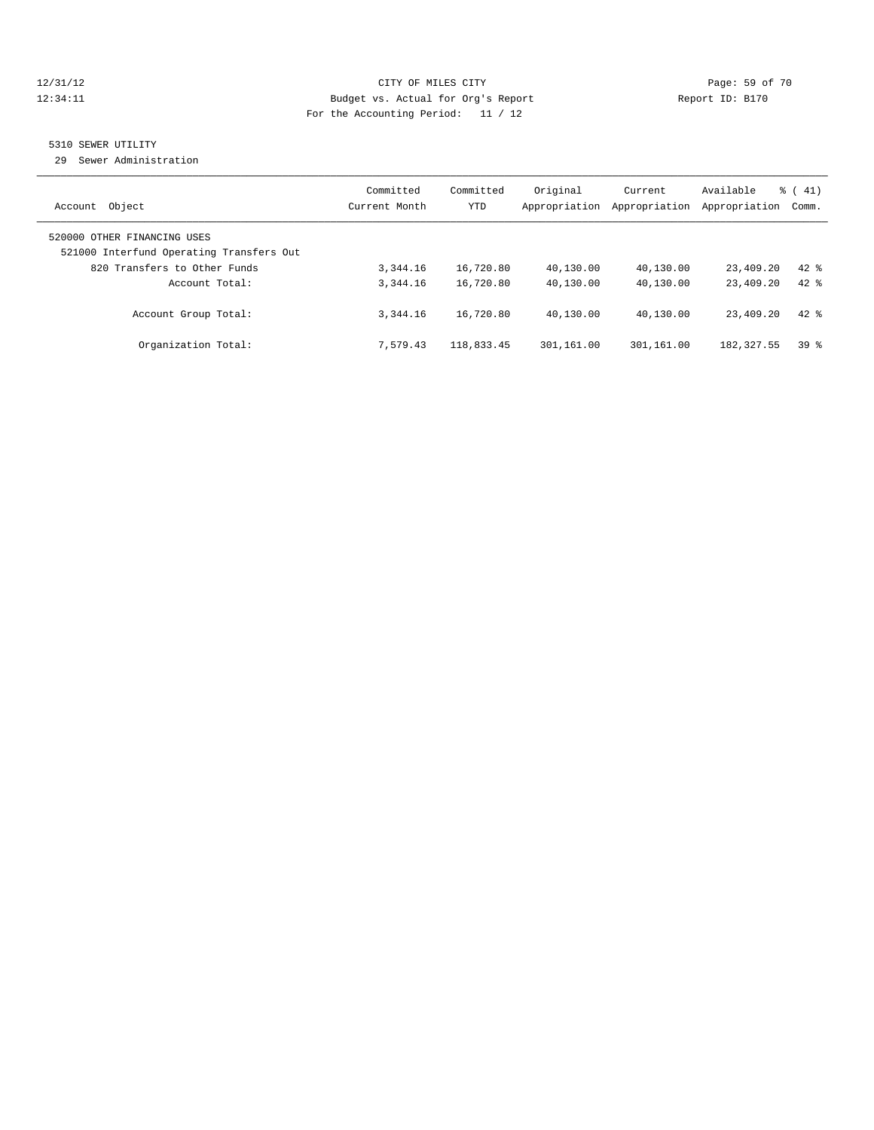# 12/31/12 Page: 59 of 70 12:34:11 Budget vs. Actual for Org's Report Changer Report ID: B170 For the Accounting Period: 11 / 12

# 5310 SEWER UTILITY

29 Sewer Administration

| Object<br>Account                                                       | Committed<br>Current Month | Committed<br><b>YTD</b> | Original<br>Appropriation | Current<br>Appropriation | Available<br>Appropriation | $\frac{1}{6}$ ( 41)<br>Comm. |
|-------------------------------------------------------------------------|----------------------------|-------------------------|---------------------------|--------------------------|----------------------------|------------------------------|
| 520000 OTHER FINANCING USES<br>521000 Interfund Operating Transfers Out |                            |                         |                           |                          |                            |                              |
| 820 Transfers to Other Funds                                            | 3, 344, 16                 | 16,720.80               | 40,130.00                 | 40,130.00                | 23,409.20                  | $42$ $%$                     |
| Account Total:                                                          | 3,344.16                   | 16,720.80               | 40,130.00                 | 40,130.00                | 23,409.20                  | $42*$                        |
| Account Group Total:                                                    | 3,344.16                   | 16,720.80               | 40,130.00                 | 40,130.00                | 23,409.20                  | $42*$                        |
| Organization Total:                                                     | 7.579.43                   | 118,833.45              | 301,161.00                | 301,161.00               | 182, 327.55                | 398                          |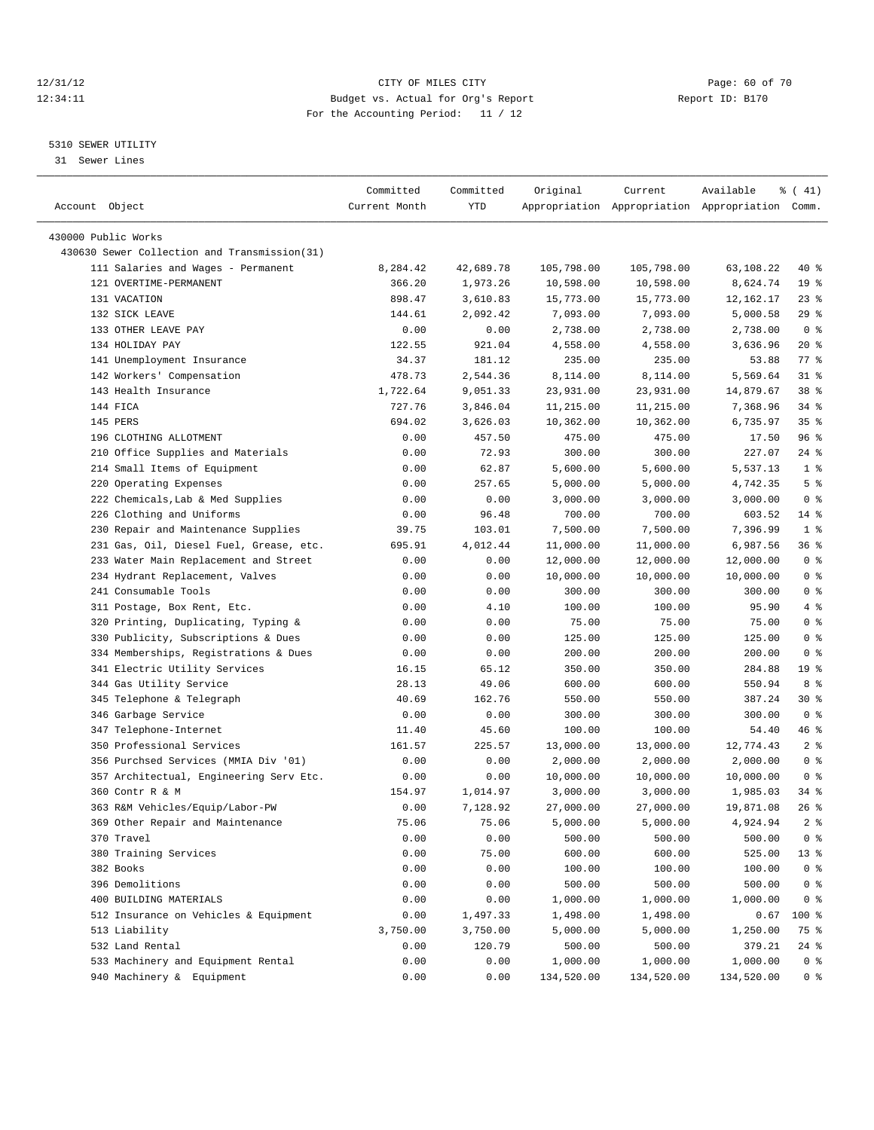# 12/31/12 Page: 60 of 70 12:34:11 Budget vs. Actual for Org's Report Changer Report ID: B170 For the Accounting Period: 11 / 12

————————————————————————————————————————————————————————————————————————————————————————————————————————————————————————————————————

#### 5310 SEWER UTILITY

31 Sewer Lines

|                                              | Committed     | Committed | Original   | Current    | Available                                       | % (41)          |
|----------------------------------------------|---------------|-----------|------------|------------|-------------------------------------------------|-----------------|
| Account Object                               | Current Month | YTD       |            |            | Appropriation Appropriation Appropriation Comm. |                 |
|                                              |               |           |            |            |                                                 |                 |
| 430000 Public Works                          |               |           |            |            |                                                 |                 |
| 430630 Sewer Collection and Transmission(31) |               |           |            |            |                                                 |                 |
| 111 Salaries and Wages - Permanent           | 8,284.42      | 42,689.78 | 105,798.00 | 105,798.00 | 63,108.22                                       | 40 %            |
| 121 OVERTIME-PERMANENT                       | 366.20        | 1,973.26  | 10,598.00  | 10,598.00  | 8,624.74                                        | 19 <sup>°</sup> |
| 131 VACATION                                 | 898.47        | 3,610.83  | 15,773.00  | 15,773.00  | 12,162.17                                       | $23$ $%$        |
| 132 SICK LEAVE                               | 144.61        | 2,092.42  | 7,093.00   | 7,093.00   | 5,000.58                                        | 29%             |
| 133 OTHER LEAVE PAY                          | 0.00          | 0.00      | 2,738.00   | 2,738.00   | 2,738.00                                        | 0 <sup>8</sup>  |
| 134 HOLIDAY PAY                              | 122.55        | 921.04    | 4,558.00   | 4,558.00   | 3,636.96                                        | $20*$           |
| 141 Unemployment Insurance                   | 34.37         | 181.12    | 235.00     | 235.00     | 53.88                                           | 77 %            |
| 142 Workers' Compensation                    | 478.73        | 2,544.36  | 8,114.00   | 8,114.00   | 5,569.64                                        | $31$ $%$        |
| 143 Health Insurance                         | 1,722.64      | 9,051.33  | 23,931.00  | 23,931.00  | 14,879.67                                       | 38 %            |
| 144 FICA                                     | 727.76        | 3,846.04  | 11,215.00  | 11,215.00  | 7,368.96                                        | $34$ %          |
| 145 PERS                                     | 694.02        | 3,626.03  | 10,362.00  | 10,362.00  | 6,735.97                                        | 35 <sup>8</sup> |
| 196 CLOTHING ALLOTMENT                       | 0.00          | 457.50    | 475.00     | 475.00     | 17.50                                           | 96 %            |
| 210 Office Supplies and Materials            | 0.00          | 72.93     | 300.00     | 300.00     | 227.07                                          | $24$ %          |
| 214 Small Items of Equipment                 | 0.00          | 62.87     | 5,600.00   | 5,600.00   | 5,537.13                                        | 1 <sup>°</sup>  |
| 220 Operating Expenses                       | 0.00          | 257.65    | 5,000.00   | 5,000.00   | 4,742.35                                        | 5 <sup>°</sup>  |
| 222 Chemicals, Lab & Med Supplies            | 0.00          | 0.00      | 3,000.00   | 3,000.00   | 3,000.00                                        | 0 <sup>8</sup>  |
| 226 Clothing and Uniforms                    | 0.00          | 96.48     | 700.00     | 700.00     | 603.52                                          | 14 %            |
| 230 Repair and Maintenance Supplies          | 39.75         | 103.01    | 7,500.00   | 7,500.00   | 7,396.99                                        | 1 <sup>8</sup>  |
| 231 Gas, Oil, Diesel Fuel, Grease, etc.      | 695.91        | 4,012.44  | 11,000.00  | 11,000.00  | 6,987.56                                        | 36 %            |
| 233 Water Main Replacement and Street        | 0.00          | 0.00      | 12,000.00  | 12,000.00  | 12,000.00                                       | 0 <sup>8</sup>  |
| 234 Hydrant Replacement, Valves              | 0.00          | 0.00      | 10,000.00  | 10,000.00  | 10,000.00                                       | 0 <sup>8</sup>  |
| 241 Consumable Tools                         | 0.00          | 0.00      | 300.00     | 300.00     | 300.00                                          | 0 <sup>8</sup>  |
| 311 Postage, Box Rent, Etc.                  | 0.00          | 4.10      | 100.00     | 100.00     | 95.90                                           | 4%              |
| 320 Printing, Duplicating, Typing &          | 0.00          | 0.00      | 75.00      | 75.00      | 75.00                                           | 0 <sup>8</sup>  |
| 330 Publicity, Subscriptions & Dues          | 0.00          | 0.00      | 125.00     | 125.00     | 125.00                                          | 0 <sup>8</sup>  |
| 334 Memberships, Registrations & Dues        | 0.00          | 0.00      | 200.00     | 200.00     | 200.00                                          | 0 <sup>8</sup>  |
| 341 Electric Utility Services                | 16.15         | 65.12     | 350.00     | 350.00     | 284.88                                          | 19 <sup>°</sup> |
| 344 Gas Utility Service                      | 28.13         | 49.06     | 600.00     | 600.00     | 550.94                                          | 8 %             |
| 345 Telephone & Telegraph                    | 40.69         | 162.76    | 550.00     | 550.00     | 387.24                                          | 30 %            |
| 346 Garbage Service                          | 0.00          | 0.00      | 300.00     | 300.00     | 300.00                                          | 0 <sup>8</sup>  |
| 347 Telephone-Internet                       | 11.40         | 45.60     | 100.00     | 100.00     | 54.40                                           | 46 %            |
| 350 Professional Services                    | 161.57        | 225.57    | 13,000.00  | 13,000.00  | 12,774.43                                       | 2 <sub>8</sub>  |
| 356 Purchsed Services (MMIA Div '01)         | 0.00          | 0.00      | 2,000.00   | 2,000.00   | 2,000.00                                        | 0 <sup>8</sup>  |
| 357 Architectual, Engineering Serv Etc.      | 0.00          | 0.00      | 10,000.00  | 10,000.00  | 10,000.00                                       | 0 <sup>8</sup>  |
| 360 Contr R & M                              | 154.97        | 1,014.97  | 3,000.00   | 3,000.00   | 1,985.03                                        | $34$ %          |
| 363 R&M Vehicles/Equip/Labor-PW              | 0.00          | 7,128.92  | 27,000.00  | 27,000.00  | 19,871.08                                       | 26%             |
| 369 Other Repair and Maintenance             | 75.06         | 75.06     | 5,000.00   | 5,000.00   | 4,924.94                                        | 2 <sup>8</sup>  |
| 370 Travel                                   | 0.00          | 0.00      | 500.00     | 500.00     | 500.00                                          | 0 <sup>8</sup>  |
| 380 Training Services                        | 0.00          | 75.00     | 600.00     | 600.00     | 525.00                                          | 13 <sub>8</sub> |
| 382 Books                                    | 0.00          | 0.00      | 100.00     | 100.00     | 100.00                                          | 0 <sup>8</sup>  |
| 396 Demolitions                              | 0.00          | 0.00      | 500.00     | 500.00     | 500.00                                          | 0 <sup>8</sup>  |
| 400 BUILDING MATERIALS                       | 0.00          | 0.00      | 1,000.00   | 1,000.00   | 1,000.00                                        | 0 <sup>8</sup>  |
| 512 Insurance on Vehicles & Equipment        | 0.00          | 1,497.33  | 1,498.00   | 1,498.00   | 0.67                                            | 100 %           |
| 513 Liability                                | 3,750.00      | 3,750.00  | 5,000.00   | 5,000.00   | 1,250.00                                        | 75 %            |
| 532 Land Rental                              | 0.00          | 120.79    | 500.00     | 500.00     | 379.21                                          | $24$ %          |
| 533 Machinery and Equipment Rental           | 0.00          | 0.00      | 1,000.00   | 1,000.00   | 1,000.00                                        | 0 <sup>8</sup>  |
| 940 Machinery & Equipment                    | 0.00          | 0.00      | 134,520.00 | 134,520.00 | 134,520.00                                      | 0 <sup>8</sup>  |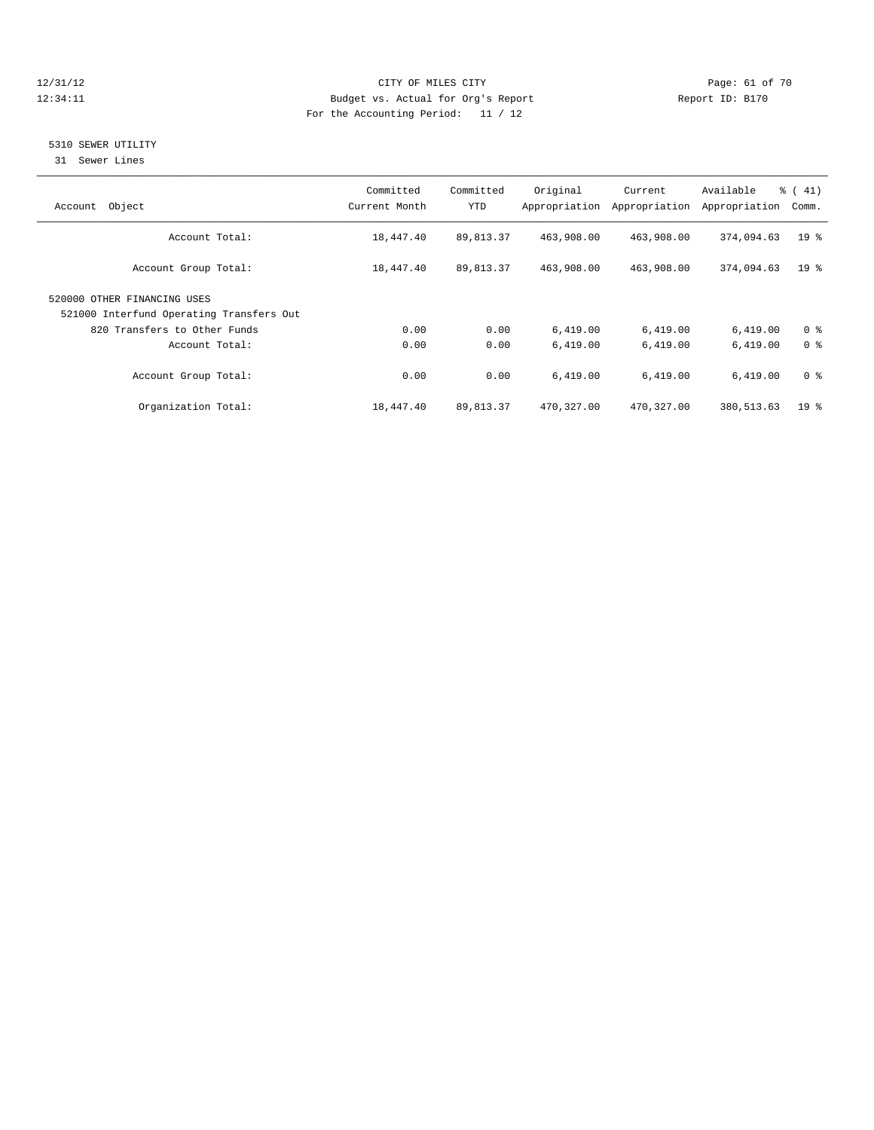#### 12/31/12 Page: 61 of 70 12:34:11 Budget vs. Actual for Org's Report Changer Report ID: B170 For the Accounting Period: 11 / 12

### 5310 SEWER UTILITY

31 Sewer Lines

| Object<br>Account                                                       | Committed<br>Current Month | Committed<br>YTD | Original   | Current<br>Appropriation Appropriation | Available<br>Appropriation | $\frac{1}{6}$ ( 41)<br>Comm. |
|-------------------------------------------------------------------------|----------------------------|------------------|------------|----------------------------------------|----------------------------|------------------------------|
| Account Total:                                                          | 18,447.40                  | 89,813.37        | 463,908.00 | 463,908.00                             | 374,094.63                 | 19 <sup>°</sup>              |
| Account Group Total:                                                    | 18,447.40                  | 89,813.37        | 463,908.00 | 463,908.00                             | 374,094.63                 | $19*$                        |
| 520000 OTHER FINANCING USES<br>521000 Interfund Operating Transfers Out |                            |                  |            |                                        |                            |                              |
| 820 Transfers to Other Funds                                            | 0.00                       | 0.00             | 6,419.00   | 6,419.00                               | 6,419.00                   | 0 <sup>8</sup>               |
| Account Total:                                                          | 0.00                       | 0.00             | 6.419.00   | 6,419.00                               | 6,419.00                   | 0 <sup>8</sup>               |
| Account Group Total:                                                    | 0.00                       | 0.00             | 6,419.00   | 6,419.00                               | 6,419.00                   | 0 <sup>8</sup>               |
| Organization Total:                                                     | 18,447.40                  | 89,813.37        | 470,327.00 | 470,327.00                             | 380, 513.63                | $19*$                        |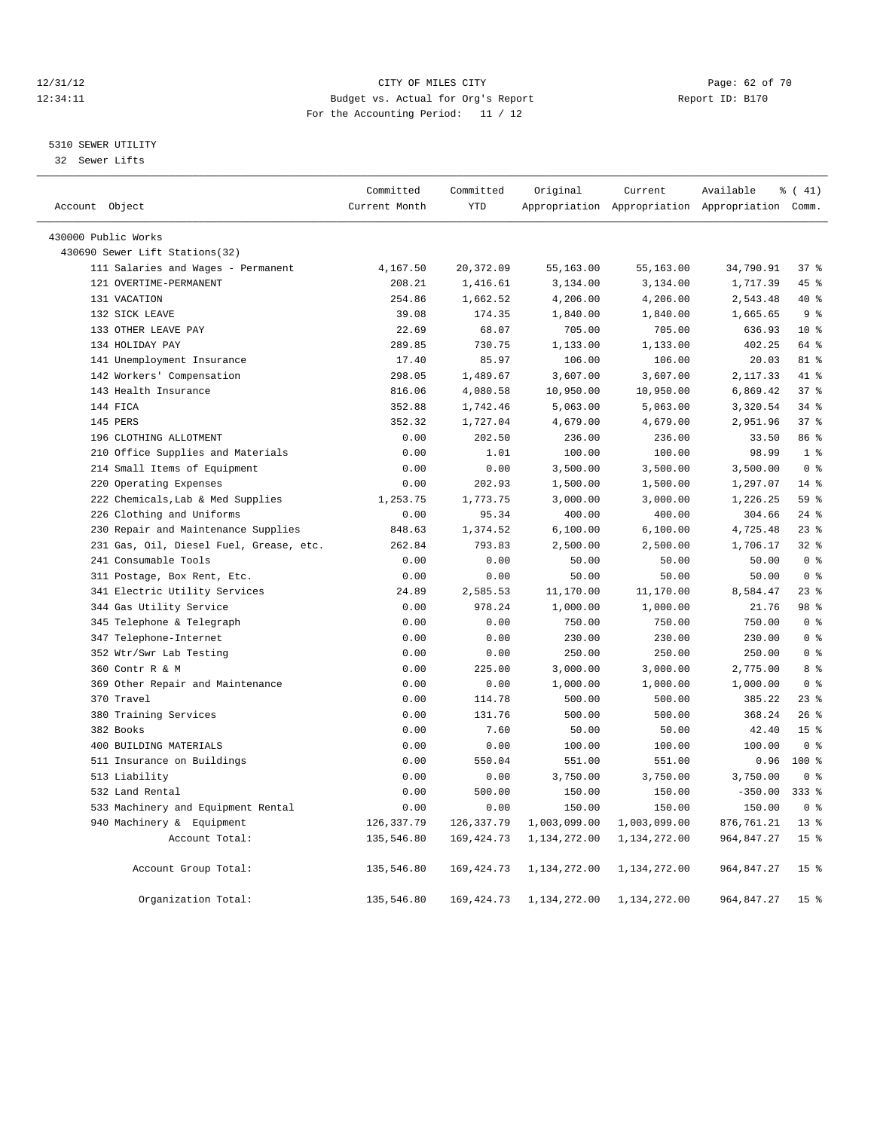#### 12/31/12 Page: 62 of 70 12:34:11 Budget vs. Actual for Org's Report Changer Report ID: B170 For the Accounting Period: 11 / 12

#### 5310 SEWER UTILITY

32 Sewer Lifts

|                                         | Committed     | Committed   | Original     | Current      | Available                                       | $\frac{1}{6}$ ( 41) |
|-----------------------------------------|---------------|-------------|--------------|--------------|-------------------------------------------------|---------------------|
| Account Object                          | Current Month | <b>YTD</b>  |              |              | Appropriation Appropriation Appropriation Comm. |                     |
| 430000 Public Works                     |               |             |              |              |                                                 |                     |
| 430690 Sewer Lift Stations(32)          |               |             |              |              |                                                 |                     |
| 111 Salaries and Wages - Permanent      | 4,167.50      | 20,372.09   | 55,163.00    | 55,163.00    | 34,790.91                                       | 37%                 |
| 121 OVERTIME-PERMANENT                  | 208.21        | 1,416.61    | 3,134.00     | 3,134.00     | 1,717.39                                        | 45 %                |
| 131 VACATION                            | 254.86        | 1,662.52    | 4,206.00     | 4,206.00     | 2,543.48                                        | 40 %                |
| 132 SICK LEAVE                          | 39.08         | 174.35      | 1,840.00     | 1,840.00     | 1,665.65                                        | 9 <sup>°</sup>      |
| 133 OTHER LEAVE PAY                     | 22.69         | 68.07       | 705.00       | 705.00       | 636.93                                          | $10*$               |
| 134 HOLIDAY PAY                         | 289.85        | 730.75      | 1,133.00     | 1,133.00     | 402.25                                          | 64 %                |
| 141 Unemployment Insurance              | 17.40         | 85.97       | 106.00       | 106.00       | 20.03                                           | 81 %                |
| 142 Workers' Compensation               | 298.05        | 1,489.67    | 3,607.00     | 3,607.00     | 2,117.33                                        | 41 %                |
| 143 Health Insurance                    | 816.06        | 4,080.58    | 10,950.00    | 10,950.00    | 6,869.42                                        | 37%                 |
| 144 FICA                                | 352.88        | 1,742.46    | 5,063.00     | 5,063.00     | 3,320.54                                        | 34.8                |
| 145 PERS                                | 352.32        | 1,727.04    | 4,679.00     | 4,679.00     | 2,951.96                                        | 37 <sup>8</sup>     |
| 196 CLOTHING ALLOTMENT                  | 0.00          | 202.50      | 236.00       | 236.00       | 33.50                                           | 86%                 |
| 210 Office Supplies and Materials       | 0.00          | 1.01        | 100.00       | 100.00       | 98.99                                           | 1 <sup>°</sup>      |
| 214 Small Items of Equipment            | 0.00          | 0.00        | 3,500.00     | 3,500.00     | 3,500.00                                        | 0 <sup>8</sup>      |
| 220 Operating Expenses                  | 0.00          | 202.93      | 1,500.00     | 1,500.00     | 1,297.07                                        | $14*$               |
| 222 Chemicals, Lab & Med Supplies       | 1,253.75      | 1,773.75    | 3,000.00     | 3,000.00     | 1,226.25                                        | 59 <sub>8</sub>     |
| 226 Clothing and Uniforms               | 0.00          | 95.34       | 400.00       | 400.00       | 304.66                                          | $24$ %              |
| 230 Repair and Maintenance Supplies     | 848.63        | 1,374.52    | 6, 100.00    | 6,100.00     | 4,725.48                                        | $23$ $%$            |
| 231 Gas, Oil, Diesel Fuel, Grease, etc. | 262.84        | 793.83      | 2,500.00     | 2,500.00     | 1,706.17                                        | 32 <sub>8</sub>     |
| 241 Consumable Tools                    | 0.00          | 0.00        | 50.00        | 50.00        | 50.00                                           | 0 <sup>8</sup>      |
| 311 Postage, Box Rent, Etc.             | 0.00          | 0.00        | 50.00        | 50.00        | 50.00                                           | 0 <sup>8</sup>      |
| 341 Electric Utility Services           | 24.89         | 2,585.53    | 11,170.00    | 11,170.00    | 8,584.47                                        | 23%                 |
| 344 Gas Utility Service                 | 0.00          | 978.24      | 1,000.00     | 1,000.00     | 21.76                                           | 98 %                |
| 345 Telephone & Telegraph               | 0.00          | 0.00        | 750.00       | 750.00       | 750.00                                          | 0 <sup>8</sup>      |
| 347 Telephone-Internet                  | 0.00          | 0.00        | 230.00       | 230.00       | 230.00                                          | 0 <sup>8</sup>      |
| 352 Wtr/Swr Lab Testing                 | 0.00          | 0.00        | 250.00       | 250.00       | 250.00                                          | 0 <sup>8</sup>      |
| 360 Contr R & M                         | 0.00          | 225.00      | 3,000.00     | 3,000.00     | 2,775.00                                        | 8 %                 |
| 369 Other Repair and Maintenance        | 0.00          | 0.00        | 1,000.00     | 1,000.00     | 1,000.00                                        | 0 <sup>8</sup>      |
| 370 Travel                              | 0.00          | 114.78      | 500.00       | 500.00       | 385.22                                          | $23$ $%$            |
| 380 Training Services                   | 0.00          | 131.76      | 500.00       | 500.00       | 368.24                                          | 26%                 |
| 382 Books                               | 0.00          | 7.60        | 50.00        | 50.00        | 42.40                                           | 15 <sup>°</sup>     |
| 400 BUILDING MATERIALS                  | 0.00          | 0.00        | 100.00       | 100.00       | 100.00                                          | 0 <sup>8</sup>      |
| 511 Insurance on Buildings              | 0.00          | 550.04      | 551.00       | 551.00       | 0.96                                            | $100*$              |
| 513 Liability                           | 0.00          | 0.00        | 3,750.00     | 3,750.00     | 3,750.00                                        | 0 <sup>8</sup>      |
| 532 Land Rental                         | 0.00          | 500.00      | 150.00       | 150.00       | $-350.00$                                       | $333$ $%$           |
| 533 Machinery and Equipment Rental      | 0.00          | 0.00        | 150.00       | 150.00       | 150.00                                          | 0 <sup>8</sup>      |
| 940 Machinery & Equipment               | 126, 337.79   | 126, 337.79 | 1,003,099.00 | 1,003,099.00 | 876,761.21                                      | $13*$               |
| Account Total:                          | 135,546.80    | 169, 424.73 | 1,134,272.00 | 1,134,272.00 | 964,847.27                                      | 15 <sup>8</sup>     |
| Account Group Total:                    | 135,546.80    | 169,424.73  | 1,134,272.00 | 1,134,272.00 | 964,847.27                                      | 15 <sup>°</sup>     |
| Organization Total:                     | 135,546.80    | 169, 424.73 | 1,134,272.00 | 1,134,272.00 | 964, 847.27                                     | 15 <sup>°</sup>     |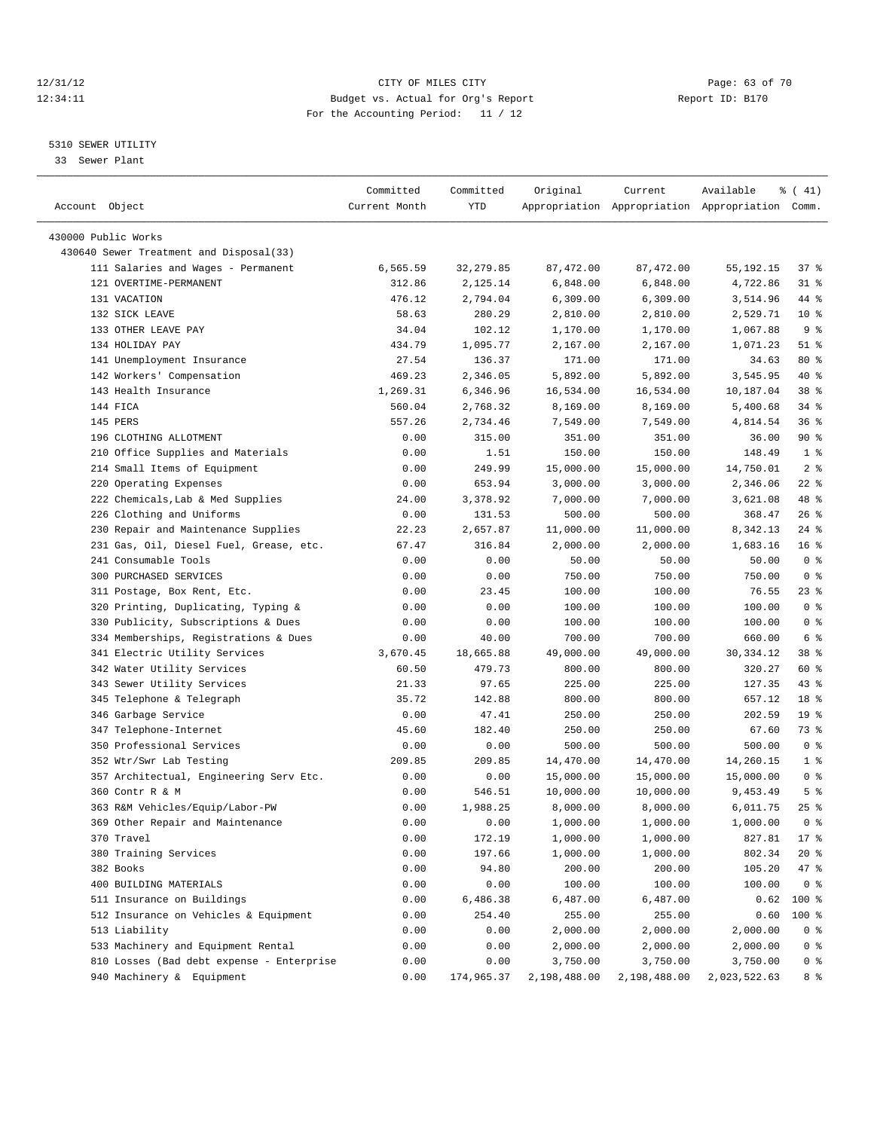# 12/31/12 Page: 63 of 70 12:34:11 Budget vs. Actual for Org's Report Changer Report ID: B170 For the Accounting Period: 11 / 12

————————————————————————————————————————————————————————————————————————————————————————————————————————————————————————————————————

#### 5310 SEWER UTILITY

33 Sewer Plant

|                                                                               | Committed       | Committed  | Original           | Current              | Available                                       | ៖ ( 41)                 |
|-------------------------------------------------------------------------------|-----------------|------------|--------------------|----------------------|-------------------------------------------------|-------------------------|
| Account Object                                                                | Current Month   | YTD        |                    |                      | Appropriation Appropriation Appropriation Comm. |                         |
|                                                                               |                 |            |                    |                      |                                                 |                         |
| 430000 Public Works                                                           |                 |            |                    |                      |                                                 |                         |
| 430640 Sewer Treatment and Disposal(33)<br>111 Salaries and Wages - Permanent |                 |            |                    |                      |                                                 |                         |
|                                                                               | 6,565.59        | 32, 279.85 | 87,472.00          | 87,472.00            | 55,192.15                                       | 37%                     |
| 121 OVERTIME-PERMANENT                                                        | 312.86          | 2,125.14   | 6,848.00           | 6,848.00             | 4,722.86                                        | $31$ %                  |
| 131 VACATION                                                                  | 476.12          | 2,794.04   | 6,309.00           | 6,309.00             | 3,514.96                                        | 44 %                    |
| 132 SICK LEAVE<br>133 OTHER LEAVE PAY                                         | 58.63           | 280.29     | 2,810.00           | 2,810.00<br>1,170.00 | 2,529.71                                        | $10*$<br>9 <sup>°</sup> |
| 134 HOLIDAY PAY                                                               | 34.04<br>434.79 | 102.12     | 1,170.00           |                      | 1,067.88                                        | $51$ %                  |
| 141 Unemployment Insurance                                                    |                 | 1,095.77   | 2,167.00<br>171.00 | 2,167.00<br>171.00   | 1,071.23                                        |                         |
|                                                                               | 27.54           | 136.37     |                    |                      | 34.63                                           | $80*$<br>40 %           |
| 142 Workers' Compensation                                                     | 469.23          | 2,346.05   | 5,892.00           | 5,892.00             | 3,545.95                                        |                         |
| 143 Health Insurance                                                          | 1,269.31        | 6,346.96   | 16,534.00          | 16,534.00            | 10,187.04                                       | 38 %<br>$34$ $%$        |
| 144 FICA                                                                      | 560.04          | 2,768.32   | 8,169.00           | 8,169.00             | 5,400.68                                        |                         |
| 145 PERS                                                                      | 557.26          | 2,734.46   | 7,549.00           | 7,549.00             | 4,814.54                                        | 36%                     |
| 196 CLOTHING ALLOTMENT                                                        | 0.00            | 315.00     | 351.00             | 351.00               | 36.00                                           | 90%                     |
| 210 Office Supplies and Materials                                             | 0.00            | 1.51       | 150.00             | 150.00               | 148.49                                          | 1 <sup>°</sup>          |
| 214 Small Items of Equipment                                                  | 0.00            | 249.99     | 15,000.00          | 15,000.00            | 14,750.01                                       | 2 <sup>8</sup>          |
| 220 Operating Expenses                                                        | 0.00            | 653.94     | 3,000.00           | 3,000.00             | 2,346.06                                        | $22$ %                  |
| 222 Chemicals, Lab & Med Supplies                                             | 24.00           | 3,378.92   | 7,000.00           | 7,000.00             | 3,621.08                                        | 48 %                    |
| 226 Clothing and Uniforms                                                     | 0.00            | 131.53     | 500.00             | 500.00               | 368.47                                          | $26$ %                  |
| 230 Repair and Maintenance Supplies                                           | 22.23           | 2,657.87   | 11,000.00          | 11,000.00            | 8,342.13                                        | $24$ %                  |
| 231 Gas, Oil, Diesel Fuel, Grease, etc.                                       | 67.47           | 316.84     | 2,000.00           | 2,000.00             | 1,683.16                                        | 16 <sup>°</sup>         |
| 241 Consumable Tools                                                          | 0.00            | 0.00       | 50.00              | 50.00                | 50.00                                           | 0 <sup>8</sup>          |
| 300 PURCHASED SERVICES                                                        | 0.00            | 0.00       | 750.00             | 750.00               | 750.00                                          | 0 <sup>8</sup>          |
| 311 Postage, Box Rent, Etc.                                                   | 0.00            | 23.45      | 100.00             | 100.00               | 76.55                                           | $23$ %                  |
| 320 Printing, Duplicating, Typing &                                           | 0.00            | 0.00       | 100.00             | 100.00               | 100.00                                          | 0 <sup>8</sup>          |
| 330 Publicity, Subscriptions & Dues                                           | 0.00            | 0.00       | 100.00             | 100.00               | 100.00                                          | 0 <sup>8</sup>          |
| 334 Memberships, Registrations & Dues                                         | 0.00            | 40.00      | 700.00             | 700.00               | 660.00                                          | 6 %                     |
| 341 Electric Utility Services                                                 | 3,670.45        | 18,665.88  | 49,000.00          | 49,000.00            | 30, 334.12                                      | 38 <sup>8</sup>         |
| 342 Water Utility Services                                                    | 60.50           | 479.73     | 800.00             | 800.00               | 320.27                                          | 60 %                    |
| 343 Sewer Utility Services                                                    | 21.33           | 97.65      | 225.00             | 225.00               | 127.35                                          | 43 %                    |
| 345 Telephone & Telegraph                                                     | 35.72           | 142.88     | 800.00             | 800.00               | 657.12                                          | 18 %                    |
| 346 Garbage Service                                                           | 0.00            | 47.41      | 250.00             | 250.00               | 202.59                                          | 19 <sup>°</sup>         |
| 347 Telephone-Internet                                                        | 45.60           | 182.40     | 250.00             | 250.00               | 67.60                                           | 73 %                    |
| 350 Professional Services                                                     | 0.00            | 0.00       | 500.00             | 500.00               | 500.00                                          | 0 <sup>8</sup>          |
| 352 Wtr/Swr Lab Testing                                                       | 209.85          | 209.85     | 14,470.00          | 14,470.00            | 14,260.15                                       | 1 <sup>°</sup>          |
| 357 Architectual, Engineering Serv Etc.                                       | 0.00            | 0.00       | 15,000.00          | 15,000.00            | 15,000.00                                       | 0 <sup>8</sup>          |
| 360 Contr R & M                                                               | 0.00            | 546.51     | 10,000.00          | 10,000.00            | 9,453.49                                        | 5 <sup>°</sup>          |
| 363 R&M Vehicles/Equip/Labor-PW                                               | 0.00            | 1,988.25   | 8,000.00           | 8,000.00             | 6,011.75                                        | $25$ $%$                |
| 369 Other Repair and Maintenance                                              | 0.00            | 0.00       | 1,000.00           | 1,000.00             | 1,000.00                                        | 0 <sup>8</sup>          |
| 370 Travel                                                                    | 0.00            | 172.19     | 1,000.00           | 1,000.00             | 827.81                                          | $17*$                   |
| 380 Training Services                                                         | 0.00            | 197.66     | 1,000.00           | 1,000.00             | 802.34                                          | 20 %                    |
| 382 Books                                                                     | 0.00            | 94.80      | 200.00             | 200.00               | 105.20                                          | 47 %                    |
| 400 BUILDING MATERIALS                                                        | 0.00            | 0.00       | 100.00             | 100.00               | 100.00                                          | 0 <sup>8</sup>          |
| 511 Insurance on Buildings                                                    | 0.00            | 6,486.38   | 6,487.00           | 6,487.00             | 0.62                                            | 100 %                   |
| 512 Insurance on Vehicles & Equipment                                         | 0.00            | 254.40     | 255.00             | 255.00               | 0.60                                            | $100$ %                 |
| 513 Liability                                                                 | 0.00            | 0.00       | 2,000.00           | 2,000.00             | 2,000.00                                        | 0 <sup>8</sup>          |
| 533 Machinery and Equipment Rental                                            | 0.00            | 0.00       | 2,000.00           | 2,000.00             | 2,000.00                                        | 0 <sup>8</sup>          |
| 810 Losses (Bad debt expense - Enterprise                                     | 0.00            | 0.00       | 3,750.00           | 3,750.00             | 3,750.00                                        | 0 <sup>8</sup>          |
| 940 Machinery & Equipment                                                     | 0.00            | 174,965.37 | 2,198,488.00       | 2,198,488.00         | 2,023,522.63                                    | 8 %                     |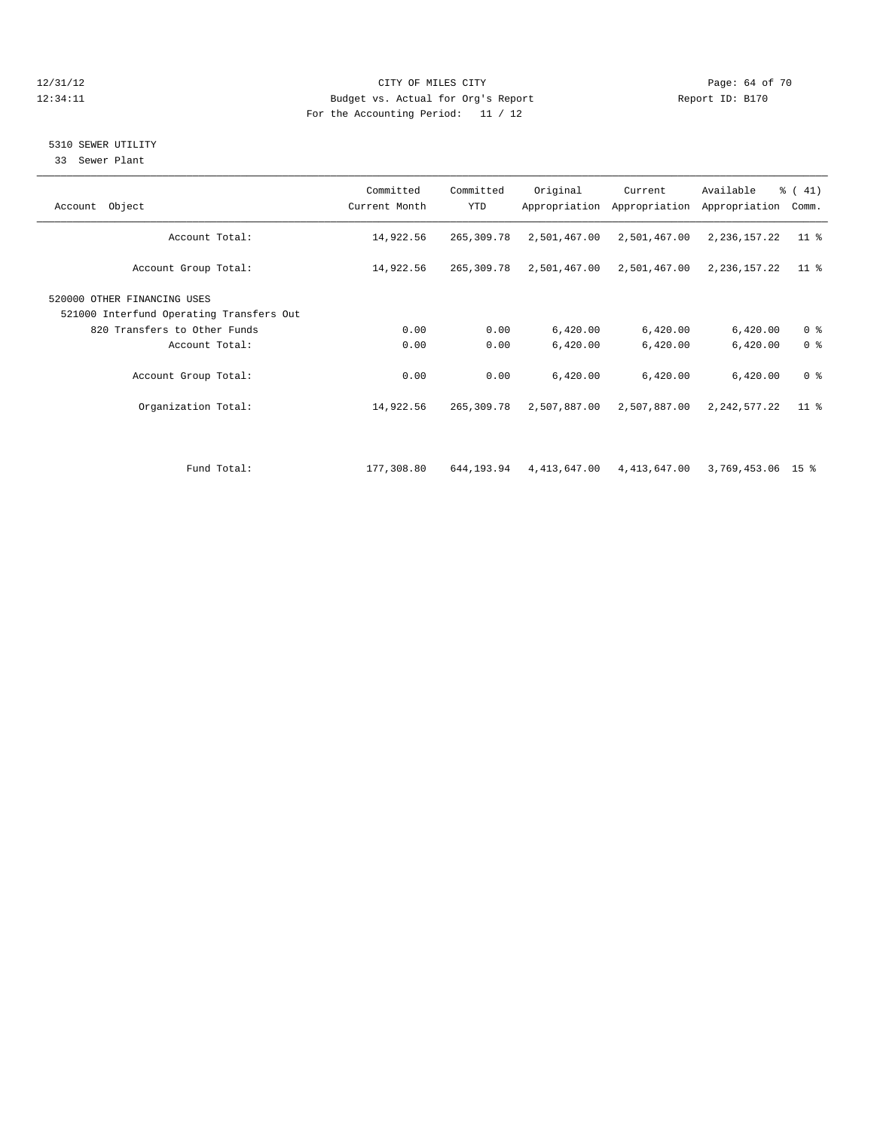#### 12/31/12 Page: 64 of 70 12:34:11 Budget vs. Actual for Org's Report Changer Report ID: B170 For the Accounting Period: 11 / 12

# 5310 SEWER UTILITY

33 Sewer Plant

| Account Object                                                                                          | Committed<br>Current Month | Committed<br><b>YTD</b> | Original     | Current<br>Appropriation Appropriation | Available<br>Appropriation | $\frac{1}{6}$ ( 41)<br>Comm. |
|---------------------------------------------------------------------------------------------------------|----------------------------|-------------------------|--------------|----------------------------------------|----------------------------|------------------------------|
| Account Total:                                                                                          | 14,922.56                  | 265,309.78              | 2,501,467.00 | 2,501,467.00                           | 2,236,157.22               | $11$ %                       |
| Account Group Total:                                                                                    | 14,922.56                  | 265,309.78              | 2,501,467.00 | 2,501,467.00                           | 2,236,157.22               | $11$ %                       |
| 520000 OTHER FINANCING USES<br>521000 Interfund Operating Transfers Out<br>820 Transfers to Other Funds | 0.00                       | 0.00                    | 6,420.00     | 6,420.00                               | 6,420.00                   | 0 <sup>8</sup>               |
| Account Total:                                                                                          | 0.00                       | 0.00                    | 6,420.00     | 6,420.00                               | 6,420.00                   | 0 <sup>8</sup>               |
| Account Group Total:                                                                                    | 0.00                       | 0.00                    | 6,420.00     | 6,420.00                               | 6,420.00                   | 0 <sup>8</sup>               |
| Organization Total:                                                                                     | 14,922.56                  | 265,309.78              | 2,507,887.00 | 2,507,887.00                           | 2, 242, 577. 22            | $11$ %                       |
|                                                                                                         |                            |                         |              |                                        |                            |                              |
| Fund Total:                                                                                             | 177,308.80                 | 644,193.94              | 4,413,647.00 | 4,413,647.00                           | 3,769,453.06 15 %          |                              |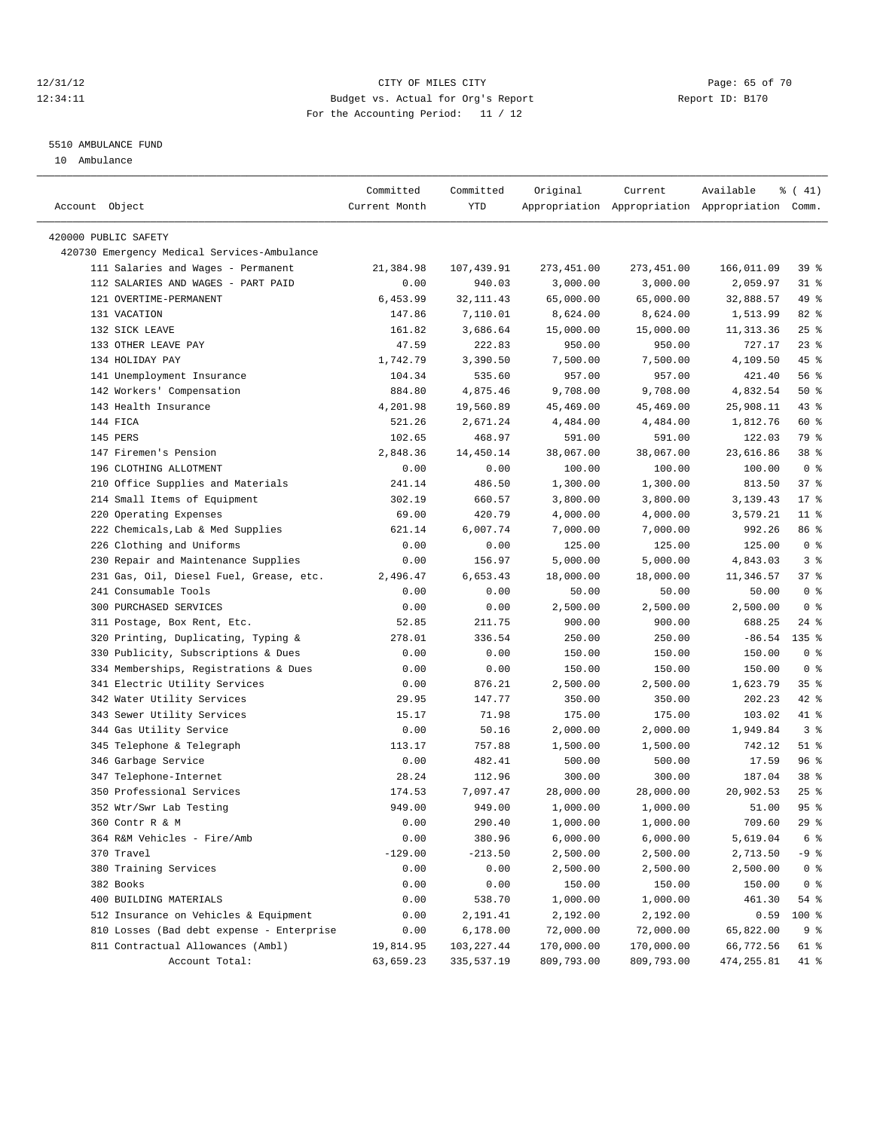# 12/31/12 Page: 65 of 70 12:34:11 Budget vs. Actual for Org's Report Changer Report ID: B170 For the Accounting Period: 11 / 12

#### 5510 AMBULANCE FUND

10 Ambulance

| Account Object                              | Committed<br>Current Month | Committed<br>YTD | Original    | Current     | Available<br>Appropriation Appropriation Appropriation Comm. | $\frac{1}{6}$ ( 41) |
|---------------------------------------------|----------------------------|------------------|-------------|-------------|--------------------------------------------------------------|---------------------|
|                                             |                            |                  |             |             |                                                              |                     |
| 420000 PUBLIC SAFETY                        |                            |                  |             |             |                                                              |                     |
| 420730 Emergency Medical Services-Ambulance |                            |                  |             |             |                                                              |                     |
| 111 Salaries and Wages - Permanent          | 21,384.98                  | 107,439.91       | 273, 451.00 | 273, 451.00 | 166,011.09                                                   | 39 %                |
| 112 SALARIES AND WAGES - PART PAID          | 0.00                       | 940.03           | 3,000.00    | 3,000.00    | 2,059.97                                                     | $31$ %              |
| 121 OVERTIME-PERMANENT                      | 6,453.99                   | 32, 111.43       | 65,000.00   | 65,000.00   | 32,888.57                                                    | 49 %                |
| 131 VACATION                                | 147.86                     | 7,110.01         | 8,624.00    | 8,624.00    | 1,513.99                                                     | 82 %                |
| 132 SICK LEAVE                              | 161.82                     | 3,686.64         | 15,000.00   | 15,000.00   | 11, 313.36                                                   | 25%                 |
| 133 OTHER LEAVE PAY                         | 47.59                      | 222.83           | 950.00      | 950.00      | 727.17                                                       | $23$ $%$            |
| 134 HOLIDAY PAY                             | 1,742.79                   | 3,390.50         | 7,500.00    | 7,500.00    | 4,109.50                                                     | 45 %                |
| 141 Unemployment Insurance                  | 104.34                     | 535.60           | 957.00      | 957.00      | 421.40                                                       | 56%                 |
| 142 Workers' Compensation                   | 884.80                     | 4,875.46         | 9,708.00    | 9,708.00    | 4,832.54                                                     | 50%                 |
| 143 Health Insurance                        | 4,201.98                   | 19,560.89        | 45,469.00   | 45,469.00   | 25,908.11                                                    | 43 %                |
| 144 FICA                                    | 521.26                     | 2,671.24         | 4,484.00    | 4,484.00    | 1,812.76                                                     | 60 %                |
| 145 PERS                                    | 102.65                     | 468.97           | 591.00      | 591.00      | 122.03                                                       | 79 %                |
| 147 Firemen's Pension                       | 2,848.36                   | 14,450.14        | 38,067.00   | 38,067.00   | 23,616.86                                                    | 38 %                |
| 196 CLOTHING ALLOTMENT                      | 0.00                       | 0.00             | 100.00      | 100.00      | 100.00                                                       | 0 <sup>8</sup>      |
| 210 Office Supplies and Materials           | 241.14                     | 486.50           | 1,300.00    | 1,300.00    | 813.50                                                       | 37%                 |
| 214 Small Items of Equipment                | 302.19                     | 660.57           | 3,800.00    | 3,800.00    | 3,139.43                                                     | $17*$               |
| 220 Operating Expenses                      | 69.00                      | 420.79           | 4,000.00    | 4,000.00    | 3,579.21                                                     | $11*$               |
| 222 Chemicals, Lab & Med Supplies           | 621.14                     | 6,007.74         | 7,000.00    | 7,000.00    | 992.26                                                       | 86 %                |
| 226 Clothing and Uniforms                   | 0.00                       | 0.00             | 125.00      | 125.00      | 125.00                                                       | 0 <sup>8</sup>      |
| 230 Repair and Maintenance Supplies         | 0.00                       | 156.97           | 5,000.00    | 5,000.00    | 4,843.03                                                     | 3 <sup>°</sup>      |
| 231 Gas, Oil, Diesel Fuel, Grease, etc.     | 2,496.47                   | 6,653.43         | 18,000.00   | 18,000.00   | 11,346.57                                                    | 37 %                |
| 241 Consumable Tools                        | 0.00                       | 0.00             | 50.00       | 50.00       | 50.00                                                        | 0 <sup>8</sup>      |
| 300 PURCHASED SERVICES                      | 0.00                       | 0.00             | 2,500.00    | 2,500.00    | 2,500.00                                                     | 0 <sup>8</sup>      |
| 311 Postage, Box Rent, Etc.                 | 52.85                      | 211.75           | 900.00      | 900.00      | 688.25                                                       | $24$ %              |
| 320 Printing, Duplicating, Typing &         | 278.01                     | 336.54           | 250.00      | 250.00      | $-86.54$                                                     | $135$ %             |
| 330 Publicity, Subscriptions & Dues         | 0.00                       | 0.00             | 150.00      | 150.00      | 150.00                                                       | 0 <sup>8</sup>      |
| 334 Memberships, Registrations & Dues       | 0.00                       | 0.00             | 150.00      | 150.00      | 150.00                                                       | 0 <sup>8</sup>      |
| 341 Electric Utility Services               | 0.00                       | 876.21           | 2,500.00    | 2,500.00    | 1,623.79                                                     | 35%                 |
| 342 Water Utility Services                  | 29.95                      | 147.77           | 350.00      | 350.00      | 202.23                                                       | 42 %                |
| 343 Sewer Utility Services                  | 15.17                      | 71.98            | 175.00      | 175.00      | 103.02                                                       | 41 %                |
| 344 Gas Utility Service                     | 0.00                       | 50.16            | 2,000.00    | 2,000.00    | 1,949.84                                                     | 3 <sup>8</sup>      |
| 345 Telephone & Telegraph                   | 113.17                     | 757.88           | 1,500.00    | 1,500.00    | 742.12                                                       | $51$ %              |
| 346 Garbage Service                         | 0.00                       | 482.41           | 500.00      | 500.00      | 17.59                                                        | 96%                 |
| 347 Telephone-Internet                      | 28.24                      | 112.96           | 300.00      | 300.00      | 187.04                                                       | 38 %                |
| 350 Professional Services                   | 174.53                     | 7,097.47         | 28,000.00   | 28,000.00   | 20,902.53                                                    | 25%                 |
| 352 Wtr/Swr Lab Testing                     | 949.00                     | 949.00           | 1,000.00    | 1,000.00    | 51.00                                                        | 95 <sub>8</sub>     |
| 360 Contr R & M                             | 0.00                       | 290.40           | 1,000.00    | 1,000.00    | 709.60                                                       | $29$ $%$            |
| 364 R&M Vehicles - Fire/Amb                 | 0.00                       | 380.96           | 6,000.00    | 6,000.00    | 5,619.04                                                     | 6 <sup>°</sup>      |
| 370 Travel                                  | $-129.00$                  | $-213.50$        | 2,500.00    | 2,500.00    | 2,713.50                                                     | -9 %                |
| 380 Training Services                       | 0.00                       | 0.00             | 2,500.00    | 2,500.00    | 2,500.00                                                     | 0 <sup>8</sup>      |
| 382 Books                                   | 0.00                       | 0.00             | 150.00      | 150.00      | 150.00                                                       | 0 <sup>8</sup>      |
| 400 BUILDING MATERIALS                      | 0.00                       | 538.70           | 1,000.00    | 1,000.00    | 461.30                                                       | 54 %                |
| 512 Insurance on Vehicles & Equipment       | 0.00                       | 2,191.41         | 2,192.00    | 2,192.00    | 0.59                                                         | 100 %               |
| 810 Losses (Bad debt expense - Enterprise   | 0.00                       | 6,178.00         | 72,000.00   | 72,000.00   | 65,822.00                                                    | 9 <sup>°</sup>      |
| 811 Contractual Allowances (Ambl)           | 19,814.95                  | 103,227.44       | 170,000.00  | 170,000.00  | 66,772.56                                                    | 61 %                |
| Account Total:                              | 63,659.23                  | 335,537.19       | 809,793.00  | 809,793.00  | 474, 255.81                                                  | 41 %                |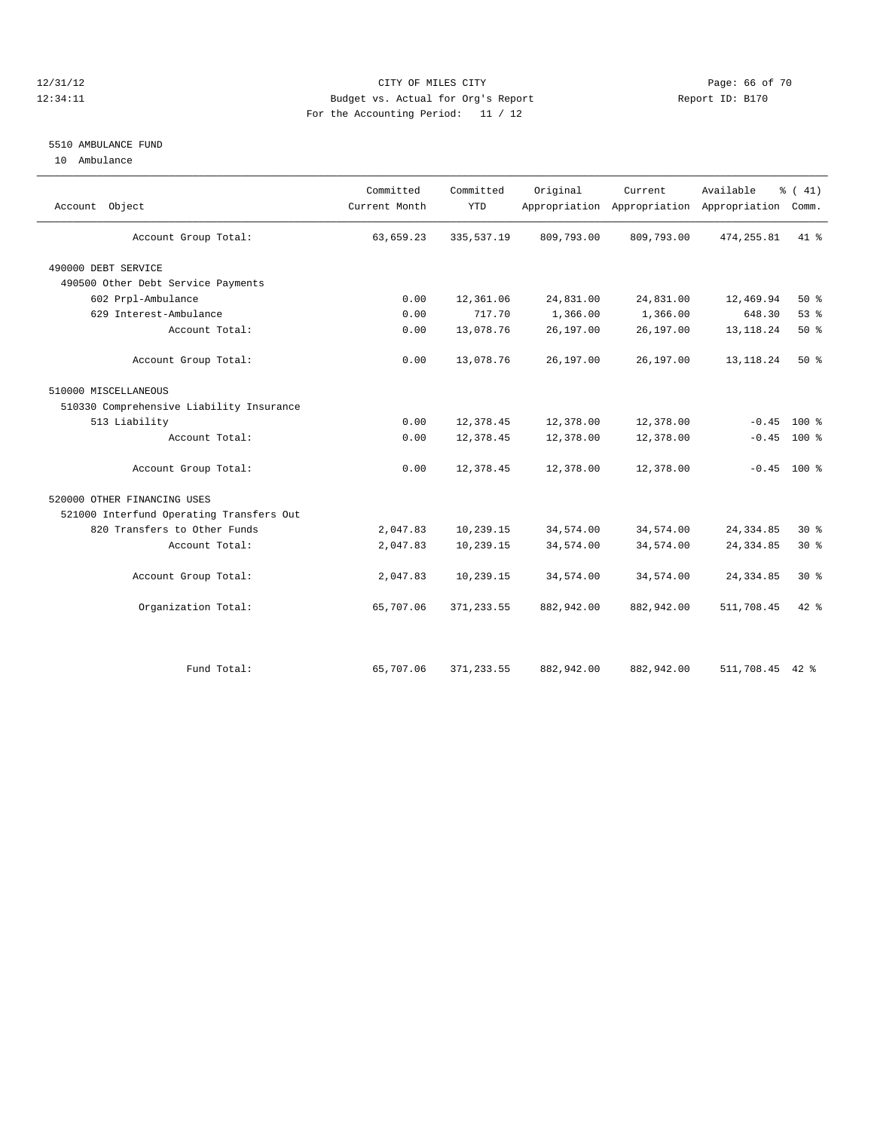# 12/31/12 Page: 66 of 70 12:34:11 Budget vs. Actual for Org's Report Changer Report ID: B170 For the Accounting Period: 11 / 12

# 5510 AMBULANCE FUND

10 Ambulance

| Account Object                           | Committed<br>Current Month | Committed<br><b>YTD</b> | Original   | Current    | Available<br>Appropriation Appropriation Appropriation | $\frac{1}{6}$ ( 41)<br>Comm. |  |
|------------------------------------------|----------------------------|-------------------------|------------|------------|--------------------------------------------------------|------------------------------|--|
| Account Group Total:                     | 63,659.23                  | 335, 537.19             | 809,793.00 | 809,793.00 | 474, 255.81                                            | 41 %                         |  |
| 490000 DEBT SERVICE                      |                            |                         |            |            |                                                        |                              |  |
| 490500 Other Debt Service Payments       |                            |                         |            |            |                                                        |                              |  |
| 602 Prpl-Ambulance                       | 0.00                       | 12,361.06               | 24,831.00  | 24,831.00  | 12,469.94                                              | $50*$                        |  |
| 629 Interest-Ambulance                   | 0.00                       | 717.70                  | 1,366.00   | 1,366.00   | 648.30                                                 | 53%                          |  |
| Account Total:                           | 0.00                       | 13,078.76               | 26,197.00  | 26,197.00  | 13, 118. 24                                            | 50%                          |  |
| Account Group Total:                     | 0.00                       | 13,078.76               | 26,197.00  | 26,197.00  | 13, 118. 24                                            | $50*$                        |  |
| 510000 MISCELLANEOUS                     |                            |                         |            |            |                                                        |                              |  |
| 510330 Comprehensive Liability Insurance |                            |                         |            |            |                                                        |                              |  |
| 513 Liability                            | 0.00                       | 12,378.45               | 12,378.00  | 12,378.00  | $-0.45$                                                | 100 %                        |  |
| Account Total:                           | 0.00                       | 12,378.45               | 12,378.00  | 12,378.00  | $-0.45$                                                | 100 %                        |  |
| Account Group Total:                     | 0.00                       | 12,378.45               | 12,378.00  | 12,378.00  |                                                        | $-0.45$ 100 %                |  |
| 520000 OTHER FINANCING USES              |                            |                         |            |            |                                                        |                              |  |
| 521000 Interfund Operating Transfers Out |                            |                         |            |            |                                                        |                              |  |
| 820 Transfers to Other Funds             | 2,047.83                   | 10,239.15               | 34,574.00  | 34,574.00  | 24, 334.85                                             | $30*$                        |  |
| Account Total:                           | 2,047.83                   | 10,239.15               | 34,574.00  | 34,574.00  | 24, 334.85                                             | $30*$                        |  |
| Account Group Total:                     | 2,047.83                   | 10,239.15               | 34,574.00  | 34,574.00  | 24, 334.85                                             | $30*$                        |  |
| Organization Total:                      | 65,707.06                  | 371, 233.55             | 882,942.00 | 882,942.00 | 511,708.45                                             | $42*$                        |  |
|                                          |                            |                         |            |            |                                                        |                              |  |
| Fund Total:                              | 65,707.06                  | 371, 233.55             | 882,942.00 | 882,942.00 | 511,708.45 42 %                                        |                              |  |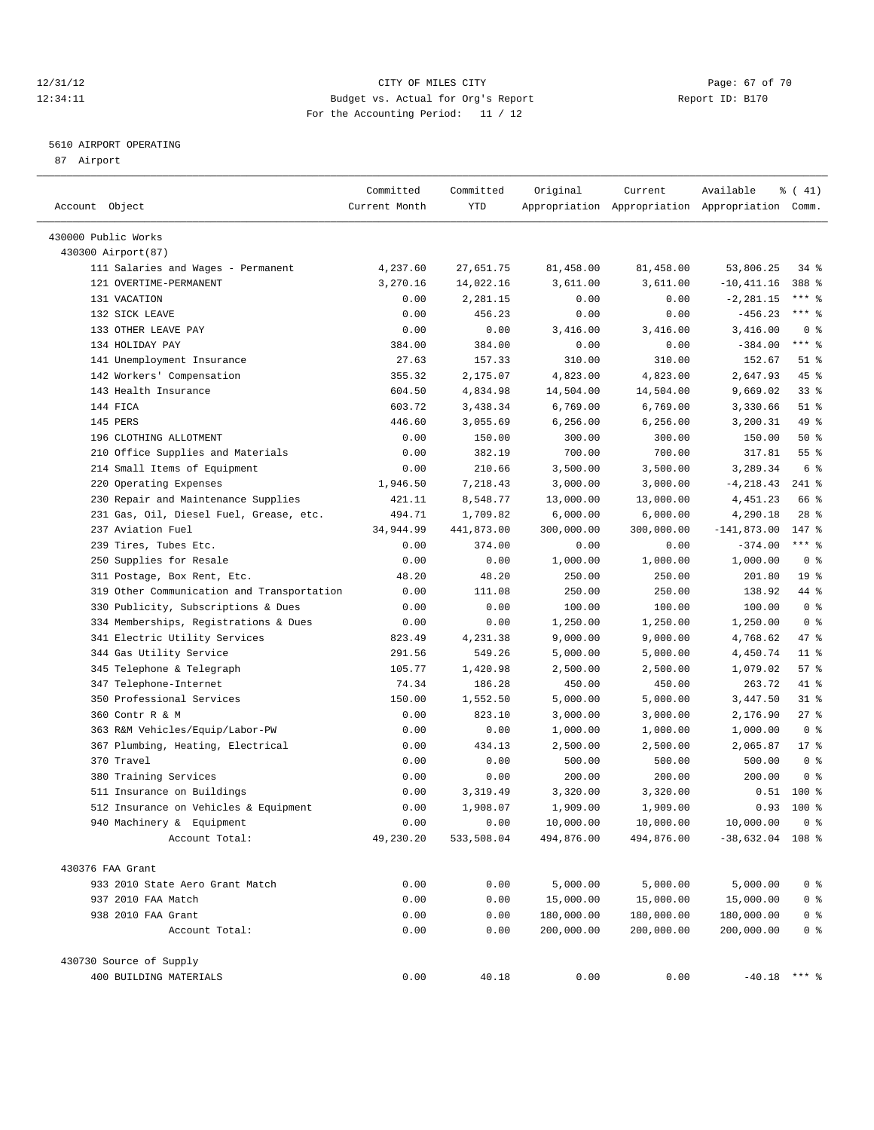#### 12/31/12 Page: 67 of 70 12:34:11 Budget vs. Actual for Org's Report Report ID: B170 For the Accounting Period: 11 / 12

————————————————————————————————————————————————————————————————————————————————————————————————————————————————————————————————————

# 5610 AIRPORT OPERATING

87 Airport

|                                            | Committed     | Committed  | Original   | Current    | Available                                       | % (41)          |
|--------------------------------------------|---------------|------------|------------|------------|-------------------------------------------------|-----------------|
| Account Object                             | Current Month | YTD        |            |            | Appropriation Appropriation Appropriation Comm. |                 |
| 430000 Public Works                        |               |            |            |            |                                                 |                 |
| 430300 Airport(87)                         |               |            |            |            |                                                 |                 |
| 111 Salaries and Wages - Permanent         | 4,237.60      | 27,651.75  | 81,458.00  | 81,458.00  | 53,806.25                                       | 34 %            |
| 121 OVERTIME-PERMANENT                     | 3,270.16      | 14,022.16  | 3,611.00   | 3,611.00   | $-10, 411.16$                                   | 388 %           |
| 131 VACATION                               | 0.00          | 2,281.15   | 0.00       | 0.00       | $-2, 281.15$                                    | $***$ 8         |
| 132 SICK LEAVE                             | 0.00          | 456.23     | 0.00       | 0.00       | $-456.23$                                       | $***$ $-$       |
| 133 OTHER LEAVE PAY                        | 0.00          | 0.00       | 3,416.00   | 3,416.00   | 3,416.00                                        | 0 <sup>8</sup>  |
| 134 HOLIDAY PAY                            | 384.00        | 384.00     | 0.00       | 0.00       | $-384.00$                                       | $***$ $-$       |
| 141 Unemployment Insurance                 | 27.63         | 157.33     | 310.00     | 310.00     | 152.67                                          | $51$ %          |
| 142 Workers' Compensation                  | 355.32        | 2,175.07   | 4,823.00   | 4,823.00   | 2,647.93                                        | 45 %            |
| 143 Health Insurance                       | 604.50        | 4,834.98   | 14,504.00  | 14,504.00  | 9,669.02                                        | $33$ $%$        |
| 144 FICA                                   | 603.72        | 3,438.34   | 6,769.00   | 6,769.00   | 3,330.66                                        | $51$ %          |
| 145 PERS                                   | 446.60        | 3,055.69   | 6, 256.00  | 6,256.00   | 3,200.31                                        | 49 %            |
| 196 CLOTHING ALLOTMENT                     | 0.00          | 150.00     | 300.00     | 300.00     | 150.00                                          | 50%             |
| 210 Office Supplies and Materials          | 0.00          | 382.19     | 700.00     | 700.00     | 317.81                                          | 55 <sup>8</sup> |
| 214 Small Items of Equipment               | 0.00          | 210.66     | 3,500.00   | 3,500.00   | 3,289.34                                        | 6 <sup>°</sup>  |
| 220 Operating Expenses                     | 1,946.50      | 7,218.43   | 3,000.00   | 3,000.00   | $-4, 218.43$                                    | $241$ %         |
| 230 Repair and Maintenance Supplies        | 421.11        | 8,548.77   | 13,000.00  | 13,000.00  | 4,451.23                                        | 66 %            |
| 231 Gas, Oil, Diesel Fuel, Grease, etc.    | 494.71        | 1,709.82   | 6,000.00   | 6,000.00   | 4,290.18                                        | $28$ %          |
| 237 Aviation Fuel                          | 34,944.99     | 441,873.00 | 300,000.00 | 300,000.00 | $-141,873.00$                                   | $147*$          |
| Tires, Tubes Etc.<br>239                   | 0.00          | 374.00     | 0.00       | 0.00       | $-374.00$                                       | $***$ $-$       |
| 250 Supplies for Resale                    | 0.00          | 0.00       | 1,000.00   | 1,000.00   | 1,000.00                                        | 0 <sup>8</sup>  |
| 311 Postage, Box Rent, Etc.                | 48.20         | 48.20      | 250.00     | 250.00     | 201.80                                          | 19 <sup>°</sup> |
| 319 Other Communication and Transportation | 0.00          | 111.08     | 250.00     | 250.00     | 138.92                                          | 44 %            |
| 330 Publicity, Subscriptions & Dues        | 0.00          | 0.00       | 100.00     | 100.00     | 100.00                                          | 0 <sup>8</sup>  |
| 334 Memberships, Registrations & Dues      | 0.00          | 0.00       | 1,250.00   | 1,250.00   | 1,250.00                                        | 0 <sup>8</sup>  |
| 341 Electric Utility Services              | 823.49        | 4,231.38   | 9,000.00   | 9,000.00   | 4,768.62                                        | 47 %            |
| 344 Gas Utility Service                    | 291.56        | 549.26     | 5,000.00   | 5,000.00   | 4,450.74                                        | $11$ %          |
| 345 Telephone & Telegraph                  | 105.77        | 1,420.98   | 2,500.00   | 2,500.00   | 1,079.02                                        | 57%             |
| 347 Telephone-Internet                     | 74.34         | 186.28     | 450.00     | 450.00     | 263.72                                          | 41 %            |
| Professional Services<br>350               | 150.00        | 1,552.50   | 5,000.00   | 5,000.00   | 3,447.50                                        | $31$ %          |
| 360 Contr R & M                            | 0.00          | 823.10     | 3,000.00   | 3,000.00   | 2,176.90                                        | $27$ %          |
| 363 R&M Vehicles/Equip/Labor-PW            | 0.00          | 0.00       | 1,000.00   | 1,000.00   | 1,000.00                                        | 0 <sup>8</sup>  |
| 367 Plumbing, Heating, Electrical          | 0.00          | 434.13     | 2,500.00   | 2,500.00   | 2,065.87                                        | $17*$           |
| 370 Travel                                 | 0.00          | 0.00       | 500.00     | 500.00     | 500.00                                          | 0 <sup>8</sup>  |
| 380 Training Services                      | 0.00          | 0.00       | 200.00     | 200.00     | 200.00                                          | 0 <sup>8</sup>  |
| 511 Insurance on Buildings                 | 0.00          | 3,319.49   | 3,320.00   | 3,320.00   | 0.51                                            | $100$ %         |
| 512 Insurance on Vehicles & Equipment      | 0.00          | 1,908.07   | 1,909.00   | 1,909.00   | 0.93                                            | $100*$          |
| 940 Machinery & Equipment                  | 0.00          | 0.00       | 10,000.00  | 10,000.00  | 10,000.00                                       | 0 <sup>8</sup>  |
| Account Total:                             | 49,230.20     | 533,508.04 | 494,876.00 | 494,876.00 | $-38,632.04$ 108 %                              |                 |
|                                            |               |            |            |            |                                                 |                 |
| 430376 FAA Grant                           |               |            |            |            |                                                 |                 |
| 933 2010 State Aero Grant Match            | 0.00          | 0.00       | 5,000.00   | 5,000.00   | 5,000.00                                        | 0 <sup>8</sup>  |
| 937 2010 FAA Match                         | 0.00          | 0.00       | 15,000.00  | 15,000.00  | 15,000.00                                       | 0 <sup>8</sup>  |
| 938 2010 FAA Grant                         | 0.00          | 0.00       | 180,000.00 | 180,000.00 | 180,000.00                                      | $0$ %           |
| Account Total:                             | 0.00          | 0.00       | 200,000.00 | 200,000.00 | 200,000.00                                      | 0 <sup>8</sup>  |
| 430730 Source of Supply                    |               |            |            |            |                                                 |                 |
| 400 BUILDING MATERIALS                     | 0.00          | 40.18      | 0.00       | 0.00       | $-40.18$ *** %                                  |                 |
|                                            |               |            |            |            |                                                 |                 |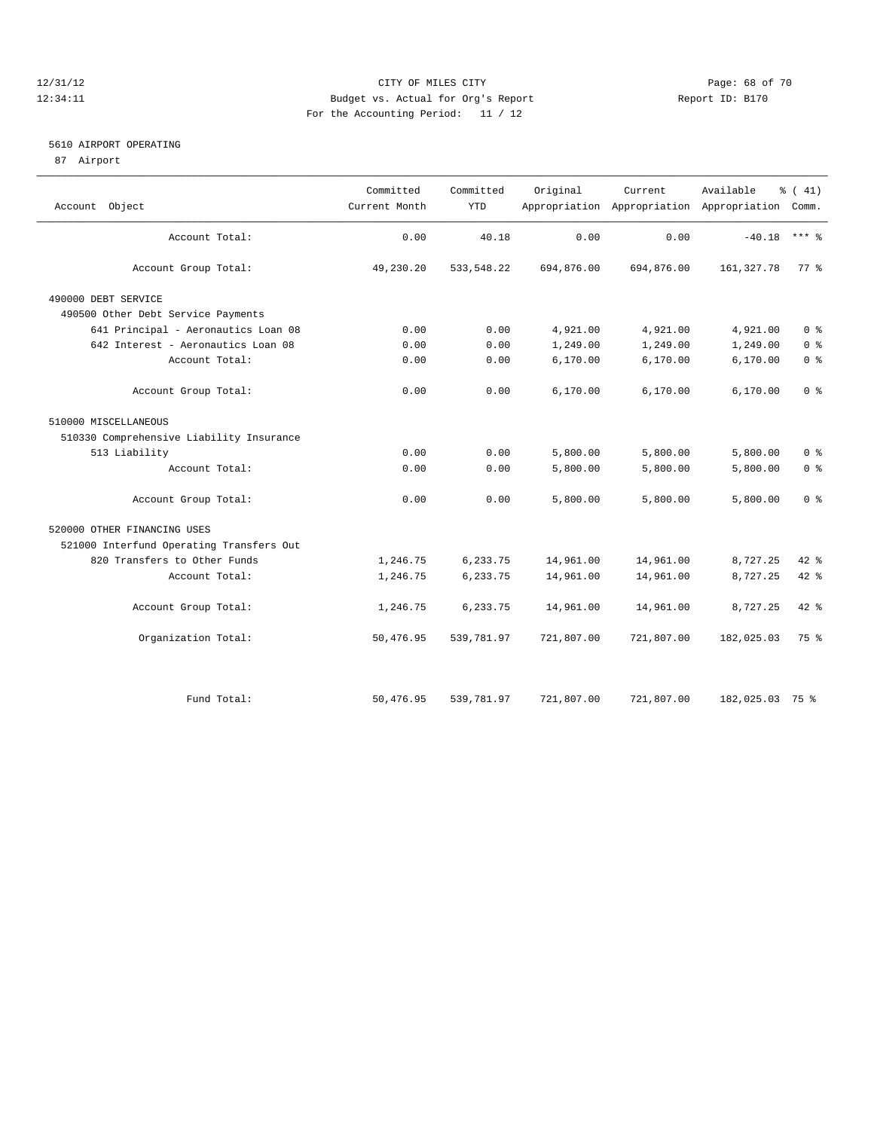# 12/31/12 Page: 68 of 70 12:34:11 Budget vs. Actual for Org's Report Changer Report ID: B170 For the Accounting Period: 11 / 12

#### 5610 AIRPORT OPERATING

87 Airport

| Object<br>Account                        | Committed<br>Current Month | Committed<br><b>YTD</b> | Original   | Current    | Available<br>Appropriation Appropriation Appropriation Comm. | $\frac{1}{6}$ ( 41) |
|------------------------------------------|----------------------------|-------------------------|------------|------------|--------------------------------------------------------------|---------------------|
| Account Total:                           | 0.00                       | 40.18                   | 0.00       | 0.00       | $-40.18$                                                     | $***$ 2             |
| Account Group Total:                     | 49,230.20                  | 533, 548.22             | 694,876.00 | 694,876.00 | 161, 327.78                                                  | 77.8                |
| 490000 DEBT SERVICE                      |                            |                         |            |            |                                                              |                     |
| 490500 Other Debt Service Payments       |                            |                         |            |            |                                                              |                     |
| 641 Principal - Aeronautics Loan 08      | 0.00                       | 0.00                    | 4,921.00   | 4,921.00   | 4,921.00                                                     | 0 <sup>8</sup>      |
| 642 Interest - Aeronautics Loan 08       | 0.00                       | 0.00                    | 1,249.00   | 1,249.00   | 1,249.00                                                     | 0 <sup>8</sup>      |
| Account Total:                           | 0.00                       | 0.00                    | 6, 170.00  | 6,170.00   | 6,170.00                                                     | 0 <sup>°</sup>      |
| Account Group Total:                     | 0.00                       | 0.00                    | 6,170.00   | 6,170.00   | 6,170.00                                                     | 0 <sup>8</sup>      |
| 510000 MISCELLANEOUS                     |                            |                         |            |            |                                                              |                     |
| 510330 Comprehensive Liability Insurance |                            |                         |            |            |                                                              |                     |
| 513 Liability                            | 0.00                       | 0.00                    | 5,800.00   | 5,800.00   | 5,800.00                                                     | 0 <sup>8</sup>      |
| Account Total:                           | 0.00                       | 0.00                    | 5,800.00   | 5,800.00   | 5,800.00                                                     | 0 <sup>8</sup>      |
| Account Group Total:                     | 0.00                       | 0.00                    | 5,800.00   | 5,800.00   | 5,800.00                                                     | 0 <sup>8</sup>      |
| 520000 OTHER FINANCING USES              |                            |                         |            |            |                                                              |                     |
| 521000 Interfund Operating Transfers Out |                            |                         |            |            |                                                              |                     |
| 820 Transfers to Other Funds             | 1,246.75                   | 6,233.75                | 14,961.00  | 14,961.00  | 8,727.25                                                     | 42 %                |
| Account Total:                           | 1,246.75                   | 6,233.75                | 14,961.00  | 14,961.00  | 8,727.25                                                     | 42 %                |
| Account Group Total:                     | 1,246.75                   | 6,233.75                | 14,961.00  | 14,961.00  | 8,727.25                                                     | $42*$               |
| Organization Total:                      | 50,476.95                  | 539,781.97              | 721,807.00 | 721,807.00 | 182,025.03                                                   | 75 %                |
|                                          |                            |                         |            |            |                                                              |                     |
| Fund Total:                              | 50,476.95                  | 539,781.97              | 721,807.00 | 721,807.00 | 182,025.03 75 %                                              |                     |